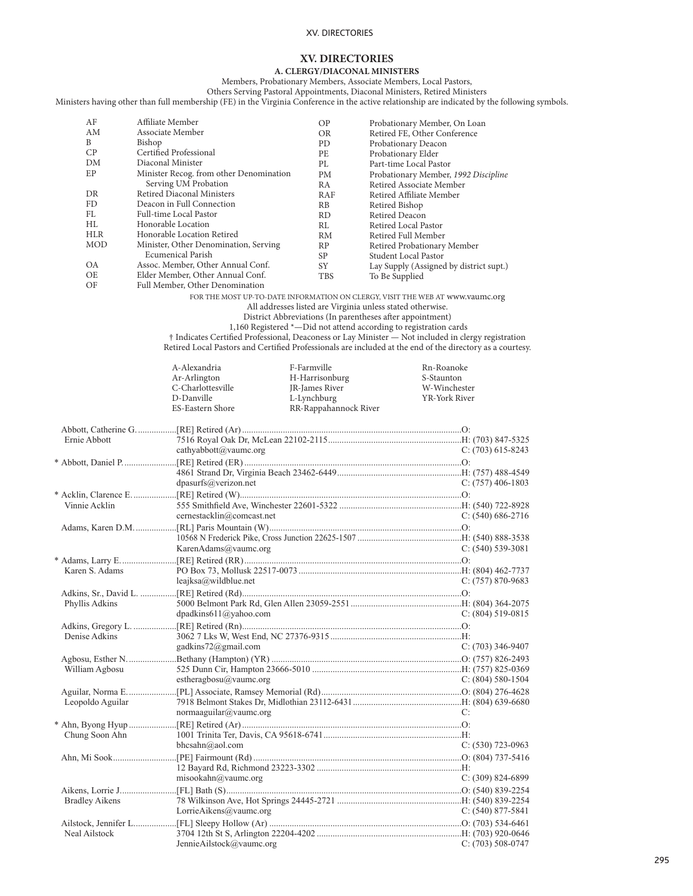# **XV. DIRECTORIES**

**A. CLERGY/DIACONAL MINISTERS**

Members, Probationary Members, Associate Members, Local Pastors, Others Serving Pastoral Appointments, Diaconal Ministers, Retired Ministers

Ministers having other than full membership (FE) in the Virginia Conference in the active relationship are indicated by the following symbols.

| AF         | Affiliate Member                        | <b>OP</b>      | Probationary Member, On Loan                                                                              |
|------------|-----------------------------------------|----------------|-----------------------------------------------------------------------------------------------------------|
| AM         | Associate Member                        | <b>OR</b>      | Retired FE, Other Conference                                                                              |
| B          | Bishop                                  | PD.            | Probationary Deacon                                                                                       |
| CP         | Certified Professional                  | <b>PE</b>      | Probationary Elder                                                                                        |
| DM         | Diaconal Minister                       | PI.            | Part-time Local Pastor                                                                                    |
| EP         | Minister Recog. from other Denomination | PM             | Probationary Member, 1992 Discipline                                                                      |
|            | Serving UM Probation                    | R <sub>A</sub> | Retired Associate Member                                                                                  |
| DR.        | Retired Diaconal Ministers              | RAF            | Retired Affiliate Member                                                                                  |
| FD.        | Deacon in Full Connection               | RB             | Retired Bishop                                                                                            |
| FL.        | Full-time Local Pastor                  | RD.            | <b>Retired Deacon</b>                                                                                     |
| HL         | Honorable Location                      | RI.            | Retired Local Pastor                                                                                      |
| <b>HLR</b> | Honorable Location Retired              | <b>RM</b>      | Retired Full Member                                                                                       |
| MOD        | Minister, Other Denomination, Serving   | RP             | Retired Probationary Member                                                                               |
|            | Ecumenical Parish                       | SP.            | Student Local Pastor                                                                                      |
| <b>OA</b>  | Assoc. Member, Other Annual Conf.       | SY.            | Lay Supply (Assigned by district supt.)                                                                   |
| OE         | Elder Member, Other Annual Conf.        | <b>TBS</b>     | To Be Supplied                                                                                            |
| OF         | Full Member, Other Denomination         |                |                                                                                                           |
|            |                                         |                | FOR THE MOST UP-TO-DATE INFORMATION ON CLERGY, VISIT THE WEB AT www.vaumc.org                             |
|            |                                         |                | All addresses listed are Virginia unless stated otherwise.                                                |
|            |                                         |                | District Abbreviations (In parentheses after appointment)                                                 |
|            |                                         |                | 1,160 Registered *- Did not attend according to registration cards                                        |
|            |                                         |                | † Indicates Certified Professional, Deaconess or Lay Minister — Not included in clergy registration       |
|            |                                         |                | Retired Local Pastors and Certified Professionals are included at the end of the directory as a courtesy. |
|            | A-Alexandria                            | F-Farmville    | Rn-Roanoke                                                                                                |

|                       | Ar-Arlington              | H-Harrisonburg        | S-Staunton            |
|-----------------------|---------------------------|-----------------------|-----------------------|
|                       | C-Charlottesville         | <b>IR-James River</b> | W-Winchester          |
|                       | D-Danville                | L-Lynchburg           | YR-York River         |
|                       | ES-Eastern Shore          | RR-Rappahannock River |                       |
|                       |                           |                       |                       |
| Ernie Abbott          |                           |                       |                       |
|                       | cathyabbott@vaumc.org     |                       | $C: (703) 615 - 8243$ |
|                       |                           |                       |                       |
|                       |                           |                       |                       |
|                       | dpasurfs@verizon.net      |                       | $C: (757)$ 406-1803   |
|                       |                           |                       |                       |
| Vinnie Acklin         |                           |                       |                       |
|                       | cernestacklin@comcast.net |                       | $C: (540) 686-2716$   |
|                       |                           |                       |                       |
|                       |                           |                       |                       |
|                       | KarenAdams@vaumc.org      |                       | $C: (540) 539-3081$   |
|                       |                           |                       |                       |
| Karen S. Adams        |                           |                       |                       |
|                       | $leqiksa@$ wildblue.net   |                       | $C: (757) 870-9683$   |
|                       |                           |                       |                       |
| Phyllis Adkins        |                           |                       |                       |
|                       | dpadkins611@yahoo.com     |                       | $C: (804) 519-0815$   |
|                       |                           |                       |                       |
| Denise Adkins         |                           |                       |                       |
|                       | gadkins72@gmail.com       |                       | $C: (703)$ 346-9407   |
|                       |                           |                       |                       |
| William Agbosu        |                           |                       |                       |
|                       | estheragbosu@vaumc.org    |                       | $C: (804) 580-1504$   |
|                       |                           |                       |                       |
| Leopoldo Aguilar      |                           |                       |                       |
|                       | normaaguilar@vaumc.org    |                       | C:                    |
|                       |                           |                       |                       |
| Chung Soon Ahn        |                           |                       |                       |
|                       | bhcsahn@aol.com           |                       | $C: (530)$ 723-0963   |
|                       |                           |                       |                       |
|                       |                           |                       |                       |
|                       | misookahn@vaumc.org       |                       | $C: (309) 824-6899$   |
|                       |                           |                       |                       |
| <b>Bradley Aikens</b> | LorrieAikens@vaumc.org    |                       | $C: (540) 877 - 5841$ |
|                       |                           |                       |                       |
| Neal Ailstock         |                           |                       |                       |
|                       | JennieAilstock@vaumc.org  |                       | $C: (703) 508-0747$   |
|                       |                           |                       |                       |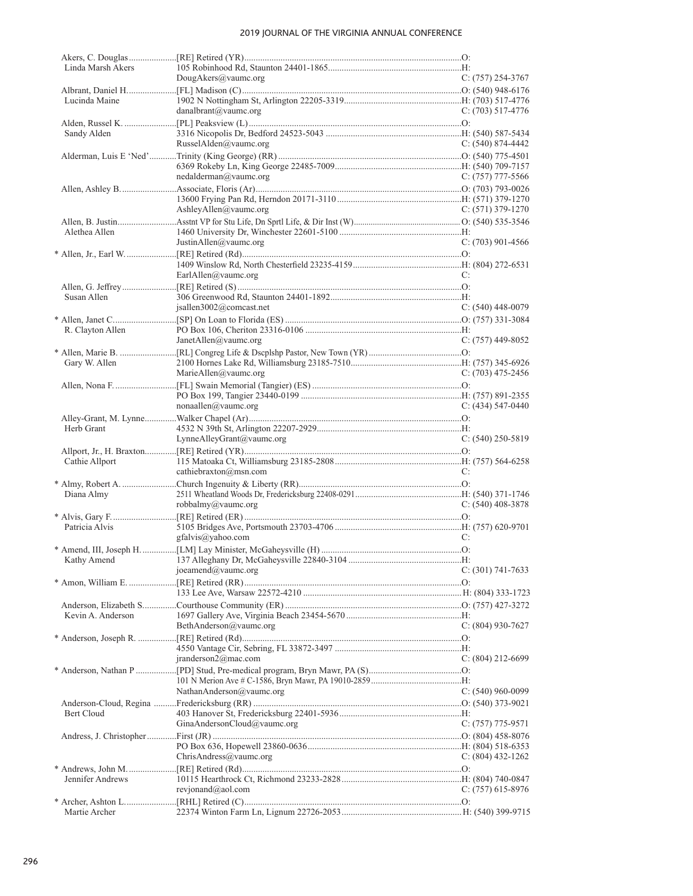| Linda Marsh Akers |                               |                     |
|-------------------|-------------------------------|---------------------|
|                   | DougAkers@vaumc.org           | $C: (757) 254-3767$ |
|                   |                               |                     |
| Lucinda Maine     |                               |                     |
|                   | danalbrant@vaumc.org          | C: $(703)$ 517-4776 |
|                   |                               |                     |
| Sandy Alden       |                               |                     |
|                   | RusselAlden@vaumc.org         | $C: (540) 874-4442$ |
|                   |                               |                     |
|                   |                               |                     |
|                   | nedalderman@vaumc.org         | C: $(757)$ 777-5566 |
|                   |                               |                     |
|                   |                               |                     |
|                   | AshleyAllen@vaumc.org         | $C: (571)$ 379-1270 |
|                   |                               |                     |
|                   |                               |                     |
| Alethea Allen     |                               |                     |
|                   | JustinAllen@vaumc.org         | $C: (703)$ 901-4566 |
|                   |                               |                     |
|                   |                               |                     |
|                   | EarlAllen@vaumc.org           | C:                  |
|                   |                               |                     |
| Susan Allen       |                               |                     |
|                   | jsallen3002@comcast.net       | $C: (540)$ 448-0079 |
|                   |                               |                     |
| R. Clayton Allen  |                               |                     |
|                   | JanetAllen@vaumc.org          | $C: (757)$ 449-8052 |
|                   |                               |                     |
| Gary W. Allen     |                               |                     |
|                   | MarieAllen@vaumc.org          | C: (703) 475-2456   |
|                   |                               |                     |
|                   |                               |                     |
|                   |                               |                     |
|                   | $nonaallen(\omega)$ vaumc.org | $C: (434) 547-0440$ |
|                   |                               |                     |
| Herb Grant        |                               |                     |
|                   | LynneAlleyGrant@vaumc.org     | $C: (540)$ 250-5819 |
|                   |                               |                     |
| Cathie Allport    |                               |                     |
|                   | cathiebraxton@msn.com         | C:                  |
|                   |                               |                     |
| Diana Almy        |                               |                     |
|                   | robbalmy@vaumc.org            | $C: (540)$ 408-3878 |
|                   |                               |                     |
| Patricia Alvis    |                               |                     |
|                   | gfalvis@yahoo.com             | C:                  |
|                   |                               |                     |
|                   |                               |                     |
|                   |                               |                     |
|                   | joeamend@vaumc.org            | C: $(301)$ 741-7633 |
|                   |                               |                     |
|                   |                               |                     |
|                   |                               |                     |
| Kevin A. Anderson |                               |                     |
|                   | BethAnderson@vaumc.org        | $C: (804)$ 930-7627 |
|                   |                               |                     |
|                   |                               |                     |
|                   | iranderson2@mac.com           | C: $(804)$ 212-6699 |
|                   |                               |                     |
|                   |                               |                     |
|                   | NathanAnderson@vaumc.org      | $C: (540)$ 960-0099 |
|                   |                               |                     |
|                   |                               |                     |
| Bert Cloud        |                               |                     |
|                   | GinaAndersonCloud@vaumc.org   | C: (757) 775-9571   |
|                   |                               |                     |
|                   |                               |                     |
|                   | ChristAndress@value.org       | $C: (804)$ 432-1262 |
|                   |                               |                     |
| Jennifer Andrews  |                               |                     |
|                   | revjonand@aol.com             | $C: (757)$ 615-8976 |
|                   |                               |                     |
| Martie Archer     |                               |                     |
|                   |                               |                     |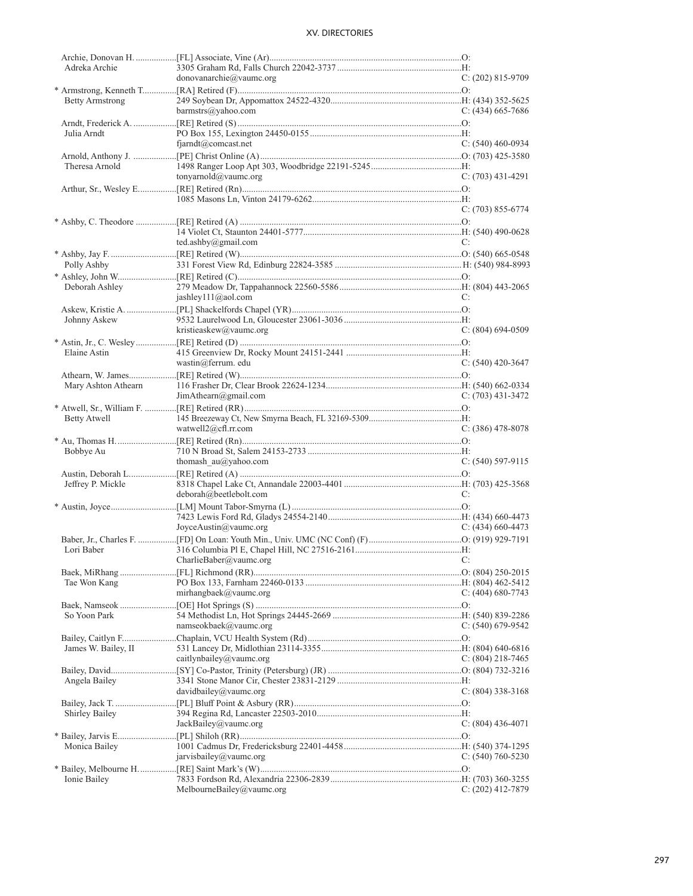| Adreka Archie<br>donovanarchie@vaumc.org<br><b>Betty Armstrong</b><br>barmstrs@yahoo.com<br>Julia Arndt<br>$f$ jarndt@comcast.net<br>Theresa Arnold<br>tonyarnold@vaumc.org<br>ted.ashby@gmail.com<br>Polly Ashby | $C: (202)$ 815-9709<br>$C: (434)$ 665-7686<br>$C: (540)$ 460-0934<br>$C: (703)$ 431-4291<br>$C: (703) 855-6774$ |
|-------------------------------------------------------------------------------------------------------------------------------------------------------------------------------------------------------------------|-----------------------------------------------------------------------------------------------------------------|
|                                                                                                                                                                                                                   |                                                                                                                 |
|                                                                                                                                                                                                                   |                                                                                                                 |
|                                                                                                                                                                                                                   |                                                                                                                 |
|                                                                                                                                                                                                                   |                                                                                                                 |
|                                                                                                                                                                                                                   |                                                                                                                 |
|                                                                                                                                                                                                                   |                                                                                                                 |
|                                                                                                                                                                                                                   |                                                                                                                 |
|                                                                                                                                                                                                                   |                                                                                                                 |
|                                                                                                                                                                                                                   |                                                                                                                 |
|                                                                                                                                                                                                                   |                                                                                                                 |
|                                                                                                                                                                                                                   |                                                                                                                 |
|                                                                                                                                                                                                                   |                                                                                                                 |
|                                                                                                                                                                                                                   |                                                                                                                 |
|                                                                                                                                                                                                                   |                                                                                                                 |
|                                                                                                                                                                                                                   |                                                                                                                 |
|                                                                                                                                                                                                                   |                                                                                                                 |
|                                                                                                                                                                                                                   |                                                                                                                 |
|                                                                                                                                                                                                                   |                                                                                                                 |
|                                                                                                                                                                                                                   | C:                                                                                                              |
|                                                                                                                                                                                                                   |                                                                                                                 |
|                                                                                                                                                                                                                   |                                                                                                                 |
|                                                                                                                                                                                                                   |                                                                                                                 |
|                                                                                                                                                                                                                   |                                                                                                                 |
| Deborah Ashley                                                                                                                                                                                                    |                                                                                                                 |
| jashley111@aol.com                                                                                                                                                                                                | C:                                                                                                              |
|                                                                                                                                                                                                                   |                                                                                                                 |
|                                                                                                                                                                                                                   |                                                                                                                 |
| Johnny Askew                                                                                                                                                                                                      |                                                                                                                 |
| kristieaskew@vaumc.org                                                                                                                                                                                            | $C: (804) 694-0509$                                                                                             |
|                                                                                                                                                                                                                   |                                                                                                                 |
| Elaine Astin                                                                                                                                                                                                      |                                                                                                                 |
|                                                                                                                                                                                                                   |                                                                                                                 |
| wastin@ferrum. edu                                                                                                                                                                                                | $C: (540)$ 420-3647                                                                                             |
|                                                                                                                                                                                                                   |                                                                                                                 |
| Mary Ashton Athearn                                                                                                                                                                                               |                                                                                                                 |
| JimAthen@gmail.com                                                                                                                                                                                                | $C: (703)$ 431-3472                                                                                             |
|                                                                                                                                                                                                                   |                                                                                                                 |
|                                                                                                                                                                                                                   |                                                                                                                 |
| <b>Betty Atwell</b>                                                                                                                                                                                               |                                                                                                                 |
| watwell $2@cfl.rr.com$                                                                                                                                                                                            | $C: (386)$ 478-8078                                                                                             |
|                                                                                                                                                                                                                   |                                                                                                                 |
| Bobbye Au                                                                                                                                                                                                         |                                                                                                                 |
| thomash $au@yahoo.com$                                                                                                                                                                                            | $C: (540) 597-9115$                                                                                             |
|                                                                                                                                                                                                                   |                                                                                                                 |
|                                                                                                                                                                                                                   |                                                                                                                 |
| Jeffrey P. Mickle                                                                                                                                                                                                 |                                                                                                                 |
| deborah@beetlebolt.com                                                                                                                                                                                            | C:                                                                                                              |
|                                                                                                                                                                                                                   |                                                                                                                 |
|                                                                                                                                                                                                                   |                                                                                                                 |
|                                                                                                                                                                                                                   |                                                                                                                 |
|                                                                                                                                                                                                                   |                                                                                                                 |
| JoyceAustin@vaumc.org                                                                                                                                                                                             | $C: (434)$ 660-4473                                                                                             |
|                                                                                                                                                                                                                   |                                                                                                                 |
| Lori Baber                                                                                                                                                                                                        |                                                                                                                 |
| $CharlieBaber@value.org$ C:                                                                                                                                                                                       |                                                                                                                 |
|                                                                                                                                                                                                                   |                                                                                                                 |
|                                                                                                                                                                                                                   |                                                                                                                 |
| Tae Won Kang                                                                                                                                                                                                      |                                                                                                                 |
| mirhangbaek@vaumc.org                                                                                                                                                                                             | C: $(404)$ 680-7743                                                                                             |
|                                                                                                                                                                                                                   |                                                                                                                 |
| So Yoon Park                                                                                                                                                                                                      |                                                                                                                 |
| namseokbaek@vaumc.org                                                                                                                                                                                             | $C: (540) 679-9542$                                                                                             |
|                                                                                                                                                                                                                   |                                                                                                                 |
|                                                                                                                                                                                                                   |                                                                                                                 |
| James W. Bailey, II                                                                                                                                                                                               |                                                                                                                 |
| caitlynbailey@vaumc.org                                                                                                                                                                                           | C: $(804)$ 218-7465                                                                                             |
|                                                                                                                                                                                                                   |                                                                                                                 |
| Angela Bailey                                                                                                                                                                                                     |                                                                                                                 |
| davidbailey@vaumc.org                                                                                                                                                                                             | $C: (804)$ 338-3168                                                                                             |
|                                                                                                                                                                                                                   |                                                                                                                 |
|                                                                                                                                                                                                                   |                                                                                                                 |
| Shirley Bailey                                                                                                                                                                                                    |                                                                                                                 |
| JackBailey@value.org                                                                                                                                                                                              | $C: (804)$ 436-4071                                                                                             |
|                                                                                                                                                                                                                   |                                                                                                                 |
|                                                                                                                                                                                                                   |                                                                                                                 |
| Monica Bailey                                                                                                                                                                                                     |                                                                                                                 |
| jarvisbailey@vaumc.org                                                                                                                                                                                            | $C: (540) 760 - 5230$                                                                                           |
|                                                                                                                                                                                                                   |                                                                                                                 |
| Ionie Bailey<br>MelbourneBailey@vaumc.org                                                                                                                                                                         | $C: (202)$ 412-7879                                                                                             |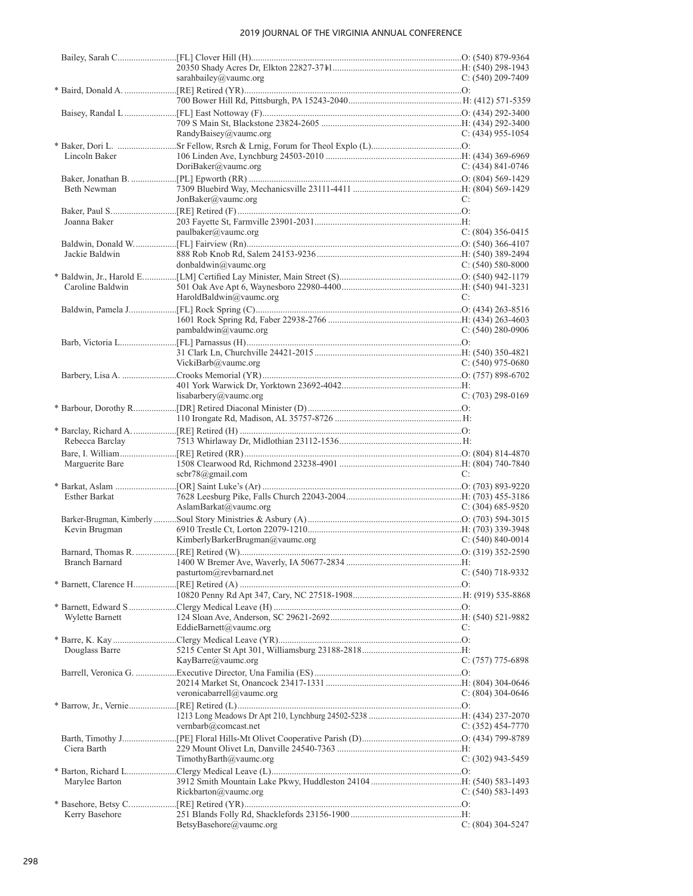|                    | sarahbailey@vaumc.org           | C: $(540)$ 209-7409   |
|--------------------|---------------------------------|-----------------------|
|                    |                                 |                       |
|                    |                                 |                       |
|                    |                                 |                       |
|                    |                                 |                       |
|                    | RandyBaisey@vaumc.org           | C: $(434)$ 955-1054   |
|                    |                                 |                       |
| Lincoln Baker      |                                 |                       |
|                    | DoriBaker@vaumc.org             | $C: (434) 841 - 0746$ |
|                    |                                 |                       |
| <b>Beth Newman</b> |                                 |                       |
|                    | JonBaker@value.org              | C:                    |
|                    |                                 |                       |
| Joanna Baker       | paulbaker@vaumc.org             | $C: (804)$ 356-0415   |
|                    |                                 |                       |
| Jackie Baldwin     |                                 |                       |
|                    | donbaldwin@value.org            | C: $(540)$ 580-8000   |
|                    |                                 |                       |
| Caroline Baldwin   |                                 |                       |
|                    | HaroldBaldwin@vaumc.org         | C:                    |
|                    |                                 |                       |
|                    |                                 |                       |
|                    | pambaldwin@value.org            | C: $(540)$ 280-0906   |
|                    |                                 |                       |
|                    |                                 |                       |
|                    | VickiBarb@vaumc.org             | $C: (540)$ 975-0680   |
|                    |                                 |                       |
|                    |                                 |                       |
|                    | lisabarbery@vaumc.org           | $C: (703)$ 298-0169   |
|                    |                                 |                       |
|                    |                                 |                       |
|                    |                                 |                       |
| Rebecca Barclay    |                                 |                       |
|                    |                                 |                       |
| Marguerite Bare    |                                 |                       |
|                    | scbr78@gmail.com                | C:                    |
|                    |                                 |                       |
| Esther Barkat      |                                 |                       |
|                    | AslamBarkat@vaumc.org           | C: $(304)$ 685-9520   |
|                    |                                 |                       |
| Kevin Brugman      |                                 |                       |
|                    | KimberlyBarkerBrugman@vaumc.org | C: $(540)$ 840-0014   |
|                    |                                 |                       |
|                    |                                 |                       |
|                    | pasturtom@revbarnard.net        | $C: (540)$ 718-9332   |
|                    |                                 |                       |
|                    |                                 |                       |
|                    |                                 |                       |
| Wylette Barnett    |                                 |                       |
|                    | EddieBarnett@vaumc.org          | C:                    |
|                    |                                 |                       |
| Douglass Barre     |                                 |                       |
|                    | KayBarre@vaumc.org              | $C: (757)$ 775-6898   |
|                    |                                 |                       |
|                    |                                 |                       |
|                    | veronicabarrell@vaumc.org       | $C: (804)$ 304-0646   |
|                    |                                 |                       |
|                    |                                 |                       |
|                    | vernbarb@comcast.net            | $C: (352)$ 454-7770   |
|                    |                                 |                       |
| Ciera Barth        | TimothyBarth@vaumc.org          |                       |
|                    |                                 | $C: (302)$ 943-5459   |
| Marylee Barton     |                                 |                       |
|                    | Rickbarton@vaumc.org            | $C: (540) 583-1493$   |
|                    |                                 |                       |
| Kerry Basehore     |                                 |                       |
|                    | BetsyBasehore@vaumc.org         | $C: (804)$ 304-5247   |
|                    |                                 |                       |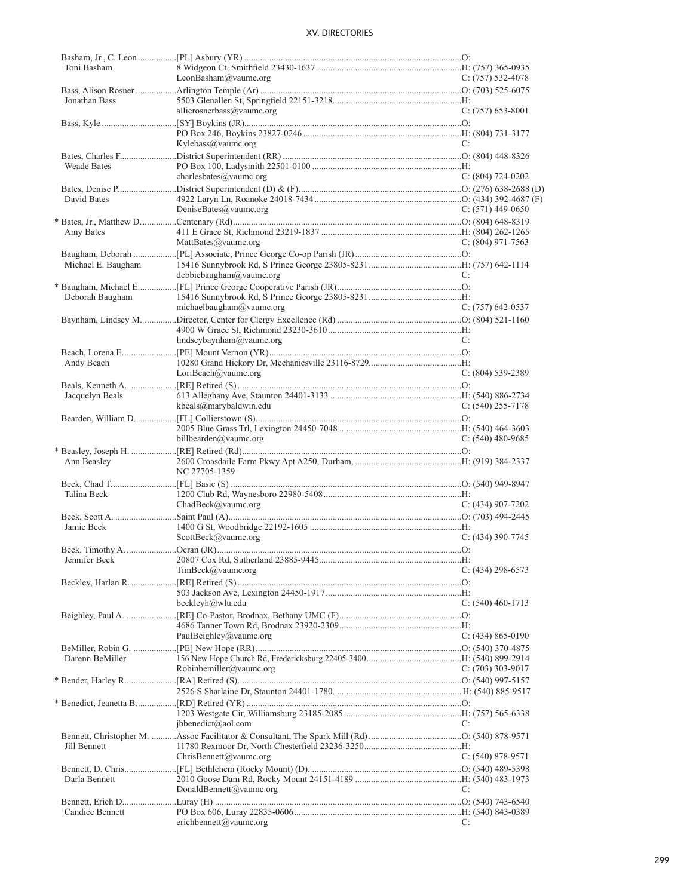| Toni Basham        |                                 |                     |
|--------------------|---------------------------------|---------------------|
|                    | LeonBasham@vaumc.org            | $C: (757) 532-4078$ |
|                    |                                 |                     |
| Jonathan Bass      |                                 |                     |
|                    | allierosnerbass@vaumc.org       | C: $(757)$ 653-8001 |
|                    |                                 |                     |
|                    |                                 |                     |
|                    | Kylebass@vaumc.org              | C:                  |
|                    |                                 |                     |
| <b>Weade Bates</b> |                                 |                     |
|                    | charlesbates@vaumc.org          | $C: (804)$ 724-0202 |
|                    |                                 |                     |
|                    |                                 |                     |
| David Bates        |                                 |                     |
|                    | DeniseBates@vaumc.org           | C: $(571)$ 449-0650 |
|                    |                                 |                     |
| Amy Bates          |                                 |                     |
|                    | $\text{MattBates}(a)$ vaumc.org | $C: (804)$ 971-7563 |
|                    |                                 |                     |
| Michael E. Baugham |                                 |                     |
|                    | debbiebaugham@vaumc.org         | C:                  |
|                    |                                 |                     |
|                    |                                 |                     |
| Deborah Baugham    |                                 |                     |
|                    | michaelbaugham@vaumc.org        | $C: (757)$ 642-0537 |
|                    |                                 |                     |
|                    |                                 |                     |
|                    | lindseybaynham@vaumc.org        | C:                  |
|                    |                                 |                     |
| Andy Beach         |                                 |                     |
|                    | LoriBeach@vaumc.org             | $C: (804)$ 539-2389 |
|                    |                                 |                     |
|                    |                                 |                     |
| Jacquelyn Beals    |                                 |                     |
|                    | kbeals@marybaldwin.edu          | C: $(540)$ 255-7178 |
|                    |                                 |                     |
|                    |                                 |                     |
|                    | billbearden@vaumc.org           | C: $(540)$ 480-9685 |
|                    |                                 |                     |
| Ann Beasley        |                                 |                     |
|                    | NC 27705-1359                   |                     |
|                    |                                 |                     |
| Talina Beck        |                                 |                     |
|                    | ChadBeck@vaumc.org              | C: $(434)$ 907-7202 |
|                    |                                 |                     |
|                    |                                 |                     |
| Jamie Beck         |                                 |                     |
|                    | ScottBeck@vaumc.org             | $C: (434)$ 390-7745 |
|                    |                                 |                     |
|                    |                                 |                     |
|                    | TimBeck@value.org               | $C: (434)$ 298-6573 |
|                    |                                 |                     |
|                    |                                 |                     |
|                    | beckleyh@wlu.edu                | $C: (540)$ 460-1713 |
|                    |                                 |                     |
|                    |                                 |                     |
|                    |                                 |                     |
|                    | PaulBeighley@vaumc.org          | $C: (434) 865-0190$ |
|                    |                                 |                     |
| Darenn BeMiller    |                                 |                     |
|                    | Robinbemiller@vaumc.org         | $C: (703)$ 303-9017 |
|                    |                                 |                     |
|                    |                                 |                     |
|                    |                                 |                     |
|                    |                                 |                     |
|                    |                                 |                     |
|                    | jbbenedict@aol.com              | C:                  |
|                    |                                 |                     |
| Jill Bennett       |                                 |                     |
|                    | ChrisBennett@vaumc.org          | $C: (540) 878-9571$ |
|                    |                                 |                     |
| Darla Bennett      |                                 |                     |
|                    | DonaldBennett@vaumc.org         | C:                  |
|                    |                                 |                     |
|                    |                                 |                     |
| Candice Bennett    |                                 |                     |
|                    | erichbennett@vaumc.org          | C:                  |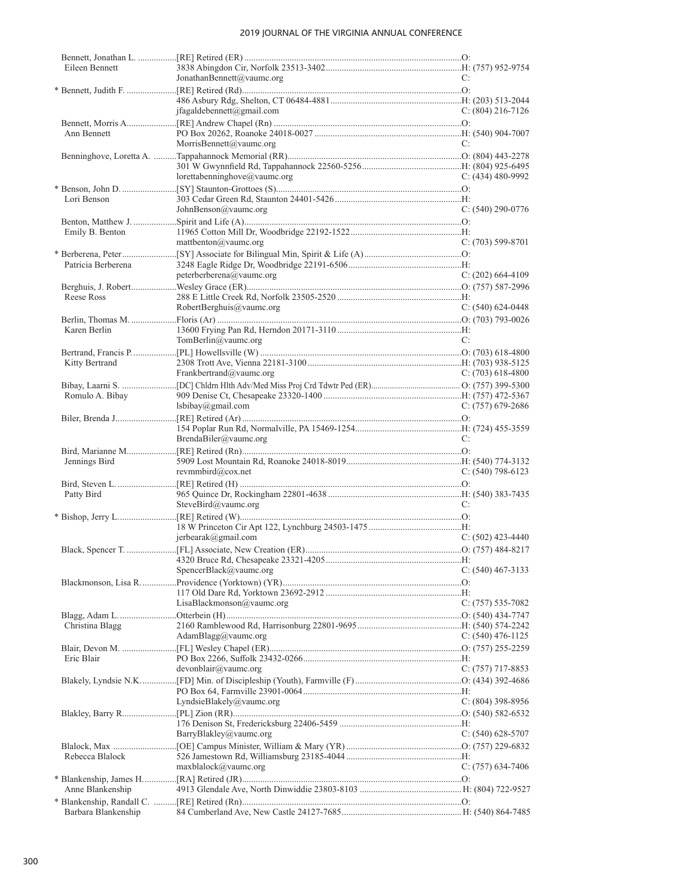| Eileen Bennett      |                              |                     |
|---------------------|------------------------------|---------------------|
|                     | JonathanBennett@vaumc.org    | C:                  |
|                     |                              |                     |
|                     |                              |                     |
|                     | jfagaldebennett@gmail.com    | $C: (804)$ 216-7126 |
|                     |                              |                     |
| Ann Bennett         |                              |                     |
|                     | MorrisBennett@vaumc.org      | C:                  |
|                     |                              |                     |
|                     |                              |                     |
|                     |                              |                     |
|                     | lorettabenninghove@vaumc.org | C: $(434)$ 480-9992 |
|                     |                              |                     |
| Lori Benson         |                              |                     |
|                     | JohnBenson@vaumc.org         | $C: (540) 290-0776$ |
|                     |                              |                     |
| Emily B. Benton     |                              |                     |
|                     | mattbenton@vaumc.org         | $C: (703)$ 599-8701 |
|                     |                              |                     |
| Patricia Berberena  |                              |                     |
|                     | peterberberena@vaumc.org     | $C: (202)$ 664-4109 |
|                     |                              |                     |
|                     |                              |                     |
| Reese Ross          |                              |                     |
|                     | RobertBerghuis@vaumc.org     | $C: (540) 624-0448$ |
|                     |                              |                     |
| Karen Berlin        |                              |                     |
|                     | TomBerlin@value.org          | C:                  |
|                     |                              |                     |
| Kitty Bertrand      |                              |                     |
|                     | Frankbertrand@vaumc.org      | C: $(703)$ 618-4800 |
|                     |                              |                     |
|                     |                              |                     |
| Romulo A. Bibay     |                              |                     |
|                     | lsbibay@gmail.com            | C: $(757)$ 679-2686 |
|                     |                              |                     |
|                     |                              |                     |
|                     | BrendaBiler@vaumc.org        | C:                  |
|                     |                              |                     |
| Jennings Bird       |                              |                     |
|                     | revmmbird@cox.net            | $C: (540) 798-6123$ |
|                     |                              |                     |
|                     |                              |                     |
| Patty Bird          |                              |                     |
|                     | SteveBird@vaumc.org          | C:                  |
|                     |                              |                     |
|                     |                              |                     |
|                     | $j$ erbearak@gmail.com       | $C: (502)$ 423-4440 |
|                     |                              |                     |
|                     |                              |                     |
|                     | SpencerBlack@vaumc.org       | $C: (540)$ 467-3133 |
|                     |                              |                     |
|                     |                              |                     |
|                     | LisaBlackmonson@vaumc.org    | $C: (757) 535-7082$ |
|                     |                              |                     |
|                     |                              |                     |
| Christina Blagg     |                              |                     |
|                     | AdamBlagg@vaumc.org          | C: $(540)$ 476-1125 |
|                     |                              |                     |
| Eric Blair          |                              |                     |
|                     | devonblair@vaumc.org         | C: $(757)$ 717-8853 |
|                     |                              |                     |
|                     |                              |                     |
|                     | LyndsieBlakely@vaumc.org     | $C: (804)$ 398-8956 |
|                     |                              |                     |
|                     |                              |                     |
|                     |                              |                     |
|                     | BarryBlakley@vaumc.org       | C: $(540)$ 628-5707 |
|                     |                              |                     |
| Rebecca Blalock     |                              |                     |
|                     | $maxblack(\omega)$ vaumc.org | $C: (757)$ 634-7406 |
|                     |                              |                     |
| Anne Blankenship    |                              |                     |
|                     |                              |                     |
|                     |                              |                     |
| Barbara Blankenship |                              |                     |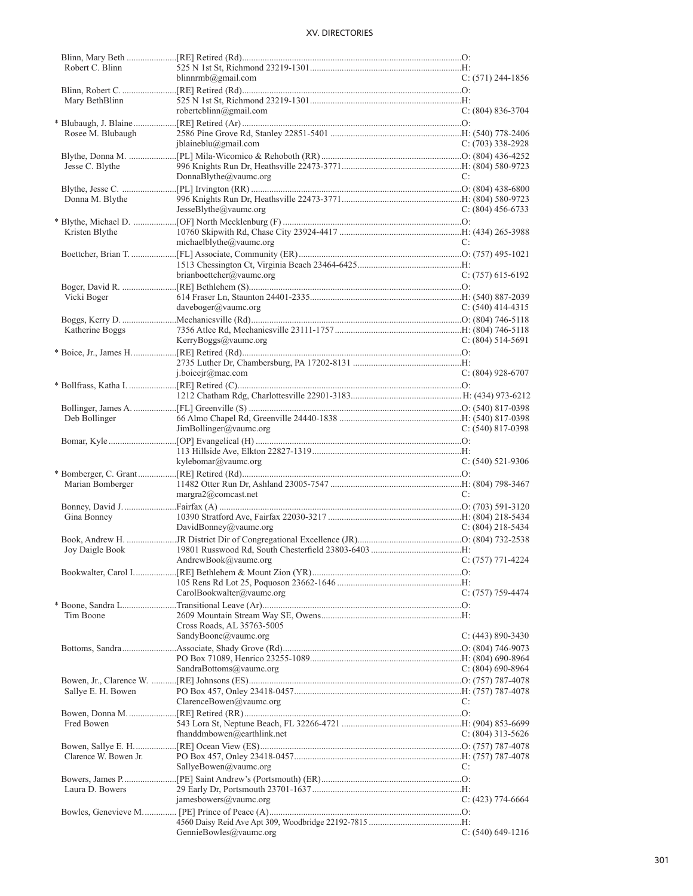| Robert C. Blinn       |                                             |                       |
|-----------------------|---------------------------------------------|-----------------------|
|                       | blinnrmb@gmail.com                          | $C: (571)$ 244-1856   |
|                       |                                             |                       |
| Mary BethBlinn        |                                             |                       |
|                       | robertcblinn@gmail.com                      | $C: (804) 836-3704$   |
|                       |                                             |                       |
| Rosee M. Blubaugh     |                                             |                       |
|                       | iblaineblu@gmail.com                        | $C: (703)$ 338-2928   |
|                       |                                             |                       |
|                       |                                             |                       |
| Jesse C. Blythe       |                                             |                       |
|                       | DonnaBlythe@vaumc.org                       | C:                    |
|                       |                                             |                       |
| Donna M. Blythe       |                                             |                       |
|                       | JesseBlythe@value.org                       | C: $(804)$ 456-6733   |
|                       |                                             |                       |
| Kristen Blythe        |                                             |                       |
|                       | michaelblythe@vaumc.org                     | C:                    |
|                       |                                             |                       |
|                       |                                             |                       |
|                       |                                             |                       |
|                       | brianboettcher@vaumc.org                    | $C: (757)$ 615-6192   |
|                       |                                             |                       |
| Vicki Boger           |                                             |                       |
|                       | daveboger@value.org                         | $C: (540)$ 414-4315   |
|                       |                                             |                       |
| Katherine Boggs       |                                             |                       |
|                       | KerryBoggs@vaumc.org                        | $C: (804) 514-5691$   |
|                       |                                             |                       |
|                       |                                             |                       |
|                       |                                             |                       |
|                       | i.boiceir@mac.com                           | $C: (804)$ 928-6707   |
|                       |                                             |                       |
|                       |                                             |                       |
|                       |                                             |                       |
| Deb Bollinger         |                                             |                       |
|                       |                                             |                       |
|                       | JimBollinger@vaumc.org                      | C: $(540)$ 817-0398   |
|                       |                                             |                       |
|                       |                                             |                       |
|                       |                                             |                       |
|                       | kylebomar@vaumc.org                         | $C: (540)$ 521-9306   |
|                       |                                             |                       |
|                       |                                             |                       |
| Marian Bomberger      |                                             | C:                    |
|                       | $margra2(a)$ comcast.net                    |                       |
|                       |                                             |                       |
| Gina Bonney           |                                             |                       |
|                       | DavidBonney@vaumc.org                       | C: $(804)$ 218-5434   |
|                       |                                             |                       |
| Joy Daigle Book       |                                             |                       |
|                       | $C: (757)$ 771-4224<br>AndrewBook@vaumc.org |                       |
|                       |                                             |                       |
|                       |                                             |                       |
|                       |                                             |                       |
|                       | CarolBookwalter@vaumc.org                   | $C: (757) 759-4474$   |
|                       |                                             |                       |
| Tim Boone             |                                             |                       |
|                       | Cross Roads, AL 35763-5005                  |                       |
|                       | SandyBoone@vaumc.org                        | $C: (443) 890 - 3430$ |
|                       |                                             |                       |
|                       |                                             |                       |
|                       | SandraBottoms@vaumc.org                     | C: $(804)$ 690-8964   |
|                       |                                             |                       |
|                       |                                             |                       |
| Sallye E. H. Bowen    |                                             | C:                    |
|                       | ClarenceBowen@vaumc.org                     |                       |
|                       |                                             |                       |
| Fred Bowen            |                                             |                       |
|                       | fhanddmbowen@earthlink.net                  | C: $(804)$ 313-5626   |
|                       |                                             |                       |
| Clarence W. Bowen Jr. |                                             |                       |
|                       | SallyeBowen@vaumc.org                       | C:                    |
|                       |                                             |                       |
| Laura D. Bowers       |                                             |                       |
|                       |                                             |                       |
|                       | jamesbowers@vaumc.org                       | C: $(423)$ 774-6664   |
|                       |                                             |                       |
|                       | GennieBowles@vaumc.org                      | $C: (540) 649-1216$   |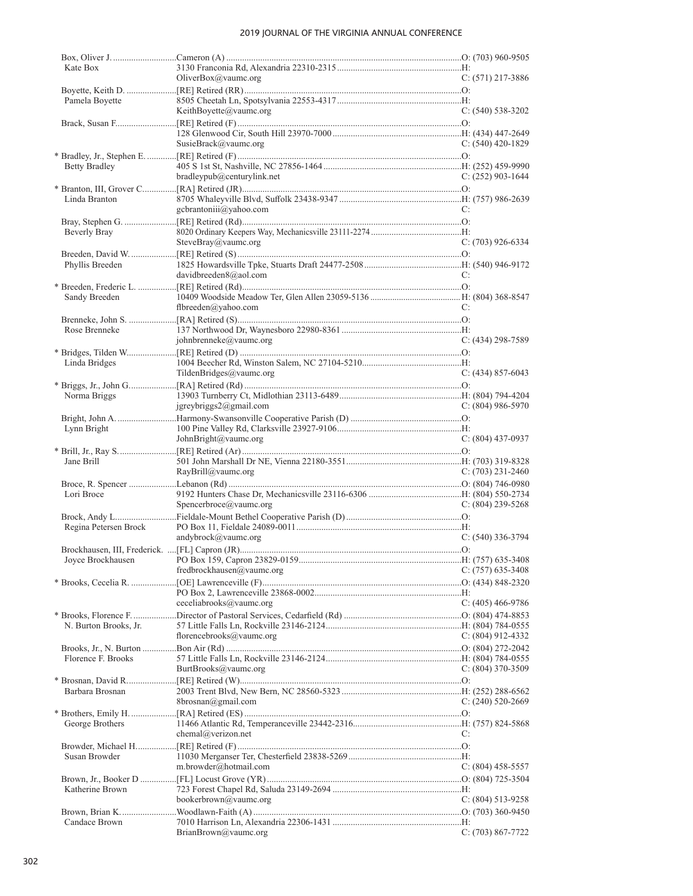| Kate Box              |                            |                       |
|-----------------------|----------------------------|-----------------------|
|                       | OliverBox@vaumc.org        | $C: (571)$ 217-3886   |
|                       |                            |                       |
| Pamela Boyette        |                            |                       |
|                       | KeithBoyette@vaumc.org     | $C: (540) 538-3202$   |
|                       |                            |                       |
|                       | SusieBrack@vaumc.org       | $C: (540)$ 420-1829   |
|                       |                            |                       |
| Betty Bradley         |                            |                       |
|                       | bradleypub@centurylink.net | $C: (252)$ 903-1644   |
|                       |                            |                       |
| Linda Branton         |                            |                       |
|                       | gcbrantoniii@yahoo.com     | C:                    |
|                       |                            |                       |
| Beverly Bray          |                            |                       |
|                       | SteveBray@vaumc.org        | $C: (703)$ 926-6334   |
|                       |                            |                       |
| Phyllis Breeden       |                            |                       |
|                       | davidbreeden8@aol.com      | C:                    |
|                       |                            |                       |
| Sandy Breeden         |                            |                       |
|                       | flbreeden@yahoo.com        | C:                    |
|                       |                            |                       |
| Rose Brenneke         |                            |                       |
|                       | johnbrenneke@vaumc.org     | $C: (434)$ 298-7589   |
|                       |                            |                       |
| Linda Bridges         |                            |                       |
|                       | TildenBridges@vaumc.org    | $C: (434) 857-6043$   |
|                       |                            |                       |
| Norma Briggs          |                            |                       |
|                       | jgreybriggs2@gmail.com     | C: $(804)$ 986-5970   |
|                       |                            |                       |
| Lynn Bright           | JohnBright@vaumc.org       | $C: (804)$ 437-0937   |
|                       |                            |                       |
| Jane Brill            |                            |                       |
|                       | RayBrill@vaumc.org         | C: $(703)$ 231-2460   |
|                       |                            |                       |
| Lori Broce            |                            |                       |
|                       | Spencerbroce@vaumc.org     | C: $(804)$ 239-5268   |
|                       |                            |                       |
| Regina Petersen Brock |                            |                       |
|                       |                            |                       |
|                       | andybrock@vaumc.org        | $C: (540)$ 336-3794   |
|                       |                            |                       |
|                       |                            |                       |
|                       | fredbrockhausen@vaumc.org  | $C: (757)$ 635-3408   |
|                       |                            |                       |
|                       |                            |                       |
|                       | ceceliabrooks@vaumc.org    | C: $(405)$ 466-9786   |
|                       |                            |                       |
| N. Burton Brooks, Jr. |                            |                       |
|                       | florencebrooks@vaumc.org   | C: $(804)$ 912-4332   |
|                       |                            |                       |
| Florence F. Brooks    |                            |                       |
|                       | BurtBrooks@vaumc.org       | $C: (804)$ 370-3509   |
|                       |                            |                       |
| Barbara Brosnan       |                            |                       |
|                       | 8brosnan@gmail.com         | C: $(240)$ 520-2669   |
|                       |                            |                       |
| George Brothers       | chemal@verizon.net         | C:                    |
|                       |                            |                       |
| Susan Browder         |                            |                       |
|                       | m.browder@hotmail.com      | C: $(804)$ 458-5557   |
|                       |                            |                       |
| Katherine Brown       |                            |                       |
|                       | bookerbrown@vaumc.org      | $C: (804) 513 - 9258$ |
|                       |                            |                       |
| Candace Brown         | BrianBrown@vaumc.org       | $C: (703) 867-7722$   |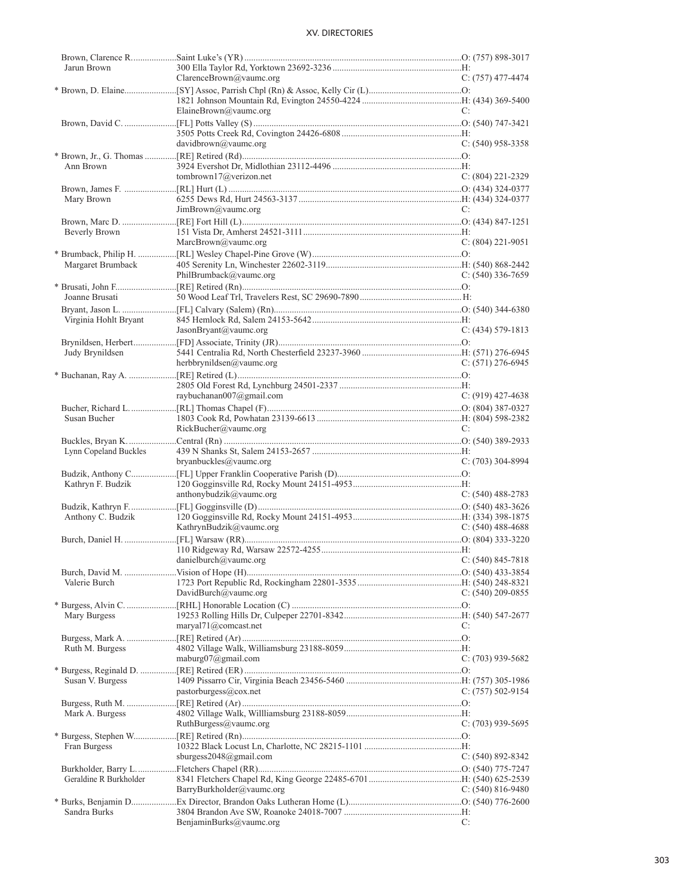| Jarun Brown            |                                         |                       |
|------------------------|-----------------------------------------|-----------------------|
|                        | ClarenceBrown@vaumc.org                 | $C: (757)$ 477-4474   |
|                        |                                         |                       |
|                        |                                         |                       |
|                        | ElaineBrown@vaumc.org                   | C:                    |
|                        |                                         |                       |
|                        |                                         |                       |
|                        | davidbrown@value.org                    | $C: (540)$ 958-3358   |
|                        |                                         |                       |
| Ann Brown              |                                         |                       |
|                        | tombrown17@verizon.net                  | $C: (804) 221 - 2329$ |
|                        |                                         |                       |
|                        |                                         |                       |
| Mary Brown             |                                         |                       |
|                        | JimBrown@value.org                      | C:                    |
|                        |                                         |                       |
| Beverly Brown          |                                         |                       |
|                        | MarcBrown@vaumc.org                     | $C: (804)$ 221-9051   |
|                        |                                         |                       |
| Margaret Brumback      |                                         |                       |
|                        | PhilBrumback@vaumc.org                  | $C: (540)$ 336-7659   |
|                        |                                         |                       |
| Joanne Brusati         |                                         |                       |
|                        |                                         |                       |
|                        |                                         |                       |
| Virginia Hohlt Bryant  |                                         |                       |
|                        | JasonBryant@value.org                   | $C: (434) 579-1813$   |
|                        |                                         |                       |
| Judy Brynildsen        |                                         |                       |
|                        | herbbrynildsen@vaumc.org                | $C: (571)$ 276-6945   |
|                        |                                         |                       |
|                        |                                         |                       |
|                        | raybuchanan007@gmail.com                | $C: (919)$ 427-4638   |
|                        |                                         |                       |
| Susan Bucher           |                                         |                       |
|                        | RickBucker@value.org                    | C:                    |
|                        |                                         |                       |
| Lynn Copeland Buckles  |                                         |                       |
|                        |                                         | $C: (703)$ 304-8994   |
|                        | bryanbuckles@vaumc.org                  |                       |
|                        |                                         |                       |
| Kathryn F. Budzik      |                                         |                       |
|                        | anthonybudzik@vaumc.org                 | $C: (540) 488-2783$   |
|                        |                                         |                       |
| Anthony C. Budzik      |                                         |                       |
|                        | KathrynBudzik@vaumc.org                 | C: $(540)$ 488-4688   |
|                        |                                         |                       |
|                        |                                         |                       |
|                        | danielburch@vaumc.org C: (540) 845-7818 |                       |
|                        |                                         |                       |
| Valerie Burch          |                                         |                       |
|                        | DavidBurch@vaumc.org                    | C: $(540)$ 209-0855   |
|                        |                                         |                       |
|                        |                                         |                       |
| Mary Burgess           |                                         |                       |
|                        | maryal71@comcast.net                    | C:                    |
|                        |                                         |                       |
| Ruth M. Burgess        |                                         |                       |
|                        | maburg $07$ @gmail.com                  | $C: (703)$ 939-5682   |
|                        |                                         |                       |
|                        |                                         |                       |
| Susan V. Burgess       |                                         |                       |
|                        | pastorburgess@cov.net                   | C: $(757)$ 502-9154   |
|                        |                                         |                       |
|                        |                                         |                       |
| Mark A. Burgess        |                                         |                       |
|                        | RuthBurgess@vaumc.org                   | $C: (703)$ 939-5695   |
|                        |                                         |                       |
| Fran Burgess           |                                         |                       |
|                        | sburgess2048@gmail.com                  | $C: (540) 892 - 8342$ |
|                        |                                         |                       |
| Geraldine R Burkholder |                                         |                       |
|                        | BarryBurkholder@vaumc.org               | C: $(540)$ 816-9480   |
|                        |                                         |                       |
| Sandra Burks           |                                         |                       |
|                        | BenjaminBurks@vaumc.org                 | C:                    |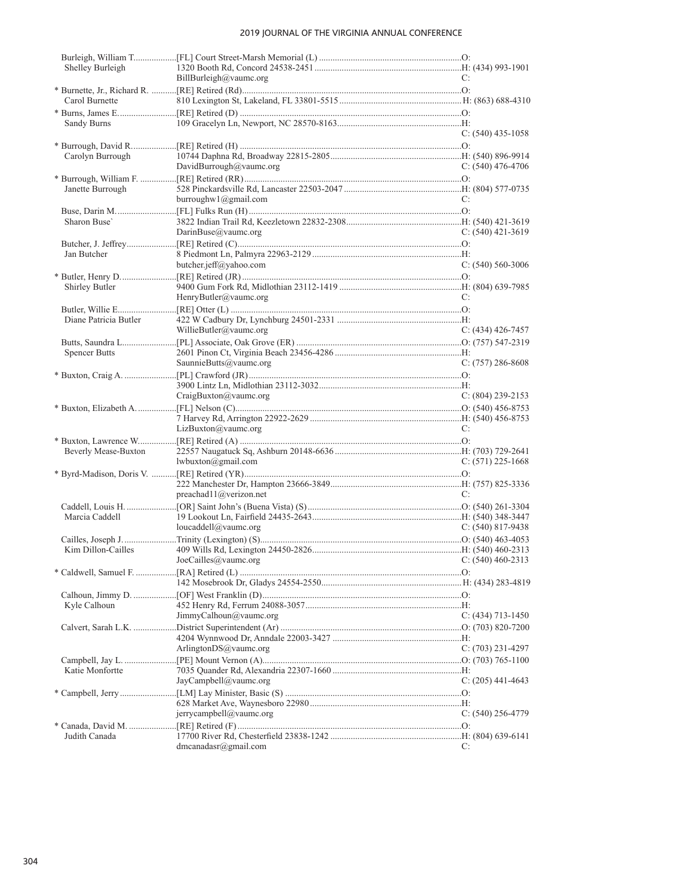| Shelley Burleigh      |                                        |                     |
|-----------------------|----------------------------------------|---------------------|
|                       | BillBurleigh@value.org                 | C:                  |
|                       |                                        |                     |
| Carol Burnette        |                                        |                     |
|                       |                                        |                     |
| Sandy Burns           |                                        |                     |
|                       |                                        | $C: (540)$ 435-1058 |
|                       |                                        |                     |
|                       |                                        |                     |
| Carolyn Burrough      |                                        |                     |
|                       | DavidBurrough@vaumc.org                | C: $(540)$ 476-4706 |
|                       |                                        |                     |
| Janette Burrough      |                                        |                     |
|                       | burroughw $1$ (@gmail.com              | C:                  |
|                       |                                        |                     |
| Sharon Buse'          |                                        |                     |
|                       | DarinBuse@vaumc.org                    | C: $(540)$ 421-3619 |
|                       |                                        |                     |
|                       |                                        |                     |
| Jan Butcher           |                                        |                     |
|                       | butcher.jeff@yahoo.com                 | $C: (540) 560-3006$ |
|                       |                                        |                     |
| Shirley Butler        |                                        |                     |
|                       | HenryButler@vaumc.org                  | C:                  |
|                       |                                        |                     |
| Diane Patricia Butler |                                        |                     |
|                       | WillieButler@vaumc.org                 | C: $(434)$ 426-7457 |
|                       |                                        |                     |
|                       |                                        |                     |
| Spencer Butts         |                                        |                     |
|                       | SaunnieButts@vaumc.org                 | $C: (757) 286-8608$ |
|                       |                                        |                     |
|                       |                                        |                     |
|                       | CraigBuxton@value.org                  | C: $(804)$ 239-2153 |
|                       |                                        |                     |
|                       |                                        |                     |
|                       | LizBuxton@value.org                    | C:                  |
|                       |                                        |                     |
| Beverly Mease-Buxton  |                                        |                     |
|                       |                                        |                     |
|                       | lwhuxton@gmail.com                     | $C: (571)$ 225-1668 |
|                       |                                        |                     |
|                       |                                        |                     |
|                       | preachad11@verizon.net                 | C:                  |
|                       |                                        |                     |
| Marcia Caddell        |                                        |                     |
|                       | loucaddell@vaumc.org                   | C: $(540)$ 817-9438 |
|                       |                                        |                     |
| Kim Dillon-Cailles    |                                        |                     |
|                       | JoeCailles@vaumc.org C: (540) 460-2313 |                     |
|                       |                                        |                     |
|                       |                                        |                     |
|                       |                                        |                     |
|                       |                                        |                     |
| Kyle Calhoun          |                                        |                     |
|                       | JimmyCalhoun@vaumc.org                 | C: $(434)$ 713-1450 |
|                       |                                        |                     |
|                       |                                        |                     |
|                       | Arlington $DS@$ vaumc.org              | $C: (703)$ 231-4297 |
|                       |                                        |                     |
|                       |                                        |                     |
| Katie Monfortte       |                                        |                     |
|                       | JayCampbell@vaumc.org                  | C: $(205)$ 441-4643 |
|                       |                                        |                     |
|                       |                                        |                     |
|                       | jerrycampbell@vaumc.org                | $C: (540)$ 256-4779 |
|                       |                                        |                     |
| Judith Canada         |                                        |                     |
|                       | dmcanadasr@gmail.com                   | C:                  |
|                       |                                        |                     |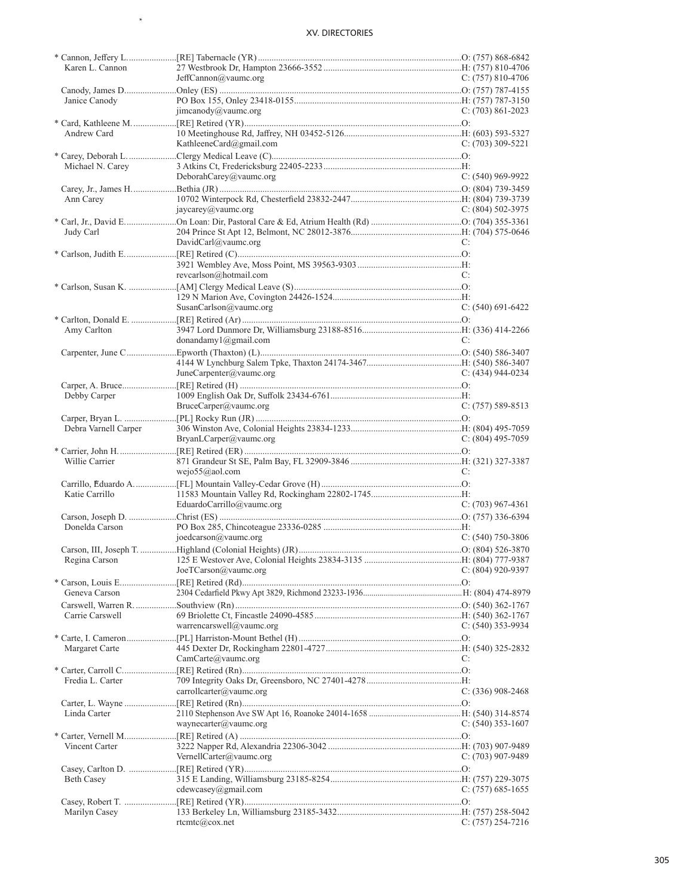$\star$ 

| Karen L. Cannon      |                               |                       |
|----------------------|-------------------------------|-----------------------|
|                      | JeffCannon@vaumc.org          | C: $(757)$ 810-4706   |
|                      |                               |                       |
| Janice Canody        |                               |                       |
|                      | jimcanody@vaumc.org           | $C: (703) 861 - 2023$ |
|                      |                               |                       |
| Andrew Card          |                               |                       |
|                      | KathleeneCard@gmail.com       | $C: (703)$ 309-5221   |
|                      |                               |                       |
|                      |                               |                       |
| Michael N. Carey     |                               |                       |
|                      | DeborahCarey@vaumc.org        | $C: (540)$ 969-9922   |
|                      |                               |                       |
| Ann Carey            |                               |                       |
|                      | jaycarey@vaumc.org            | C: $(804)$ 502-3975   |
|                      |                               |                       |
| Judy Carl            |                               |                       |
|                      | DavidCarl@vaumc.org           | C:                    |
|                      |                               |                       |
|                      |                               |                       |
|                      | revearlson@hotmail.com        |                       |
|                      |                               | C:                    |
|                      |                               |                       |
|                      |                               |                       |
|                      | SusanCarlson@vaumc.org        | $C: (540) 691-6422$   |
|                      |                               |                       |
| Amy Carlton          |                               |                       |
|                      | donandamy $1$ @gmail.com      | C:                    |
|                      |                               |                       |
|                      |                               |                       |
|                      | JuneCarpenter@vaumc.org       | C: $(434)$ 944-0234   |
|                      |                               |                       |
|                      |                               |                       |
| Debby Carper         |                               |                       |
|                      | BruceCarper@vaumc.org         | $C: (757) 589-8513$   |
|                      |                               |                       |
| Debra Varnell Carper |                               |                       |
|                      | BryanLCarper@vaumc.org        | C: $(804)$ 495-7059   |
|                      |                               |                       |
|                      |                               |                       |
|                      |                               |                       |
| Willie Carrier       |                               |                       |
|                      | wejo55@aol.com                | C:                    |
|                      |                               |                       |
| Katie Carrillo       |                               |                       |
|                      | EduardoCarrillo@vaumc.org     | $C: (703)$ 967-4361   |
|                      |                               |                       |
| Donelda Carson       |                               |                       |
|                      | $j$ oedcarson $(a)$ vaumc.org | $C: (540)$ 750-3806   |
|                      |                               |                       |
|                      |                               |                       |
|                      |                               |                       |
|                      | JoeTCarson@vaumc.org          | $C: (804)$ 920-9397   |
|                      |                               |                       |
| Geneva Carson        |                               |                       |
|                      |                               |                       |
| Carrie Carswell      |                               |                       |
|                      | warrencarswell@vaumc.org      | C: $(540)$ 353-9934   |
|                      |                               |                       |
| Margaret Carte       |                               |                       |
|                      | CamCarte@value.org            | C:                    |
|                      |                               |                       |
|                      |                               |                       |
| Fredia L. Carter     |                               |                       |
|                      | carrollcarter@vaumc.org       | C: $(336)$ 908-2468   |
|                      |                               |                       |
| Linda Carter         |                               |                       |
|                      | waynecarter@vaumc.org         | C: $(540)$ 353-1607   |
|                      |                               |                       |
| Vincent Carter       |                               |                       |
|                      | VernellCarter@vaumc.org       | C: $(703)$ 907-9489   |
|                      |                               |                       |
|                      |                               |                       |
| Beth Casey           |                               |                       |
|                      | cdewcasey@gmail.com           | $C: (757) 685-1655$   |
|                      |                               |                       |
| Marilyn Casey        | rtcmtc@cox.net                | $C: (757) 254-7216$   |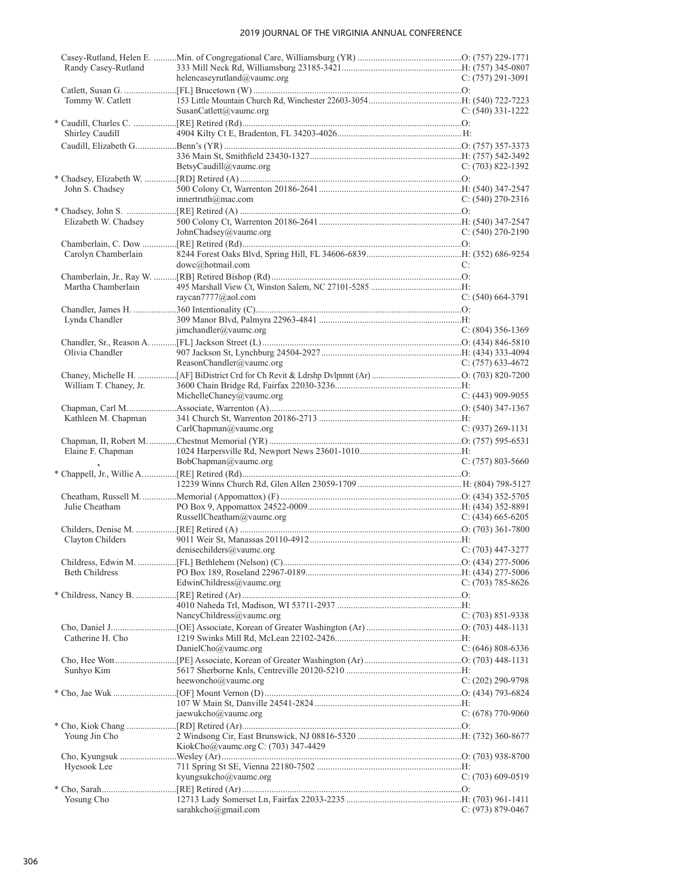| Randy Casey-Rutland    |                                                             |                       |
|------------------------|-------------------------------------------------------------|-----------------------|
|                        | helencaseyrutland@vaumc.org                                 | $C: (757) 291-3091$   |
|                        |                                                             |                       |
| Tommy W. Catlett       |                                                             |                       |
|                        | SusanCatlett@vaumc.org                                      | $C: (540)$ 331-1222   |
|                        |                                                             |                       |
| Shirley Caudill        |                                                             |                       |
|                        |                                                             |                       |
|                        |                                                             |                       |
|                        | BetsyCaudill@vaumc.org                                      | $C: (703) 822 - 1392$ |
|                        |                                                             |                       |
| John S. Chadsey        |                                                             |                       |
|                        | innertruth@mac.com                                          | $C: (540)$ 270-2316   |
|                        |                                                             |                       |
| Elizabeth W. Chadsey   |                                                             |                       |
|                        | JohnChadsey@vaumc.org                                       | $C: (540) 270 - 2190$ |
|                        |                                                             |                       |
| Carolyn Chamberlain    |                                                             |                       |
|                        | dowc@hotmail.com                                            | C:                    |
|                        |                                                             |                       |
| Martha Chamberlain     |                                                             |                       |
|                        | raycan7777@aol.com                                          | $C: (540) 664-3791$   |
|                        |                                                             |                       |
| Lynda Chandler         |                                                             |                       |
|                        | $\text{ijmchandler}(\hat{\omega} \text{value} \text{.org})$ | $C: (804)$ 356-1369   |
|                        |                                                             |                       |
| Olivia Chandler        |                                                             |                       |
|                        | ReasonChandler@vaumc.org                                    | $C: (757) 633-4672$   |
|                        |                                                             |                       |
| William T. Chaney, Jr. |                                                             |                       |
|                        | MichelleChaney@vaumc.org                                    | C: $(443)$ 909-9055   |
|                        |                                                             |                       |
| Kathleen M. Chapman    |                                                             |                       |
|                        | CarlChapman@value.org                                       | $C: (937) 269 - 1131$ |
|                        |                                                             |                       |
| Elaine F. Chapman      |                                                             |                       |
|                        | BobChapman@vaumc.org                                        | $C: (757) 803 - 5660$ |
|                        |                                                             |                       |
|                        |                                                             |                       |
|                        |                                                             |                       |
| Julie Cheatham         |                                                             |                       |
|                        | RussellCheatham@vaumc.org                                   | $C: (434)$ 665-6205   |
|                        |                                                             |                       |
| Clayton Childers       |                                                             |                       |
|                        | denisechilders@vaumc.org                                    | $C: (703)$ 447-3277   |
|                        |                                                             |                       |
| <b>Beth Childress</b>  |                                                             |                       |
|                        | EdwinChildress@vaumc.org                                    | C: $(703)$ 785-8626   |
|                        |                                                             |                       |
|                        |                                                             |                       |
|                        | NancyChildress@vaumc.org                                    | $C: (703) 851-9338$   |
|                        |                                                             |                       |
| Catherine H. Cho       |                                                             |                       |
|                        | DanielCho@vaumc.org                                         | $C: (646) 808-6336$   |
|                        |                                                             |                       |
| Sunhyo Kim             |                                                             |                       |
|                        | heewoncho@vaumc.org                                         | $C: (202)$ 290-9798   |
|                        |                                                             |                       |
|                        |                                                             |                       |
|                        | jaewukcho@vaumc.org                                         | $C: (678)$ 770-9060   |
|                        |                                                             |                       |
| Young Jin Cho          |                                                             |                       |
|                        |                                                             |                       |
|                        |                                                             |                       |
|                        | KiokCho@vaumc.org C: (703) 347-4429                         |                       |
|                        |                                                             |                       |
| Hyesook Lee            |                                                             |                       |
|                        | kyungsukcho@vaumc.org                                       | $C: (703)$ 609-0519   |
|                        |                                                             |                       |
| Yosung Cho             | sarahkcho@gmail.com                                         | $C: (973) 879 - 0467$ |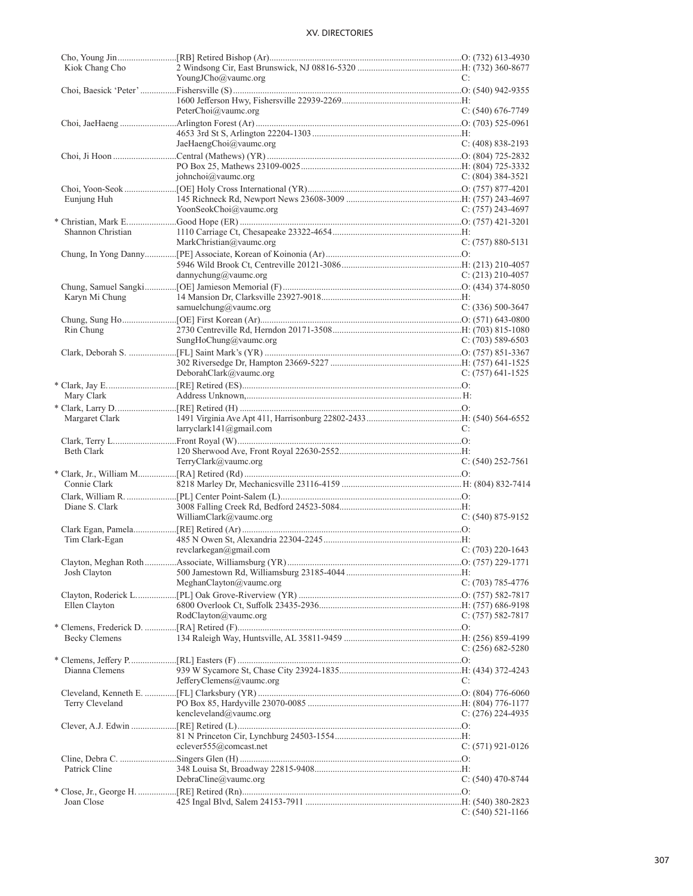| Kiok Chang Cho       |                             |                       |
|----------------------|-----------------------------|-----------------------|
|                      | YoungJCho@vaumc.org         | C:                    |
|                      |                             |                       |
|                      |                             |                       |
|                      | PeterChoi@vaumc.org         | $C: (540) 676-7749$   |
|                      |                             |                       |
|                      |                             |                       |
|                      | JaeHaengChoi@vaumc.org      | $C: (408) 838-2193$   |
|                      |                             |                       |
|                      |                             |                       |
|                      |                             |                       |
|                      | johnchoi@vaumc.org          | $C: (804)$ 384-3521   |
|                      |                             |                       |
| Eunjung Huh          |                             |                       |
|                      | YoonSeokChoi@vaumc.org      | $C: (757)$ 243-4697   |
|                      |                             |                       |
| Shannon Christian    |                             |                       |
|                      | MarkChristian@vaumc.org     | $C: (757) 880 - 5131$ |
|                      |                             |                       |
|                      |                             |                       |
|                      |                             |                       |
|                      | dannychung@vaumc.org        | $C: (213)$ 210-4057   |
|                      |                             |                       |
| Karyn Mi Chung       |                             |                       |
|                      | samuelchung@vaumc.org       | $C: (336) 500-3647$   |
|                      |                             |                       |
| Rin Chung            |                             |                       |
|                      | SungHoChung@vaumc.org       | $C: (703) 589-6503$   |
|                      |                             |                       |
|                      |                             |                       |
|                      |                             |                       |
|                      | DeborahClark@vaumc.org      | $C: (757)$ 641-1525   |
|                      |                             |                       |
| Mary Clark           |                             |                       |
|                      |                             |                       |
| Margaret Clark       |                             |                       |
|                      | laryclark141@gmail.com      | C:                    |
|                      |                             |                       |
|                      |                             |                       |
| <b>Beth Clark</b>    |                             |                       |
|                      | TerryClark@vaumc.org        | $C: (540)$ 252-7561   |
|                      |                             |                       |
| Connie Clark         |                             |                       |
|                      |                             |                       |
| Diane S. Clark       |                             |                       |
|                      | WilliamClark@vaumc.org      | $C: (540) 875-9152$   |
|                      |                             |                       |
|                      |                             |                       |
| Tim Clark-Egan       |                             |                       |
|                      | revclarkegan@gmail.com      | $C: (703)$ 220-1643   |
|                      |                             |                       |
| Josh Clayton         |                             |                       |
|                      | MeghanClayton@vaumc.org     | $C: (703) 785-4776$   |
|                      |                             |                       |
| Ellen Clayton        |                             |                       |
|                      | RodClayton@vaumc.org        | $C: (757) 582 - 7817$ |
|                      |                             |                       |
|                      |                             |                       |
| <b>Becky Clemens</b> |                             |                       |
|                      |                             | C: $(256)$ 682-5280   |
|                      |                             |                       |
| Dianna Clemens       |                             |                       |
|                      | JefferyClemens@vaumc.org    | C:                    |
|                      |                             |                       |
| Terry Cleveland      |                             |                       |
|                      | kencleveland@vaumc.org      | C: $(276)$ 224-4935   |
|                      |                             |                       |
|                      |                             |                       |
|                      |                             |                       |
|                      | eclever $555@$ com cast.net | $C: (571)$ 921-0126   |
|                      |                             |                       |
| Patrick Cline        |                             |                       |
|                      | $DebraCline@$ vaumc.org     | $C: (540)$ 470-8744   |
|                      |                             |                       |
| Joan Close           |                             |                       |
|                      |                             | $C: (540) 521-1166$   |
|                      |                             |                       |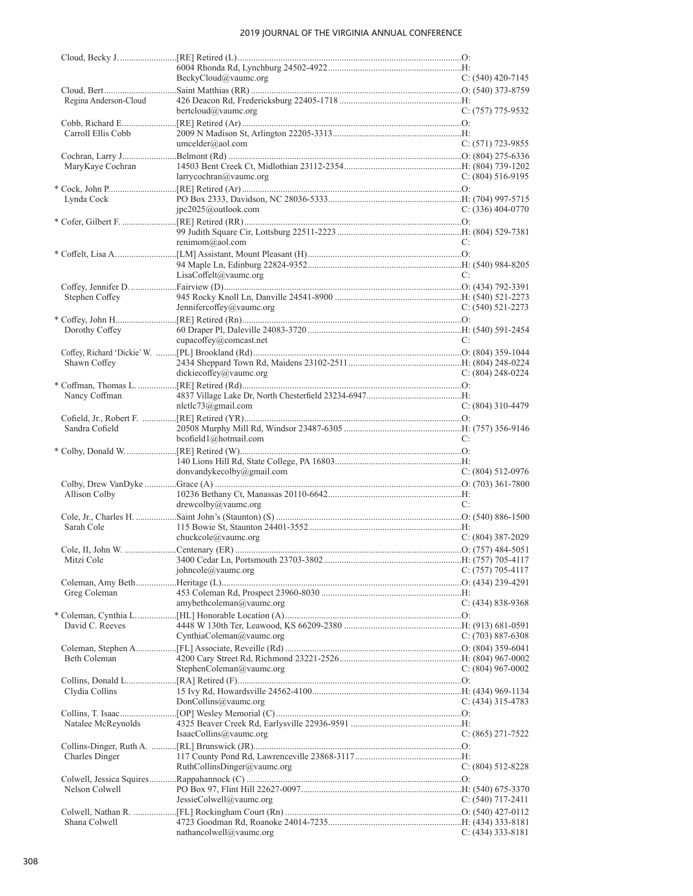|                       | BeckyCloud@value.org        | C: $(540)$ 420-7145   |
|-----------------------|-----------------------------|-----------------------|
|                       |                             |                       |
| Regina Anderson-Cloud |                             |                       |
|                       | bertcloud@vaumc.org         | C: (757) 775-9532     |
|                       |                             |                       |
| Carroll Ellis Cobb    |                             |                       |
|                       | umcelder@aol.com            | $C: (571)$ 723-9855   |
|                       |                             |                       |
| MaryKaye Cochran      | larrycochran@vaumc.org      | $C: (804) 516-9195$   |
|                       |                             |                       |
| Lynda Cock            |                             |                       |
|                       | $pc2025$ @outlook.com       | C: (336) 404-0770     |
|                       |                             |                       |
|                       |                             |                       |
|                       | renimom@aol.com             | C:                    |
|                       |                             |                       |
|                       | LisaCoffelt@value.org       | C:                    |
|                       |                             |                       |
| Stephen Coffey        |                             |                       |
|                       | Jennifercoffey@vaumc.org    | C: $(540)$ 521-2273   |
|                       |                             |                       |
| Dorothy Coffey        |                             |                       |
|                       | cupacoffey@comcast.net      | C:                    |
| Shawn Coffey          |                             |                       |
|                       | dickiecoffey@vaumc.org      | $C: (804)$ 248-0224   |
|                       |                             |                       |
| Nancy Coffman         |                             |                       |
|                       | $n$ letle $73$ @gmail.com   | $C: (804)$ 310-4479   |
|                       |                             |                       |
| Sandra Cofield        |                             |                       |
|                       | bcofield1@hotmail.com       | C:                    |
|                       |                             |                       |
|                       | donvandykecolby@gmail.com   | $C: (804) 512-0976$   |
|                       |                             |                       |
| Allison Colby         |                             |                       |
|                       | $d$ rewcolby@vaumc.org      | C:                    |
|                       |                             |                       |
| Sarah Cole            | chuckcole@vaumc.org         | $C: (804)$ 387-2029   |
|                       |                             |                       |
|                       |                             |                       |
|                       | johncole@vaumc.org          | $C: (757) 705-4117$   |
|                       |                             |                       |
| Greg Coleman          |                             |                       |
|                       | amybethcoleman@vaumc.org    | $C: (434) 838-9368$   |
|                       |                             |                       |
| David C. Reeves       | CynthiaColeman@vaumc.org    | $C: (703) 887-6308$   |
|                       |                             |                       |
| Beth Coleman          |                             |                       |
|                       | StephenColeman@vaumc.org    | C: $(804)$ 967-0002   |
|                       |                             |                       |
| Clydia Collins        |                             |                       |
|                       | DonCollins@vaumc.org        | $C: (434)$ 315-4783   |
|                       |                             |                       |
| Natalee McReynolds    | IsaacCollins@value.org      | $C: (865) 271-7522$   |
|                       |                             |                       |
|                       |                             |                       |
|                       |                             |                       |
| <b>Charles Dinger</b> | RuthCollinsDinger@vaumc.org | $C: (804) 512 - 8228$ |
|                       |                             |                       |
| Nelson Colwell        |                             |                       |
|                       | JessieColwell@vaumc.org     | $C: (540)$ 717-2411   |
|                       |                             |                       |
| Shana Colwell         | nathancolwell@vaumc.org     | $C: (434)$ 333-8181   |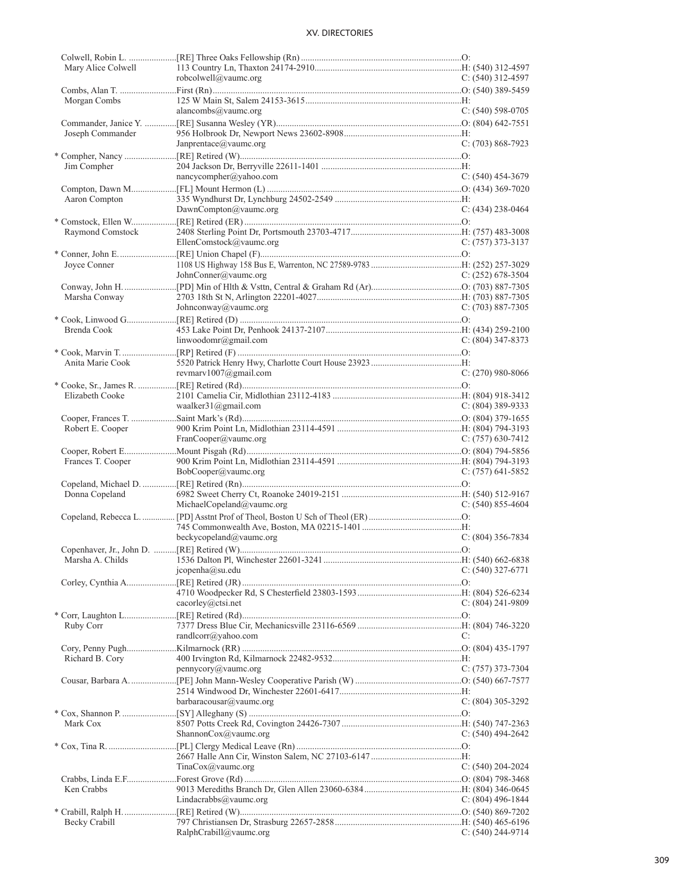| Mary Alice Colwell |                           |                       |
|--------------------|---------------------------|-----------------------|
|                    | robcolwell@vaumc.org      | $C: (540)$ 312-4597   |
|                    |                           |                       |
|                    |                           |                       |
| Morgan Combs       |                           |                       |
|                    | alancombs@vaumc.org       | $C: (540)$ 598-0705   |
|                    |                           |                       |
| Joseph Commander   |                           |                       |
|                    | Janprentace@vaumc.org     | $C: (703) 868-7923$   |
|                    |                           |                       |
|                    |                           |                       |
| Jim Compher        |                           |                       |
|                    | nancycompher@yahoo.com    | $C: (540)$ 454-3679   |
|                    |                           |                       |
| Aaron Compton      |                           |                       |
|                    | DawnCompton@vaumc.org     | $C: (434)$ 238-0464   |
|                    |                           |                       |
|                    |                           |                       |
| Raymond Comstock   |                           |                       |
|                    | EllenComstock@vaumc.org   | C: (757) 373-3137     |
|                    |                           |                       |
| Joyce Conner       |                           |                       |
|                    | JohnConner@vaumc.org      | C: $(252)$ 678-3504   |
|                    |                           |                       |
|                    |                           |                       |
| Marsha Conway      |                           |                       |
|                    | Johnconway@vaumc.org      | $C: (703) 887-7305$   |
|                    |                           |                       |
| Brenda Cook        |                           |                       |
|                    | linwoodomr@gmail.com      | $C: (804)$ 347-8373   |
|                    |                           |                       |
|                    |                           |                       |
| Anita Marie Cook   |                           |                       |
|                    | revmary $1007$ @gmail.com | $C: (270)$ 980-8066   |
|                    |                           |                       |
| Elizabeth Cooke    |                           |                       |
|                    | waalker $31$ @gmail.com   | C: $(804)$ 389-9333   |
|                    |                           |                       |
|                    |                           |                       |
| Robert E. Cooper   |                           |                       |
|                    | FranCooper@vaumc.org      | C: $(757)$ 630-7412   |
|                    |                           |                       |
| Frances T. Cooper  |                           |                       |
|                    | BobCooper@vaumc.org       | $C: (757)$ 641-5852   |
|                    |                           |                       |
|                    |                           |                       |
| Donna Copeland     |                           |                       |
|                    | MichaelCopeland@vaumc.org | $C: (540) 855-4604$   |
|                    |                           |                       |
|                    |                           |                       |
|                    | beckycopeland@vaumc.org   | $C: (804)$ 356-7834   |
|                    |                           |                       |
|                    |                           |                       |
|                    |                           |                       |
|                    | jcopenha@su.edu           | $C: (540)$ 327-6771   |
|                    |                           |                       |
|                    |                           |                       |
|                    |                           |                       |
|                    | cacorley@ctsi.net         | C: (804) 241-9809     |
|                    |                           |                       |
| Ruby Corr          |                           |                       |
|                    | randlcorr@yahoo.com       | C:                    |
|                    |                           |                       |
|                    |                           |                       |
| Richard B. Cory    |                           |                       |
|                    | pennycory@value.org       | $C: (757)$ 373-7304   |
|                    |                           |                       |
|                    |                           |                       |
|                    | baracousar@value.org      | $C: (804)$ 305-3292   |
|                    |                           |                       |
|                    |                           |                       |
| Mark Cox           |                           |                       |
|                    | ShannonCox@vaumc.org      | $C: (540)$ 494-2642   |
|                    |                           |                       |
|                    |                           |                       |
|                    | TinaCox@vaumc.org         | $C: (540) 204 - 2024$ |
|                    |                           |                       |
|                    |                           |                       |
| Ken Crabbs         |                           |                       |
|                    | Lindacrabbs@vaumc.org     | $C: (804)$ 496-1844   |
|                    |                           |                       |
| Becky Crabill      |                           |                       |
|                    | RalphCrabill@vaumc.org    | $C: (540) 244-9714$   |
|                    |                           |                       |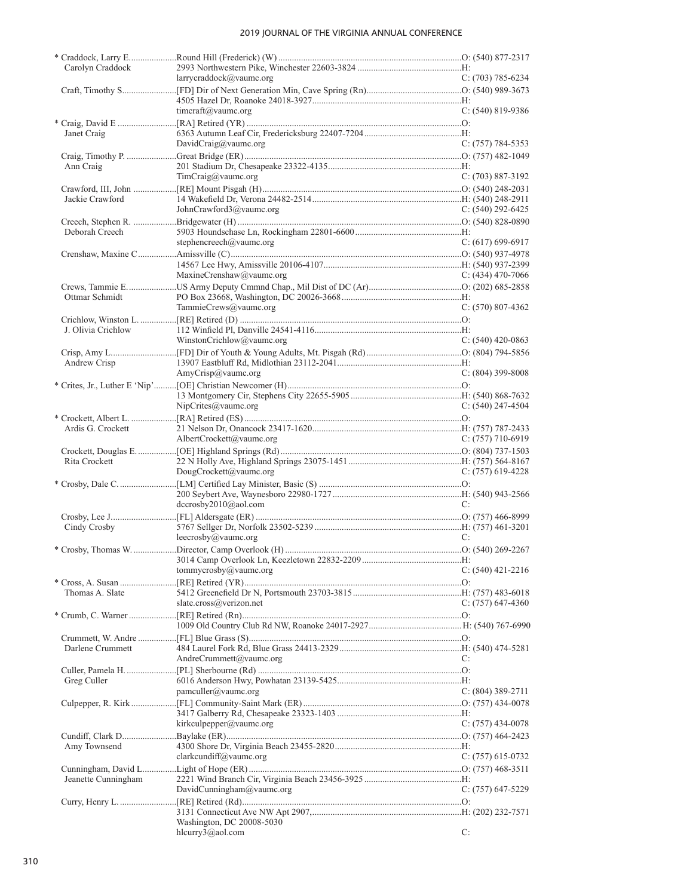| Carolyn Craddock    |                                               |                       |
|---------------------|-----------------------------------------------|-----------------------|
|                     | larrycraddock@vaumc.org                       | $C: (703) 785 - 6234$ |
|                     |                                               |                       |
|                     | timeraft@vaume.org                            | $C: (540) 819 - 9386$ |
|                     |                                               |                       |
| Janet Craig         |                                               |                       |
|                     | DavidCraig@vaumc.org                          | $C: (757) 784-5353$   |
|                     |                                               |                       |
| Ann Craig           |                                               |                       |
|                     | TimCraig@vaumc.org                            | $C: (703) 887-3192$   |
|                     |                                               |                       |
| Jackie Crawford     |                                               |                       |
|                     | JohnCrawford3@vaumc.org                       | C: $(540)$ 292-6425   |
|                     |                                               |                       |
| Deborah Creech      |                                               |                       |
|                     | stephencreech@vaumc.org                       | $C: (617) 699-6917$   |
|                     |                                               |                       |
|                     |                                               |                       |
|                     | MaxineCrenshaw@vaumc.org                      | C: $(434)$ 470-7066   |
|                     |                                               |                       |
| Ottmar Schmidt      |                                               |                       |
|                     | TammieCrews@vaumc.org                         | $C: (570) 807-4362$   |
|                     |                                               |                       |
| J. Olivia Crichlow  |                                               |                       |
|                     | WinstonCrichlow@vaumc.org                     | $C: (540)$ 420-0863   |
|                     |                                               |                       |
| Andrew Crisp        |                                               |                       |
|                     | AmyCrisp@vaumc.org                            | $C: (804)$ 399-8008   |
|                     |                                               |                       |
|                     |                                               |                       |
|                     | NipCrites@vaumc.org                           | $C: (540)$ 247-4504   |
|                     |                                               |                       |
| Ardis G. Crockett   | AlbertCrockett@vaumc.org                      | $C: (757)$ 710-6919   |
|                     |                                               |                       |
|                     |                                               |                       |
| Rita Crockett       | DougCrockett@vaumc.org                        | C: $(757)$ 619-4228   |
|                     |                                               |                       |
|                     |                                               |                       |
|                     | dccrosby2010@aol.com                          | C:                    |
|                     |                                               |                       |
| Cindy Crosby        |                                               |                       |
|                     | leecrosby@vaumc.org                           | C:                    |
|                     |                                               |                       |
|                     |                                               |                       |
|                     | tommycrosby@vaumc.org                         | $C: (540)$ 421-2216   |
|                     |                                               |                       |
| Thomas A. Slate     |                                               |                       |
|                     | slate.cross@verizon.net                       | C: $(757)$ 647-4360   |
|                     |                                               |                       |
|                     |                                               |                       |
|                     |                                               |                       |
| Darlene Crummett    |                                               |                       |
|                     | AndreCrummett@vaumc.org                       | C:                    |
|                     |                                               |                       |
| Greg Culler         |                                               |                       |
|                     | pamculler@vaumc.org                           | $C: (804)$ 389-2711   |
|                     |                                               |                       |
|                     |                                               |                       |
|                     | kirkculpepper@vaumc.org                       | C: $(757)$ 434-0078   |
|                     |                                               |                       |
| Amy Townsend        |                                               |                       |
|                     | clarkcundiff@vaumc.org                        | $C: (757)$ 615-0732   |
|                     |                                               |                       |
| Jeanette Cunningham |                                               |                       |
|                     | DavidCunningham@vaumc.org                     | $C: (757)$ 647-5229   |
|                     |                                               |                       |
|                     |                                               |                       |
|                     | Washington, DC 20008-5030<br>hlcurry3@aol.com |                       |
|                     |                                               | C:                    |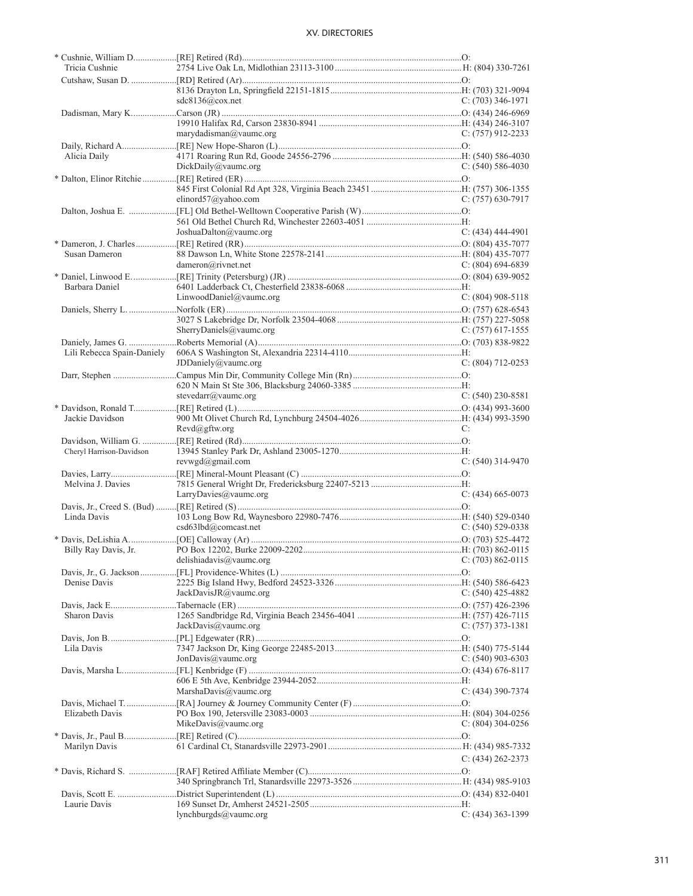| Tricia Cushnie             |                                           |                     |
|----------------------------|-------------------------------------------|---------------------|
|                            |                                           |                     |
|                            | sdc8136@cov.net                           | $C: (703)$ 346-1971 |
|                            |                                           |                     |
|                            |                                           |                     |
|                            | marydadiansman@value.org                  | $C: (757)$ 912-2233 |
|                            |                                           |                     |
| Alicia Daily               |                                           |                     |
|                            | DickDaily@vaumc.org                       | C: $(540)$ 586-4030 |
|                            |                                           |                     |
|                            | elinord $57$ @yahoo.com                   | $C: (757)$ 630-7917 |
|                            |                                           |                     |
|                            |                                           |                     |
|                            | JoshuaDalton@vaumc.org                    | $C: (434)$ 444-4901 |
|                            |                                           |                     |
| Susan Dameron              |                                           |                     |
|                            | dameron@rivnet.net                        | C: $(804)$ 694-6839 |
| Barbara Daniel             |                                           |                     |
|                            | LinwoodDaniel@vaumc.org                   | $C: (804)$ 908-5118 |
|                            |                                           |                     |
|                            |                                           |                     |
|                            | SherryDaniels@vaumc.org                   | C: $(757)$ 617-1555 |
| Daniely, James G.          |                                           |                     |
| Lili Rebecca Spain-Daniely |                                           |                     |
|                            | JDDaniely@value.org                       | $C: (804)$ 712-0253 |
|                            |                                           |                     |
|                            | stevedarr@vaumc.org                       | $C: (540)$ 230-8581 |
|                            |                                           |                     |
| Jackie Davidson            |                                           |                     |
|                            | $Revd(\partial gftw.org)$                 | C:                  |
|                            |                                           |                     |
| Cheryl Harrison-Davidson   |                                           |                     |
|                            | $revwgd(\omega)$ gmail.com                | $C: (540)$ 314-9470 |
| Melvina J. Davies          |                                           |                     |
|                            | LarryDavies@vaumc.org                     | $C: (434) 665-0073$ |
|                            |                                           |                     |
| Linda Davis                |                                           |                     |
|                            | csd63lbd@comcast.net                      | C: $(540)$ 529-0338 |
|                            |                                           |                     |
| Billy Ray Davis, Jr.       |                                           |                     |
|                            | delishiadavis@vaumc.org C: (703) 862-0115 |                     |
| Denise Davis               |                                           |                     |
|                            | JackDavisJR@vaumc.org                     | C: $(540)$ 425-4882 |
|                            |                                           |                     |
| Sharon Davis               |                                           |                     |
|                            | JackDavis@vaumc.org                       | $C: (757)$ 373-1381 |
|                            |                                           |                     |
| Lila Davis                 |                                           |                     |
|                            | JonDavis@value.org                        | C: $(540)$ 903-6303 |
|                            |                                           |                     |
|                            | MarshaDavis@vaumc.org                     | $C: (434)$ 390-7374 |
|                            |                                           |                     |
| Elizabeth Davis            |                                           |                     |
|                            | MikeDavis@vaumc.org                       | $C: (804)$ 304-0256 |
|                            |                                           |                     |
| Marilyn Davis              |                                           |                     |
|                            |                                           | C: $(434)$ 262-2373 |
|                            |                                           |                     |
|                            |                                           |                     |
| Laurie Davis               |                                           |                     |
|                            | lynchburgds@vaumc.org                     | $C: (434)$ 363-1399 |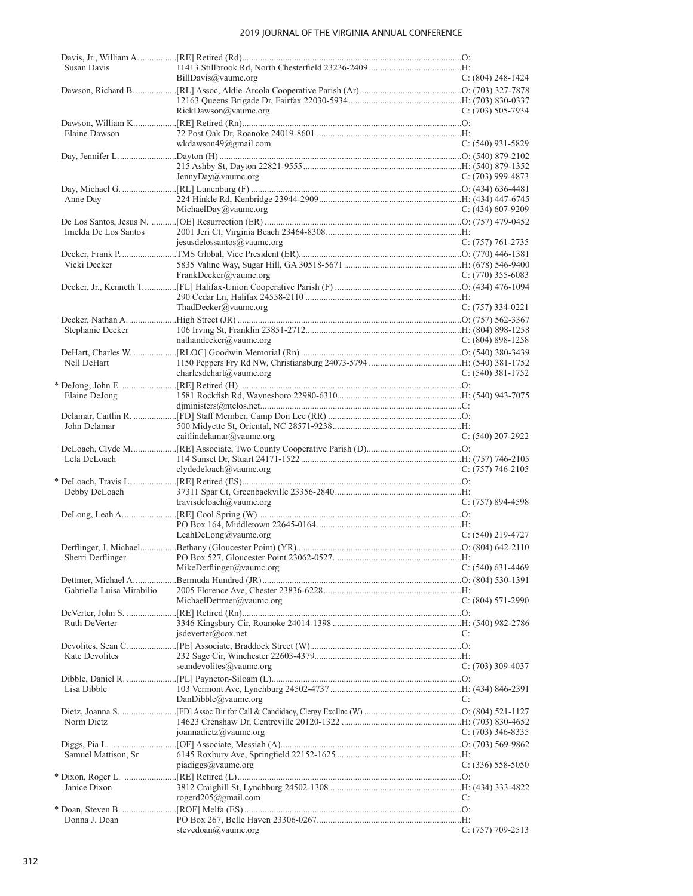| Susan Davis               |                            |                       |
|---------------------------|----------------------------|-----------------------|
|                           | BillDavis@vaumc.org        | $C: (804)$ 248-1424   |
|                           |                            |                       |
|                           | RickDawson@vaumc.org       | C: $(703)$ 505-7934   |
|                           |                            |                       |
| Elaine Dawson             |                            |                       |
|                           | wkdawson49@gmail.com       | $C: (540)$ 931-5829   |
|                           |                            |                       |
|                           |                            |                       |
|                           | JennyDay@vaumc.org         | C: $(703)$ 999-4873   |
|                           |                            |                       |
| Anne Day                  |                            |                       |
|                           | MichaelDay@vaumc.org       | C: $(434)$ 607-9209   |
| Imelda De Los Santos      |                            |                       |
|                           | jesusdelossantos@vaumc.org | $C: (757) 761-2735$   |
|                           |                            |                       |
| Vicki Decker              |                            |                       |
|                           | FrankDecker@vaumc.org      | C: $(770)$ 355-6083   |
|                           |                            |                       |
|                           |                            |                       |
|                           | ThadDecker@vaumc.org       | $C: (757)$ 334-0221   |
|                           |                            |                       |
| Stephanie Decker          |                            |                       |
|                           | nathandecker@vaumc.org     | $C: (804) 898 - 1258$ |
| Nell DeHart               |                            |                       |
|                           | charlesdehart@vaumc.org    | $C: (540)$ 381-1752   |
|                           |                            |                       |
| Elaine DeJong             |                            |                       |
|                           |                            |                       |
|                           |                            |                       |
| John Delamar              |                            |                       |
|                           | caitlindelamar@vaumc.org   | $C: (540) 207 - 2922$ |
|                           |                            |                       |
| Lela DeLoach              | clydedeloach@vaumc.org     | $C: (757) 746-2105$   |
|                           |                            |                       |
| Debby DeLoach             |                            |                       |
|                           | travisdeloach@vaumc.org    | $C: (757) 894-4598$   |
|                           |                            |                       |
|                           |                            |                       |
|                           | LeahDeLong@vaumc.org       | $C: (540)$ 219-4727   |
|                           |                            |                       |
|                           |                            |                       |
|                           | MikeDerflinger@vaumc.org   | $C: (540) 631-4469$   |
| Gabriella Luisa Mirabilio |                            |                       |
|                           | MichaelDettmer@vaumc.org   | $C: (804) 571-2990$   |
|                           |                            |                       |
| Ruth DeVerter             |                            |                       |
|                           | jsdeverter@cox.net         | C:                    |
|                           |                            |                       |
| Kate Devolites            |                            |                       |
|                           | seandevolites@vaumc.org    | C: (703) 309-4037     |
|                           |                            |                       |
| Lisa Dibble               | DanDibble@vaumc.org        | C:                    |
|                           |                            |                       |
| Norm Dietz                |                            |                       |
|                           | joannadietz@vaumc.org      | C: $(703)$ 346-8335   |
|                           |                            |                       |
| Samuel Mattison, Sr       |                            |                       |
|                           | piadiggs@vaumc.org         | $C: (336) 558-5050$   |
|                           |                            |                       |
| Janice Dixon              |                            |                       |
|                           | rogerd205@gmail.com        | C:                    |
| Donna J. Doan             |                            |                       |
|                           | stevedoan@vaumc.org        | C: (757) 709-2513     |
|                           |                            |                       |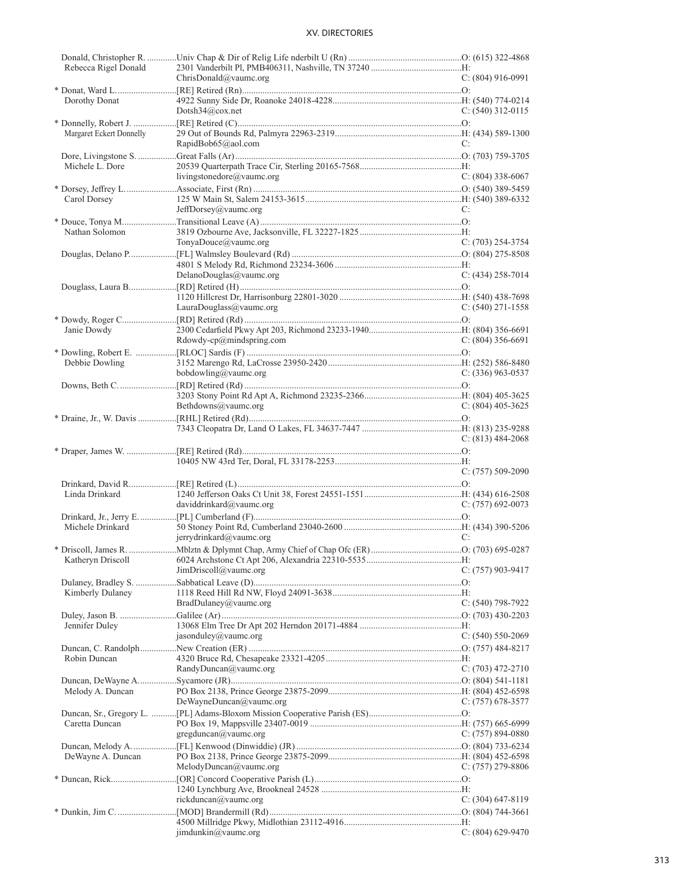| Rebecca Rigel Donald     |                           |                     |
|--------------------------|---------------------------|---------------------|
|                          | ChrisDonald@vaumc.org     | $C: (804)$ 916-0991 |
|                          |                           |                     |
| Dorothy Donat            |                           |                     |
|                          | Dotsh $34@cov.net$        | $C: (540)$ 312-0115 |
|                          |                           |                     |
| Margaret Eckert Donnelly |                           |                     |
|                          | RapidBob65@aol.com        | C:                  |
|                          |                           |                     |
| Michele L. Dore          |                           |                     |
|                          | livingstonedore@vaumc.org | $C: (804)$ 338-6067 |
|                          |                           |                     |
| Carol Dorsey             |                           |                     |
|                          | JeffDorsey@vaumc.org      | C:                  |
|                          |                           |                     |
| Nathan Solomon           |                           |                     |
|                          | TonyaDouce@vaumc.org      | $C: (703) 254-3754$ |
|                          |                           |                     |
|                          |                           |                     |
|                          |                           |                     |
|                          | DelanoDouglas@vaumc.org   | $C: (434)$ 258-7014 |
|                          |                           |                     |
|                          |                           |                     |
|                          | LauraDouglass@vaumc.org   | $C: (540) 271-1558$ |
|                          |                           |                     |
| Janie Dowdy              |                           |                     |
|                          | Rdowdy-cp@mindspring.com  | $C: (804)$ 356-6691 |
|                          |                           |                     |
| Debbie Dowling           |                           |                     |
|                          | bobdowling@vaumc.org      | $C: (336)$ 963-0537 |
|                          |                           |                     |
|                          |                           |                     |
|                          | Bethdowns@vaumc.org       | C: $(804)$ 405-3625 |
|                          |                           |                     |
|                          |                           |                     |
|                          |                           | C: $(813)$ 484-2068 |
|                          |                           |                     |
|                          |                           |                     |
|                          |                           |                     |
|                          |                           |                     |
|                          |                           | $C: (757) 509-2090$ |
|                          |                           |                     |
| Linda Drinkard           |                           |                     |
|                          | daviddrinkard@vaumc.org   | $C: (757)$ 692-0073 |
|                          |                           |                     |
| Michele Drinkard         |                           |                     |
|                          | jerrydrinkard@vaumc.org   | C:                  |
|                          |                           |                     |
|                          |                           |                     |
|                          | JimDriscoll@value.org     | $C: (757)$ 903-9417 |
|                          |                           |                     |
|                          |                           |                     |
| Kimberly Dulaney         |                           |                     |
|                          | BradDulaney@vaumc.org     | $C: (540)$ 798-7922 |
|                          |                           |                     |
| Jennifer Duley           |                           |                     |
|                          | jasonduley@vaumc.org      | $C: (540) 550-2069$ |
|                          |                           |                     |
| Robin Duncan             |                           |                     |
|                          | RandyDuncan@vaumc.org     | C: (703) 472-2710   |
|                          |                           |                     |
| Melody A. Duncan         |                           |                     |
|                          | DeWayneDuncan@vaumc.org   | $C: (757)$ 678-3577 |
|                          |                           |                     |
| Caretta Duncan           |                           |                     |
|                          | gregduncan@value.org      | C: $(757)$ 894-0880 |
|                          |                           |                     |
| DeWayne A. Duncan        |                           |                     |
|                          | MelodyDuncan@vaumc.org    | C: $(757)$ 279-8806 |
|                          |                           |                     |
|                          |                           |                     |
|                          |                           |                     |
|                          | rickduncan@vaumc.org      | $C: (304)$ 647-8119 |
|                          |                           |                     |
|                          | jimdunkin@vaumc.org       | $C: (804)$ 629-9470 |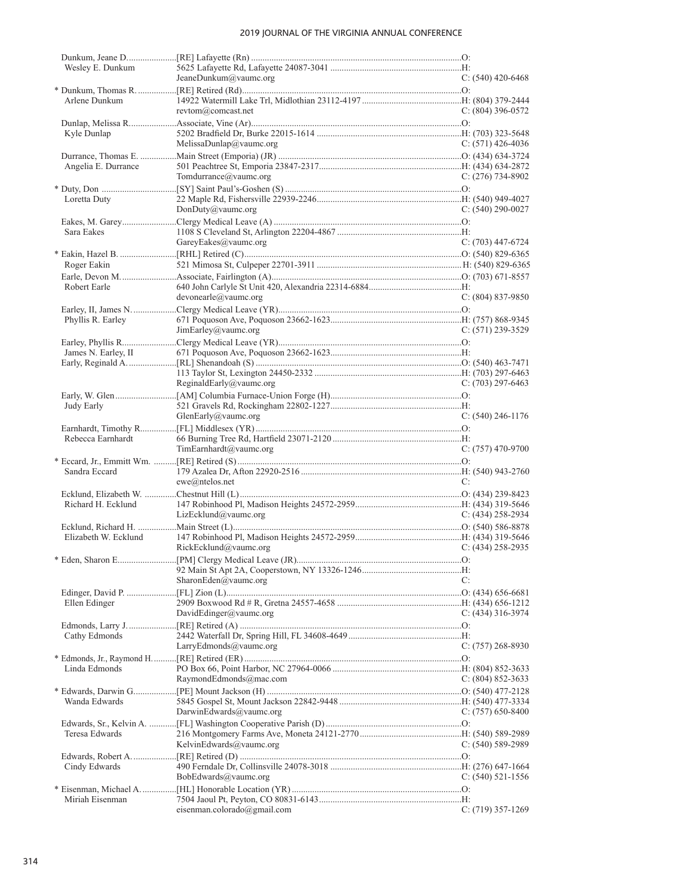| Wesley E. Dunkum     |                             |                       |
|----------------------|-----------------------------|-----------------------|
|                      | JeaneDunkum@vaumc.org       | C: $(540)$ 420-6468   |
|                      |                             |                       |
| Arlene Dunkum        |                             |                       |
|                      | revtom@comcast.net          | $C: (804)$ 396-0572   |
|                      |                             |                       |
| Kyle Dunlap          |                             |                       |
|                      | MelissaDunlap@vaumc.org     | C: $(571)$ 426-4036   |
|                      |                             |                       |
| Angelia E. Durrance  |                             |                       |
|                      | Tomdurrance@vaumc.org       | $C: (276) 734-8902$   |
|                      |                             |                       |
| Loretta Duty         |                             |                       |
|                      | DonDuty@value.org           | C: $(540)$ 290-0027   |
|                      |                             |                       |
| Sara Eakes           |                             |                       |
|                      | GareyEakes@vaumc.org        | $C: (703)$ 447-6724   |
|                      |                             |                       |
| Roger Eakin          |                             |                       |
|                      |                             |                       |
| Robert Earle         |                             |                       |
|                      | devo near le @value.        | $C: (804) 837-9850$   |
|                      |                             |                       |
| Phyllis R. Earley    |                             |                       |
|                      | JimEarley@value.org         | C: (571) 239-3529     |
|                      |                             |                       |
| James N. Earley, II  |                             |                       |
|                      |                             |                       |
|                      |                             |                       |
|                      | ReginaldEarly@vaumc.org     | $C: (703) 297-6463$   |
|                      |                             |                       |
| Judy Early           |                             |                       |
|                      | GlenEarly@vaumc.org         | $C: (540)$ 246-1176   |
|                      |                             |                       |
| Rebecca Earnhardt    |                             |                       |
|                      | TimEarnhardt@vaumc.org      | $C: (757)$ 470-9700   |
|                      |                             |                       |
| Sandra Eccard        |                             |                       |
|                      | $ewe@n$ telos.net           | C:                    |
|                      |                             |                       |
| Richard H. Ecklund   |                             |                       |
|                      | LizEcklund@value.org        | C: $(434)$ 258-2934   |
|                      |                             |                       |
| Elizabeth W. Ecklund |                             |                       |
|                      | RickEcklund@vaumc.org       | $C: (434) 258 - 2935$ |
|                      |                             |                       |
|                      |                             |                       |
|                      |                             |                       |
|                      | SharonEden@vaumc.org        | C:                    |
|                      |                             |                       |
| Ellen Edinger        |                             |                       |
|                      | DavidEdinger@vaumc.org      | C: $(434)$ 316-3974   |
|                      |                             |                       |
|                      |                             |                       |
| Cathy Edmonds        |                             |                       |
|                      | LarryEdmonds@vaumc.org      | $C: (757) 268-8930$   |
|                      |                             |                       |
| Linda Edmonds        |                             |                       |
|                      | RaymondEdmonds@mac.com      | C: $(804)$ 852-3633   |
|                      |                             |                       |
| Wanda Edwards        |                             |                       |
|                      | DarwinEdwards@vaumc.org     | C: $(757)$ 650-8400   |
|                      |                             |                       |
| Teresa Edwards       |                             |                       |
|                      | KelvinEdwards@vaumc.org     | $C: (540) 589-2989$   |
|                      |                             |                       |
| Cindy Edwards        |                             |                       |
|                      | BobEdwards@vaumc.org        | $C: (540) 521 - 1556$ |
|                      |                             |                       |
| Miriah Eisenman      | eisenman.colorado@gmail.com | $C: (719)$ 357-1269   |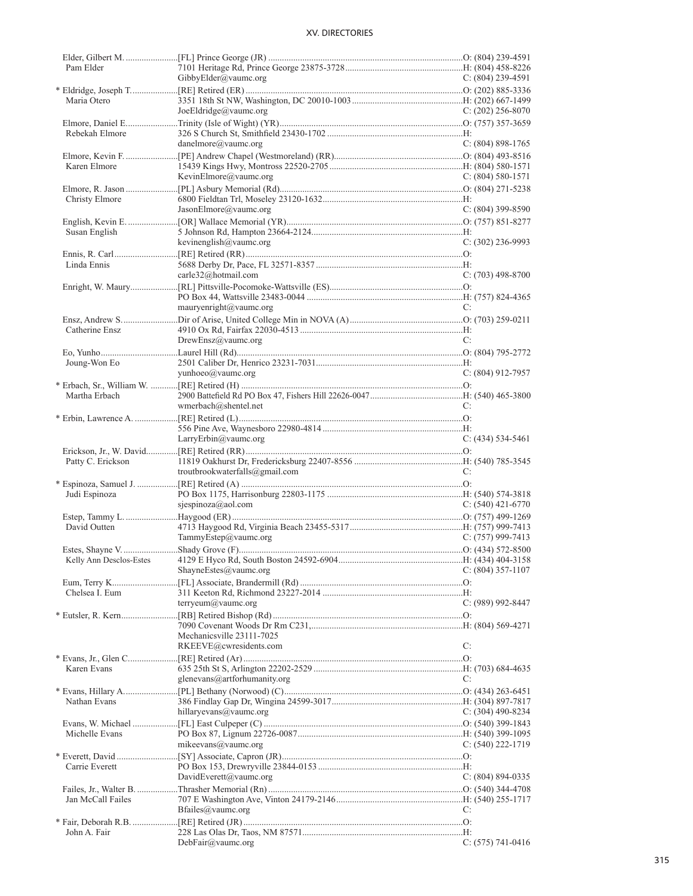| Pam Elder         |                                |                       |
|-------------------|--------------------------------|-----------------------|
|                   | GibbyElder@vaumc.org           | $C: (804)$ 239-4591   |
|                   |                                |                       |
| Maria Otero       |                                |                       |
|                   | JoeEldridge@vaumc.org          | $C: (202)$ 256-8070   |
|                   |                                |                       |
|                   |                                |                       |
| Rebekah Elmore    |                                |                       |
|                   | danelmore@value.org            | $C: (804) 898-1765$   |
|                   |                                |                       |
| Karen Elmore      |                                |                       |
|                   | KevinElmore@vaumc.org          | $C: (804) 580-1571$   |
|                   |                                |                       |
| Christy Elmore    |                                |                       |
|                   |                                |                       |
|                   | JasonElmore@vaumc.org          | $C: (804)$ 399-8590   |
|                   |                                |                       |
| Susan English     |                                |                       |
|                   | kevinenglish@vaumc.org         | $C: (302)$ 236-9993   |
|                   |                                |                       |
| Linda Ennis       |                                |                       |
|                   | carle32@hotmail.com            | $C: (703)$ 498-8700   |
|                   |                                |                       |
|                   |                                |                       |
|                   |                                |                       |
|                   | mauryenright@vaumc.org         | C:                    |
|                   |                                |                       |
| Catherine Ensz    |                                |                       |
|                   | DrewEnsz@vaumc.org             | C:                    |
|                   |                                |                       |
| Joung-Won Eo      |                                |                       |
|                   | yunhoeo@vaumc.org              | $C: (804)$ 912-7957   |
|                   |                                |                       |
|                   |                                |                       |
| Martha Erbach     |                                |                       |
|                   | wmerbach@shentel.net           | C:                    |
|                   |                                |                       |
|                   |                                |                       |
|                   | LarryErbin@vaumc.org           | $C: (434) 534-5461$   |
|                   |                                |                       |
|                   |                                |                       |
|                   |                                |                       |
| Patty C. Erickson |                                |                       |
|                   | troutbrookwaterfalls@gmail.com | C:                    |
|                   |                                |                       |
| Judi Espinoza     |                                |                       |
|                   | sjespinoza@aol.com             | $C: (540)$ 421-6770   |
|                   |                                |                       |
| David Outten      |                                |                       |
|                   |                                |                       |
|                   | TammyEstep@vaumc.org           | $C: (757)$ 999-7413   |
|                   |                                |                       |
|                   |                                |                       |
|                   | ShayneEstes@vaumc.org          | $C: (804)$ 357-1107   |
|                   |                                |                       |
| Chelsea I. Eum    |                                |                       |
|                   | terryeum@vaumc.org             | $C: (989) 992 - 8447$ |
|                   |                                |                       |
|                   |                                |                       |
|                   |                                |                       |
|                   | Mechanicsville 23111-7025      |                       |
|                   | RKEEVE@cwresidents.com         | C:                    |
|                   |                                |                       |
| Karen Evans       |                                |                       |
|                   | glenevans@artforhumanity.org   | C:                    |
|                   |                                |                       |
| Nathan Evans      |                                |                       |
|                   | hillaryevans@vaumc.org         | C: $(304)$ 490-8234   |
|                   |                                |                       |
|                   |                                |                       |
| Michelle Evans    |                                |                       |
|                   | mikeevans@vaumc.org            | $C: (540) 222 - 1719$ |
|                   |                                |                       |
| Carrie Everett    |                                |                       |
|                   | DavidEverett@vaumc.org         | $C: (804) 894-0335$   |
|                   |                                |                       |
| Jan McCall Failes |                                |                       |
|                   |                                | C:                    |
|                   | Bfailes@vaumc.org              |                       |
|                   |                                |                       |
| John A. Fair      | DebFair@value.org              | C: $(575)$ 741-0416   |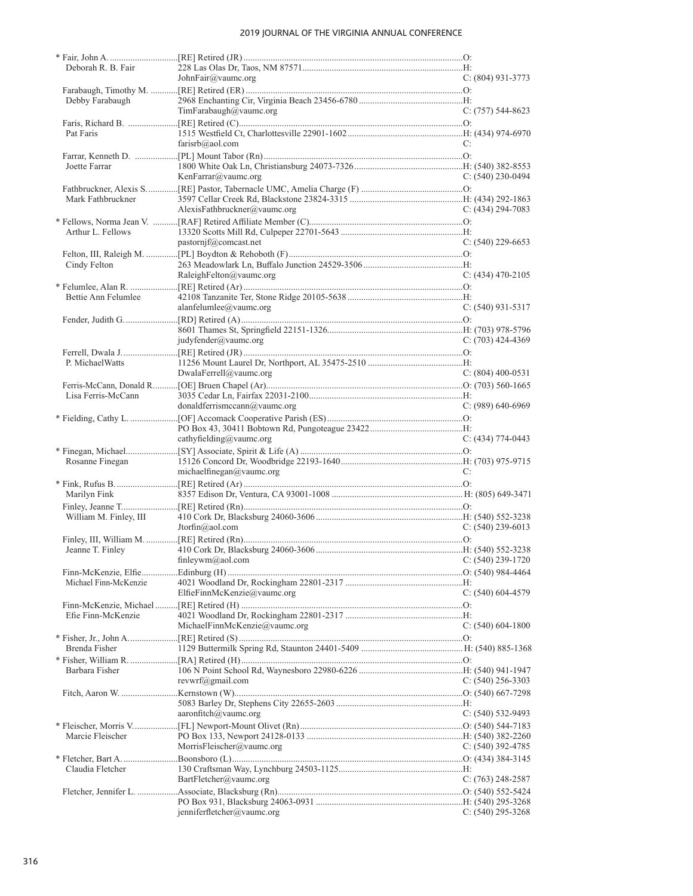| Deborah R. B. Fair     |                                    |                       |
|------------------------|------------------------------------|-----------------------|
|                        | JohnFair@vaumc.org                 | $C: (804)$ 931-3773   |
| Debby Farabaugh        |                                    |                       |
|                        | TimFarabaugh@vaumc.org             | $C: (757) 544-8623$   |
|                        |                                    |                       |
| Pat Faris              |                                    |                       |
|                        | farisrb@aol.com                    | C:                    |
|                        |                                    |                       |
| Joette Farrar          |                                    |                       |
|                        | KenFarrar@vaumc.org                | $C: (540)$ 230-0494   |
|                        |                                    |                       |
| Mark Fathbruckner      |                                    |                       |
|                        | AlexisFathbruckner@vaumc.org       | $C: (434) 294 - 7083$ |
| Arthur L. Fellows      |                                    |                       |
|                        | pastornjf@comcast.net              | $C: (540)$ 229-6653   |
|                        |                                    |                       |
| Cindy Felton           |                                    |                       |
|                        | RaleighFelton@vaumc.org            | $C: (434)$ 470-2105   |
|                        |                                    |                       |
| Bettie Ann Felumlee    |                                    |                       |
|                        | alanfelumlee@vaumc.org             | $C: (540)$ 931-5317   |
|                        |                                    |                       |
|                        |                                    |                       |
|                        | judyfender@value.org               | $C: (703)$ 424-4369   |
|                        |                                    |                       |
| P. Michael Watts       | DwalaFerrell@vaumc.org             | $C: (804)$ 400-0531   |
|                        |                                    |                       |
| Lisa Ferris-McCann     |                                    |                       |
|                        | donaldferrismccann@value.org       | $C: (989) 640-6969$   |
|                        |                                    |                       |
|                        |                                    |                       |
|                        | cathyfielding@vaumc.org            | $C: (434) 774-0443$   |
|                        |                                    |                       |
| Rosanne Finegan        |                                    |                       |
|                        | michaelfinegan@vaumc.org           | C:                    |
|                        |                                    |                       |
| Marilyn Fink           |                                    |                       |
| William M. Finley, III |                                    |                       |
|                        | Jtorfin@aol.com                    | $C: (540)$ 239-6013   |
|                        |                                    |                       |
| Jeanne T. Finley       |                                    |                       |
|                        | finleywm@aol.com C: (540) 239-1720 |                       |
|                        |                                    |                       |
| Michael Finn-McKenzie  |                                    |                       |
|                        | ElfieFinnMcKenzie@vaumc.org        | $C: (540) 604-4579$   |
|                        |                                    |                       |
| Efie Finn-McKenzie     |                                    |                       |
|                        | MichaelFinnMcKenzie@vaumc.org      | $C: (540) 604-1800$   |
|                        |                                    |                       |
| Brenda Fisher          |                                    |                       |
| Barbara Fisher         |                                    |                       |
|                        | revwrf@gmail.com                   | $C: (540)$ 256-3303   |
|                        |                                    |                       |
|                        |                                    |                       |
|                        | aaronfitch@vaumc.org               | $C: (540) 532-9493$   |
|                        |                                    |                       |
| Marcie Fleischer       |                                    |                       |
|                        | MorrisFleischer@vaumc.org          | $C: (540)$ 392-4785   |
|                        |                                    |                       |
| Claudia Fletcher       |                                    |                       |
|                        | BartFletcher@vaumc.org             | C: $(763)$ 248-2587   |
|                        |                                    |                       |
|                        | $j$ enniferfletcher@vaumc.org      | $C: (540)$ 295-3268   |
|                        |                                    |                       |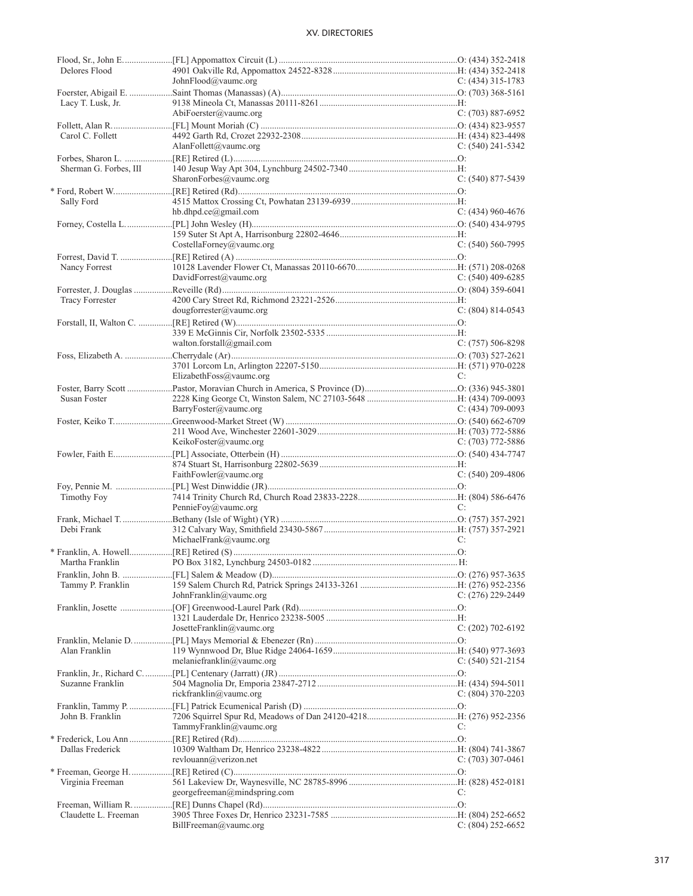| Delores Flood        |                              |                     |
|----------------------|------------------------------|---------------------|
|                      | JohnFlood@vaumc.org          | $C: (434)$ 315-1783 |
|                      |                              |                     |
| Lacy T. Lusk, Jr.    |                              |                     |
|                      | AbiFoerster@vaumc.org        | $C: (703) 887-6952$ |
|                      |                              |                     |
| Carol C. Follett     |                              |                     |
|                      | AlanFollett@vaumc.org        | C: $(540)$ 241-5342 |
|                      |                              |                     |
|                      |                              |                     |
|                      | SharonForbes@vaumc.org       | $C: (540) 877-5439$ |
|                      |                              |                     |
| Sally Ford           |                              |                     |
|                      | hb.dhpd.ce@gmail.com         | C: $(434)$ 960-4676 |
|                      |                              |                     |
|                      |                              |                     |
|                      | CostellaForney@vaumc.org     | $C: (540) 560-7995$ |
|                      |                              |                     |
| Nancy Forrest        |                              |                     |
|                      | DavidForrest@vaumc.org       | C: $(540)$ 409-6285 |
|                      |                              |                     |
| Tracy Forrester      |                              |                     |
|                      | dougforrester@value.org      | $C: (804) 814-0543$ |
|                      |                              |                     |
|                      |                              |                     |
|                      | walton.forstall@gmail.com    | $C: (757) 506-8298$ |
|                      |                              |                     |
|                      |                              |                     |
|                      | ElizabethFoss@vaumc.org      | C:                  |
|                      |                              |                     |
| Susan Foster         |                              |                     |
|                      | BarryFoster@vaumc.org        | C: $(434)$ 709-0093 |
|                      |                              |                     |
|                      |                              |                     |
|                      | KeikoFoster@vaumc.org        | C: $(703)$ 772-5886 |
|                      |                              |                     |
|                      |                              |                     |
|                      | FaithFowler@vaumc.org        | C: $(540)$ 209-4806 |
|                      |                              |                     |
| Timothy Foy          |                              |                     |
|                      | PennieFoy@vaumc.org          | C:                  |
|                      |                              |                     |
| Debi Frank           |                              |                     |
|                      | MichaelFrank@vaumc.org       | C:                  |
|                      |                              |                     |
|                      |                              |                     |
|                      |                              |                     |
|                      |                              |                     |
| Tammy P. Franklin    |                              |                     |
|                      | JohnFranklin@vaumc.org       | $C: (276)$ 229-2449 |
|                      |                              |                     |
|                      |                              |                     |
|                      | JosetteFranklin@vaumc.org    | C: (202) 702-6192   |
|                      |                              |                     |
| Alan Franklin        |                              |                     |
|                      | melaniefranklin@vaumc.org    | $C: (540)$ 521-2154 |
|                      |                              |                     |
| Suzanne Franklin     |                              |                     |
|                      | rickfranklin@vaumc.org       | C: $(804)$ 370-2203 |
|                      |                              |                     |
| John B. Franklin     |                              |                     |
|                      | TammyFranklin@vaumc.org      | C:                  |
|                      |                              |                     |
| Dallas Frederick     |                              |                     |
|                      | revlouann@verizon.net        | C: $(703)$ 307-0461 |
|                      |                              |                     |
|                      |                              |                     |
| Virginia Freeman     |                              |                     |
|                      | georgefreeman@mindspring.com | C:                  |
|                      |                              |                     |
| Claudette L. Freeman | BillFreeman@value.org        | $C: (804)$ 252-6652 |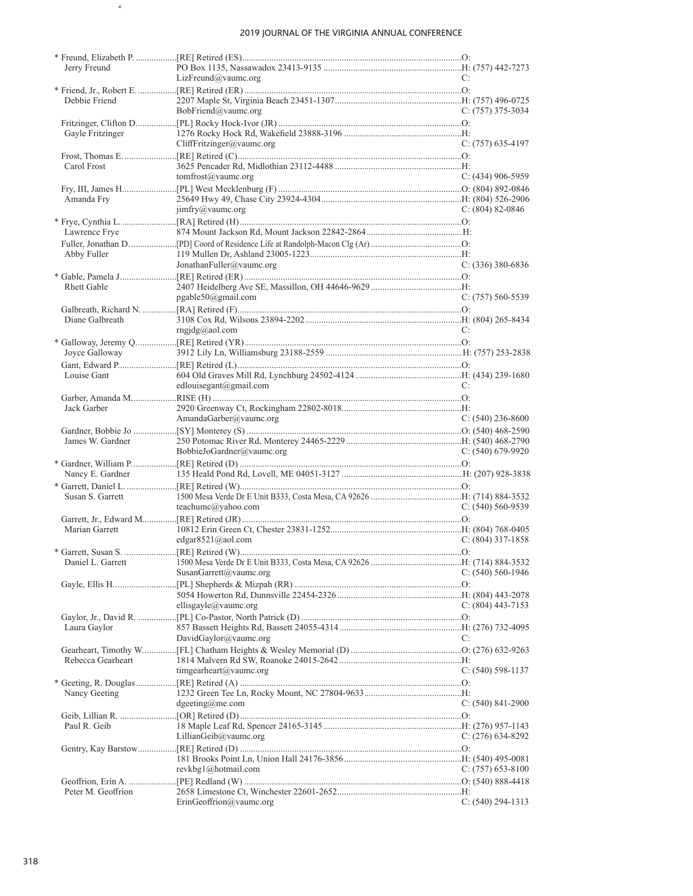$\star$ 

| Jerry Freund       |                                                    |                       |
|--------------------|----------------------------------------------------|-----------------------|
|                    | $Liz$ Freund@vaumc.org                             | C:                    |
|                    |                                                    |                       |
| Debbie Friend      |                                                    |                       |
|                    | BobFriend@vaumc.org                                | C: $(757)$ 375-3034   |
|                    |                                                    |                       |
| Gayle Fritzinger   |                                                    |                       |
|                    | CliffFritzinger@value.org                          | $C: (757)$ 635-4197   |
|                    |                                                    |                       |
| Carol Frost        |                                                    |                       |
|                    | tomfrost@vaumc.org                                 | $C: (434)$ 906-5959   |
|                    |                                                    |                       |
| Amanda Fry         |                                                    |                       |
|                    | $\lim_{x \to \infty} f(y)$ imfry (a) value of corp | C: $(804)$ 82-0846    |
|                    |                                                    |                       |
| Lawrence Frye      |                                                    |                       |
|                    |                                                    |                       |
| Abby Fuller        |                                                    |                       |
|                    | JonathanFuller@vaumc.org                           | $C: (336)$ 380-6836   |
|                    |                                                    |                       |
| <b>Rhett Gable</b> |                                                    |                       |
|                    | pgable50@gmail.com                                 | $C: (757) 560 - 5539$ |
|                    |                                                    |                       |
| Diane Galbreath    |                                                    |                       |
|                    | rngidg@aol.com                                     | C:                    |
|                    |                                                    |                       |
|                    |                                                    |                       |
|                    |                                                    |                       |
|                    |                                                    |                       |
| Louise Gant        |                                                    |                       |
|                    | edlouisegant@gmail.com                             | C:                    |
|                    |                                                    |                       |
| Jack Garber        |                                                    |                       |
|                    | AmandaGarber@vaumc.org                             | C: $(540)$ 236-8600   |
|                    |                                                    |                       |
|                    |                                                    |                       |
| James W. Gardner   |                                                    |                       |
|                    | BobbieJoGardner@vaumc.org                          | C: $(540)$ 679-9920   |
|                    |                                                    |                       |
|                    |                                                    |                       |
|                    |                                                    |                       |
| Susan S. Garrett   |                                                    |                       |
|                    | teachumc@yahoo.com                                 | $C: (540) 560 - 9539$ |
|                    |                                                    |                       |
| Marian Garrett     |                                                    |                       |
|                    | edgar8521@aol.com                                  | $C: (804)$ 317-1858   |
|                    |                                                    |                       |
| Daniel L. Garrett  |                                                    |                       |
|                    | SusanGarrett@vaumc.org                             | C: $(540)$ 560-1946   |
|                    |                                                    |                       |
|                    |                                                    |                       |
|                    | ellisgayle@vaumc.org                               | $C: (804)$ 443-7153   |
|                    |                                                    |                       |
|                    |                                                    |                       |
| Laura Gaylor       |                                                    | C:                    |
|                    | DavidGaylor@vaumc.org                              |                       |
|                    |                                                    |                       |
| Rebecca Gearheart  |                                                    |                       |
|                    | timgearheart@vaumc.org                             | $C: (540) 598-1137$   |
|                    |                                                    |                       |
| Nancy Geeting      |                                                    |                       |
|                    | $d$ geeting@me.com                                 | $C: (540)$ 841-2900   |
|                    |                                                    |                       |
| Paul R. Geib       |                                                    |                       |
|                    | LillianGeib@vaumc.org                              | $C: (276)$ 634-8292   |
|                    |                                                    |                       |
|                    |                                                    |                       |
|                    | revkbg1@hotmail.com                                | $C: (757) 653-8100$   |
|                    |                                                    |                       |
| Peter M. Geoffrion | ErinGeoffron@value.org                             | $C: (540) 294-1313$   |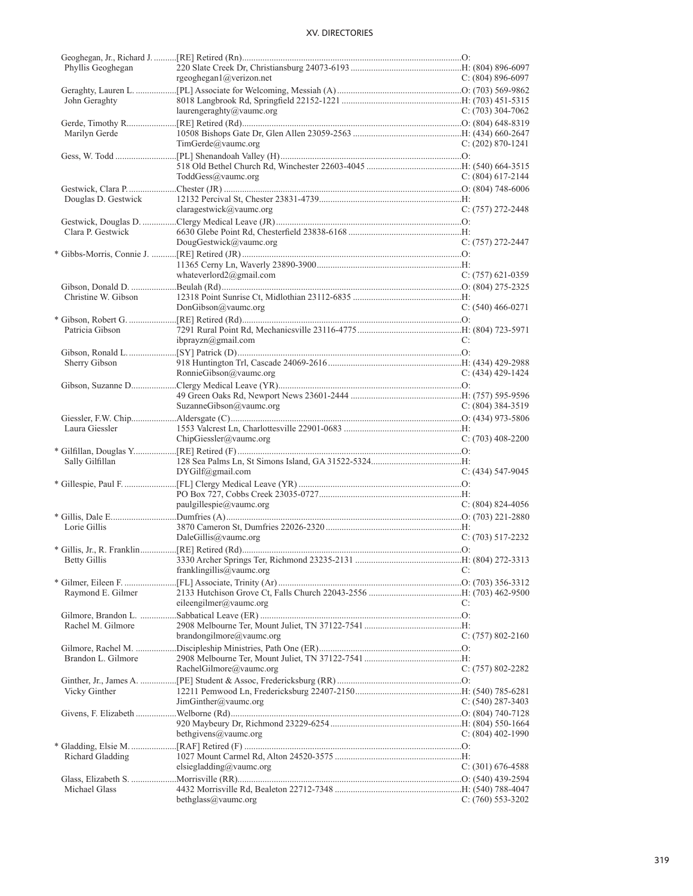| Phyllis Geoghegan   |                          |                       |
|---------------------|--------------------------|-----------------------|
|                     | rgeoghegan1@verizon.net  | $C: (804) 896-6097$   |
|                     |                          |                       |
| John Geraghty       |                          |                       |
|                     | laurengeraghty@vaumc.org | $C: (703)$ 304-7062   |
|                     |                          |                       |
| Marilyn Gerde       |                          |                       |
|                     | TimeGerde@value.org      | C: $(202)$ 870-1241   |
|                     |                          |                       |
|                     |                          |                       |
|                     |                          |                       |
|                     | ToddGess@vaumc.org       | $C: (804) 617 - 2144$ |
|                     |                          |                       |
| Douglas D. Gestwick |                          |                       |
|                     | claragestwick@vaumc.org  | $C: (757) 272 - 2448$ |
|                     |                          |                       |
| Clara P. Gestwick   |                          |                       |
|                     | DougGestwick@vaumc.org   | $C: (757) 272 - 2447$ |
|                     |                          |                       |
|                     |                          |                       |
|                     | whateverlord2@gmail.com  | $C: (757)$ 621-0359   |
|                     |                          |                       |
| Christine W. Gibson |                          |                       |
|                     | DonGibson@value.org      | $C: (540) 466 - 0271$ |
|                     |                          |                       |
|                     |                          |                       |
| Patricia Gibson     |                          |                       |
|                     | ibprayzn $@g$ mail.com   | C:                    |
|                     |                          |                       |
| Sherry Gibson       |                          |                       |
|                     | RonnieGibson@vaumc.org   | $C: (434)$ 429-1424   |
|                     |                          |                       |
|                     |                          |                       |
|                     | SuzanneGibson@vaumc.org  | C: $(804)$ 384-3519   |
|                     |                          |                       |
| Laura Giessler      |                          |                       |
|                     |                          |                       |
|                     |                          |                       |
|                     | ChipGiessler@value.org   | $C: (703)$ 408-2200   |
|                     |                          |                       |
| Sally Gilfillan     |                          |                       |
|                     | DYGilf@gmail.com         | $C: (434) 547-9045$   |
|                     |                          |                       |
|                     |                          |                       |
|                     | paulgillespie@value.org  | C: $(804)$ 824-4056   |
|                     |                          |                       |
| Lorie Gillis        |                          |                       |
|                     | DaleGillis@vaumc.org     | $C: (703) 517 - 2232$ |
|                     |                          |                       |
|                     |                          |                       |
|                     | franklingillis@vaumc.org | C:                    |
|                     |                          |                       |
|                     |                          |                       |
| Raymond E. Gilmer   |                          | C:                    |
|                     | eileengilmer@vaumc.org   |                       |
|                     |                          |                       |
| Rachel M. Gilmore   |                          |                       |
|                     | brandongilmore@vaumc.org | $C: (757) 802 - 2160$ |
|                     |                          |                       |
| Brandon L. Gilmore  |                          |                       |
|                     | RachelGilmore@vaumc.org  | C: (757) 802-2282     |
|                     |                          |                       |
| Vicky Ginther       |                          |                       |
|                     | JimGinther@value.org     | C: $(540)$ 287-3403   |
|                     |                          |                       |
|                     |                          |                       |
|                     | bethgivens@vaumc.org     | $C: (804)$ 402-1990   |
|                     |                          |                       |
| Richard Gladding    |                          |                       |
|                     | elsiegladding@vaumc.org  | $C: (301)$ 676-4588   |
|                     |                          |                       |
|                     |                          |                       |
| Michael Glass       | bethglass@vaumc.org      | $C: (760)$ 553-3202   |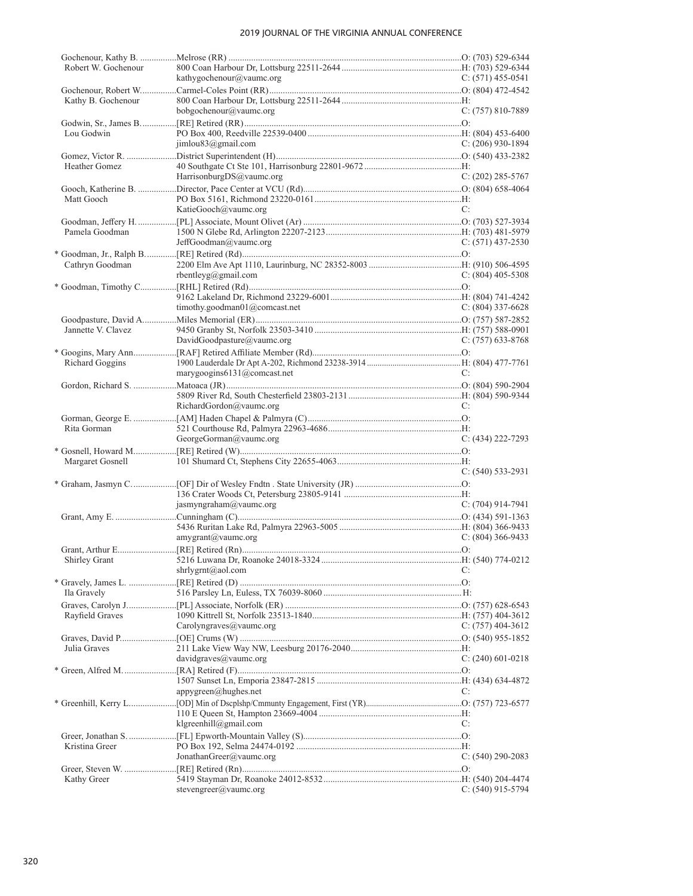| Robert W. Gochenour |                               |                       |
|---------------------|-------------------------------|-----------------------|
|                     | kathygochenour@vaumc.org      | C: $(571)$ 455-0541   |
|                     |                               |                       |
| Kathy B. Gochenour  |                               |                       |
|                     | bobgochenour@vaumc.org        | $C: (757) 810-7889$   |
|                     |                               |                       |
| Lou Godwin          |                               |                       |
|                     | jimlou83@gmail.com            | $C: (206)$ 930-1894   |
|                     |                               |                       |
| Heather Gomez       |                               |                       |
|                     | HarrisonburgDS@vaumc.org      | $C: (202)$ 285-5767   |
|                     |                               |                       |
| Matt Gooch          |                               |                       |
|                     | KatieGooch@vaumc.org          | C:                    |
|                     |                               |                       |
| Pamela Goodman      |                               |                       |
|                     | JeffGoodman@vaumc.org         | $C: (571)$ 437-2530   |
|                     |                               |                       |
| Cathryn Goodman     |                               |                       |
|                     | rbentleyg@gmail.com           | $C: (804)$ 405-5308   |
|                     |                               |                       |
|                     |                               |                       |
|                     |                               |                       |
|                     | timothy.goodman01@comcast.net | $C: (804)$ 337-6628   |
|                     |                               |                       |
| Jannette V. Clavez  |                               |                       |
|                     | DavidGoodpasture@vaumc.org    | $C: (757)$ 633-8768   |
|                     |                               |                       |
| Richard Goggins     |                               |                       |
|                     | marygoogins6131@comcast.net   | C:                    |
|                     |                               |                       |
|                     |                               |                       |
|                     | RichardGordon@vaumc.org       | C:                    |
|                     |                               |                       |
| Rita Gorman         |                               |                       |
|                     | GeorgeGorman@vaumc.org        | $C: (434) 222 - 7293$ |
|                     |                               |                       |
| Margaret Gosnell    |                               |                       |
|                     |                               | $C: (540) 533-2931$   |
|                     |                               |                       |
|                     |                               |                       |
|                     | jasmyngraham@vaumc.org        | $C: (704)$ 914-7941   |
|                     |                               |                       |
|                     |                               |                       |
|                     | $amy$ grant $(a)$ vaumc.org   | $C: (804)$ 366-9433   |
|                     |                               |                       |
|                     |                               |                       |
|                     | shrlygrnt@aol.com             | C:                    |
|                     |                               |                       |
|                     |                               |                       |
| Ila Gravely         |                               |                       |
|                     |                               |                       |
| Rayfield Graves     |                               |                       |
|                     | Carolyngraves@vaumc.org       | C: $(757)$ 404-3612   |
|                     |                               |                       |
| Julia Graves        |                               |                       |
|                     | davidgraves@vaumc.org         | $C: (240)$ 601-0218   |
|                     |                               |                       |
|                     |                               |                       |
|                     | $appygreen(a)$ hughes.net     | C:                    |
|                     |                               |                       |
|                     |                               |                       |
|                     | klgreenhill@gmail.com         | C:                    |
|                     |                               |                       |
| Kristina Greer      |                               |                       |
|                     | JonathanGreer@vaumc.org       | C: $(540)$ 290-2083   |
|                     |                               |                       |
| Kathy Greer         |                               |                       |
|                     | stevengreer@vaumc.org         | $C: (540)$ 915-5794   |
|                     |                               |                       |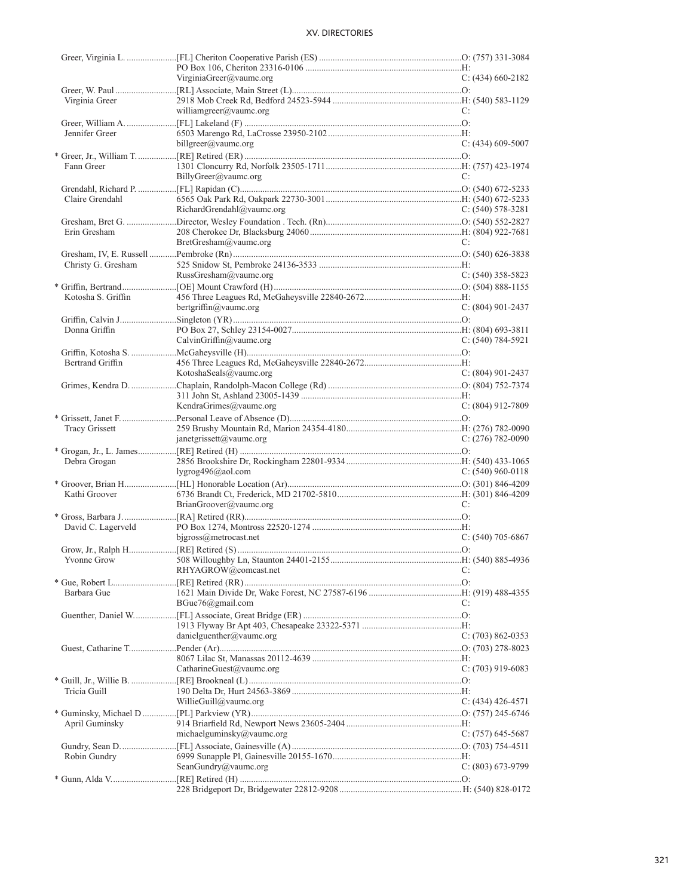|                    | VirginiaGreer@vaumc.org   | C: $(434)$ 660-2182   |
|--------------------|---------------------------|-----------------------|
|                    |                           |                       |
| Virginia Greer     |                           |                       |
|                    | williamgreer@vaumc.org    | C:                    |
|                    |                           |                       |
| Jennifer Greer     |                           |                       |
|                    | billgreer@vaumc.org       | $C: (434)$ 609-5007   |
|                    |                           |                       |
| Fann Greer         |                           |                       |
|                    | BillyGreer@vaumc.org      | C:                    |
|                    |                           |                       |
| Claire Grendahl    |                           |                       |
|                    | RichardGrendahl@vaumc.org | $C: (540) 578-3281$   |
|                    |                           |                       |
| Erin Gresham       |                           |                       |
|                    | BretGresham@vaumc.org     | C:                    |
|                    |                           |                       |
| Christy G. Gresham |                           |                       |
|                    | RussGresham@vaumc.org     | $C: (540)$ 358-5823   |
|                    |                           |                       |
| Kotosha S. Griffin |                           |                       |
|                    | bertgriffin@vaumc.org     | $C: (804)$ 901-2437   |
|                    |                           |                       |
| Donna Griffin      |                           |                       |
|                    | CalvinGriffin@vaumc.org   | $C: (540) 784-5921$   |
|                    |                           |                       |
| Bertrand Griffin   |                           |                       |
|                    | KotoshaSeals@vaumc.org    | $C: (804)$ 901-2437   |
|                    |                           |                       |
|                    |                           |                       |
|                    | KendraGrimes@vaumc.org    | $C: (804)$ 912-7809   |
|                    |                           |                       |
| Tracy Grissett     |                           |                       |
|                    | janetgrissett@vaumc.org   | C: $(276)$ 782-0090   |
|                    |                           |                       |
| Debra Grogan       |                           |                       |
|                    | lygrog $496$ @aol.com     | C: $(540)$ 960-0118   |
|                    |                           |                       |
| Kathi Groover      |                           |                       |
|                    | BrianGroover@vaumc.org    | C:                    |
|                    |                           |                       |
| David C. Lagerveld |                           |                       |
|                    | $bigross@$ metrocast.net  | $C: (540)$ 705-6867   |
|                    |                           |                       |
|                    |                           |                       |
|                    | RHYAGROW@comcast.net      | C:                    |
|                    |                           |                       |
| Barbara Gue        |                           |                       |
|                    | BGue76@gmail.com          | C:                    |
|                    |                           |                       |
|                    |                           |                       |
|                    | danielguenther@vaumc.org  | $C: (703) 862 - 0353$ |
|                    |                           |                       |
|                    |                           |                       |
|                    | CatharineGuest@vaumc.org  | C: $(703)$ 919-6083   |
|                    |                           |                       |
| Tricia Guill       |                           |                       |
|                    | WillieGuill@vaumc.org     | C: $(434)$ 426-4571   |
|                    |                           |                       |
| April Guminsky     |                           |                       |
|                    | michaelguminsky@vaumc.org | $C: (757)$ 645-5687   |
|                    |                           |                       |
| Robin Gundry       |                           |                       |
|                    | SeanGundry@vaumc.org      | $C: (803)$ 673-9799   |
|                    |                           |                       |
|                    |                           |                       |
|                    |                           |                       |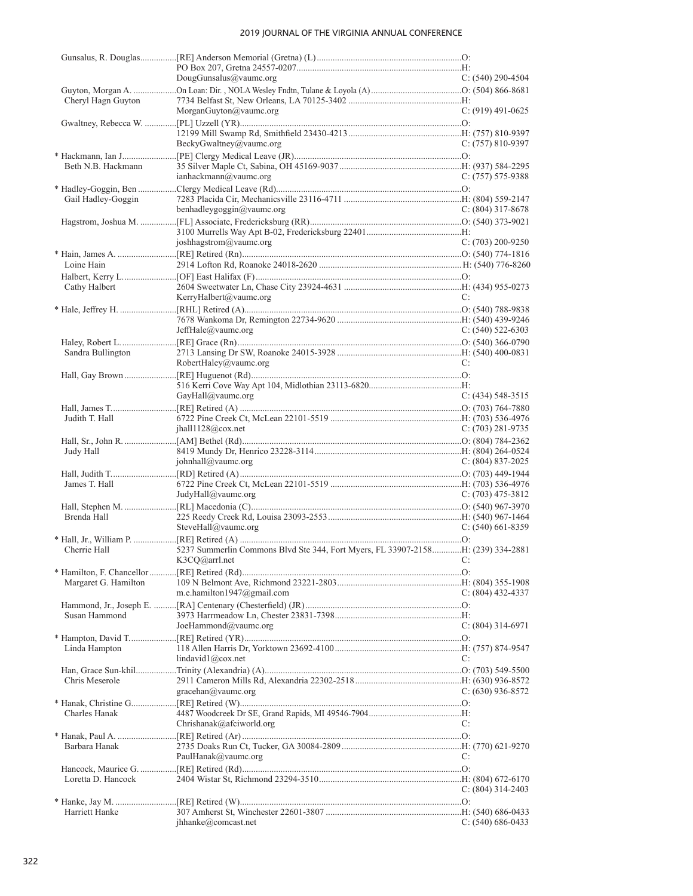|                      | DougGunsalus@vaumc.org                                                           | $C: (540)$ 290-4504   |
|----------------------|----------------------------------------------------------------------------------|-----------------------|
|                      |                                                                                  |                       |
| Cheryl Hagn Guyton   | MorganGuyton@vaumc.org                                                           | $C: (919)$ 491-0625   |
|                      |                                                                                  |                       |
|                      |                                                                                  |                       |
|                      | BeckyGwaltney@vaumc.org                                                          | $C: (757) 810-9397$   |
|                      |                                                                                  |                       |
| Beth N.B. Hackmann   |                                                                                  |                       |
|                      | ianhackmann@value.org                                                            | $C: (757) 575-9388$   |
|                      |                                                                                  |                       |
| Gail Hadley-Goggin   |                                                                                  |                       |
|                      | benhadleygoggin@vaumc.org                                                        | $C: (804)$ 317-8678   |
|                      |                                                                                  |                       |
|                      |                                                                                  |                       |
|                      | joshhagstrom@vaumc.org                                                           | $C: (703) 200 - 9250$ |
|                      |                                                                                  |                       |
| Loine Hain           |                                                                                  |                       |
|                      |                                                                                  |                       |
| Cathy Halbert        |                                                                                  |                       |
|                      | KerryHalbert@vaumc.org                                                           | C:                    |
|                      |                                                                                  |                       |
|                      |                                                                                  |                       |
|                      | JeffHale@value.org                                                               | $C: (540) 522-6303$   |
|                      |                                                                                  |                       |
|                      |                                                                                  |                       |
| Sandra Bullington    | RobertHaley@vaumc.org                                                            | C:                    |
|                      |                                                                                  |                       |
|                      |                                                                                  |                       |
|                      | GayHall@vaumc.org                                                                | $C: (434) 548-3515$   |
|                      |                                                                                  |                       |
|                      |                                                                                  |                       |
| Judith T. Hall       | jhall1128@cox.net                                                                | C: (703) 281-9735     |
|                      |                                                                                  |                       |
|                      |                                                                                  |                       |
| Judy Hall            | iohnhall@value.org                                                               |                       |
|                      |                                                                                  | C: $(804)$ 837-2025   |
|                      |                                                                                  |                       |
| James T. Hall        | JudyHall@vaumc.org                                                               | $C: (703)$ 475-3812   |
|                      |                                                                                  |                       |
| Brenda Hall          |                                                                                  |                       |
|                      | SteveHall@vaumc.org                                                              | $C: (540)$ 661-8359   |
|                      |                                                                                  |                       |
| Cherrie Hall         | 5237 Summerlin Commons Blvd Ste 344, Fort Myers, FL 33907-2158 H: (239) 334-2881 |                       |
|                      | K3CQ@arrl.net                                                                    |                       |
|                      |                                                                                  |                       |
| Margaret G. Hamilton |                                                                                  |                       |
|                      | m.e.hamilton1947@gmail.com                                                       | C: $(804)$ 432-4337   |
|                      |                                                                                  |                       |
| Susan Hammond        |                                                                                  |                       |
|                      | JoeHammond@vaumc.org                                                             | $C: (804)$ 314-6971   |
|                      |                                                                                  |                       |
|                      |                                                                                  |                       |
| Linda Hampton        |                                                                                  | C:                    |
|                      | lindavid1@cov.net                                                                |                       |
|                      |                                                                                  |                       |
| Chris Meserole       | gracehan@value.org                                                               |                       |
|                      |                                                                                  | C: $(630)$ 936-8572   |
|                      |                                                                                  |                       |
| Charles Hanak        | Chrishanak@afciworld.org                                                         | C:                    |
|                      |                                                                                  |                       |
|                      |                                                                                  |                       |
| Barbara Hanak        |                                                                                  |                       |
|                      | PaulHanak@vaumc.org                                                              | C:                    |
|                      |                                                                                  |                       |
| Loretta D. Hancock   |                                                                                  | C: (804) 314-2403     |
|                      |                                                                                  |                       |
| Harriett Hanke       |                                                                                  |                       |
|                      | jhhanke@comcast.net                                                              | C: $(540)$ 686-0433   |
|                      |                                                                                  |                       |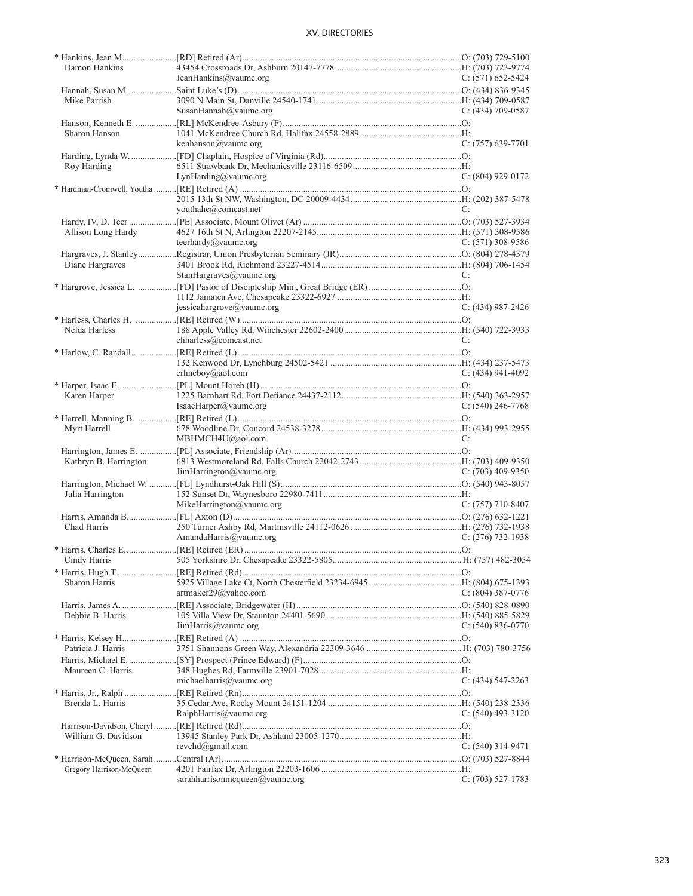| Damon Hankins            |                                |                       |
|--------------------------|--------------------------------|-----------------------|
|                          | JeanHankins@vaumc.org          | $C: (571) 652 - 5424$ |
|                          |                                |                       |
| Mike Parrish             |                                |                       |
|                          | SusanHannah@vaumc.org          | $C: (434)$ 709-0587   |
|                          |                                |                       |
| Sharon Hanson            |                                |                       |
|                          | kenhanson@vaumc.org            | $C: (757)$ 639-7701   |
|                          |                                |                       |
|                          |                                |                       |
| Roy Harding              |                                |                       |
|                          | LynHarding@vaumc.org           | $C: (804)$ 929-0172   |
|                          |                                |                       |
|                          |                                |                       |
|                          | youthahc@comcast.net           | C:                    |
|                          |                                |                       |
|                          |                                |                       |
| Allison Long Hardy       |                                |                       |
|                          | teerhardy@vaumc.org            | $C: (571)$ 308-9586   |
|                          |                                |                       |
| Diane Hargraves          |                                |                       |
|                          | StanHargraves@vaumc.org        | C:                    |
|                          |                                |                       |
|                          |                                |                       |
|                          |                                |                       |
|                          | jessicahargrove@vaumc.org      | $C: (434) 987 - 2426$ |
|                          |                                |                       |
| Nelda Harless            |                                |                       |
|                          | chharless@comcast.net          | C:                    |
|                          |                                |                       |
|                          |                                |                       |
|                          | crhneboy@aol.com               | C: $(434)$ 941-4092   |
|                          |                                |                       |
|                          |                                |                       |
| Karen Harper             |                                |                       |
|                          | IsaacHarper@vaumc.org          | $C: (540)$ 246-7768   |
|                          |                                |                       |
| Myrt Harrell             |                                |                       |
|                          | MBHMCH4U@aol.com               | C:                    |
|                          |                                |                       |
| Kathryn B. Harrington    |                                |                       |
|                          |                                |                       |
|                          | JimHarrington@vaumc.org        | C: $(703)$ 409-9350   |
|                          |                                |                       |
| Julia Harrington         |                                |                       |
|                          | MikeHarrington@vaumc.org       | $C: (757)$ 710-8407   |
|                          |                                |                       |
| Chad Harris              |                                |                       |
|                          | AmandaHarris@vaumc.org         | C: $(276)$ 732-1938   |
|                          |                                |                       |
|                          |                                |                       |
|                          |                                |                       |
|                          |                                |                       |
| Sharon Harris            |                                |                       |
|                          | artmaker29@yahoo.com           | $C: (804)$ 387-0776   |
|                          |                                |                       |
| Debbie B. Harris         |                                |                       |
|                          | JimHarris@vaumc.org            | $C: (540) 836-0770$   |
|                          |                                |                       |
|                          |                                |                       |
| Patricia J. Harris       |                                |                       |
|                          |                                |                       |
| Maureen C. Harris        |                                |                       |
|                          | michaelharris@vaumc.org        | $C: (434) 547 - 2263$ |
|                          |                                |                       |
| Brenda L. Harris         |                                |                       |
|                          |                                |                       |
|                          | RalphHarris@vaumc.org          | $C: (540)$ 493-3120   |
|                          |                                |                       |
| William G. Davidson      |                                |                       |
|                          | revchd@gmail.com               | $C: (540)$ 314-9471   |
|                          |                                |                       |
| Gregory Harrison-McQueen |                                |                       |
|                          | sarahharrisonmcqueen@vaumc.org | $C: (703) 527-1783$   |
|                          |                                |                       |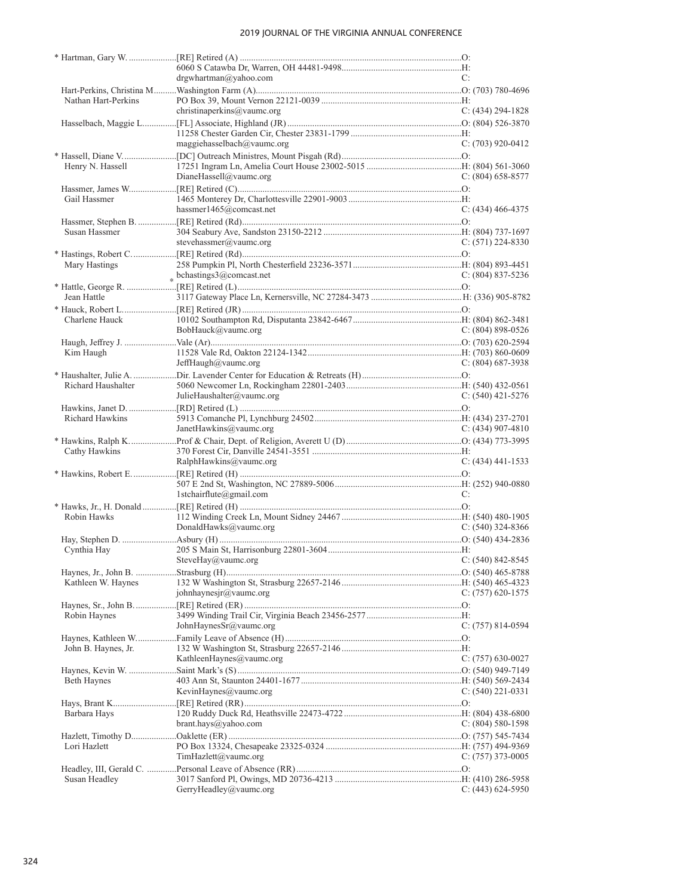|                     | drgwhartman@yahoo.com       | C:                    |
|---------------------|-----------------------------|-----------------------|
|                     |                             |                       |
| Nathan Hart-Perkins | christinaperkins@vaumc.org  | $C: (434) 294 - 1828$ |
|                     |                             |                       |
|                     |                             |                       |
|                     | maggiehasselbach@vaumc.org  | $C: (703)$ 920-0412   |
|                     |                             |                       |
| Henry N. Hassell    |                             |                       |
|                     | DianeHassell@vaumc.org      | $C: (804)$ 658-8577   |
|                     |                             |                       |
| Gail Hassmer        |                             |                       |
|                     | hassmer1465@comcast.net     | $C: (434)$ 466-4375   |
|                     |                             |                       |
| Susan Hassmer       |                             |                       |
|                     | stevehassmer@vaumc.org      | $C: (571) 224-8330$   |
|                     |                             |                       |
| Mary Hastings       |                             |                       |
|                     | $*$ bchastings3@comcast.net | $C: (804) 837 - 5236$ |
|                     |                             |                       |
| Jean Hattle         |                             |                       |
|                     |                             |                       |
| Charlene Hauck      |                             | $C: (804) 898 - 0526$ |
|                     | BobHauck@vaumc.org          |                       |
|                     |                             |                       |
| Kim Haugh           | JeffHaugh@vaumc.org         | $C: (804) 687-3938$   |
|                     |                             |                       |
| Richard Haushalter  |                             |                       |
|                     | JulieHaushalter@vaumc.org   | $C: (540)$ 421-5276   |
|                     |                             |                       |
| Richard Hawkins     |                             |                       |
|                     | JanetHawkins@vaumc.org      | C: $(434)$ 907-4810   |
|                     |                             |                       |
| Cathy Hawkins       |                             |                       |
|                     | RalphHawkins@vaumc.org      | $C: (434)$ 441-1533   |
|                     |                             |                       |
|                     |                             |                       |
|                     | 1stchairflute@gmail.com     | C:                    |
|                     |                             |                       |
| Robin Hawks         |                             |                       |
|                     | DonaldHawks@vaumc.org       | $C: (540)$ 324-8366   |
|                     |                             |                       |
| Cynthia Hay         | $C: (540) 842 - 8545$       |                       |
|                     | SteveHay@vaumc.org          |                       |
| Kathleen W. Haynes  |                             |                       |
|                     | johnhaynesjr@vaumc.org      | $C: (757)$ 620-1575   |
|                     |                             |                       |
| Robin Haynes        |                             |                       |
|                     | JohnHaynesSr@yaumc.org      | $C: (757) 814-0594$   |
|                     |                             |                       |
| John B. Haynes, Jr. |                             |                       |
|                     | KathleenHaynes@vaumc.org    | $C: (757) 630-0027$   |
|                     |                             |                       |
| Beth Haynes         |                             |                       |
|                     | KevinHaynes@vaumc.org       | $C: (540)$ 221-0331   |
|                     |                             |                       |
| Barbara Hays        |                             |                       |
|                     | brant.hays@yahoo.com        | $C: (804) 580-1598$   |
|                     |                             |                       |
| Lori Hazlett        |                             |                       |
|                     | TimHazlett@vaumc.org        | $C: (757)$ 373-0005   |
|                     |                             |                       |
| Susan Headley       | GerryHeadley@vaumc.org      | $C: (443) 624-5950$   |
|                     |                             |                       |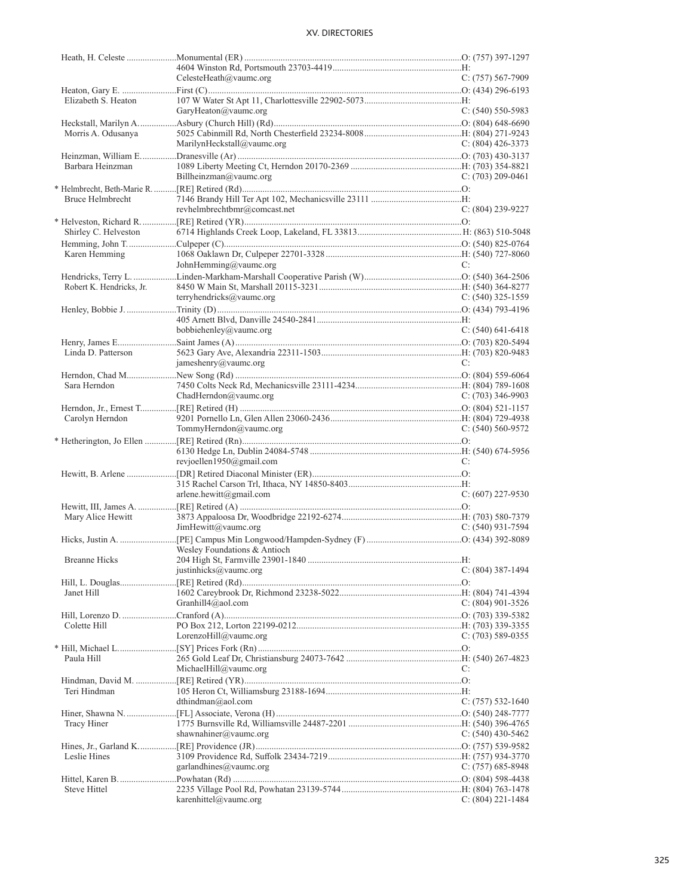|                          | CelesteHeath@vaumc.org       |    | $C: (757) 567-7909$   |
|--------------------------|------------------------------|----|-----------------------|
|                          |                              |    |                       |
| Elizabeth S. Heaton      |                              |    |                       |
|                          | GaryHeaton@vaumc.org         |    | $C: (540)$ 550-5983   |
|                          |                              |    |                       |
| Morris A. Odusanya       |                              |    |                       |
|                          | MarilynHeckstall@vaumc.org   |    | $C: (804)$ 426-3373   |
|                          |                              |    |                       |
| Barbara Heinzman         |                              |    |                       |
|                          | Billheinzman@vaumc.org       |    | $C: (703) 209 - 0461$ |
|                          |                              |    |                       |
| <b>Bruce Helmbrecht</b>  |                              |    |                       |
|                          | revhelmbrechtbmr@comcast.net |    | C: (804) 239-9227     |
|                          |                              |    |                       |
| Shirley C. Helveston     |                              |    |                       |
|                          |                              |    |                       |
| Karen Hemming            |                              |    |                       |
|                          | JohnHemming@vaumc.org        | C: |                       |
|                          |                              |    |                       |
| Robert K. Hendricks, Jr. |                              |    |                       |
|                          | terryhendricks@vaumc.org     |    | C: $(540)$ 325-1559   |
|                          |                              |    |                       |
|                          |                              |    |                       |
|                          | bobbiehenley@vaumc.org       |    | C: $(540)$ 641-6418   |
|                          |                              |    |                       |
| Linda D. Patterson       |                              |    |                       |
|                          | jameshenry@vaumc.org         | C: |                       |
|                          |                              |    |                       |
| Sara Herndon             |                              |    |                       |
|                          | ChadHerndon@vaumc.org        |    | C: $(703)$ 346-9903   |
|                          |                              |    |                       |
| Carolyn Herndon          |                              |    |                       |
|                          | TommyHerndon@vaumc.org       |    | $C: (540) 560 - 9572$ |
|                          |                              |    |                       |
|                          |                              |    |                       |
|                          |                              |    |                       |
|                          |                              |    |                       |
|                          | revjoellen1950@gmail.com     | C: |                       |
|                          |                              |    |                       |
|                          |                              |    |                       |
|                          | $arlene.$ hewitt@gmail.com   |    | $C: (607)$ 227-9530   |
|                          |                              |    |                       |
| Mary Alice Hewitt        |                              |    |                       |
|                          | JimHewitt@vaumc.org          |    | $C: (540)$ 931-7594   |
|                          |                              |    |                       |
|                          | Wesley Foundations & Antioch |    |                       |
| <b>Breanne Hicks</b>     |                              |    |                       |
|                          | justinhicks@vaumc.org        |    | $C: (804)$ 387-1494   |
|                          |                              |    |                       |
| Janet Hill               |                              |    |                       |
|                          | Granhill4@aol.com            |    | $C: (804)$ 901-3526   |
|                          |                              |    |                       |
| Colette Hill             |                              |    |                       |
|                          | LorenzoHill@vaumc.org        |    | $C: (703)$ 589-0355   |
|                          |                              |    |                       |
| Paula Hill               |                              |    |                       |
|                          | MichaelHill@vaumc.org        | C: |                       |
|                          |                              |    |                       |
| Teri Hindman             |                              |    |                       |
|                          | dthindman@aol.com            |    | $C: (757) 532-1640$   |
|                          |                              |    |                       |
| Tracy Hiner              |                              |    |                       |
|                          | shawnahiner@vaumc.org        |    | C: $(540)$ 430-5462   |
|                          |                              |    |                       |
| Leslie Hines             |                              |    |                       |
|                          | garlandhines@vaumc.org       |    | $C: (757) 685-8948$   |
|                          |                              |    |                       |
| Steve Hittel             | karenhittel@vaumc.org        |    | $C: (804) 221 - 1484$ |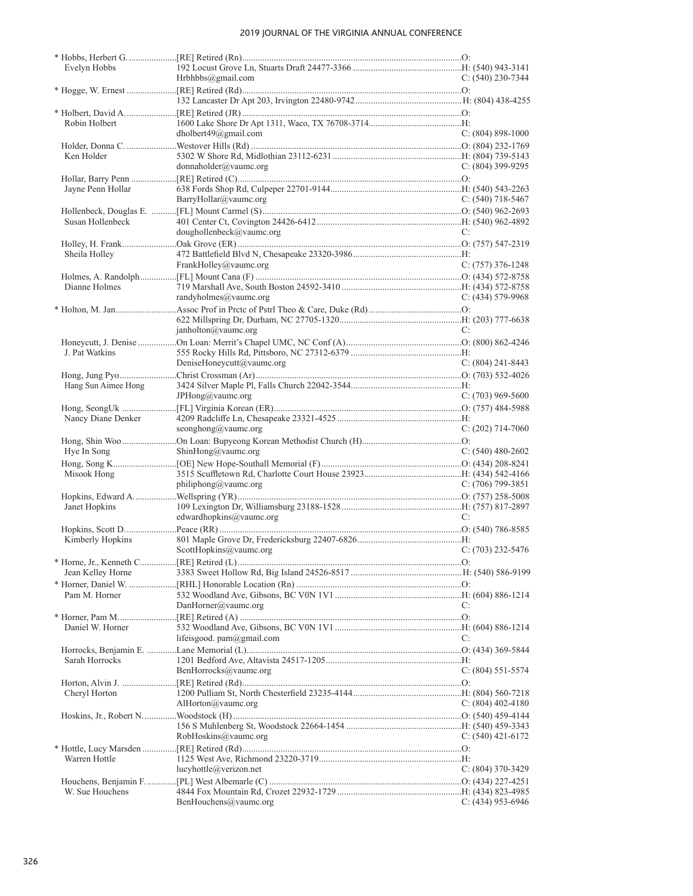| Evelyn Hobbs        |                                     |                     |
|---------------------|-------------------------------------|---------------------|
|                     | Hrbhbbs@gmail.com                   | $C: (540)$ 230-7344 |
|                     |                                     |                     |
|                     |                                     |                     |
|                     |                                     |                     |
| Robin Holbert       |                                     |                     |
|                     | dholbert49@gmail.com                | $C: (804) 898-1000$ |
|                     |                                     |                     |
| Ken Holder          |                                     |                     |
|                     | donnaholder@value.org               | C: $(804)$ 399-9295 |
|                     |                                     |                     |
| Jayne Penn Hollar   |                                     |                     |
|                     | BarryHollar@vaumc.org               | C: $(540)$ 718-5467 |
|                     |                                     |                     |
| Susan Hollenbeck    |                                     |                     |
|                     | doughollenbeck@vaumc.org            | C:                  |
|                     |                                     |                     |
| Sheila Holley       |                                     |                     |
|                     | FrankHolley@vaumc.org               | $C: (757)$ 376-1248 |
|                     |                                     |                     |
| Dianne Holmes       |                                     |                     |
|                     | randyholmes@vaumc.org               | $C: (434) 579-9968$ |
|                     |                                     |                     |
|                     |                                     |                     |
|                     | janholton@vaumc.org                 | C:                  |
|                     |                                     |                     |
| J. Pat Watkins      |                                     |                     |
|                     | DeniseHoneycutt@vaumc.org           | $C: (804)$ 241-8443 |
|                     |                                     |                     |
| Hang Sun Aimee Hong |                                     |                     |
|                     | JPHong@vaumc.org                    | C: $(703)$ 969-5600 |
|                     |                                     |                     |
| Nancy Diane Denker  |                                     |                     |
|                     | seonghong@vaumc.org                 | $C: (202)$ 714-7060 |
|                     |                                     |                     |
| Hye In Song         | ShinHong@vaumc.org                  | C: $(540)$ 480-2602 |
|                     |                                     |                     |
| Misook Hong         |                                     |                     |
|                     | philiphong@vaumc.org                | $C: (706)$ 799-3851 |
|                     |                                     |                     |
| Janet Hopkins       |                                     |                     |
|                     | edwardhopkins@vaumc.org             | C:                  |
|                     |                                     |                     |
| Kimberly Hopkins    |                                     |                     |
|                     | ScottHopkins@vaumc.org              | $C: (703)$ 232-5476 |
|                     |                                     |                     |
| Jean Kelley Horne   |                                     |                     |
|                     |                                     |                     |
| Pam M. Horner       |                                     |                     |
|                     | DanHorner@vaumc.org                 | C:                  |
|                     |                                     |                     |
| Daniel W. Horner    |                                     |                     |
|                     | lifeisgood. $pam(\omega)$ gmail.com | C:                  |
|                     |                                     |                     |
| Sarah Horrocks      |                                     |                     |
|                     | BenHorrocks@vaumc.org               | $C: (804) 551-5574$ |
|                     |                                     |                     |
| Cheryl Horton       |                                     |                     |
|                     | AlHorton@vaumc.org                  | C: $(804)$ 402-4180 |
|                     |                                     |                     |
|                     |                                     |                     |
|                     | RobHoskins@vaumc.org                | C: $(540)$ 421-6172 |
|                     |                                     |                     |
| Warren Hottle       |                                     |                     |
|                     | lucyhottle@verizon.net              | $C: (804)$ 370-3429 |
|                     |                                     |                     |
| W. Sue Houchens     |                                     |                     |
|                     | BenHouchens@vaumc.org               | $C: (434)$ 953-6946 |
|                     |                                     |                     |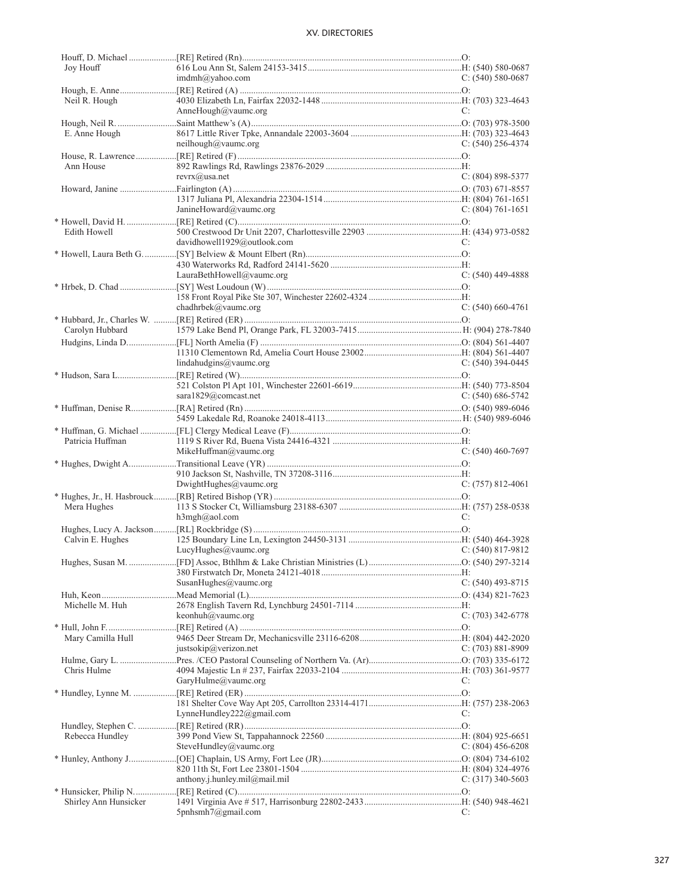| Joy Houff             |                               |                       |
|-----------------------|-------------------------------|-----------------------|
|                       | $imdmh(\partial y ahoo.com)$  | $C: (540) 580-0687$   |
|                       |                               |                       |
| Neil R. Hough         |                               |                       |
|                       | AnneHough@vaumc.org           | C:                    |
|                       |                               |                       |
| E. Anne Hough         |                               |                       |
|                       | neilhough@vaumc.org           | C: $(540)$ 256-4374   |
|                       |                               |                       |
| Ann House             |                               |                       |
|                       | $revrx(\widehat{a})$ usa.net  |                       |
|                       |                               | $C: (804) 898 - 5377$ |
|                       |                               |                       |
|                       |                               |                       |
|                       | JanineHoward@vaumc.org        | C: $(804)$ 761-1651   |
|                       |                               |                       |
| Edith Howell          |                               |                       |
|                       | davidhowell1929@outlook.com   | C:                    |
|                       |                               |                       |
|                       |                               |                       |
|                       | LauraBethHowell@vaumc.org     | $C: (540)$ 449-4888   |
|                       |                               |                       |
|                       |                               |                       |
|                       | chadhrbek@vaumc.org           | $C: (540) 660-4761$   |
|                       |                               |                       |
|                       |                               |                       |
| Carolyn Hubbard       |                               |                       |
|                       |                               |                       |
|                       |                               |                       |
|                       | lindahudgins@value.org        | $C: (540)$ 394-0445   |
|                       |                               |                       |
|                       |                               |                       |
|                       | sara1829@comcast.net          | $C: (540) 686 - 5742$ |
|                       |                               |                       |
|                       |                               |                       |
|                       |                               |                       |
|                       |                               |                       |
| Patricia Huffman      |                               |                       |
|                       | MikeHuffman@vaumc.org         | $C: (540)$ 460-7697   |
|                       |                               |                       |
|                       |                               |                       |
|                       | $DwightHughes@value$ .org     | $C: (757) 812 - 4061$ |
|                       |                               |                       |
| Mera Hughes           |                               |                       |
|                       | h3mgh@aol.com                 | C:                    |
|                       |                               |                       |
| Calvin E. Hughes      |                               |                       |
|                       | LucyHughes@value.org          | $C: (540) 817-9812$   |
|                       |                               |                       |
|                       |                               |                       |
|                       |                               | $C: (540)$ 493-8715   |
|                       | SusanHughes@vaumc.org         |                       |
|                       |                               |                       |
| Michelle M. Huh       |                               |                       |
|                       | keonhuh@vaumc.org             | $C: (703)$ 342-6778   |
|                       |                               |                       |
| Mary Camilla Hull     |                               |                       |
|                       | justsokip@verizon.net         | C: $(703)$ 881-8909   |
|                       |                               |                       |
| Chris Hulme           |                               |                       |
|                       | GaryHulme@vaumc.org           | C:                    |
|                       |                               |                       |
|                       |                               |                       |
|                       | LynneHundley222@gmail.com     | C:                    |
|                       |                               |                       |
|                       |                               |                       |
| Rebecca Hundley       |                               |                       |
|                       | SteveHundley@vaumc.org        | C: $(804)$ 456-6208   |
|                       |                               |                       |
|                       |                               |                       |
|                       | anthony.j.hunley.mil@mail.mil | C: $(317)$ 340-5603   |
|                       |                               |                       |
| Shirley Ann Hunsicker |                               |                       |
|                       | $5$ pnhsmh $7$ @gmail.com     | C:                    |
|                       |                               |                       |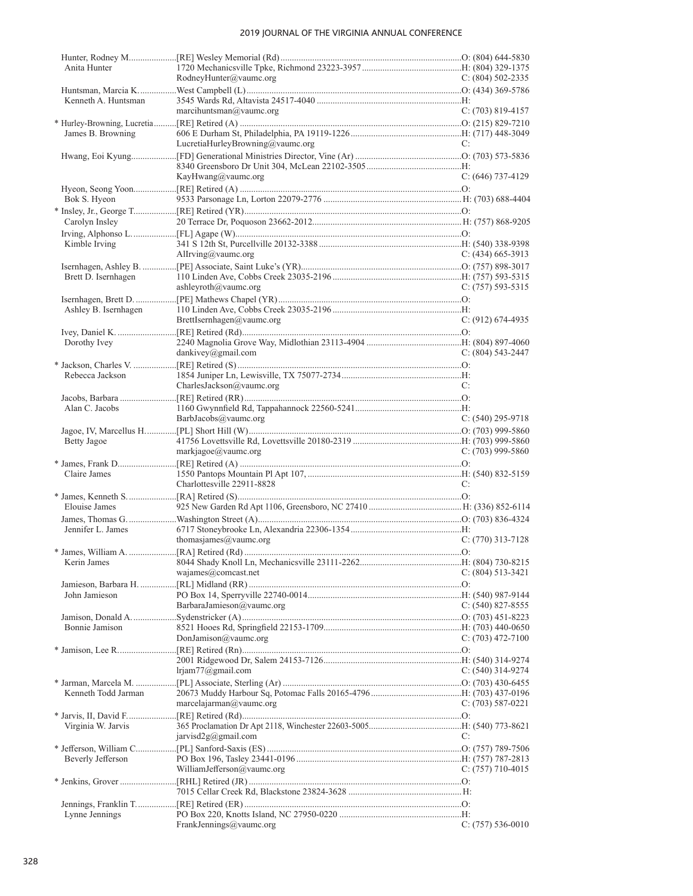| Anita Hunter         |                                  |                       |
|----------------------|----------------------------------|-----------------------|
|                      | RodneyHunter@vaumc.org           | C: $(804)$ 502-2335   |
|                      |                                  |                       |
| Kenneth A. Huntsman  |                                  |                       |
|                      | marcihuntsman@vaumc.org          | $C: (703) 819-4157$   |
|                      |                                  |                       |
|                      |                                  |                       |
| James B. Browning    |                                  |                       |
|                      | LucretiaHurleyBrowning@vaumc.org | C:                    |
|                      |                                  |                       |
|                      |                                  |                       |
|                      | KayHwang@vaumc.org               | $C: (646)$ 737-4129   |
|                      |                                  |                       |
| Bok S. Hyeon         |                                  |                       |
|                      |                                  |                       |
|                      |                                  |                       |
| Carolyn Insley       |                                  |                       |
|                      |                                  |                       |
| Kimble Irving        |                                  |                       |
|                      | Allrving@vaumc.org               | C: $(434)$ 665-3913   |
|                      |                                  |                       |
| Brett D. Isernhagen  |                                  |                       |
|                      |                                  |                       |
|                      | ashleyroth@vaumc.org             | $C: (757)$ 593-5315   |
|                      |                                  |                       |
| Ashley B. Isernhagen |                                  |                       |
|                      | BrettIsernhagen@vaumc.org        | $C: (912) 674-4935$   |
|                      |                                  |                       |
| Dorothy Ivey         |                                  |                       |
|                      | dankivey@gmail.com               | $C: (804)$ 543-2447   |
|                      |                                  |                       |
|                      |                                  |                       |
| Rebecca Jackson      |                                  |                       |
|                      | CharlesJackson $@$ vaumc.org     | C:                    |
|                      |                                  |                       |
| Alan C. Jacobs       |                                  |                       |
|                      | BarbJacobs@vaumc.org             | $C: (540)$ 295-9718   |
|                      |                                  |                       |
|                      |                                  |                       |
| Betty Jagoe          |                                  |                       |
|                      | markiage@value.org               | C: $(703)$ 999-5860   |
|                      |                                  |                       |
| Claire James         |                                  |                       |
|                      | Charlottesville 22911-8828       | C:                    |
|                      |                                  |                       |
|                      |                                  |                       |
| Elouise James        |                                  |                       |
|                      |                                  |                       |
| Jennifer L. James    |                                  |                       |
|                      | thomasjames@vaumc.org            | $C: (770)$ 313-7128   |
|                      |                                  |                       |
|                      |                                  |                       |
|                      | wajames@comcast.net              | $C: (804) 513-3421$   |
|                      |                                  |                       |
|                      |                                  |                       |
| John Jamieson        |                                  |                       |
|                      | BarbaraJamieson@vaumc.org        | $C: (540) 827 - 8555$ |
|                      |                                  |                       |
| Bonnie Jamison       |                                  |                       |
|                      | DonJamison@vaumc.org             | C: $(703)$ 472-7100   |
|                      |                                  |                       |
|                      |                                  |                       |
|                      |                                  |                       |
|                      | lrjam77@gmail.com                | C: $(540)$ 314-9274   |
|                      |                                  |                       |
| Kenneth Todd Jarman  |                                  |                       |
|                      | marcelajarman@vaumc.org          | C: $(703)$ 587-0221   |
|                      |                                  |                       |
|                      |                                  |                       |
| Virginia W. Jarvis   |                                  |                       |
|                      | jarvisd $2g(a)$ gmail.com        | C:                    |
|                      |                                  |                       |
| Beverly Jefferson    |                                  |                       |
|                      | WilliamJefferson@vaumc.org       | C: $(757)$ 710-4015   |
|                      |                                  |                       |
|                      |                                  |                       |
|                      |                                  |                       |
|                      |                                  |                       |
| Lynne Jennings       |                                  |                       |
|                      | FrankJennings@vaumc.org          | $C: (757) 536-0010$   |
|                      |                                  |                       |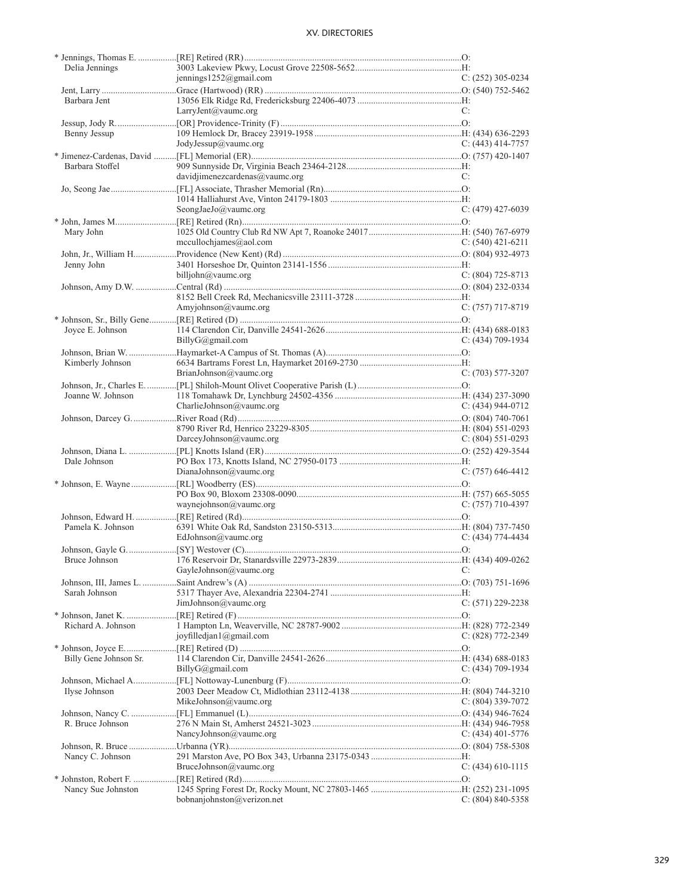| Delia Jennings         |                                       |                       |
|------------------------|---------------------------------------|-----------------------|
|                        | jennings1252@gmail.com                | $C: (252)$ 305-0234   |
|                        |                                       |                       |
| Barbara Jent           |                                       |                       |
|                        | LarryJent@vaumc.org                   | C:                    |
|                        |                                       |                       |
| Benny Jessup           |                                       |                       |
|                        | JodyJessup@vaumc.org                  | $C: (443)$ 414-7757   |
|                        |                                       |                       |
| Barbara Stoffel        |                                       |                       |
|                        | davidjimenezcardenas@vaumc.org        | C:                    |
|                        |                                       |                       |
|                        |                                       |                       |
|                        | SeongJaeJo@vaumc.org                  | $C: (479)$ 427-6039   |
|                        |                                       |                       |
| Mary John              |                                       |                       |
|                        | mecullochjames@aol.com                | $C: (540)$ 421-6211   |
|                        |                                       |                       |
| Jenny John             |                                       |                       |
|                        | billjohn@vaumc.org                    | $C: (804)$ 725-8713   |
|                        |                                       |                       |
|                        |                                       |                       |
|                        | Amyjohnson@vaumc.org                  | $C: (757)$ 717-8719   |
|                        |                                       |                       |
| Joyce E. Johnson       |                                       |                       |
|                        | BillyG@gmail.com                      | $C: (434)$ 709-1934   |
|                        |                                       |                       |
|                        |                                       |                       |
| Kimberly Johnson       | BrianJohnson@vaumc.org                | $C: (703) 577-3207$   |
|                        |                                       |                       |
|                        |                                       |                       |
| Joanne W. Johnson      |                                       |                       |
|                        | CharlieJohnson@vaumc.org              | C: $(434)$ 944-0712   |
|                        |                                       |                       |
|                        |                                       |                       |
|                        | DarceyJohnson@vaumc.org               | C: $(804)$ 551-0293   |
|                        |                                       |                       |
| Dale Johnson           |                                       |                       |
|                        | DianaJohnson@vaumc.org                | $C: (757)$ 646-4412   |
|                        |                                       |                       |
|                        |                                       |                       |
|                        | waynejohnson@vaumc.org                | $C: (757)$ 710-4397   |
|                        |                                       |                       |
| Pamela K. Johnson      |                                       |                       |
|                        | EdJohnson@vaumc.org                   | $C: (434) 774-4434$   |
|                        |                                       |                       |
|                        |                                       |                       |
|                        | GayleJohnson@vaumc.org                | C:                    |
|                        |                                       |                       |
| Sarah Johnson          |                                       |                       |
|                        | JimJohnson@vaumc.org                  | $C: (571) 229 - 2238$ |
|                        |                                       |                       |
| Richard A. Johnson     |                                       |                       |
|                        | joyfilledjan $1$ ( $\alpha$ gmail.com | $C: (828) 772 - 2349$ |
|                        |                                       |                       |
| Billy Gene Johnson Sr. |                                       |                       |
|                        | BillyG@gmail.com                      | $C: (434) 709-1934$   |
|                        |                                       |                       |
|                        |                                       |                       |
| Ilyse Johnson          | MikeJohnson@vaumc.org                 | C: (804) 339-7072     |
|                        |                                       |                       |
|                        |                                       |                       |
| R. Bruce Johnson       |                                       |                       |
|                        | NancyJohnson@vaumc.org                | C: $(434)$ 401-5776   |
|                        |                                       |                       |
| Nancy C. Johnson       |                                       |                       |
|                        | BruceJohnson@vaumc.org                | C: $(434)$ 610-1115   |
|                        |                                       |                       |
| Nancy Sue Johnston     |                                       |                       |
|                        | bobnanjohnston@verizon.net            | $C: (804) 840 - 5358$ |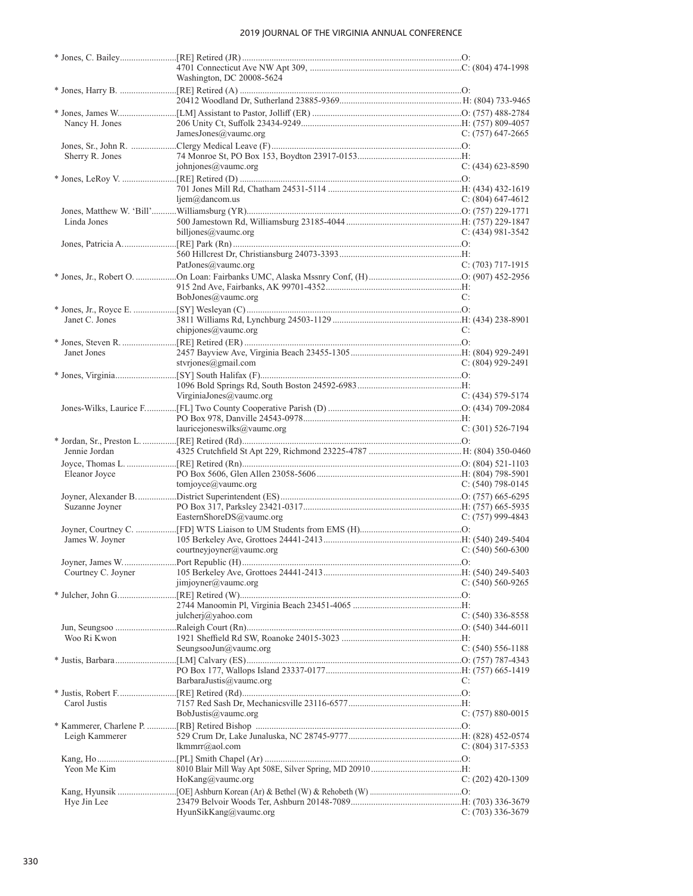|                    | Washington, DC 20008-5624            |                       |
|--------------------|--------------------------------------|-----------------------|
|                    |                                      |                       |
|                    |                                      |                       |
|                    |                                      |                       |
| Nancy H. Jones     |                                      |                       |
|                    | JamesJones@vaumc.org                 | $C: (757)$ 647-2665   |
|                    |                                      |                       |
| Sherry R. Jones    |                                      |                       |
|                    | johnjones@vaumc.org                  | $C: (434)$ 623-8590   |
|                    |                                      |                       |
|                    |                                      |                       |
|                    | $ljem@$ dancom.us                    | C: $(804)$ 647-4612   |
|                    |                                      |                       |
| Linda Jones        |                                      |                       |
|                    | billjones@vaumc.org                  | C: $(434)$ 981-3542   |
|                    |                                      |                       |
|                    |                                      |                       |
|                    | PatJones@vaumc.org                   | $C: (703)$ 717-1915   |
|                    |                                      |                       |
|                    |                                      |                       |
|                    | BobJones@vaumc.org                   | C:                    |
|                    |                                      |                       |
| Janet C. Jones     |                                      |                       |
|                    | chipjones@vaumc.org                  | C:                    |
|                    |                                      |                       |
| Janet Jones        |                                      |                       |
|                    | styrjones@gmail.com                  | $C: (804)$ 929-2491   |
|                    |                                      |                       |
|                    |                                      |                       |
|                    | VirginiaJones@vaumc.org              | $C: (434) 579-5174$   |
|                    |                                      |                       |
|                    |                                      |                       |
|                    | lauricejoneswilks@vaumc.org          | $C: (301)$ 526-7194   |
|                    |                                      |                       |
| Jennie Jordan      |                                      |                       |
|                    |                                      |                       |
| Eleanor Joyce      |                                      |                       |
|                    | tomjoyce@vaumc.org                   | C: $(540)$ 798-0145   |
|                    |                                      |                       |
| Suzanne Joyner     |                                      |                       |
|                    | EasternShoreDS@vaumc.org             | $C: (757)$ 999-4843   |
|                    |                                      |                       |
| James W. Joyner    |                                      |                       |
|                    | courtneyjoyner@vaumc.org             | $C: (540) 560-6300$   |
|                    |                                      |                       |
| Courtney C. Joyner |                                      |                       |
|                    | $\text{imipyner}(a\text{value.org})$ | $C: (540) 560-9265$   |
|                    |                                      |                       |
|                    |                                      |                       |
|                    | julcherj@yahoo.com                   | $C: (540)$ 336-8558   |
|                    |                                      |                       |
| Woo Ri Kwon        |                                      |                       |
|                    | SeungsooJun@vaumc.org                | $C: (540) 556-1188$   |
|                    |                                      |                       |
|                    |                                      |                       |
|                    | BarbaraJustis@vaumc.org              | C:                    |
|                    |                                      |                       |
| Carol Justis       |                                      |                       |
|                    | BobJustis@vaumc.org                  | $C: (757) 880 - 0015$ |
|                    |                                      |                       |
|                    |                                      |                       |
| Leigh Kammerer     |                                      |                       |
|                    | lkmmrr@aol.com                       | $C: (804)$ 317-5353   |
|                    |                                      |                       |
| Yeon Me Kim        |                                      |                       |
|                    | HoKang@vaumc.org                     | $C: (202)$ 420-1309   |
|                    |                                      |                       |
| Hye Jin Lee        | HyunSikKang@vaumc.org                | $C: (703)$ 336-3679   |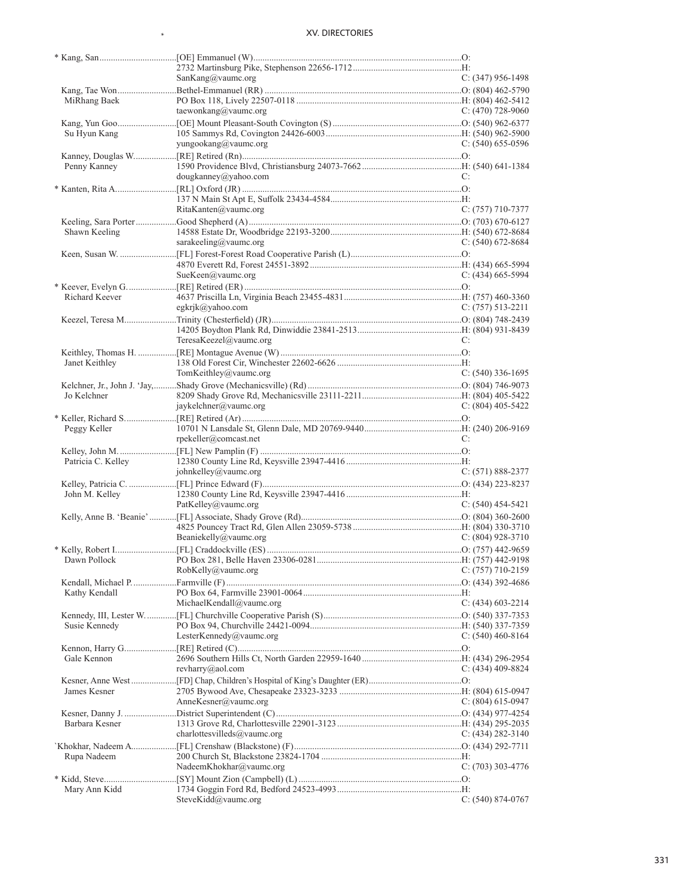$\ast$ 

|                    | SanKang@vaumc.org           | $C: (347)$ 956-1498 |
|--------------------|-----------------------------|---------------------|
|                    |                             |                     |
| MiRhang Baek       |                             |                     |
|                    | taewonkang@vaumc.org        | C: $(470)$ 728-9060 |
| Su Hyun Kang       |                             |                     |
|                    | yungookang@vaumc.org        | $C: (540) 655-0596$ |
|                    |                             |                     |
| Penny Kanney       | dougkanney@yahoo.com        | C:                  |
|                    |                             |                     |
|                    |                             |                     |
|                    | RitaKanten@value.org        | $C: (757)$ 710-7377 |
|                    |                             |                     |
| Shawn Keeling      | sarakeeling@vaumc.org       | C: $(540)$ 672-8684 |
|                    |                             |                     |
|                    |                             |                     |
|                    | SueKeen@vaumc.org           | $C: (434)$ 665-5994 |
|                    |                             |                     |
| Richard Keever     | egkrjk@yahoo.com            | $C: (757) 513-2211$ |
|                    |                             |                     |
|                    |                             |                     |
|                    | TeresaKeezel@vaumc.org      | C:                  |
|                    |                             |                     |
| Janet Keithley     | TomKeithley@vaumc.org       | $C: (540)$ 336-1695 |
|                    |                             |                     |
| Jo Kelchner        |                             |                     |
|                    | jaykelchner@vaumc.org       | C: $(804)$ 405-5422 |
|                    |                             |                     |
| Peggy Keller       | rpekeller@comcast.net       | C:                  |
|                    |                             |                     |
| Patricia C. Kelley |                             |                     |
|                    | johnkelley@vaumc.org        | $C: (571) 888-2377$ |
|                    |                             |                     |
| John M. Kelley     | PatKelley@vaumc.org         | $C: (540)$ 454-5421 |
|                    |                             |                     |
|                    |                             |                     |
|                    | Beaniekelly@vaumc.org       | C: $(804)$ 928-3710 |
|                    |                             |                     |
|                    | RobKelly@vaumc.org          | $C: (757)$ 710-2159 |
|                    |                             |                     |
| Kathy Kendall      |                             |                     |
|                    | MichaelKendall@vaumc.org    | $C: (434)$ 603-2214 |
|                    |                             |                     |
| Susie Kennedy      | LesterKennedy@vaumc.org     | C: $(540)$ 460-8164 |
|                    |                             |                     |
| Gale Kennon        |                             |                     |
|                    | revharry@aol.com            | $C: (434)$ 409-8824 |
|                    |                             |                     |
| James Kesner       | AnneKesner@vaumc.org        | C: $(804)$ 615-0947 |
|                    |                             |                     |
| Barbara Kesner     |                             |                     |
|                    | charlottesvilleds@vaumc.org | C: $(434)$ 282-3140 |
|                    |                             |                     |
| Rupa Nadeem        | NadeemKhokhar@vaumc.org     | $C: (703)$ 303-4776 |
|                    |                             |                     |
| Mary Ann Kidd      |                             |                     |
|                    | SteveKidd@vaumc.org         | $C: (540) 874-0767$ |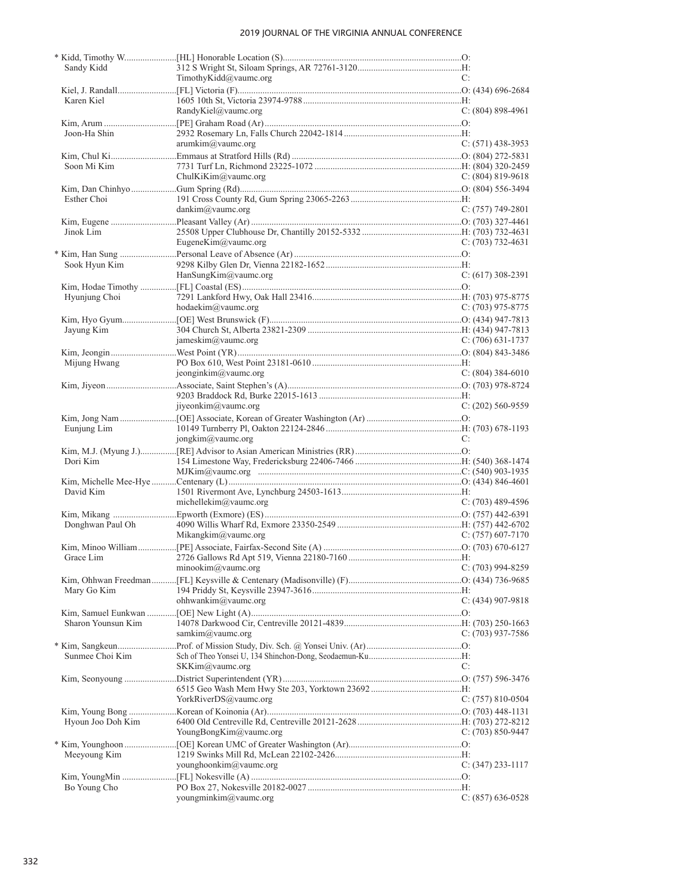| Sandy Kidd         |                        |                       |
|--------------------|------------------------|-----------------------|
|                    | TimothyKidd@vaumc.org  | C:                    |
|                    |                        |                       |
| Karen Kiel         |                        |                       |
|                    | RandyKiel@vaumc.org    | C: $(804)$ 898-4961   |
|                    |                        |                       |
| Joon-Ha Shin       |                        |                       |
|                    | arumkim@value.org      | $C: (571)$ 438-3953   |
|                    |                        |                       |
| Soon Mi Kim        |                        |                       |
|                    | ChulKiKim@vaumc.org    | C: $(804)$ 819-9618   |
|                    |                        |                       |
| Esther Choi        |                        |                       |
|                    | dankim@value.org       | $C: (757)$ 749-2801   |
|                    |                        |                       |
| Jinok Lim          |                        |                       |
|                    | EugeneKim@vaumc.org    | $C: (703) 732 - 4631$ |
|                    |                        |                       |
| Sook Hyun Kim      |                        |                       |
|                    | HanSungKim@vaumc.org   | $C: (617)$ 308-2391   |
|                    |                        |                       |
| Hyunjung Choi      |                        |                       |
|                    | hodaekim@vaumc.org     | $C: (703)$ 975-8775   |
|                    |                        |                       |
| Jayung Kim         |                        |                       |
|                    | jameskim@vaumc.org     | $C: (706)$ 631-1737   |
|                    |                        |                       |
| Mijung Hwang       |                        |                       |
|                    | jeonginkim@vaumc.org   | $C: (804)$ 384-6010   |
|                    |                        |                       |
|                    |                        |                       |
|                    | jiyeonkim@vaumc.org    | $C: (202)$ 560-9559   |
|                    |                        |                       |
| Eunjung Lim        |                        |                       |
|                    | jongkim@vaumc.org      | C:                    |
|                    |                        |                       |
| Dori Kim           |                        |                       |
|                    |                        |                       |
|                    |                        |                       |
| David Kim          |                        |                       |
|                    | michellekim@vaumc.org  | $C: (703)$ 489-4596   |
|                    |                        |                       |
| Donghwan Paul Oh   |                        |                       |
|                    | Mikangkim@vaumc.org    | C: $(757)$ 607-7170   |
|                    |                        |                       |
| Grace Lim          |                        |                       |
|                    | minookim@vaumc.org     | $C: (703)$ 994-8259   |
|                    |                        |                       |
| Mary Go Kim        |                        |                       |
|                    | ohhwankim@vaumc.org    | $C: (434)$ 907-9818   |
|                    |                        |                       |
| Sharon Younsun Kim |                        |                       |
|                    | samkim@vaumc.org       | C: $(703)$ 937-7586   |
|                    |                        |                       |
| Sunmee Choi Kim    |                        |                       |
|                    | SKKim@vaumc.org        | C:                    |
|                    |                        |                       |
|                    |                        |                       |
|                    | YorkRiverDS@vaumc.org  | C: $(757)$ 810-0504   |
|                    |                        |                       |
| Hyoun Joo Doh Kim  |                        |                       |
|                    | YoungBongKim@vaumc.org | $C: (703) 850-9447$   |
|                    |                        |                       |
| Meeyoung Kim       |                        |                       |
|                    | younghoonkim@vaumc.org | $C: (347)$ 233-1117   |
|                    |                        |                       |
| Bo Young Cho       |                        |                       |
|                    | youngminkim@vaumc.org  | $C: (857) 636-0528$   |
|                    |                        |                       |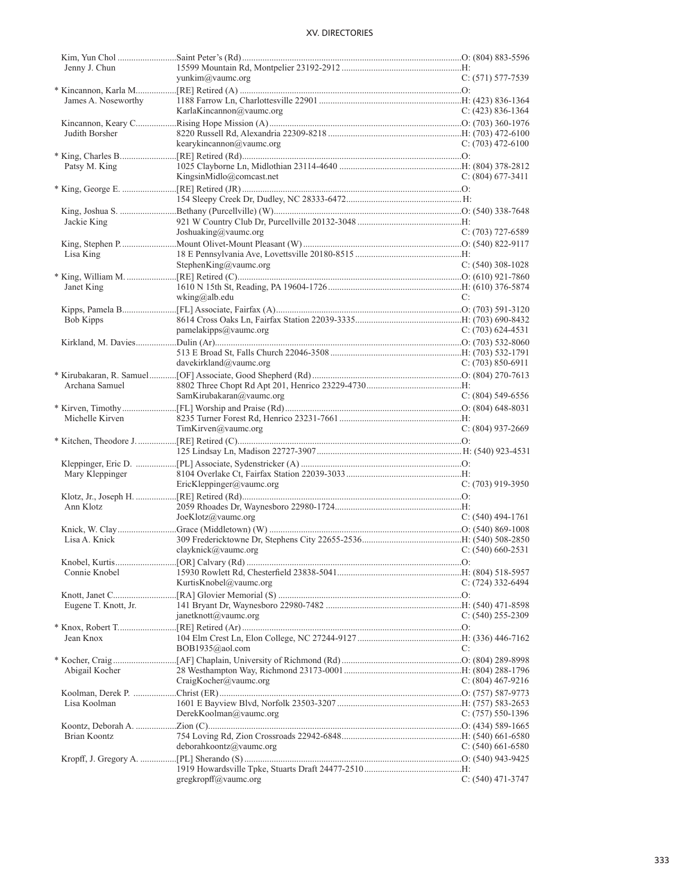| Jenny J. Chun        |                             |                       |
|----------------------|-----------------------------|-----------------------|
|                      | yunkim@yaumc.org            | $C: (571) 577-7539$   |
|                      |                             |                       |
| James A. Noseworthy  |                             |                       |
|                      | KarlaKincannon@vaumc.org    | C: $(423)$ 836-1364   |
|                      |                             |                       |
| Judith Borsher       |                             |                       |
|                      | kearykincannon@vaumc.org    | $C: (703)$ 472-6100   |
|                      |                             |                       |
| Patsy M. King        |                             |                       |
|                      | KingsinMidlo@comcast.net    | $C: (804)$ 677-3411   |
|                      |                             |                       |
|                      |                             |                       |
|                      |                             |                       |
| Jackie King          |                             |                       |
|                      | Joshuaking@vaumc.org        | $C: (703)$ 727-6589   |
|                      |                             |                       |
| Lisa King            |                             |                       |
|                      | Stephen $King(a)$ vaumc.org | $C: (540)$ 308-1028   |
|                      |                             |                       |
| Janet King           |                             |                       |
|                      | wking@alb.edu               | C:                    |
|                      |                             |                       |
| Bob Kipps            |                             |                       |
|                      | pamelakipps@vaumc.org       | $C: (703) 624-4531$   |
|                      |                             |                       |
|                      |                             |                       |
|                      | davekirkland@vaumc.org      | C: $(703) 850 - 6911$ |
|                      |                             |                       |
| Archana Samuel       |                             |                       |
|                      | SamKirubakaran@vaumc.org    | C: $(804)$ 549-6556   |
|                      |                             |                       |
| Michelle Kirven      |                             |                       |
|                      | TimKirven@value.org         | $C: (804)$ 937-2669   |
|                      |                             |                       |
|                      |                             |                       |
|                      |                             |                       |
| Mary Kleppinger      |                             |                       |
|                      | EricKleppinger@vaumc.org    | $C: (703)$ 919-3950   |
|                      |                             |                       |
| Ann Klotz            | JoeKlotz@vaumc.org          |                       |
|                      |                             | $C: (540)$ 494-1761   |
|                      |                             |                       |
| Lisa A. Knick        |                             |                       |
|                      | clayknick@vaumc.org         | $C: (540) 660 - 2531$ |
|                      |                             |                       |
| Connie Knobel        | KurtisKnobel@vaumc.org      |                       |
|                      |                             | $C: (724)$ 332-6494   |
|                      |                             |                       |
| Eugene T. Knott, Jr. | janetknott@vaumc.org        | $C: (540)$ 255-2309   |
|                      |                             |                       |
| Jean Knox            |                             |                       |
|                      | BOB1935@aol.com             | C:                    |
|                      |                             |                       |
| Abigail Kocher       |                             |                       |
|                      | CraigKocher@vaumc.org       | C: $(804)$ 467-9216   |
|                      |                             |                       |
| Lisa Koolman         |                             |                       |
|                      | DerekKoolman@vaumc.org      | $C: (757) 550-1396$   |
|                      |                             |                       |
| Brian Koontz         |                             |                       |
|                      | deborahkoontz@vaumc.org     | $C: (540)$ 661-6580   |
|                      |                             |                       |
|                      |                             |                       |
|                      | gregkropff@vaumc.org        | $C: (540)$ 471-3747   |
|                      |                             |                       |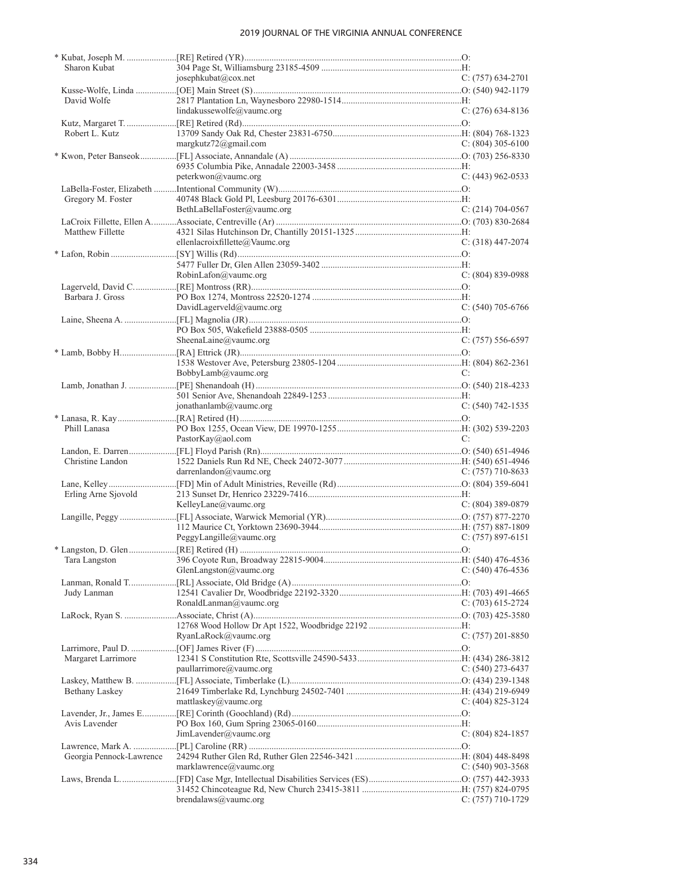| Sharon Kubat             | josephkubat@cox.net            | $C: (757) 634-2701$   |
|--------------------------|--------------------------------|-----------------------|
|                          |                                |                       |
| David Wolfe              |                                |                       |
|                          | lindakussewolfe@vaumc.org      | $C: (276)$ 634-8136   |
|                          |                                |                       |
| Robert L. Kutz           |                                |                       |
|                          | margkutz $72$ @gmail.com       | $C: (804)$ 305-6100   |
|                          |                                |                       |
|                          |                                |                       |
|                          | peterkwon@vaumc.org            | $C: (443)$ 962-0533   |
|                          |                                |                       |
| Gregory M. Foster        |                                |                       |
|                          | BethLaBellaFoster@vaumc.org    | $C: (214) 704-0567$   |
|                          |                                |                       |
| Matthew Fillette         |                                |                       |
|                          | ellenlacroixfillette@Vaumc.org | $C: (318)$ 447-2074   |
|                          |                                |                       |
|                          |                                |                       |
|                          |                                |                       |
|                          | RobinLafon@vaumc.org           | $C: (804) 839-0988$   |
|                          |                                |                       |
| Barbara J. Gross         |                                |                       |
|                          | DavidLagerveld@vaumc.org       | $C: (540)$ 705-6766   |
|                          |                                |                       |
|                          |                                |                       |
|                          | SheenaLaine@vaumc.org          | $C: (757) 556-6597$   |
|                          |                                |                       |
|                          |                                |                       |
|                          | BobbyLamb@vaumc.org            | C:                    |
|                          |                                |                       |
|                          |                                |                       |
|                          | jonathanlamb@vaumc.org         | $C: (540)$ 742-1535   |
|                          |                                |                       |
| Phill Lanasa             |                                |                       |
|                          | PastorKay@aol.com              | C:                    |
|                          |                                |                       |
| Christine Landon         |                                |                       |
|                          | darrenlandon@vaumc.org         | C: $(757)$ 710-8633   |
|                          |                                |                       |
| Erling Arne Sjovold      |                                |                       |
|                          | KelleyLane@vaumc.org           | $C: (804)$ 389-0879   |
|                          |                                |                       |
|                          |                                |                       |
|                          | PeggyLangille@vaumc.org        | $C: (757) 897-6151$   |
|                          |                                |                       |
|                          |                                |                       |
|                          | GlenLangston $@$ vaumc.org     | $C: (540)$ 476-4536   |
|                          |                                |                       |
| Judy Lanman              |                                |                       |
|                          | RonaldLanman@vaumc.org         | $C: (703) 615-2724$   |
|                          |                                |                       |
|                          |                                |                       |
|                          | RyanLaRock@vaumc.org           | $C: (757) 201 - 8850$ |
|                          |                                |                       |
| Margaret Larrimore       |                                |                       |
|                          | paullarrimore@vaumc.org        | $C: (540)$ 273-6437   |
|                          |                                |                       |
| <b>Bethany Laskey</b>    |                                |                       |
|                          | mattlaskey@vaumc.org           | C: $(404)$ 825-3124   |
|                          |                                |                       |
| Avis Lavender            |                                |                       |
|                          | JimLavender@value.org          | $C: (804) 824-1857$   |
|                          |                                |                       |
| Georgia Pennock-Lawrence |                                |                       |
|                          | marklawrence@vaumc.org         | $C: (540)$ 903-3568   |
|                          |                                |                       |
|                          |                                |                       |
|                          | $b$ rendalaws@vaumc.org        | $C: (757)$ 710-1729   |
|                          |                                |                       |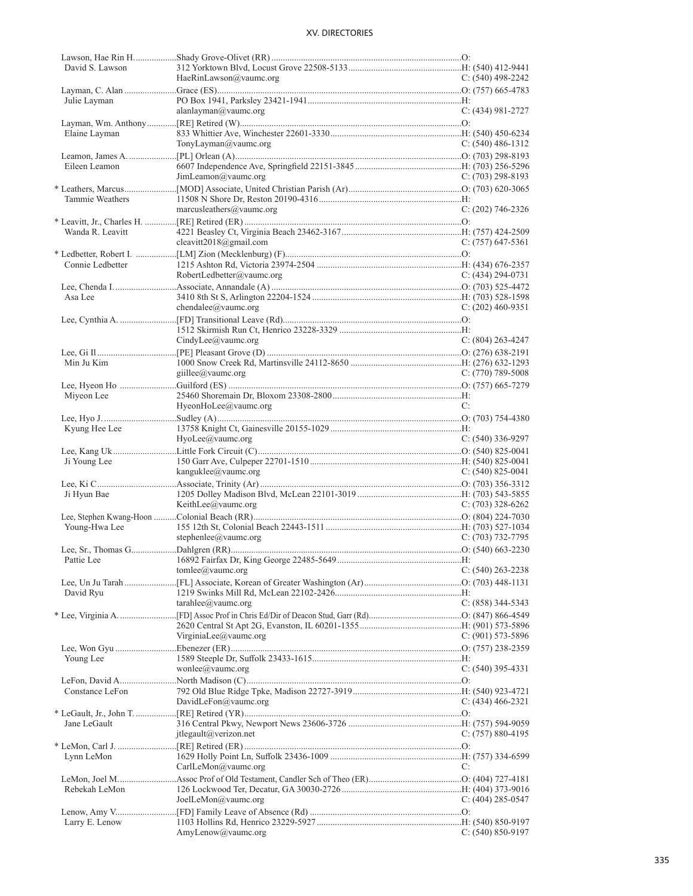| David S. Lawson  |                           |                       |
|------------------|---------------------------|-----------------------|
|                  | HaeRinLawson@vaumc.org    | C: $(540)$ 498-2242   |
|                  |                           |                       |
| Julie Layman     |                           |                       |
|                  | alanlayman@vaumc.org      | $C: (434) 981 - 2727$ |
|                  |                           |                       |
|                  |                           |                       |
| Elaine Layman    |                           |                       |
|                  | TonyLayman@vaumc.org      | $C: (540)$ 486-1312   |
|                  |                           |                       |
| Eileen Leamon    |                           |                       |
|                  | JimLeamon@value.org       | $C: (703) 298-8193$   |
|                  |                           |                       |
|                  |                           |                       |
| Tammie Weathers  |                           |                       |
|                  | marcusleathers@vaumc.org  | $C: (202)$ 746-2326   |
|                  |                           |                       |
| Wanda R. Leavitt |                           |                       |
|                  | cleavitt2018@gmail.com    | $C: (757)$ 647-5361   |
|                  |                           |                       |
| Connie Ledbetter |                           |                       |
|                  |                           |                       |
|                  | RobertLedbetter@vaumc.org | $C: (434) 294-0731$   |
|                  |                           |                       |
| Asa Lee          |                           |                       |
|                  | chendalee@value.org       | $C: (202)$ 460-9351   |
|                  |                           |                       |
|                  |                           |                       |
|                  | CindyLee@vaumc.org        | $C: (804) 263 - 4247$ |
|                  |                           |                       |
|                  |                           |                       |
| Min Ju Kim       |                           |                       |
|                  | giillee@vaumc.org         | $C: (770)$ 789-5008   |
|                  |                           |                       |
| Miyeon Lee       |                           |                       |
|                  | HyeonHoLee@vaumc.org      | C:                    |
|                  |                           |                       |
|                  |                           |                       |
| Kyung Hee Lee    |                           |                       |
|                  | $H$ yoLee $@$ yaumc.org   | $C: (540)$ 336-9297   |
|                  |                           |                       |
|                  |                           |                       |
| Ji Young Lee     |                           |                       |
|                  | kanguklee@vaumc.org       | $C: (540) 825 - 0041$ |
|                  |                           |                       |
|                  |                           |                       |
| Ji Hyun Bae      |                           |                       |
|                  | KeithLee@vaumc.org        | $C: (703)$ 328-6262   |
|                  |                           |                       |
| Young-Hwa Lee    |                           |                       |
|                  | stephenlee@vaumc.org      | $C: (703)$ 732-7795   |
|                  |                           |                       |
|                  |                           |                       |
|                  |                           |                       |
|                  | tomlee@vaumc.org          | $C: (540)$ 263-2238   |
|                  |                           |                       |
| David Ryu        |                           |                       |
|                  | tarahlee@value.org        | $C: (858)$ 344-5343   |
|                  |                           |                       |
|                  |                           |                       |
|                  | VirginiaLee@vaumc.org     | C: $(901)$ 573-5896   |
|                  |                           |                       |
|                  |                           |                       |
| Young Lee        |                           |                       |
|                  | wonlee@vaumc.org          | $C: (540)$ 395-4331   |
|                  |                           |                       |
| Constance LeFon  |                           |                       |
|                  | DavidLeFon@vaumc.org      | $C: (434)$ 466-2321   |
|                  |                           |                       |
| Jane LeGault     |                           |                       |
|                  |                           |                       |
|                  | $it$ legault@verizon.net  | $C: (757) 880-4195$   |
|                  |                           |                       |
| Lynn LeMon       |                           |                       |
|                  | CarlLeMon@vaumc.org       | C:                    |
|                  |                           |                       |
| Rebekah LeMon    |                           |                       |
|                  | JoelLeMon@vaumc.org       | C: $(404)$ 285-0547   |
|                  |                           |                       |
|                  |                           |                       |
| Larry E. Lenow   | AmyLenow@vaumc.org        | $C: (540) 850-9197$   |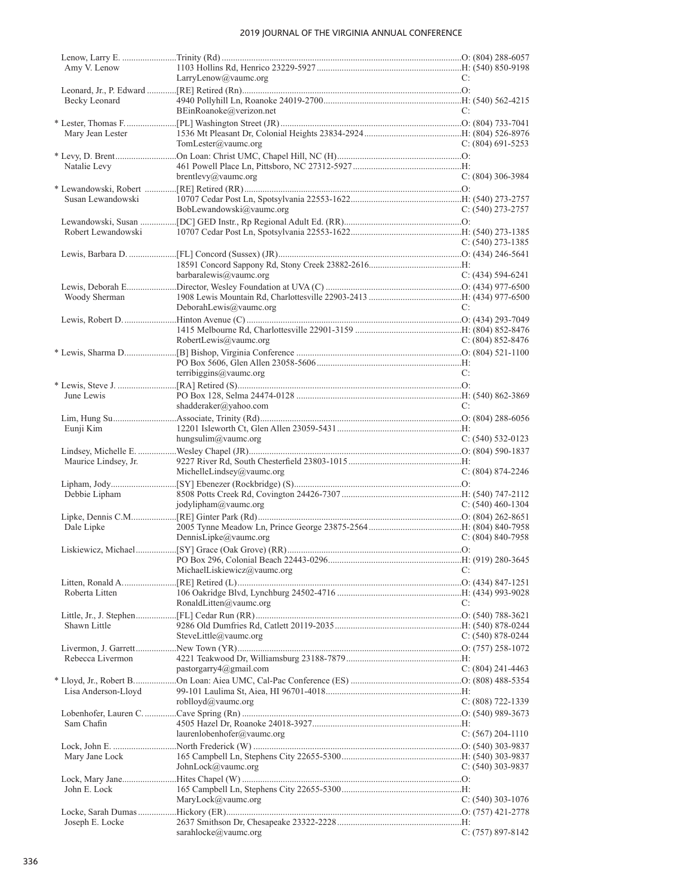| Amy V. Lenow         |                             |                       |
|----------------------|-----------------------------|-----------------------|
|                      | LarryLenow@vaumc.org        | C:                    |
|                      |                             |                       |
| Becky Leonard        |                             |                       |
|                      | BEinRoanoke@verizon.net     | C:                    |
|                      |                             |                       |
| Mary Jean Lester     |                             |                       |
|                      | TomLester@vaumc.org         | C: $(804)$ 691-5253   |
|                      |                             |                       |
| Natalie Levy         |                             |                       |
|                      | brentlevy@vaumc.org         | C: (804) 306-3984     |
|                      |                             |                       |
| Susan Lewandowski    |                             |                       |
|                      | BobLewandowski@vaumc.org    | $C: (540)$ 273-2757   |
|                      |                             |                       |
| Robert Lewandowski   |                             |                       |
|                      |                             | C: $(540)$ 273-1385   |
|                      |                             |                       |
|                      |                             |                       |
|                      | barbaralewis@vaumc.org      | C: $(434)$ 594-6241   |
|                      |                             |                       |
| Woody Sherman        |                             |                       |
|                      | DeborahLewis@vaumc.org      | C:                    |
|                      |                             |                       |
|                      |                             |                       |
|                      | RobertLewis@vaumc.org       | $C: (804) 852 - 8476$ |
|                      |                             |                       |
|                      |                             |                       |
|                      | terribiggins@vaumc.org      | C:                    |
|                      |                             |                       |
| June Lewis           |                             |                       |
|                      | shadderaker@yahoo.com       | C:                    |
|                      |                             |                       |
| Eunji Kim            |                             |                       |
|                      | hungsulim@vaumc.org         | $C: (540) 532-0123$   |
|                      |                             |                       |
| Maurice Lindsey, Jr. |                             |                       |
|                      | MichelleLindsey@vaumc.org   | $C: (804) 874 - 2246$ |
|                      |                             |                       |
| Debbie Lipham        |                             |                       |
|                      | jodylipham@vaumc.org        |                       |
|                      |                             | C: $(540)$ 460-1304   |
|                      |                             |                       |
| Dale Lipke           |                             |                       |
|                      | DennisLipke@vaumc.org       | $C: (804) 840 - 7958$ |
|                      |                             |                       |
|                      |                             |                       |
|                      | MichaelLiskiewicz@vaumc.org | C:                    |
|                      |                             |                       |
| Roberta Litten       |                             |                       |
|                      | RonaldLitten@vaumc.org      | C:                    |
|                      |                             |                       |
| Shawn Little         |                             |                       |
|                      | SteveLittle@vaumc.org       | $C: (540) 878 - 0244$ |
|                      |                             |                       |
| Rebecca Livermon     |                             |                       |
|                      | pastorgarry 4@gmail.com     | $C: (804)$ 241-4463   |
|                      |                             |                       |
| Lisa Anderson-Lloyd  |                             |                       |
|                      | roblloyd@vaumc.org          | $C: (808) 722 - 1339$ |
|                      |                             |                       |
| Sam Chafin           |                             |                       |
|                      | laurenlobenhofer@vaumc.org  | C: (567) 204-1110     |
|                      |                             |                       |
| Mary Jane Lock       |                             |                       |
|                      | JohnLock@vaumc.org          | $C: (540)$ 303-9837   |
|                      |                             |                       |
| John E. Lock         |                             |                       |
|                      | MaryLock@vaumc.org          | $C: (540)$ 303-1076   |
|                      |                             |                       |
| Joseph E. Locke      | sarahlocke@vaumc.org        | $C: (757) 897 - 8142$ |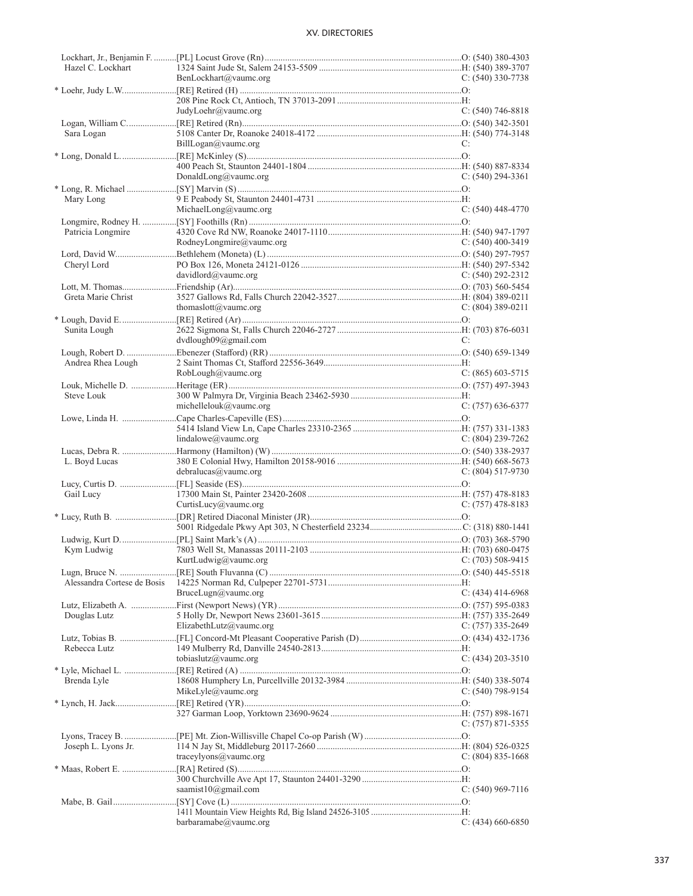| Hazel C. Lockhart   |                                        |                       |
|---------------------|----------------------------------------|-----------------------|
|                     | BenLockhart@vaumc.org                  | $C: (540)$ 330-7738   |
|                     |                                        |                       |
|                     |                                        |                       |
|                     | JudyLoehr@vaumc.org                    | $C: (540) 746-8818$   |
|                     |                                        |                       |
| Sara Logan          |                                        |                       |
|                     | BillLogan@value.org                    | C:                    |
|                     |                                        |                       |
|                     |                                        |                       |
|                     |                                        | $C: (540)$ 294-3361   |
|                     | DonaldLong@vaumc.org                   |                       |
|                     |                                        |                       |
| Mary Long           |                                        |                       |
|                     | MichaelLong@vaumc.org                  | $C: (540)$ 448-4770   |
|                     |                                        |                       |
| Patricia Longmire   |                                        |                       |
|                     | RodneyLongmire@vaumc.org               | C: $(540)$ 400-3419   |
|                     |                                        |                       |
| Cheryl Lord         |                                        |                       |
|                     | davidlord@vaumc.org                    | $C: (540) 292 - 2312$ |
|                     |                                        |                       |
| Greta Marie Christ  |                                        |                       |
|                     |                                        |                       |
|                     | thomaslott@vaumc.org                   | $C: (804)$ 389-0211   |
|                     |                                        |                       |
| Sunita Lough        |                                        |                       |
|                     | dvdlough09@gmail.com                   | C:                    |
|                     |                                        |                       |
| Andrea Rhea Lough   |                                        |                       |
|                     | RobLough@value.org                     | $C: (865)$ 603-5715   |
|                     |                                        |                       |
| Steve Louk          |                                        |                       |
|                     | michellelouk@vaumc.org                 | $C: (757) 636-6377$   |
|                     |                                        |                       |
|                     |                                        |                       |
|                     |                                        |                       |
|                     | $lindallow@value$ <i>x</i> aumc.org    | C: $(804)$ 239-7262   |
|                     |                                        |                       |
| L. Boyd Lucas       |                                        |                       |
|                     | debralucas@value.org                   | $C: (804) 517-9730$   |
|                     |                                        |                       |
| Gail Lucy           |                                        |                       |
|                     | CurtisLucy@vaumc.org                   | $C: (757)$ 478-8183   |
|                     |                                        |                       |
|                     |                                        |                       |
|                     |                                        |                       |
|                     |                                        |                       |
| Kym Ludwig          |                                        |                       |
|                     | KurtLudwig@vaumc.org C: (703) 508-9415 |                       |
|                     |                                        |                       |
|                     |                                        |                       |
|                     | BruceLugn@vaumc.org                    | C: $(434)$ 414-6968   |
|                     |                                        |                       |
| Douglas Lutz        |                                        |                       |
|                     | ElizabethLutz@vaumc.org                | $C: (757)$ 335-2649   |
|                     |                                        |                       |
|                     |                                        |                       |
| Rebecca Lutz        |                                        |                       |
|                     | tobiaslutz@vaumc.org                   | $C: (434) 203 - 3510$ |
|                     |                                        |                       |
| Brenda Lyle         |                                        |                       |
|                     | MikeLyle@vaumc.org                     | $C: (540)$ 798-9154   |
|                     |                                        |                       |
|                     |                                        |                       |
|                     |                                        | $C: (757) 871 - 5355$ |
|                     |                                        |                       |
|                     |                                        |                       |
| Joseph L. Lyons Jr. |                                        |                       |
|                     | traceylyons@value.org                  | C: $(804)$ 835-1668   |
|                     |                                        |                       |
|                     |                                        |                       |
|                     | saamist $10$ @gmail.com                | $C: (540)$ 969-7116   |
|                     |                                        |                       |
|                     |                                        |                       |
|                     | barbaramabe@vaumc.org                  | $C: (434)$ 660-6850   |
|                     |                                        |                       |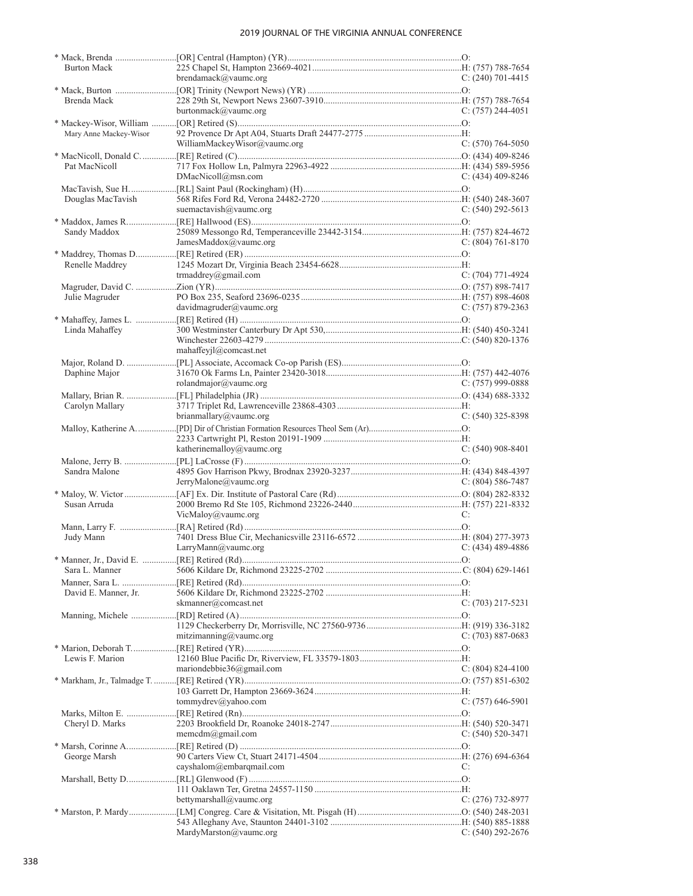| <b>Burton Mack</b>      |                              |                       |  |
|-------------------------|------------------------------|-----------------------|--|
|                         | brendamack@vaumc.org         | $C: (240)$ 701-4415   |  |
|                         |                              |                       |  |
|                         |                              |                       |  |
| Brenda Mack             |                              |                       |  |
|                         | burtonmack@vaumc.org         | $C: (757) 244-4051$   |  |
|                         |                              |                       |  |
| Mary Anne Mackey-Wisor  |                              |                       |  |
|                         | WilliamMackeyWisor@vaumc.org | $C: (570) 764-5050$   |  |
|                         |                              |                       |  |
|                         |                              |                       |  |
| Pat MacNicoll           |                              |                       |  |
|                         | DMacNicoll@msn.com           | $C: (434)$ 409-8246   |  |
|                         |                              |                       |  |
| Douglas MacTavish       |                              |                       |  |
|                         |                              |                       |  |
|                         | suemactavish $@$ vaumc.org   | $C: (540) 292 - 5613$ |  |
|                         |                              |                       |  |
| Sandy Maddox            |                              |                       |  |
|                         | JamesMaddox@vaumc.org        | $C: (804) 761 - 8170$ |  |
|                         |                              |                       |  |
|                         |                              |                       |  |
| Renelle Maddrey         |                              |                       |  |
|                         | trmaddrey@gmail.com          | $C: (704)$ 771-4924   |  |
|                         |                              |                       |  |
| Julie Magruder          |                              |                       |  |
|                         | davidmagruder@value.         | $C: (757) 879 - 2363$ |  |
|                         |                              |                       |  |
|                         |                              |                       |  |
| Linda Mahaffey          |                              |                       |  |
|                         |                              |                       |  |
|                         | mahaffeyjl@comcast.net       |                       |  |
|                         |                              |                       |  |
|                         |                              |                       |  |
| Daphine Major           |                              |                       |  |
|                         | rolandmajor@vaumc.org        | $C: (757)$ 999-0888   |  |
|                         |                              |                       |  |
| Carolyn Mallary         |                              |                       |  |
|                         |                              |                       |  |
|                         | brianmallary@vaumc.org       | $C: (540)$ 325-8398   |  |
|                         |                              |                       |  |
|                         |                              |                       |  |
|                         |                              |                       |  |
|                         |                              |                       |  |
|                         | katherinemalloy@vaumc.org    | $C: (540)$ 908-8401   |  |
|                         |                              |                       |  |
| Sandra Malone           |                              |                       |  |
|                         | JerryMalone@vaumc.org        | $C: (804) 586-7487$   |  |
|                         |                              |                       |  |
|                         |                              |                       |  |
| Susan Arruda            |                              |                       |  |
|                         | VicMaloy@vaumc.org           | C:                    |  |
|                         |                              |                       |  |
| Judy Mann               |                              |                       |  |
|                         | LarryMann@vaumc.org          | C: $(434)$ 489-4886   |  |
|                         |                              |                       |  |
| * Manner, Jr., David E. |                              |                       |  |
| Sara L. Manner          |                              |                       |  |
|                         |                              |                       |  |
|                         |                              |                       |  |
| David E. Manner, Jr.    |                              |                       |  |
|                         | skmanner@comcast.net         | C: (703) 217-5231     |  |
|                         |                              |                       |  |
|                         |                              |                       |  |
|                         | mitzimanning@vaumc.org       | C: $(703)$ 887-0683   |  |
|                         |                              |                       |  |
|                         |                              |                       |  |
| Lewis F. Marion         |                              |                       |  |
|                         | mariondebbie36@gmail.com     | $C: (804) 824-4100$   |  |
|                         |                              |                       |  |
|                         |                              |                       |  |
|                         |                              |                       |  |
|                         | tommydrev@yahoo.com          | $C: (757) 646-5901$   |  |
|                         |                              |                       |  |
| Cheryl D. Marks         |                              |                       |  |
|                         | memcdm@gmail.com             | $C: (540) 520-3471$   |  |
|                         |                              |                       |  |
|                         |                              |                       |  |
| George Marsh            |                              |                       |  |
|                         | cayshalom@embarqmail.com     | C:                    |  |
|                         |                              |                       |  |
|                         |                              |                       |  |
|                         | bettymarshall@vaumc.org      | C: $(276)$ 732-8977   |  |
|                         |                              |                       |  |
|                         |                              |                       |  |
|                         | MardyMarston@vaumc.org       | $C: (540) 292 - 2676$ |  |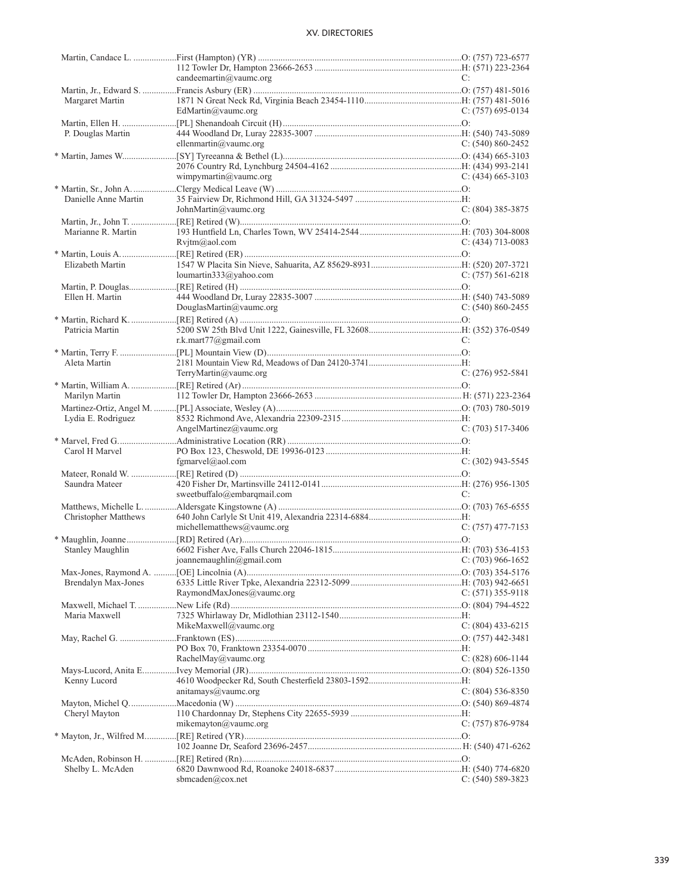|                            | candeemartin@vaumc.org                     | C:                    |
|----------------------------|--------------------------------------------|-----------------------|
|                            |                                            |                       |
| Margaret Martin            |                                            |                       |
|                            | EdMartin@vaumc.org                         | $C: (757)$ 695-0134   |
|                            |                                            |                       |
| P. Douglas Martin          |                                            |                       |
|                            | ellenmartin $@$ vaumc.org                  | $C: (540) 860 - 2452$ |
|                            |                                            |                       |
|                            |                                            |                       |
|                            | wimpymartin@vaumc.org                      | C: $(434)$ 665-3103   |
|                            |                                            |                       |
| Danielle Anne Martin       |                                            |                       |
|                            | JohnMartin@vaumc.org                       | $C: (804)$ 385-3875   |
|                            |                                            |                       |
|                            |                                            |                       |
| Marianne R. Martin         |                                            |                       |
|                            | Rvjtm@aol.com                              | $C: (434)$ 713-0083   |
|                            |                                            |                       |
| Elizabeth Martin           |                                            |                       |
|                            | loumartin333@yahoo.com                     | $C: (757) 561-6218$   |
|                            |                                            |                       |
| Ellen H. Martin            |                                            |                       |
|                            | DouglasMartin@vaumc.org                    | $C: (540) 860 - 2455$ |
|                            |                                            |                       |
| Patricia Martin            |                                            |                       |
|                            | r.k.mart $77$ @gmail.com                   | C:                    |
|                            |                                            |                       |
| Aleta Martin               |                                            |                       |
|                            | TerryMartin@vaumc.org                      | $C: (276)$ 952-5841   |
|                            |                                            |                       |
| Marilyn Martin             |                                            |                       |
|                            |                                            |                       |
| Lydia E. Rodriguez         |                                            |                       |
|                            | AngelMartinez@vaumc.org                    | $C: (703)$ 517-3406   |
|                            |                                            |                       |
|                            |                                            |                       |
| Carol H Marvel             |                                            |                       |
|                            | fgmarvel@aol.com                           | $C: (302)$ 943-5545   |
|                            |                                            |                       |
| Saundra Mateer             |                                            |                       |
|                            | sweetbuffalo@embarqmail.com                | C:                    |
|                            |                                            |                       |
| Christopher Matthews       |                                            |                       |
|                            | michellematthews@vaumc.org                 | $C: (757)$ 477-7153   |
|                            |                                            |                       |
| <b>Stanley Maughlin</b>    |                                            |                       |
|                            | joannemaughlin@gmail.com C: (703) 966-1652 |                       |
|                            |                                            |                       |
| <b>Brendalyn Max-Jones</b> |                                            |                       |
|                            | RaymondMaxJones@vaumc.org                  | $C: (571)$ 355-9118   |
|                            |                                            |                       |
| Maria Maxwell              |                                            |                       |
|                            | MikeMaxwell@vaumc.org                      | C: $(804)$ 433-6215   |
|                            |                                            |                       |
|                            |                                            |                       |
|                            | RachelMay@vaumc.org                        | C: (828) 606-1144     |
|                            |                                            |                       |
| Kenny Lucord               |                                            |                       |
|                            | anitamays $@$ vaumc.org                    | $C: (804) 536-8350$   |
|                            |                                            |                       |
|                            |                                            |                       |
| Cheryl Mayton              |                                            |                       |
|                            | mikemayton@vaumc.org                       | $C: (757) 876-9784$   |
|                            |                                            |                       |
|                            |                                            |                       |
|                            |                                            |                       |
| Shelby L. McAden           |                                            |                       |
|                            | sbmcaden@cox.net                           | $C: (540) 589-3823$   |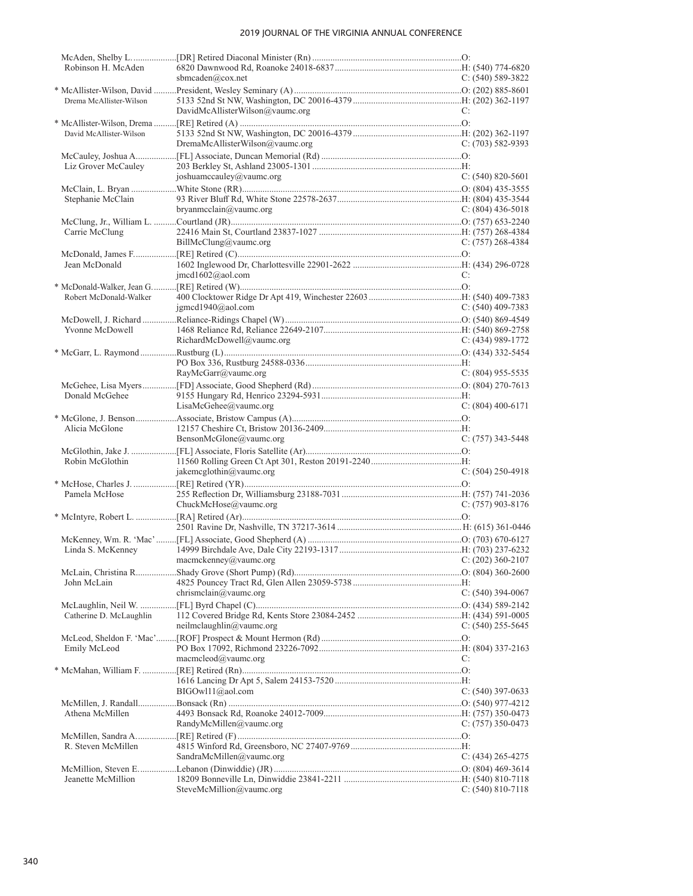| Robinson H. McAden      |                                         |                       |
|-------------------------|-----------------------------------------|-----------------------|
|                         | sbmcaden@cox.net                        | $C: (540) 589-3822$   |
|                         |                                         |                       |
| Drema McAllister-Wilson |                                         |                       |
|                         | DavidMcAllisterWilson@vaumc.org         | C:                    |
|                         |                                         |                       |
| David McAllister-Wilson |                                         |                       |
|                         | DremaMcAllisterWilson@vaumc.org         | $C: (703) 582 - 9393$ |
|                         |                                         |                       |
| Liz Grover McCauley     |                                         |                       |
|                         | joshuamccauley@vaumc.org                | $C: (540) 820 - 5601$ |
|                         |                                         |                       |
|                         |                                         |                       |
| Stephanie McClain       |                                         |                       |
|                         | bryanmcclain@vaumc.org                  | C: $(804)$ 436-5018   |
|                         |                                         |                       |
| Carrie McClung          |                                         |                       |
|                         | BillMcClung@vaumc.org                   | $C: (757) 268-4384$   |
|                         |                                         |                       |
| Jean McDonald           |                                         |                       |
|                         | $j$ mcd $1602$ @aol.com                 | C:                    |
|                         |                                         |                       |
|                         |                                         |                       |
| Robert McDonald-Walker  |                                         |                       |
|                         | $j$ gmcd1940@aol.com                    | C: $(540)$ 409-7383   |
|                         |                                         |                       |
| Yvonne McDowell         |                                         |                       |
|                         | RichardMcDowell@vaumc.org               | $C: (434)$ 989-1772   |
|                         |                                         |                       |
|                         |                                         |                       |
|                         | RayMcGarr@vaumc.org                     | $C: (804)$ 955-5535   |
|                         |                                         |                       |
|                         |                                         |                       |
| Donald McGehee          |                                         |                       |
|                         | LisaMcGehee@vaumc.org                   | $C: (804)$ 400-6171   |
|                         |                                         |                       |
| Alicia McGlone          |                                         |                       |
|                         | BensonMcGlone@vaumc.org                 | $C: (757)$ 343-5448   |
|                         |                                         |                       |
| Robin McGlothin         |                                         |                       |
|                         | jakemcglothin@vaumc.org                 | $C: (504) 250 - 4918$ |
|                         |                                         |                       |
| Pamela McHose           |                                         |                       |
|                         | ChuckMcHose@vaumc.org                   | $C: (757)$ 903-8176   |
|                         |                                         |                       |
|                         |                                         |                       |
|                         |                                         |                       |
|                         |                                         |                       |
| Linda S. McKenney       |                                         |                       |
|                         | macmckenney@vaumc.org C: (202) 360-2107 |                       |
|                         |                                         |                       |
| John McLain             |                                         |                       |
|                         | chrismclain@vaumc.org                   | C: (540) 394-0067     |
|                         |                                         |                       |
|                         |                                         |                       |
| Catherine D. McLaughlin |                                         |                       |
|                         | neilmclaughlin@value.org                | C: $(540)$ 255-5645   |
|                         |                                         |                       |
| Emily McLeod            |                                         |                       |
|                         | macmcleod@vaumc.org                     | C:                    |
|                         |                                         |                       |
|                         |                                         |                       |
|                         | BIGOwl11@aol.com                        | $C: (540)$ 397-0633   |
|                         |                                         |                       |
| Athena McMillen         |                                         |                       |
|                         | RandyMcMillen@vaumc.org                 | C: $(757)$ 350-0473   |
|                         |                                         |                       |
|                         |                                         |                       |
| R. Steven McMillen      |                                         |                       |
|                         | SandraMcMillen@vaumc.org                | C: $(434)$ 265-4275   |
|                         |                                         |                       |
| Jeanette McMillion      |                                         |                       |
|                         | SteveMcMillion@vaumc.org                | $C: (540) 810-7118$   |
|                         |                                         |                       |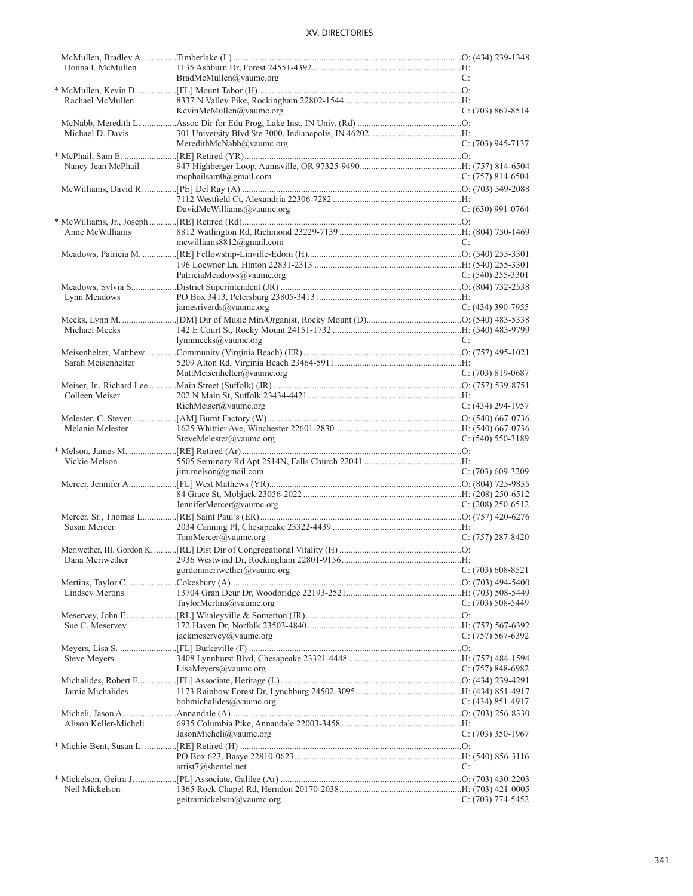| Donna I. McMullen      |                              |                       |
|------------------------|------------------------------|-----------------------|
|                        | BradMcMullen@vaumc.org       | C:                    |
|                        |                              |                       |
| Rachael McMullen       |                              |                       |
|                        | KevinMcMullen@vaumc.org      | $C: (703) 867 - 8514$ |
|                        |                              |                       |
| Michael D. Davis       |                              |                       |
|                        | MeredithMcNabb@vaumc.org     | C: (703) 945-7137     |
|                        |                              |                       |
| Nancy Jean McPhail     |                              |                       |
|                        | mcphailsam $0$ @gmail.com    | $C: (757) 814-6504$   |
|                        |                              |                       |
|                        |                              |                       |
|                        | DavidMcWilliams@vaumc.org    | $C: (630)$ 991-0764   |
|                        |                              |                       |
| Anne McWilliams        |                              |                       |
|                        | mcwilliams $8812@$ gmail.com | C:                    |
|                        |                              |                       |
|                        |                              |                       |
|                        | PatriciaMeadows@vaumc.org    | $C: (540)$ 255-3301   |
|                        |                              |                       |
| Lynn Meadows           |                              |                       |
|                        | jamesriverds@vaumc.org       | $C: (434)$ 390-7955   |
|                        |                              |                       |
| Michael Meeks          |                              |                       |
|                        | lynnmeeks@vaumc.org          | C:                    |
|                        |                              |                       |
| Sarah Meisenhelter     |                              |                       |
|                        | MattMeisenhelter@vaumc.org   | $C: (703) 819 - 0687$ |
|                        |                              |                       |
| Colleen Meiser         |                              |                       |
|                        |                              |                       |
|                        | RichMeiser@value.org         | $C: (434) 294 - 1957$ |
|                        |                              |                       |
| Melanie Melester       |                              |                       |
|                        |                              |                       |
|                        | SteveMelester@vaumc.org      | C: $(540)$ 550-3189   |
|                        |                              |                       |
| Vickie Melson          |                              |                       |
|                        | $j$ im.melson@gmail.com      | $C: (703)$ 609-3209   |
|                        |                              |                       |
|                        |                              |                       |
|                        | JenniferMercer@vaumc.org     | $C: (208)$ 250-6512   |
|                        |                              |                       |
| Susan Mercer           |                              |                       |
|                        | TomMercer@vaumc.org          | $C: (757) 287 - 8420$ |
|                        |                              |                       |
|                        |                              |                       |
|                        | gordonmeriwether@vaumc.org   | $C: (703) 608-8521$   |
|                        |                              |                       |
| <b>Lindsey Mertins</b> |                              |                       |
|                        | TaylorMertins@vaumc.org      | $C: (703)$ 508-5449   |
|                        |                              |                       |
| Sue C. Meservey        |                              |                       |
|                        | jackmeservey@vaumc.org       | C: $(757)$ 567-6392   |
|                        |                              |                       |
|                        |                              |                       |
| Steve Meyers           | LisaMeyers@vaumc.org         |                       |
|                        |                              | C: (757) 848-6982     |
| Jamie Michalides       |                              |                       |
|                        | bobmichalides@vaumc.org      | C: $(434)$ 851-4917   |
|                        |                              |                       |
|                        |                              |                       |
| Alison Keller-Micheli  |                              |                       |
|                        | JasonMicheli@vaumc.org       | $C: (703)$ 350-1967   |
|                        |                              |                       |
|                        |                              |                       |
|                        | artist7@shentel.net          | C:                    |
|                        |                              |                       |
| Neil Mickelson         | geitramickelson@vaumc.org    | $C: (703) 774-5452$   |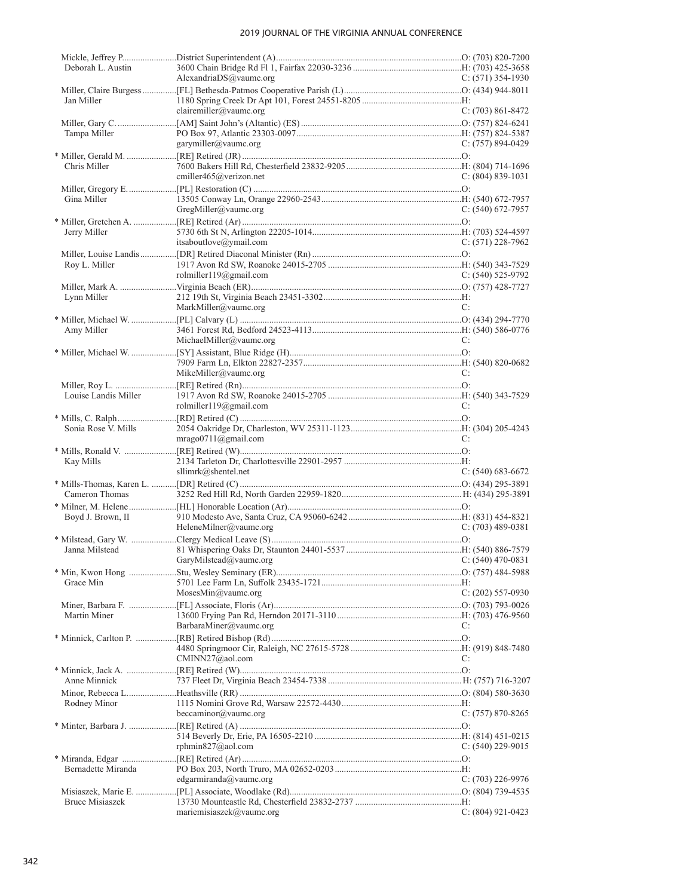| Deborah L. Austin      | AlexandriaDS@vaumc.org                        | $C: (571)$ 354-1930   |
|------------------------|-----------------------------------------------|-----------------------|
|                        |                                               |                       |
| Jan Miller             |                                               |                       |
|                        | clairemiller@vaumc.org                        | C: $(703)$ 861-8472   |
|                        |                                               |                       |
| Tampa Miller           |                                               |                       |
|                        | garymiller@vaumc.org                          | $C: (757) 894-0429$   |
|                        |                                               |                       |
| Chris Miller           | cmiller465@verizon.net                        |                       |
|                        |                                               | $C: (804) 839-1031$   |
| Gina Miller            |                                               |                       |
|                        | GregMiller@value.org                          | C: (540) 672-7957     |
|                        |                                               |                       |
| Jerry Miller           |                                               |                       |
|                        | itsaboutlove@ymail.com                        | $C: (571)$ 228-7962   |
|                        |                                               |                       |
| Roy L. Miller          |                                               |                       |
|                        | rolmiller119@gmail.com                        | $C: (540)$ 525-9792   |
|                        |                                               |                       |
| Lynn Miller            |                                               |                       |
|                        | MarkMiller@vaumc.org                          | C:                    |
|                        |                                               |                       |
| Amy Miller             | MichaelMiller@vaumc.org                       | C:                    |
|                        |                                               |                       |
|                        |                                               |                       |
|                        | MikeMiller@vaumc.org                          | C:                    |
|                        |                                               |                       |
| Louise Landis Miller   |                                               |                       |
|                        | rolmiller119@gmail.com                        | C:                    |
|                        |                                               |                       |
| Sonia Rose V. Mills    |                                               |                       |
|                        | $mrago0711$ @gmail.com                        | C:                    |
|                        |                                               |                       |
| Kay Mills              |                                               |                       |
|                        | sllimrk@shentel.net                           | C: $(540)$ 683-6672   |
| Cameron Thomas         |                                               |                       |
|                        |                                               |                       |
| Boyd J. Brown, II      |                                               |                       |
|                        | HeleneMilner@vaumc.org                        | $C: (703)$ 489-0381   |
|                        |                                               |                       |
| Janna Milstead         |                                               |                       |
|                        | $C: (540)$ 470-0831<br>GaryMilstead@vaumc.org |                       |
|                        |                                               |                       |
| Grace Min              |                                               |                       |
|                        | MosesMin@vaumc.org                            | $C: (202)$ 557-0930   |
|                        |                                               |                       |
| Martin Miner           | BarbaraMiner@vaumc.org                        | C:                    |
|                        |                                               |                       |
|                        |                                               |                       |
|                        | CMINN27@aol.com                               | C:                    |
|                        |                                               |                       |
| Anne Minnick           |                                               |                       |
|                        |                                               |                       |
| Rodney Minor           |                                               |                       |
|                        | beccaminor@vaumc.org                          | $C: (757) 870 - 8265$ |
|                        |                                               |                       |
|                        |                                               |                       |
|                        | rphmin $827@$ aol.com                         | $C: (540)$ 229-9015   |
|                        |                                               |                       |
| Bernadette Miranda     | edgarmiranda@vaumc.org                        | C: $(703)$ 226-9976   |
|                        |                                               |                       |
|                        |                                               |                       |
| <b>Bruce Misiaszek</b> |                                               |                       |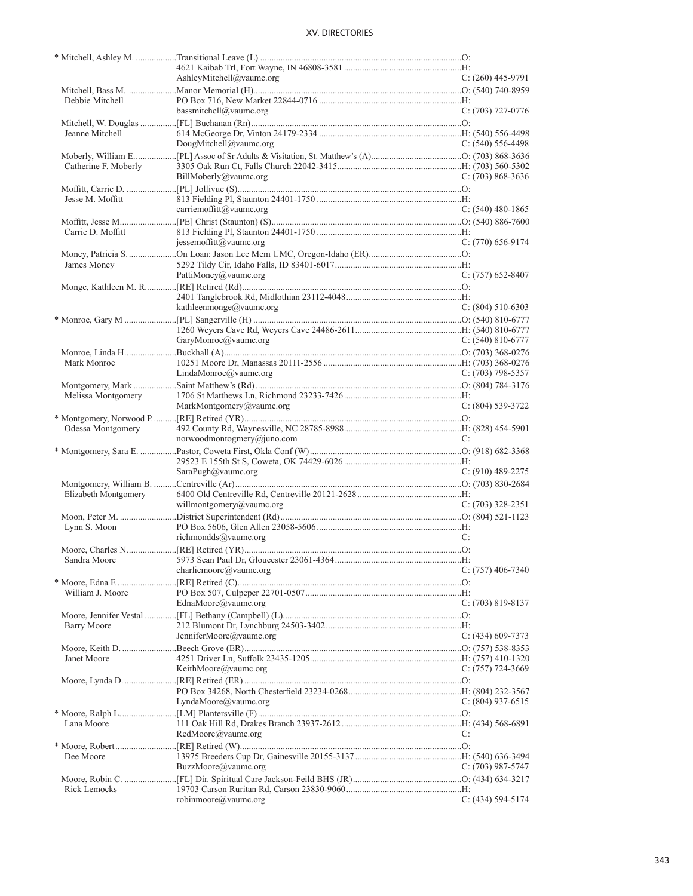|                      | AshleyMitchell@vaumc.org   | $C: (260)$ 445-9791   |
|----------------------|----------------------------|-----------------------|
|                      |                            |                       |
| Debbie Mitchell      |                            |                       |
|                      | bassmitchell@vaumc.org     | $C: (703)$ 727-0776   |
|                      |                            |                       |
| Jeanne Mitchell      |                            |                       |
|                      | DougMitchell@vaumc.org     | $C: (540) 556-4498$   |
|                      |                            |                       |
| Catherine F. Moberly |                            |                       |
|                      | BillMoberly@vaumc.org      | $C: (703) 868-3636$   |
|                      |                            |                       |
| Jesse M. Moffitt     |                            |                       |
|                      | carriemoffitt@vaumc.org    | $C: (540)$ 480-1865   |
|                      |                            |                       |
| Carrie D. Moffitt    |                            |                       |
|                      | jessemoffitt@vaumc.org     | $C: (770)$ 656-9174   |
|                      |                            |                       |
| James Money          |                            |                       |
|                      | PattiMoney@vaumc.org       | $C: (757) 652-8407$   |
|                      |                            |                       |
|                      |                            |                       |
|                      | kathleenmonge@vaumc.org    | $C: (804) 510-6303$   |
|                      |                            |                       |
|                      |                            |                       |
|                      | GaryMonroe@vaumc.org       | C: $(540)$ 810-6777   |
|                      |                            |                       |
| Mark Monroe          |                            |                       |
|                      | LindaMonroe@vaumc.org      | $C: (703)$ 798-5357   |
|                      |                            |                       |
| Melissa Montgomery   |                            |                       |
|                      | MarkMontgomery@vaumc.org   | $C: (804) 539-3722$   |
|                      |                            |                       |
| Odessa Montgomery    |                            |                       |
|                      | norwoodmontogmery@juno.com | C:                    |
|                      |                            |                       |
|                      |                            |                       |
|                      | SaraPugh@vaumc.org         | $C: (910)$ 489-2275   |
|                      |                            |                       |
| Elizabeth Montgomery |                            |                       |
|                      | willmontgomery@vaumc.org   | $C: (703)$ 328-2351   |
|                      |                            |                       |
| Lynn S. Moon         |                            |                       |
|                      | richmondds@vaumc.org       | C:                    |
|                      |                            |                       |
|                      |                            |                       |
|                      | charliemoore@vaumc.org     | $C: (757)$ 406-7340   |
|                      |                            |                       |
| William J. Moore     |                            |                       |
|                      | EdnaMoore@vaumc.org        | C: $(703)$ 819-8137   |
|                      |                            |                       |
|                      |                            |                       |
| <b>Barry Moore</b>   | JenniferMoore@vaumc.org    | $C: (434)$ 609-7373   |
|                      |                            |                       |
|                      |                            |                       |
| Janet Moore          |                            |                       |
|                      | KeithMoore@vaumc.org       | $C: (757)$ 724-3669   |
|                      |                            |                       |
|                      |                            |                       |
|                      | LyndaMoore@vaumc.org       | $C: (804)$ 937-6515   |
|                      |                            |                       |
| Lana Moore           |                            |                       |
|                      | RedMoore@vaumc.org         | C:                    |
|                      |                            |                       |
| Dee Moore            |                            |                       |
|                      | BuzzMoore@vaumc.org        | C: (703) 987-5747     |
|                      |                            |                       |
| Rick Lemocks         |                            |                       |
|                      | robinmoore@vaumc.org       | $C: (434) 594 - 5174$ |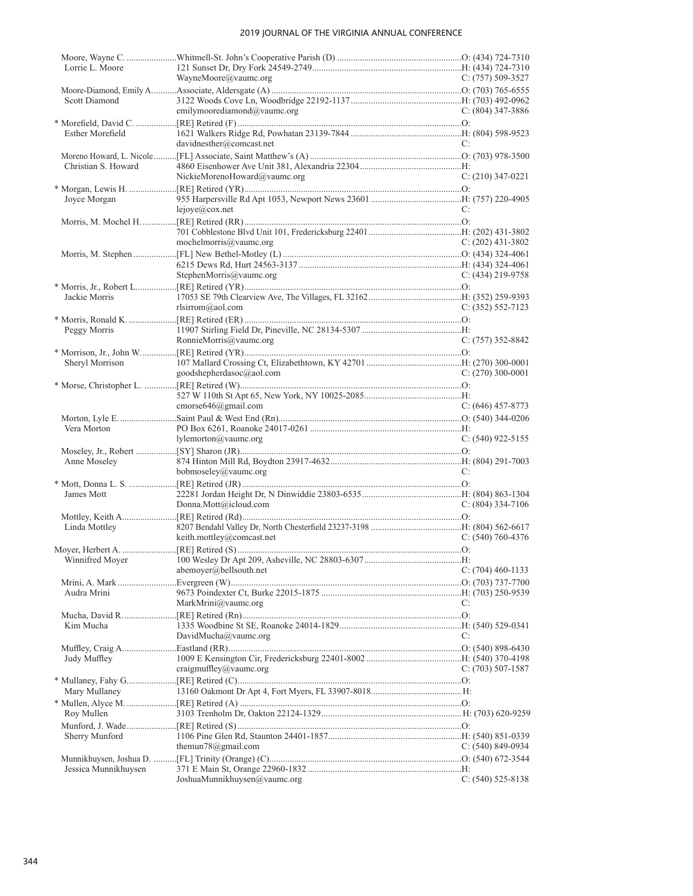| Lorrie L. Moore         |                              |                       |
|-------------------------|------------------------------|-----------------------|
|                         | WayneMoore@vaumc.org         | C: $(757)$ 509-3527   |
|                         |                              |                       |
| Scott Diamond           | emilymoorediamond@vaumc.org  | C: $(804)$ 347-3886   |
|                         |                              |                       |
| <b>Esther Morefield</b> |                              |                       |
|                         | davidnesther@comcast.net     | C:                    |
|                         |                              |                       |
| Christian S. Howard     |                              |                       |
|                         | NickieMorenoHoward@vaumc.org | $C: (210)$ 347-0221   |
|                         |                              |                       |
| Joyce Morgan            |                              |                       |
|                         | lejove@cov.net               | C:                    |
|                         |                              |                       |
|                         |                              |                       |
|                         | mochelmorris@vaumc.org       | $C: (202)$ 431-3802   |
|                         |                              |                       |
|                         | StephenMorris@vaumc.org      | $C: (434)$ 219-9758   |
|                         |                              |                       |
| Jackie Morris           |                              |                       |
|                         | rlsirrom@aol.com             | $C: (352) 552-7123$   |
|                         |                              |                       |
| Peggy Morris            |                              |                       |
|                         | RonnieMorris@vaumc.org       | $C: (757)$ 352-8842   |
|                         |                              |                       |
| Sheryl Morrison         |                              |                       |
|                         | goodshepherdasoc@aol.com     | $C: (270)$ 300-0001   |
|                         |                              |                       |
|                         |                              |                       |
|                         | cmorse646@gmail.com          | $C: (646)$ 457-8773   |
| Vera Morton             |                              |                       |
|                         | lylementon@value.org         | $C: (540)$ 922-5155   |
|                         |                              |                       |
| Anne Moseley            |                              |                       |
|                         | bobmoseley@vaumc.org         | C:                    |
|                         |                              |                       |
| James Mott              |                              |                       |
|                         | Donna.Mott@icloud.com        | $C: (804)$ 334-7106   |
|                         |                              |                       |
| Linda Mottley           |                              |                       |
|                         | keith.mottley@comcast.net    | $C: (540) 760 - 4376$ |
|                         |                              |                       |
|                         | abemoyer@bellsouth.net       | $C: (704)$ 460-1133   |
|                         |                              |                       |
| Audra Mrini             |                              |                       |
|                         | MarkMrini@vaumc.org          | C:                    |
|                         |                              |                       |
| Kim Mucha               |                              |                       |
|                         | DavidMucha@vaumc.org         | C:                    |
|                         |                              |                       |
| Judy Muffley            |                              |                       |
|                         | craigmuffley@vaumc.org       | $C: (703) 507-1587$   |
|                         |                              |                       |
| Mary Mullaney           |                              |                       |
|                         |                              |                       |
| Roy Mullen              |                              |                       |
|                         |                              |                       |
| Sherry Munford          | themun78@gmail.com           | $C: (540) 849-0934$   |
|                         |                              |                       |
| Jessica Munnikhuysen    |                              |                       |
|                         | JoshuaMunnikhuysen@vaumc.org | $C: (540)$ 525-8138   |
|                         |                              |                       |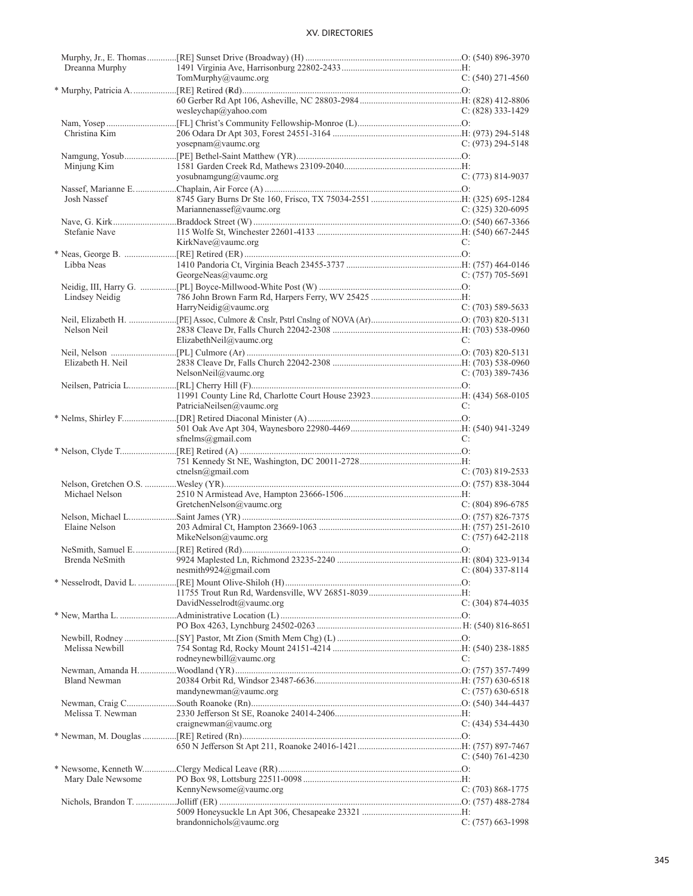|                     | <b>XV. DIRECTORIES</b>    |                       |
|---------------------|---------------------------|-----------------------|
| Dreanna Murphy      |                           |                       |
|                     | TomMurphy@vaumc.org       | $C: (540)$ 271-4560   |
| Christina Kim       | wesleychap@yahoo.com      | C: $(828)$ 333-1429   |
| Minjung Kim         | yosepnam@vaumc.org        | C: $(973)$ 294-5148   |
| Josh Nassef         | yosubnamgung@vaumc.org    | $C: (773) 814-9037$   |
| Stefanie Nave       | Mariannenassef@vaumc.org  | C: $(325)$ 320-6095   |
|                     | KirkNave@vaumc.org        | C:                    |
| Libba Neas          | GeorgeNeas@vaumc.org      | C: $(757)$ 705-5691   |
| Lindsey Neidig      | HarryNeidig@vaumc.org     | $C: (703) 589-5633$   |
| Nelson Neil         | ElizabethNeil@vaumc.org   | C:                    |
| Elizabeth H. Neil   | NelsonNeil@value.org      | C: $(703)$ 389-7436   |
|                     | PatriciaNeilsen@vaumc.org | C:                    |
|                     | sfnelms@gmail.com         | C:                    |
|                     | ctnelsn@gmail.com         | $C: (703) 819 - 2533$ |
| Michael Nelson      | GretchenNelson@vaumc.org  | $C: (804) 896-6785$   |
| Elaine Nelson       | MikeNelson@vaumc.org      | $C: (757)$ 642-2118   |
| Brenda NeSmith      | nesmith $9924$ @gmail.com | C: (804) 337-8114     |
|                     | DavidNesselrodt@vaumc.org | $C: (304) 874-4035$   |
| Melissa Newbill     |                           |                       |
|                     | rodneynewbill@vaumc.org   | C:                    |
| <b>Bland Newman</b> | mandynewman@vaumc.org     | C: $(757)$ 630-6518   |
| Melissa T. Newman   | craignewman@value.org     | $C: (434) 534-4430$   |
|                     |                           | $C: (540) 761-4230$   |
| Mary Dale Newsome   | KennyNewsome@vaumc.org    | $C: (703) 868-1775$   |
|                     | $branchols@$ vaumc.org    | $C: (757)$ 663-1998   |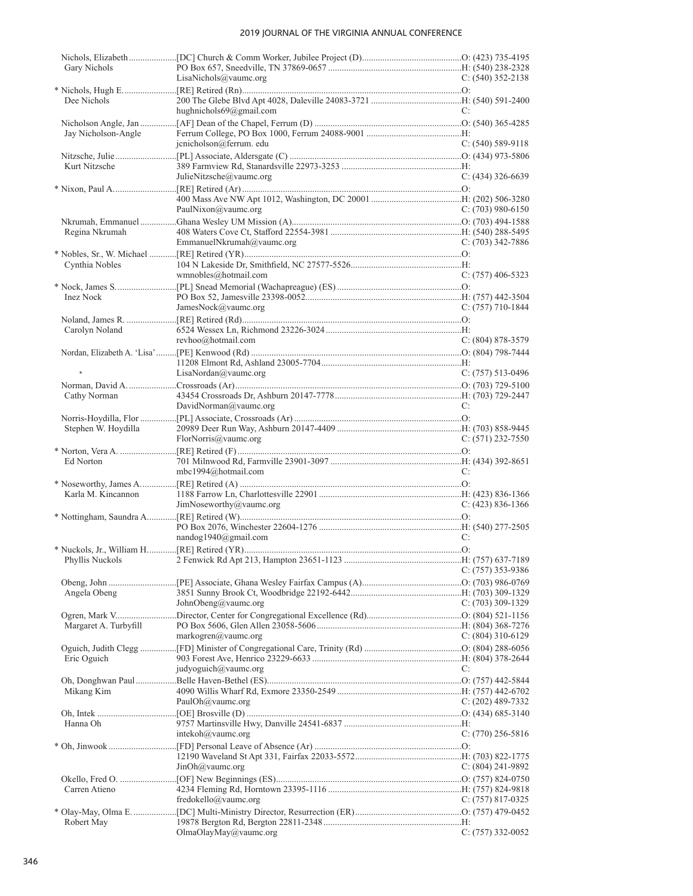| Gary Nichols          |                           |                     |
|-----------------------|---------------------------|---------------------|
|                       | LisaNichols@value.org     | C: $(540)$ 352-2138 |
| Dee Nichols           |                           |                     |
|                       | hughnichols69@gmail.com   | C:                  |
|                       |                           |                     |
| Jay Nicholson-Angle   |                           |                     |
|                       | jcnicholson@ferrum.edu    | $C: (540) 589-9118$ |
|                       |                           |                     |
| Kurt Nitzsche         |                           |                     |
|                       | JulieNitzsche@vaumc.org   | $C: (434)$ 326-6639 |
|                       |                           |                     |
|                       |                           |                     |
|                       | PaulNixon@vaumc.org       | $C: (703)$ 980-6150 |
|                       |                           |                     |
| Regina Nkrumah        | EmmanuelNkrumah@vaumc.org | $C: (703)$ 342-7886 |
|                       |                           |                     |
| Cynthia Nobles        |                           |                     |
|                       | wmnobles@hotmail.com      | $C: (757)$ 406-5323 |
|                       |                           |                     |
| <b>Inez Nock</b>      |                           |                     |
|                       | JamesNock@vaumc.org       | $C: (757)$ 710-1844 |
|                       |                           |                     |
| Carolyn Noland        |                           |                     |
|                       | revhoo@hotmail.com        | $C: (804) 878-3579$ |
|                       |                           |                     |
| $\ast$                |                           |                     |
|                       | LisaNordan@vaumc.org      | $C: (757)$ 513-0496 |
|                       |                           |                     |
| Cathy Norman          | DavidNorman@vaumc.org     | C:                  |
|                       |                           |                     |
| Stephen W. Hoydilla   |                           |                     |
|                       | FlorNorris@vaumc.org      | $C: (571)$ 232-7550 |
|                       |                           |                     |
| Ed Norton             |                           |                     |
|                       | mbc1994@hotmail.com       | C:                  |
|                       |                           |                     |
| Karla M. Kincannon    |                           |                     |
|                       | JimNoseworthy@value.org   | $C: (423) 836-1366$ |
|                       |                           |                     |
|                       | nandog1940@gmail.com      | C:                  |
|                       |                           |                     |
|                       |                           |                     |
|                       |                           | $C: (757)$ 353-9386 |
|                       |                           |                     |
| Angela Obeng          |                           |                     |
|                       | JohnObeng@vaumc.org       | C: (703) 309-1329   |
|                       |                           |                     |
| Margaret A. Turbyfill |                           |                     |
|                       |                           |                     |
|                       | markogren@vaumc.org       | C: $(804)$ 310-6129 |
|                       |                           |                     |
| Eric Oguich           |                           |                     |
|                       | judyoguich@vaumc.org      | C:                  |
|                       |                           |                     |
| Mikang Kim            |                           |                     |
|                       | PaulOh@vaumc.org          | C: (202) 489-7332   |
| Hanna Oh              |                           |                     |
|                       | intekoh $@$ vaumc.org     | $C: (770)$ 256-5816 |
|                       |                           |                     |
|                       |                           |                     |
|                       | JinOh@vaumc.org           | $C: (804)$ 241-9892 |
|                       |                           |                     |
| Carren Atieno         |                           |                     |
|                       | fredokello@vaumc.org      | $C: (757) 817-0325$ |
| Robert May            |                           |                     |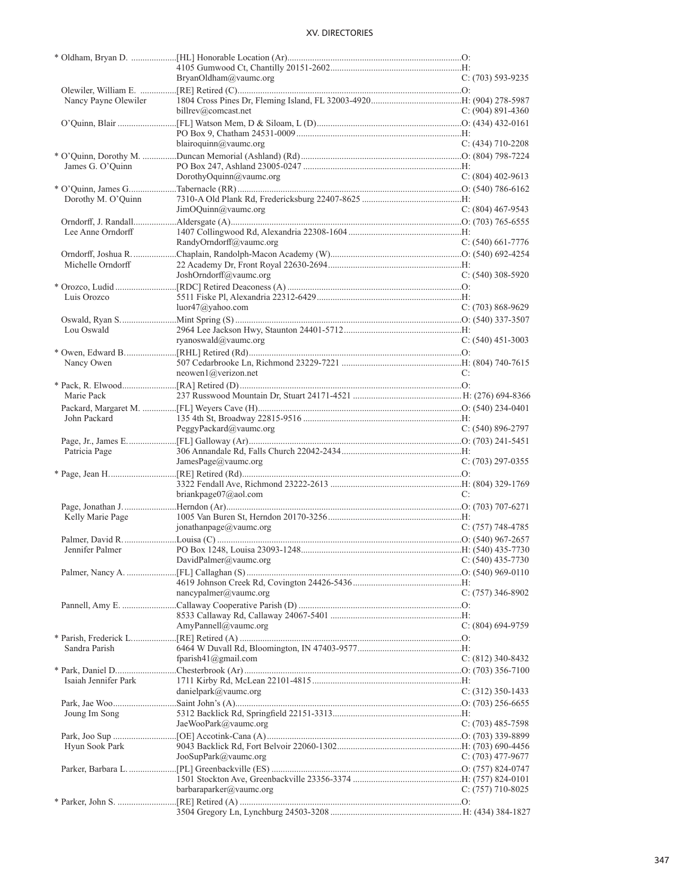|                      | BryanOldham@vaumc.org                   | $C: (703) 593-9235$   |
|----------------------|-----------------------------------------|-----------------------|
| Nancy Payne Olewiler |                                         |                       |
|                      | billrev@comcast.net                     | $C: (904) 891-4360$   |
|                      |                                         |                       |
|                      |                                         |                       |
|                      | blairoquinn@vaumc.org                   | $C: (434)$ 710-2208   |
|                      |                                         |                       |
| James G. O'Quinn     |                                         |                       |
|                      | DorothyOquinn@vaumc.org                 | $C: (804)$ 402-9613   |
|                      |                                         |                       |
| Dorothy M. O'Quinn   | JimOQuinn@vaumc.org                     | $C: (804)$ 467-9543   |
|                      |                                         |                       |
| Lee Anne Orndorff    |                                         |                       |
|                      | RandyOrndorff@vaumc.org                 | $C: (540) 661-7776$   |
|                      |                                         |                       |
| Michelle Orndorff    |                                         |                       |
|                      | JoshOrndorff@vaumc.org                  | $C: (540)$ 308-5920   |
|                      |                                         |                       |
| Luis Orozco          |                                         |                       |
|                      | luor47@yahoo.com                        | $C: (703) 868-9629$   |
|                      |                                         |                       |
| Lou Oswald           |                                         |                       |
|                      | ryanoswald@vaumc.org                    | $C: (540)$ 451-3003   |
|                      |                                         |                       |
| Nancy Owen           | $neowen1$ ( $@verizon.net$              | C:                    |
|                      |                                         |                       |
| Marie Pack           |                                         |                       |
|                      |                                         |                       |
| John Packard         |                                         |                       |
|                      | PeggyPackard@value.org                  | $C: (540) 896 - 2797$ |
|                      |                                         |                       |
| Patricia Page        |                                         |                       |
|                      | JamesPage@vaumc.org                     | $C: (703)$ 297-0355   |
|                      |                                         |                       |
|                      |                                         |                       |
|                      | briankpage07@aol.com                    | C:                    |
|                      |                                         |                       |
| Kelly Marie Page     | jonathanpage@vaumc.org                  | $C: (757)$ 748-4785   |
|                      |                                         |                       |
| Jennifer Palmer      |                                         |                       |
|                      | DavidPalmer@vaumc.org C: (540) 435-7730 |                       |
|                      |                                         |                       |
|                      |                                         |                       |
|                      | nancypalmer@value.org                   | C: (757) 346-8902     |
|                      |                                         |                       |
|                      |                                         |                       |
|                      | AmyPannell@vaumc.org                    | C: (804) 694-9759     |
|                      |                                         |                       |
| Sandra Parish        | fparish $41$ @gmail.com                 | $C: (812)$ 340-8432   |
|                      |                                         |                       |
| Isaiah Jennifer Park |                                         |                       |
|                      | danielpark@vaumc.org                    | $C: (312)$ 350-1433   |
|                      |                                         |                       |
| Joung Im Song        |                                         |                       |
|                      | JaeWooPark@vaumc.org                    | $C: (703)$ 485-7598   |
|                      |                                         |                       |
| Hyun Sook Park       |                                         |                       |
|                      | JooSupPark@vaumc.org                    | C: $(703)$ 477-9677   |
|                      |                                         |                       |
|                      |                                         |                       |
|                      | barbaraparker@vaumc.org                 | $C: (757)$ 710-8025   |
|                      |                                         |                       |
|                      |                                         |                       |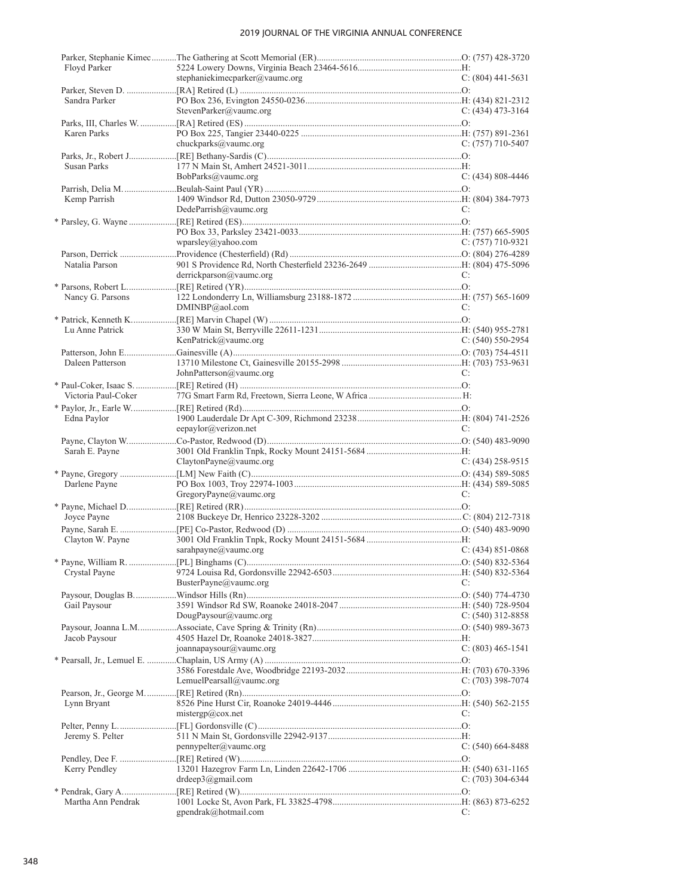| Floyd Parker        | stephaniekimecparker@vaumc.org | $C: (804)$ 441-5631       |
|---------------------|--------------------------------|---------------------------|
|                     |                                |                           |
| Sandra Parker       |                                |                           |
|                     | StevenParker@vaumc.org         | $C: (434)$ 473-3164       |
|                     |                                |                           |
| Karen Parks         |                                |                           |
|                     | chuckparks@vaumc.org           | $C: (757)$ 710-5407       |
|                     |                                |                           |
| <b>Susan Parks</b>  |                                |                           |
|                     | BobParks@vaumc.org             | $C: (434) 808 - 4446$     |
|                     |                                |                           |
| Kemp Parrish        | $D$ edeParrish@vaumc.org       | C:                        |
|                     |                                |                           |
|                     |                                |                           |
|                     | wparsley@yahoo.com             | $C: (757)$ 710-9321       |
|                     |                                |                           |
| Natalia Parson      |                                |                           |
|                     | derrickparson@vaumc.org        | C:                        |
|                     |                                |                           |
| Nancy G. Parsons    |                                |                           |
|                     | DMINBP@aol.com                 | C:                        |
|                     |                                |                           |
| Lu Anne Patrick     |                                |                           |
|                     | KenPatrick@vaumc.org           | $C: (540) 550-2954$       |
|                     |                                |                           |
| Daleen Patterson    | JohnPatterson@vaumc.org        | C:                        |
|                     |                                |                           |
| Victoria Paul-Coker |                                |                           |
|                     |                                |                           |
| Edna Paylor         |                                |                           |
|                     | eepaylor@verizon.net           | C:                        |
|                     |                                |                           |
| Sarah E. Payne      |                                |                           |
|                     | ClaytonPayne@vaumc.org         | $C: (434)$ 258-9515       |
|                     |                                |                           |
| Darlene Payne       |                                |                           |
|                     | GregoryPayne@vaumc.org         | C:                        |
|                     |                                |                           |
| Joyce Payne         |                                |                           |
|                     |                                |                           |
| Clayton W. Payne    |                                |                           |
|                     | sarahpayne@vaumc.org           | $C: (434) 851 - 0868$     |
| Crystal Payne       |                                |                           |
|                     | BusterPayne@vaumc.org          | $\mathbb{C}^{\mathbb{N}}$ |
|                     |                                |                           |
| Gail Paysour        |                                |                           |
|                     | DougPaysour( $@$ vaumc.org     | C: $(540)$ 312-8858       |
|                     |                                |                           |
| Jacob Paysour       |                                |                           |
|                     | joannapaysour@vaumc.org        | $C: (803)$ 465-1541       |
|                     |                                |                           |
|                     |                                |                           |
|                     | LemuelPearsall@vaumc.org       | $C: (703)$ 398-7074       |
|                     |                                |                           |
| Lynn Bryant         | mistergp@cov.net               | C:                        |
|                     |                                |                           |
| Jeremy S. Pelter    |                                |                           |
|                     | pennypelter@value.org          | $C: (540) 664-8488$       |
|                     |                                |                           |
| Kerry Pendley       |                                |                           |
|                     | drdeep3@gmail.com              | $C: (703)$ 304-6344       |
|                     |                                |                           |
| Martha Ann Pendrak  |                                |                           |
|                     | gpendrak@hotmail.com           | C:                        |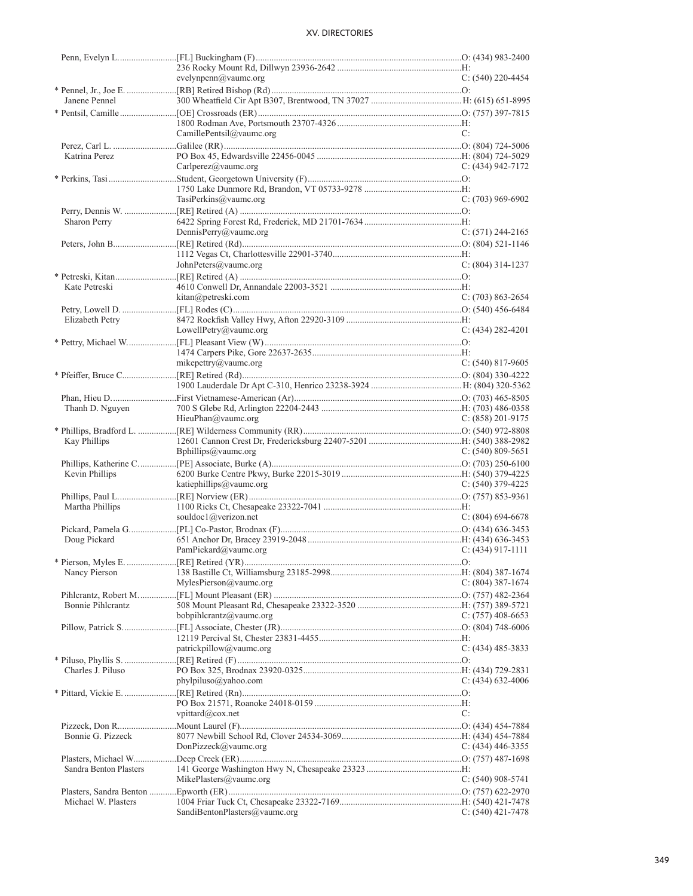|                        | evelynpenn $(a)$ vaumc.org    | $C: (540)$ 220-4454   |
|------------------------|-------------------------------|-----------------------|
|                        |                               |                       |
| Janene Pennel          |                               |                       |
|                        |                               |                       |
|                        |                               |                       |
|                        | CamillePentsil@vaumc.org      | C:                    |
|                        |                               |                       |
| Katrina Perez          |                               |                       |
|                        | Carlperez@vaumc.org           | C: $(434)$ 942-7172   |
|                        |                               |                       |
|                        |                               |                       |
|                        | TasiPerkins@vaumc.org         | $C: (703)$ 969-6902   |
|                        |                               |                       |
| Sharon Perry           |                               |                       |
|                        | DennisPerry@vaumc.org         | $C: (571) 244-2165$   |
|                        |                               |                       |
|                        |                               |                       |
|                        | JohnPeters@vaumc.org          | $C: (804)$ 314-1237   |
|                        |                               |                       |
| Kate Petreski          |                               |                       |
|                        | kitan@petreski.com            | $C: (703) 863 - 2654$ |
|                        |                               |                       |
| Elizabeth Petry        |                               |                       |
|                        | LowellPetry@vaumc.org         | C: $(434)$ 282-4201   |
|                        |                               |                       |
|                        |                               |                       |
|                        | mikepettry@vaumc.org          | $C: (540) 817-9605$   |
|                        |                               |                       |
|                        |                               |                       |
|                        |                               |                       |
| Thanh D. Nguyen        |                               |                       |
|                        | HieuPhan@vaumc.org            | C: $(858)$ 201-9175   |
|                        |                               |                       |
| Kay Phillips           |                               |                       |
|                        | Bphillips@vaumc.org           | C: $(540)$ 809-5651   |
|                        |                               |                       |
| Kevin Phillips         |                               |                       |
|                        | katiephillips@vaumc.org       | $C: (540)$ 379-4225   |
|                        |                               |                       |
| Martha Phillips        |                               |                       |
|                        | souldoc1@verizon.net          | $C: (804) 694-6678$   |
|                        |                               |                       |
| Doug Pickard           |                               |                       |
|                        | PamPickard@vaumc.org          | $C: (434)$ 917-1111   |
|                        |                               |                       |
| Nancy Pierson          |                               |                       |
|                        | MylesPierson@value.org        | C: (804) 387-1674     |
|                        |                               |                       |
| Bonnie Pihlcrantz      |                               |                       |
|                        | bobpihlcrantz@vaumc.org       | $C: (757)$ 408-6653   |
|                        |                               |                       |
|                        |                               |                       |
|                        | patrickpillow@vaumc.org       | $C: (434)$ 485-3833   |
|                        |                               |                       |
| Charles J. Piluso      |                               |                       |
|                        | $phy$ lpiluso@yahoo.com       | $C: (434)$ 632-4006   |
|                        |                               |                       |
|                        |                               |                       |
|                        | vpittard@cox.net              | C:                    |
|                        |                               |                       |
| Bonnie G. Pizzeck      |                               |                       |
|                        | DonPizzeck@vaumc.org          | C: $(434)$ 446-3355   |
|                        |                               |                       |
| Sandra Benton Plasters | MikePlasters@vaumc.org        |                       |
|                        |                               | $C: (540)$ 908-5741   |
|                        |                               |                       |
| Michael W. Plasters    | SandiBentonPlasters@vaumc.org |                       |
|                        |                               | $C: (540)$ 421-7478   |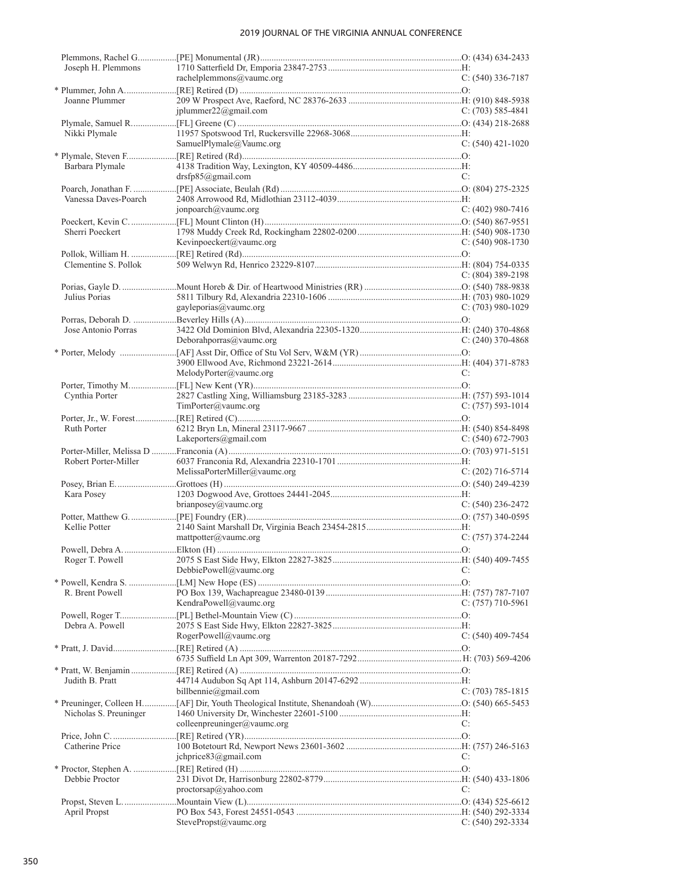| Joseph H. Plemmons     |                               |                       |
|------------------------|-------------------------------|-----------------------|
|                        | rachelplemmons@vaumc.org      | $C: (540)$ 336-7187   |
|                        |                               |                       |
| Joanne Plummer         | jplummer22@gmail.com          | $C: (703) 585-4841$   |
|                        |                               |                       |
| Nikki Plymale          |                               |                       |
|                        | SamuelPlymale@Vaumc.org       | $C: (540)$ 421-1020   |
| Barbara Plymale        |                               |                       |
|                        | drsfp85@gmail.com             | C:                    |
|                        |                               |                       |
| Vanessa Daves-Poarch   | jonpoarch@vaumc.org           | $C: (402)$ 980-7416   |
|                        |                               |                       |
| Sherri Poeckert        |                               |                       |
|                        | Kevinpoeckert@vaumc.org       | $C: (540)$ 908-1730   |
| Clementine S. Pollok   |                               |                       |
|                        |                               | $C: (804)$ 389-2198   |
|                        |                               |                       |
| Julius Porias          | gayleporias@vaumc.org         | $C: (703)$ 980-1029   |
|                        |                               |                       |
| Jose Antonio Porras    |                               |                       |
|                        | Deborahporras@vaumc.org       | $C: (240)$ 370-4868   |
|                        |                               |                       |
|                        | MelodyPorter@vaumc.org        | C:                    |
|                        |                               |                       |
| Cynthia Porter         | TimPorter@vaumc.org           |                       |
|                        |                               | $C: (757) 593-1014$   |
| Ruth Porter            |                               |                       |
|                        | Lakeporters@gmail.com         | C: $(540)$ 672-7903   |
| Robert Porter-Miller   |                               |                       |
|                        | MelissaPorterMiller@vaumc.org | $C: (202)$ 716-5714   |
|                        |                               |                       |
| Kara Posey             |                               |                       |
|                        | $brianpose y(a) x and x or y$ | C: $(540)$ 236-2472   |
| Kellie Potter          |                               |                       |
|                        | matpotter@value.org           | $C: (757)$ 374-2244   |
|                        |                               |                       |
|                        | DebbiePowell@vaumc.org        | C:                    |
|                        |                               |                       |
| R. Brent Powell        | KendraPowell@vaumc.org        | C: $(757)$ 710-5961   |
|                        |                               |                       |
| Debra A. Powell        |                               |                       |
|                        | RogerPowell@vaumc.org         | $C: (540)$ 409-7454   |
|                        |                               |                       |
|                        |                               |                       |
| Judith B. Pratt        |                               |                       |
|                        | billbennie@gmail.com          | $C: (703) 785-1815$   |
| Nicholas S. Preuninger |                               |                       |
|                        | colleenpreuninger@vaumc.org   | C:                    |
|                        |                               |                       |
| Catherine Price        | ichprice83@gmail.com          | C:                    |
|                        |                               |                       |
| Debbie Proctor         |                               |                       |
|                        | proctorsap@yahoo.com          | C:                    |
| April Propst           |                               |                       |
|                        | StevePropst@vaumc.org         | $C: (540) 292 - 3334$ |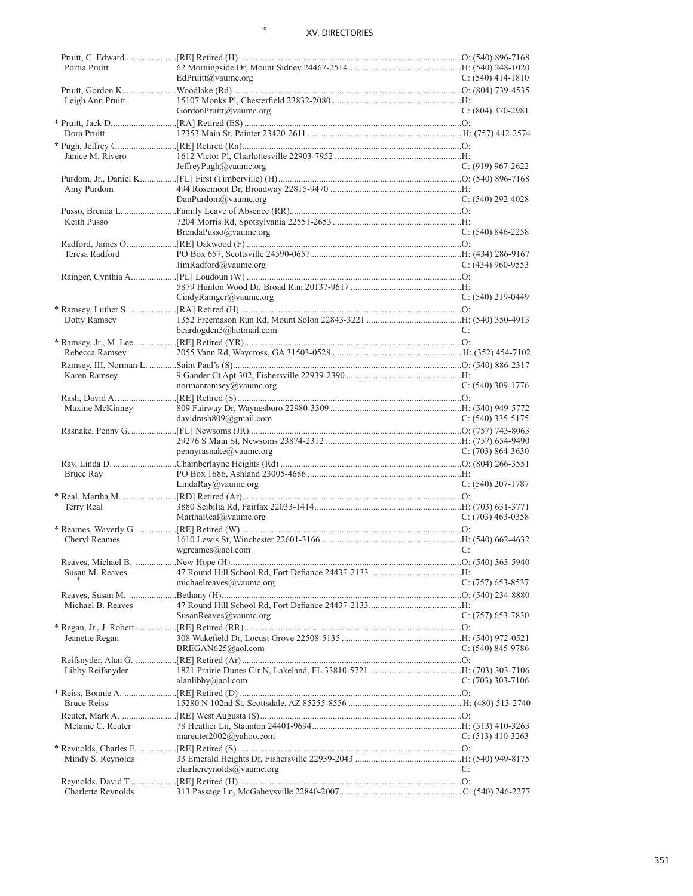\*

| Portia Pruitt      |                            |                       |
|--------------------|----------------------------|-----------------------|
|                    | EdPruitt@vaumc.org         | C: $(540)$ 414-1810   |
|                    |                            |                       |
| Leigh Ann Pruitt   | GordonPruitt@vaumc.org     | $C: (804)$ 370-2981   |
|                    |                            |                       |
| Dora Pruitt        |                            |                       |
|                    |                            |                       |
| Janice M. Rivero   |                            |                       |
|                    | JeffreyPugh@vaumc.org      | $C: (919) 967 - 2622$ |
|                    |                            |                       |
| Amy Purdom         |                            |                       |
|                    | $DanPurdom@$ vaumc.org     | $C: (540) 292 - 4028$ |
|                    |                            |                       |
| Keith Pusso        |                            |                       |
|                    | BrendaPusso@vaumc.org      | $C: (540) 846 - 2258$ |
|                    |                            |                       |
| Teresa Radford     |                            |                       |
|                    | JimRadford@vaumc.org       | $C: (434)$ 960-9553   |
|                    |                            |                       |
|                    |                            |                       |
|                    | CindyRainger@vaumc.org     | $C: (540)$ 219-0449   |
|                    |                            |                       |
| Dotty Ramsey       |                            |                       |
|                    | beardogden3@hotmail.com    | C:                    |
|                    |                            |                       |
| Rebecca Ramsey     |                            |                       |
|                    |                            |                       |
| Karen Ramsey       |                            |                       |
|                    | normanramsey@vaumc.org     | $C: (540)$ 309-1776   |
|                    |                            |                       |
| Maxine McKinney    |                            |                       |
|                    | davidrash $809@g$ mail.com | C: $(540)$ 335-5175   |
|                    |                            |                       |
|                    |                            |                       |
|                    | pennyrasnake@vaumc.org     | C: $(703)$ 864-3630   |
|                    |                            |                       |
| Bruce Ray          |                            |                       |
|                    | LindaRay@vaumc.org         | $C: (540)$ 207-1787   |
|                    |                            |                       |
| Terry Real         |                            |                       |
|                    | MarthaReal@vaumc.org       | $C: (703)$ 463-0358   |
|                    |                            |                       |
| Cheryl Reames      |                            |                       |
|                    | $w$ greames@aol.com        | C:                    |
|                    |                            |                       |
| Susan M. Reaves    |                            |                       |
|                    | michaelreaves@vaumc.org    | $C: (757)$ 653-8537   |
|                    |                            |                       |
| Michael B. Reaves  |                            |                       |
|                    | SusanReaves@vaumc.org      | $C: (757)$ 653-7830   |
|                    |                            |                       |
| Jeanette Regan     |                            |                       |
|                    | BREGAN625@aol.com          | C: $(540)$ 845-9786   |
|                    |                            |                       |
| Libby Reifsnyder   |                            |                       |
|                    | alanlibby@aol.com          | $C: (703)$ 303-7106   |
|                    |                            |                       |
| <b>Bruce Reiss</b> |                            |                       |
|                    |                            |                       |
| Melanie C. Reuter  |                            |                       |
|                    | mareuter $2002@$ yahoo.com | C: $(513)$ 410-3263   |
|                    |                            |                       |
| Mindy S. Reynolds  |                            |                       |
|                    | charliereynolds@vaumc.org  | C:                    |
|                    |                            |                       |
| Charlette Reynolds |                            |                       |
|                    |                            |                       |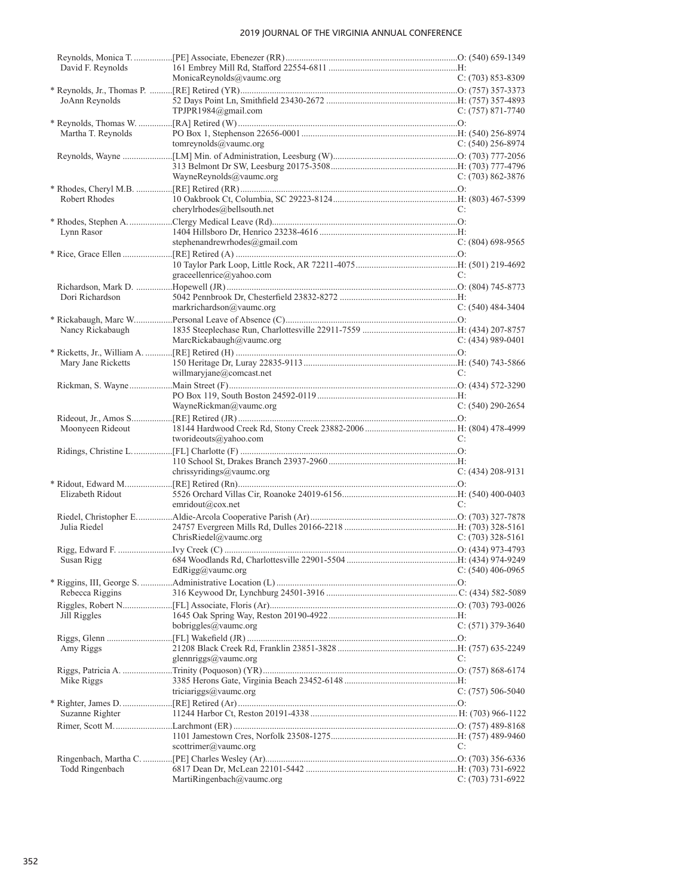| David F. Reynolds  | MonicaReynolds@vaumc.org      | $C: (703) 853 - 8309$ |
|--------------------|-------------------------------|-----------------------|
| JoAnn Reynolds     | TPJPR1984@gmail.com           | $C: (757) 871-7740$   |
| Martha T. Reynolds | tomreynolds@vaumc.org         | $C: (540)$ 256-8974   |
|                    | WayneReynolds@vaumc.org       | $C: (703) 862 - 3876$ |
| Robert Rhodes      | cherylrhodes@bellsouth.net    | C:                    |
| Lynn Rasor         | stephenandrewrhodes@gmail.com | $C: (804)$ 698-9565   |
|                    | graceellenrice@yahoo.com      | C:                    |
| Dori Richardson    | markrichardson@vaumc.org      | $C: (540)$ 484-3404   |
| Nancy Rickabaugh   | MarcRickabaugh@vaumc.org      | $C: (434)$ 989-0401   |
| Mary Jane Ricketts | willmaryjane@comcast.net      | C:                    |
|                    | WayneRickman@vaumc.org        | $C: (540) 290 - 2654$ |
| Moonyeen Rideout   | tworideouts@yahoo.com         | C:                    |
|                    | chrissyridings@vaumc.org      | $C: (434) 208-9131$   |
| Elizabeth Ridout   | emridout@cox.net              | C:                    |
| Julia Riedel       | ChrisRiedel@vaumc.org         | C: $(703)$ 328-5161   |
| Susan Rigg         | EdRigg@vaumc.org              | $C: (540)$ 406-0965   |
| Rebecca Riggins    |                               |                       |
| Jill Riggles       | bobriggles@vaumc.org          | $C: (571)$ 379-3640   |
| Amy Riggs          | glennriggs@vaumc.org          | C:                    |
| Mike Riggs         | triciariggs@vaumc.org         | $C: (757) 506-5040$   |
| Suzanne Righter    |                               |                       |
|                    | scottrimer@vaumc.org          | C:                    |
| Todd Ringenbach    | MartiRingenbach@vaumc.org     | $C: (703) 731-6922$   |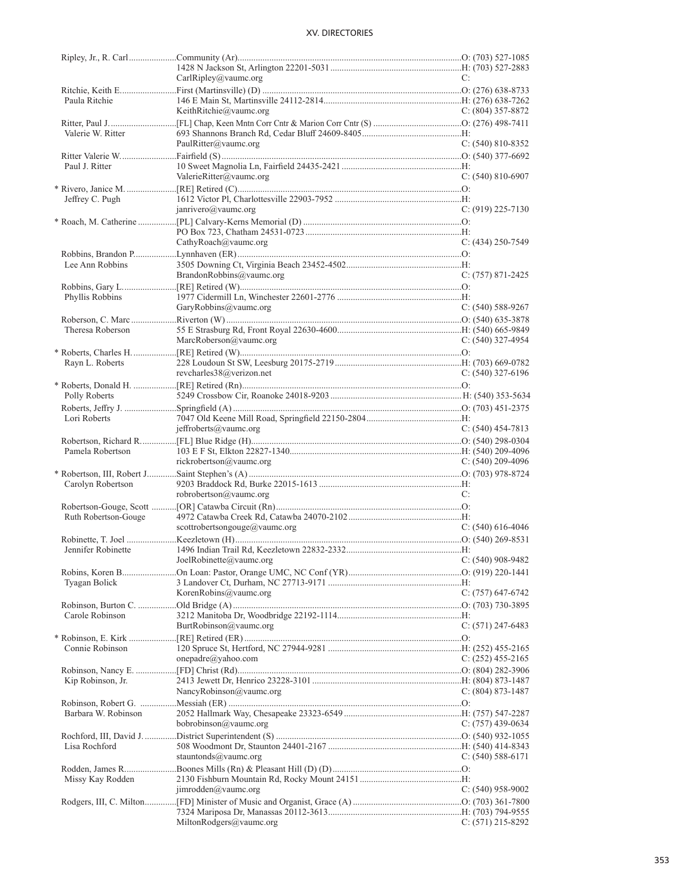|                      | CarIRipley@value.org                      | C:                    |
|----------------------|-------------------------------------------|-----------------------|
|                      |                                           |                       |
| Paula Ritchie        |                                           |                       |
|                      | KeithRitchie@vaumc.org                    | C: $(804)$ 357-8872   |
|                      |                                           |                       |
| Valerie W. Ritter    |                                           |                       |
|                      | PaulRitter@vaumc.org                      | $C: (540) 810 - 8352$ |
|                      |                                           |                       |
| Paul J. Ritter       |                                           |                       |
|                      | ValerieRitter@vaumc.org                   | $C: (540) 810-6907$   |
|                      |                                           |                       |
|                      |                                           |                       |
| Jeffrey C. Pugh      |                                           |                       |
|                      | janrivero@vaumc.org                       | $C: (919)$ 225-7130   |
|                      |                                           |                       |
|                      |                                           |                       |
|                      | CathyRoach@vaumc.org                      | $C: (434)$ 250-7549   |
|                      |                                           |                       |
| Lee Ann Robbins      |                                           |                       |
|                      | BrandonRobbins@vaumc.org                  | $C: (757) 871 - 2425$ |
|                      |                                           |                       |
| Phyllis Robbins      |                                           |                       |
|                      | GaryRobbins@vaumc.org                     | $C: (540) 588-9267$   |
|                      |                                           |                       |
| Theresa Roberson     |                                           |                       |
|                      | MarcRoberson@vaumc.org                    | $C: (540)$ 327-4954   |
|                      |                                           |                       |
|                      |                                           |                       |
| Rayn L. Roberts      |                                           |                       |
|                      | revcharles38@verizon.net                  | $C: (540)$ 327-6196   |
|                      |                                           |                       |
| Polly Roberts        |                                           |                       |
|                      |                                           |                       |
| Lori Roberts         |                                           |                       |
|                      | $j$ effroberts@vaumc.org                  | $C: (540)$ 454-7813   |
|                      |                                           |                       |
|                      |                                           |                       |
| Pamela Robertson     |                                           |                       |
|                      | rickrobertson@vaumc.org                   | C: $(540)$ 209-4096   |
|                      |                                           |                       |
|                      |                                           |                       |
| Carolyn Robertson    |                                           | C:                    |
|                      | robrobertson@vaumc.org                    |                       |
|                      |                                           |                       |
| Ruth Robertson-Gouge |                                           |                       |
|                      | scottrobertsongouge@vaumc.org             | C: $(540)$ 616-4046   |
|                      |                                           |                       |
| Jennifer Robinette   |                                           |                       |
|                      | JoelRobinette@vaumc.org C: (540) 908-9482 |                       |
|                      |                                           |                       |
| Tyagan Bolick        |                                           |                       |
|                      | KorenRobins@vaumc.org                     | C: $(757)$ 647-6742   |
|                      |                                           |                       |
| Carole Robinson      |                                           |                       |
|                      | BurtRobinson@vaumc.org                    | C: (571) 247-6483     |
|                      |                                           |                       |
| Connie Robinson      |                                           |                       |
|                      | $onepadre(\alpha$ yahoo.com               | $C: (252)$ 455-2165   |
|                      |                                           |                       |
|                      |                                           |                       |
| Kip Robinson, Jr.    | NancyRobinson@vaumc.org                   | C: $(804)$ 873-1487   |
|                      |                                           |                       |
|                      |                                           |                       |
| Barbara W. Robinson  |                                           |                       |
|                      | bobinson@value.org                        | $C: (757)$ 439-0634   |
|                      |                                           |                       |
| Lisa Rochford        |                                           |                       |
|                      | stauntonds@vaumc.org                      | $C: (540) 588-6171$   |
|                      |                                           |                       |
| Missy Kay Rodden     |                                           |                       |
|                      | jimrodden@vaumc.org                       | $C: (540)$ 958-9002   |
|                      |                                           |                       |
|                      | MiltonRodgers@vaumc.org                   | C: (571) 215-8292     |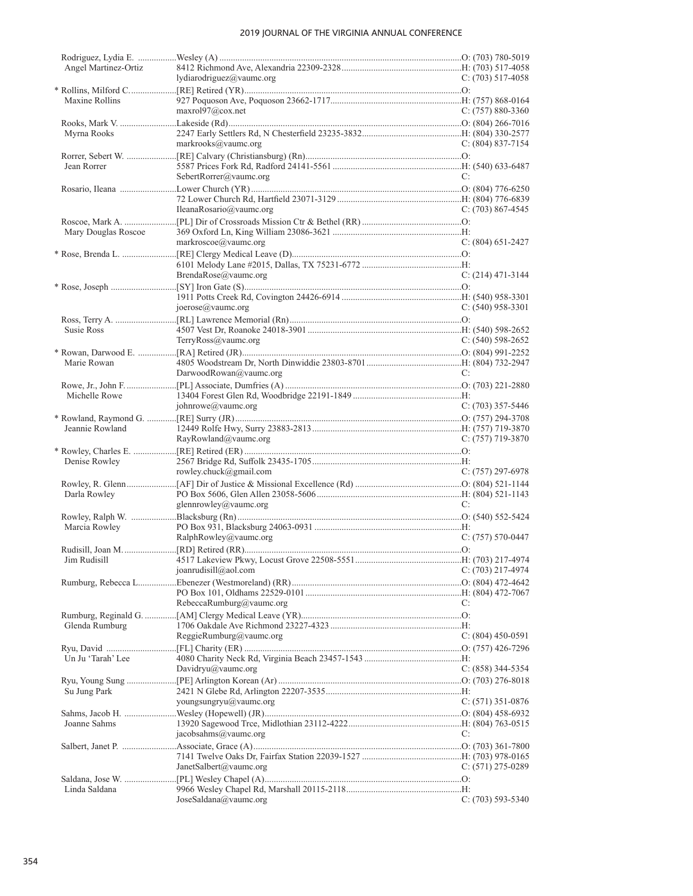| Angel Martinez-Ortiz | lydiarodriguez@vaumc.org | $C: (703) 517-4058$   |
|----------------------|--------------------------|-----------------------|
|                      |                          |                       |
| Maxine Rollins       |                          |                       |
|                      | maxr0197@cov.net         | $C: (757) 880-3360$   |
|                      |                          |                       |
| Myrna Rooks          |                          |                       |
|                      | markrooks@vaumc.org      | $C: (804) 837-7154$   |
|                      |                          |                       |
| Jean Rorrer          | SebertRorrer@vaumc.org   | C:                    |
|                      |                          |                       |
|                      |                          |                       |
|                      | IleanaRosario@vaumc.org  | C: $(703)$ 867-4545   |
|                      |                          |                       |
| Mary Douglas Roscoe  |                          |                       |
|                      | markroscoe@vaumc.org     | $C: (804)$ 651-2427   |
|                      |                          |                       |
|                      | BrendaRose@vaumc.org     |                       |
|                      |                          | $C: (214)$ 471-3144   |
|                      |                          |                       |
|                      | joerose@vaumc.org        | $C: (540)$ 958-3301   |
|                      |                          |                       |
| Susie Ross           |                          |                       |
|                      | TerryRoss@vaumc.org      | $C: (540)$ 598-2652   |
|                      |                          |                       |
| Marie Rowan          |                          |                       |
|                      | DarwoodRowan@vaumc.org   | C:                    |
| Michelle Rowe        |                          |                       |
|                      | johnrowe@vaumc.org       | C: $(703)$ 357-5446   |
|                      |                          |                       |
| Jeannie Rowland      |                          |                       |
|                      | RayRowland@vaumc.org     | $C: (757)$ 719-3870   |
|                      |                          |                       |
| Denise Rowley        |                          |                       |
|                      | rowley.chuck@gmail.com   | $C: (757) 297-6978$   |
| Darla Rowley         |                          |                       |
|                      | glennrowley@vaumc.org    | C:                    |
|                      |                          |                       |
| Marcia Rowley        |                          |                       |
|                      | RalphRowley@vaumc.org    | $C: (757) 570-0447$   |
|                      |                          |                       |
|                      |                          |                       |
|                      | joanrudisill@aol.com     | $C: (703)$ 217-4974   |
|                      |                          |                       |
|                      | RebeccaRumburg@vaumc.org | C:                    |
|                      |                          |                       |
| Glenda Rumburg       |                          |                       |
|                      | ReggieRumburg@vaumc.org  | C: $(804)$ 450-0591   |
|                      |                          |                       |
| Un Ju 'Tarah' Lee    |                          |                       |
|                      | Davidryu@vaumc.org       | $C: (858)$ 344-5354   |
| Su Jung Park         |                          |                       |
|                      | youngsungryu@vaumc.org   | $C: (571)$ 351-0876   |
|                      |                          |                       |
| Joanne Sahms         |                          |                       |
|                      | jacobsahms@vaumc.org     | C:                    |
|                      |                          |                       |
|                      |                          |                       |
|                      | JanetSalbert@vaumc.org   | $C: (571) 275-0289$   |
| Linda Saldana        |                          |                       |
|                      | JoseSaldana@vaumc.org    | $C: (703) 593 - 5340$ |
|                      |                          |                       |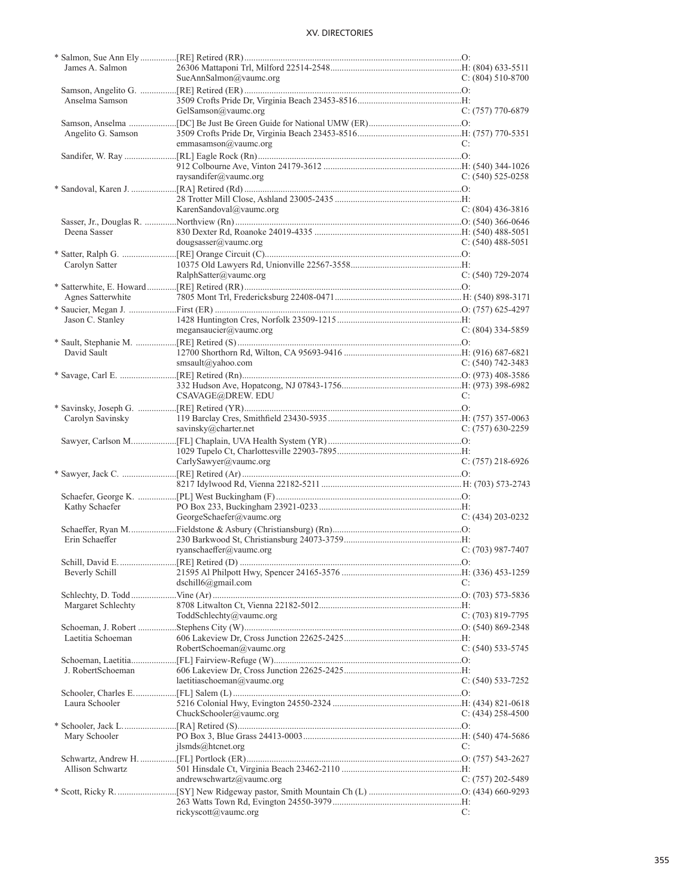| James A. Salmon    |                             |                       |
|--------------------|-----------------------------|-----------------------|
|                    | SueAnnSalmon@vaumc.org      | $C: (804) 510-8700$   |
|                    |                             |                       |
| Anselma Samson     |                             |                       |
|                    | GelSamson@vaumc.org         | C: (757) 770-6879     |
|                    |                             |                       |
|                    |                             |                       |
| Angelito G. Samson |                             |                       |
|                    | emmasamson@vaumc.org        | C:                    |
|                    |                             |                       |
|                    |                             |                       |
|                    | raysandifer@vaumc.org       | $C: (540)$ 525-0258   |
|                    |                             |                       |
|                    |                             |                       |
|                    | KarenSandoval@vaumc.org     | $C: (804)$ 436-3816   |
|                    |                             |                       |
|                    |                             |                       |
| Deena Sasser       |                             |                       |
|                    | dougsasser@value.org        | C: $(540)$ 488-5051   |
|                    |                             |                       |
| Carolyn Satter     |                             |                       |
|                    | RalphSatter@vaumc.org       | $C: (540)$ 729-2074   |
|                    |                             |                       |
|                    |                             |                       |
| Agnes Satterwhite  |                             |                       |
|                    |                             |                       |
| Jason C. Stanley   |                             |                       |
|                    | megansaucier@value.org      | $C: (804)$ 334-5859   |
|                    |                             |                       |
| David Sault        |                             |                       |
|                    | smsault@yahoo.com           | $C: (540) 742 - 3483$ |
|                    |                             |                       |
|                    |                             |                       |
|                    |                             |                       |
|                    | CSAVAGE@DREW. EDU           | C:                    |
|                    |                             |                       |
| Carolyn Savinsky   |                             |                       |
|                    | savinsky@charter.net        | $C: (757)$ 630-2259   |
|                    |                             |                       |
|                    |                             |                       |
|                    | CarlySawyer@vaumc.org       | $C: (757)$ 218-6926   |
|                    |                             |                       |
|                    |                             |                       |
|                    |                             |                       |
|                    |                             |                       |
|                    |                             |                       |
| Kathy Schaefer     |                             |                       |
|                    |                             | $C: (434) 203 - 0232$ |
|                    | GeorgeSchaefer@vaumc.org    |                       |
|                    |                             |                       |
| Erin Schaeffer     |                             |                       |
|                    | ryanschaeffer@vaumc.org     | $C: (703)$ 987-7407   |
|                    |                             |                       |
| Beverly Schill     |                             |                       |
|                    | $dschild(\omega)$ gmail.com | C:                    |
|                    |                             |                       |
|                    |                             |                       |
| Margaret Schlechty |                             |                       |
|                    | ToddSchlechty@vaumc.org     | $C: (703) 819-7795$   |
|                    |                             |                       |
| Laetitia Schoeman  |                             |                       |
|                    | RobertSchoeman@vaumc.org    | $C: (540)$ 533-5745   |
|                    |                             |                       |
| J. RobertSchoeman  |                             |                       |
|                    | laetitiaschoeman@vaumc.org  |                       |
|                    |                             | C: (540) 533-7252     |
|                    |                             |                       |
| Laura Schooler     |                             |                       |
|                    | ChuckSchooler@vaumc.org     | $C: (434) 258-4500$   |
|                    |                             |                       |
| Mary Schooler      |                             |                       |
|                    | $ilsmds@$ htcnet.org        | C:                    |
|                    |                             |                       |
| Allison Schwartz   |                             |                       |
|                    |                             |                       |
|                    | andrewschwartz@vaumc.org    | C: (757) 202-5489     |
|                    |                             |                       |
|                    | rickyscott@vaumc.org        | C:                    |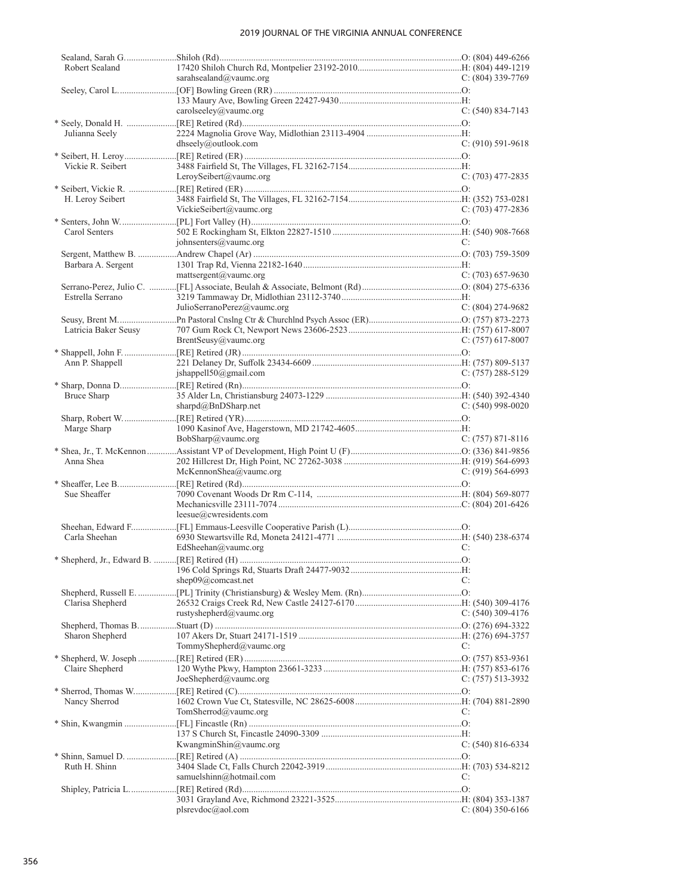| Robert Sealand       |                             |                       |
|----------------------|-----------------------------|-----------------------|
|                      | sarahsealand@vaumc.org      | $C: (804)$ 339-7769   |
|                      |                             |                       |
|                      | carolseeley@vaumc.org       | $C: (540) 834-7143$   |
|                      |                             |                       |
| Julianna Seely       |                             |                       |
|                      | dhseely@outlook.com         | $C: (910) 591-9618$   |
|                      |                             |                       |
| Vickie R. Seibert    |                             |                       |
|                      | LeroySeibert@vaumc.org      | $C: (703)$ 477-2835   |
|                      |                             |                       |
| H. Leroy Seibert     |                             |                       |
|                      | VickieSeibert@vaumc.org     | C: $(703)$ 477-2836   |
|                      |                             |                       |
| Carol Senters        |                             |                       |
|                      | johnsenters@vaumc.org       | C:                    |
|                      |                             |                       |
| Barbara A. Sergent   |                             |                       |
|                      | mattsergent@vaumc.org       | $C: (703)$ 657-9630   |
|                      |                             |                       |
| Estrella Serrano     | JulioSerranoPerez@vaumc.org | $C: (804) 274-9682$   |
|                      |                             |                       |
| Latricia Baker Seusy |                             |                       |
|                      | BrentSeusy@vaumc.org        | $C: (757)$ 617-8007   |
|                      |                             |                       |
| Ann P. Shappell      |                             |                       |
|                      | jshappell50@gmail.com       | $C: (757) 288 - 5129$ |
|                      |                             |                       |
| <b>Bruce Sharp</b>   |                             |                       |
|                      | sharpd@BnDSharp.net         | $C: (540)$ 998-0020   |
|                      |                             |                       |
| Marge Sharp          |                             |                       |
|                      | BobSharp@vaumc.org          | $C: (757) 871 - 8116$ |
|                      |                             |                       |
| Anna Shea            |                             |                       |
|                      | McKennonShea@value.org      | $C: (919) 564-6993$   |
|                      |                             |                       |
| Sue Sheaffer         |                             |                       |
|                      | leesue@cwresidents.com      |                       |
|                      |                             |                       |
| Carla Sheehan        |                             |                       |
|                      | EdSheehan@vaumc.org         | C:                    |
|                      |                             |                       |
|                      |                             |                       |
|                      | shep09@comcast.net          | C:                    |
|                      |                             |                       |
| Clarisa Shepherd     |                             |                       |
|                      | rustyshepherd@vaumc.org     | $C: (540)$ 309-4176   |
|                      |                             |                       |
| Sharon Shepherd      |                             |                       |
|                      | TommyShepherd@vaumc.org     | C:                    |
|                      |                             |                       |
| Claire Shepherd      |                             |                       |
|                      | JoeShepherd@value.org       | $C: (757) 513-3932$   |
|                      |                             |                       |
| Nancy Sherrod        |                             |                       |
|                      | TomSherrod@vaumc.org        | C:                    |
|                      |                             |                       |
|                      |                             |                       |
|                      | KwangminShin@vaumc.org      | $C: (540) 816-6334$   |
| Ruth H. Shinn        |                             |                       |
|                      | samuelshinn@hotmail.com     | C:                    |
|                      |                             |                       |
|                      |                             |                       |
|                      | plsrevdoc@aol.com           | C: $(804)$ 350-6166   |
|                      |                             |                       |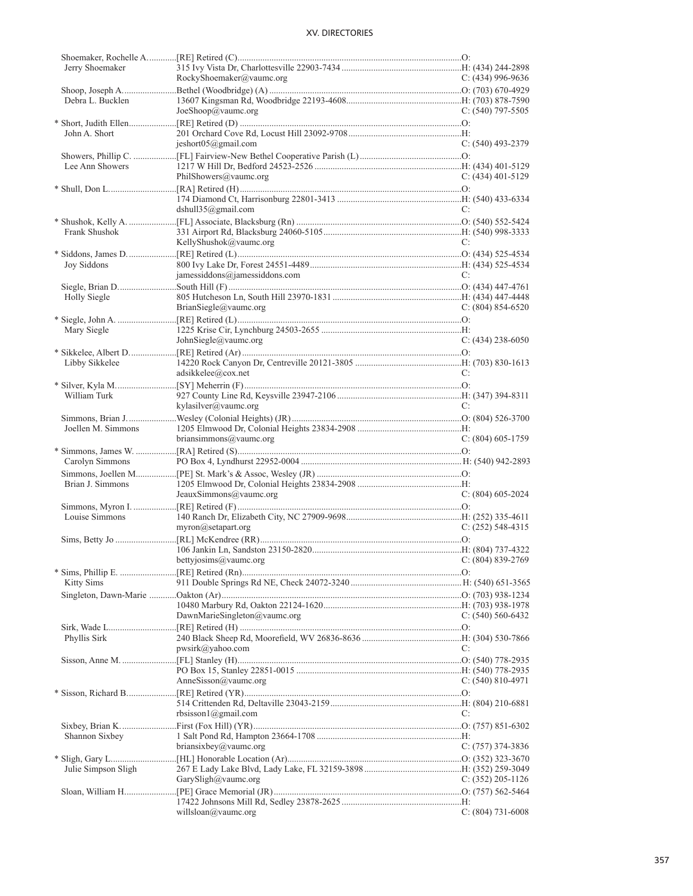| Jerry Shoemaker     |                                         |                     |
|---------------------|-----------------------------------------|---------------------|
|                     | RockyShoemaker@vaumc.org                | C: $(434)$ 996-9636 |
|                     |                                         |                     |
| Debra L. Bucklen    |                                         |                     |
|                     | JoeShoop@vaumc.org                      | C: $(540)$ 797-5505 |
|                     |                                         |                     |
| John A. Short       |                                         |                     |
|                     | jeshort05@gmail.com                     | $C: (540)$ 493-2379 |
|                     |                                         |                     |
| Lee Ann Showers     | PhilShowers@vaumc.org                   | $C: (434)$ 401-5129 |
|                     |                                         |                     |
|                     |                                         |                     |
|                     | dshull $35$ @gmail.com                  | C:                  |
|                     |                                         |                     |
| Frank Shushok       |                                         |                     |
|                     | KellyShushok@vaumc.org                  | C:                  |
|                     |                                         |                     |
| Joy Siddons         |                                         |                     |
|                     | jamessiddons@jamessiddons.com           | C:                  |
|                     |                                         |                     |
| Holly Siegle        |                                         |                     |
|                     | BrianSiegle@vaumc.org                   | $C: (804) 854-6520$ |
|                     |                                         |                     |
| Mary Siegle         |                                         |                     |
|                     | JohnSiegle@vaumc.org                    | $C: (434)$ 238-6050 |
|                     |                                         |                     |
| Libby Sikkelee      |                                         |                     |
|                     | adsikkelee@cox.net                      | C:                  |
|                     |                                         |                     |
| William Turk        |                                         |                     |
|                     | kylasilver@vaumc.org                    | C:                  |
|                     |                                         |                     |
| Joellen M. Simmons  |                                         |                     |
|                     | briansimmons@value.org                  | $C: (804)$ 605-1759 |
|                     |                                         |                     |
|                     |                                         |                     |
| Carolyn Simmons     |                                         |                     |
|                     |                                         |                     |
| Brian J. Simmons    |                                         |                     |
|                     | JeauxSimmons@vaumc.org                  | $C: (804)$ 605-2024 |
|                     |                                         |                     |
| Louise Simmons      |                                         |                     |
|                     | myron@setapart.org                      | $C: (252)$ 548-4315 |
|                     |                                         |                     |
|                     |                                         |                     |
|                     | bettyjosims@vaumc.org C: (804) 839-2769 |                     |
|                     |                                         |                     |
| <b>Kitty Sims</b>   |                                         |                     |
|                     |                                         |                     |
|                     |                                         |                     |
|                     | DawnMarieSingleton@vaumc.org            | $C: (540) 560-6432$ |
|                     |                                         |                     |
| Phyllis Sirk        |                                         | C:                  |
|                     | pwsirk@yahoo.com                        |                     |
|                     |                                         |                     |
|                     | AnneSisson@vaumc.org                    | $C: (540) 810-4971$ |
|                     |                                         |                     |
|                     |                                         |                     |
|                     | rbsisson1@gmail.com                     | C:                  |
|                     |                                         |                     |
| Shannon Sixbey      |                                         |                     |
|                     | briansixbey@vaumc.org                   | $C: (757)$ 374-3836 |
|                     |                                         |                     |
| Julie Simpson Sligh |                                         |                     |
|                     | GarySligh@vaumc.org                     | $C: (352)$ 205-1126 |
|                     |                                         |                     |
|                     | willsloan@vaumc.org                     | $C: (804) 731-6008$ |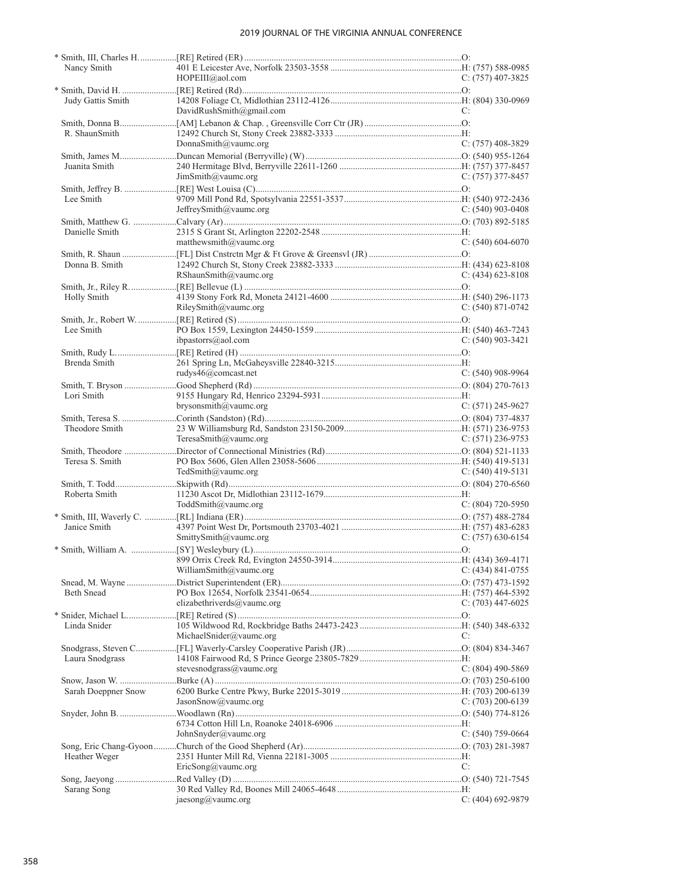| Nancy Smith         |                            |                       |
|---------------------|----------------------------|-----------------------|
|                     | $HOPEIII$ @aol.com         | C: $(757)$ 407-3825   |
|                     |                            |                       |
| Judy Gattis Smith   |                            |                       |
|                     | DavidRushSmith@gmail.com   | C:                    |
|                     |                            |                       |
| R. ShaunSmith       |                            |                       |
|                     | DonnaSmith@vaumc.org       | $C: (757)$ 408-3829   |
|                     |                            |                       |
| Juanita Smith       |                            |                       |
|                     | JimSmith@value.org         | $C: (757)$ 377-8457   |
|                     |                            |                       |
| Lee Smith           |                            |                       |
|                     | JeffreySmith@vaumc.org     | $C: (540)$ 903-0408   |
|                     |                            |                       |
| Danielle Smith      |                            |                       |
|                     | matthewsmith@vaumc.org     | $C: (540) 604-6070$   |
|                     |                            |                       |
| Donna B. Smith      |                            |                       |
|                     | RShaunSmith@vaumc.org      | $C: (434)$ 623-8108   |
|                     |                            |                       |
| Holly Smith         |                            |                       |
|                     | RileySmith@value.org       | $C: (540) 871-0742$   |
|                     |                            |                       |
| Lee Smith           |                            |                       |
|                     | ibpastorrs@aol.com         | $C: (540)$ 903-3421   |
|                     |                            |                       |
| Brenda Smith        |                            |                       |
|                     | rudys46@comcast.net        | $C: (540)$ 908-9964   |
|                     |                            |                       |
| Lori Smith          |                            |                       |
|                     | brysonsmith@vaumc.org      | $C: (571)$ 245-9627   |
|                     |                            |                       |
| Theodore Smith      |                            |                       |
|                     | TeresaSmith@vaumc.org      | C: $(571)$ 236-9753   |
|                     |                            |                       |
| Teresa S. Smith     |                            |                       |
|                     | TedSmith@vaumc.org         |                       |
|                     |                            | C: $(540)$ 419-5131   |
| Roberta Smith       |                            |                       |
|                     |                            | $C: (804)$ 720-5950   |
|                     | ToddSmith@vaumc.org        |                       |
|                     |                            |                       |
| Janice Smith        |                            |                       |
|                     | SmittySmith@vaumc.org      | $C: (757)$ 630-6154   |
|                     |                            |                       |
|                     |                            |                       |
|                     | WilliamSmith@vaumc.org     | $C: (434) 841 - 0755$ |
|                     |                            |                       |
| <b>Beth Snead</b>   |                            |                       |
|                     | elizabethriverds@vaumc.org | $C: (703)$ 447-6025   |
|                     |                            |                       |
| Linda Snider        |                            |                       |
|                     | MichaelSnider@vaumc.org    | C:                    |
|                     |                            |                       |
| Laura Snodgrass     |                            |                       |
|                     | stevesnodgrass@vaumc.org   | $C: (804)$ 490-5869   |
|                     |                            |                       |
| Sarah Doeppner Snow |                            |                       |
|                     | JasonShow@value.org        | C: $(703)$ 200-6139   |
|                     |                            |                       |
|                     |                            |                       |
|                     | JohnSnyder@value.org       | $C: (540)$ 759-0664   |
|                     |                            |                       |
| Heather Weger       |                            |                       |
|                     | EricSong@value.org         | C:                    |
|                     |                            |                       |
| Sarang Song         |                            |                       |
|                     | jaesong@vaumc.org          | $C: (404)$ 692-9879   |
|                     |                            |                       |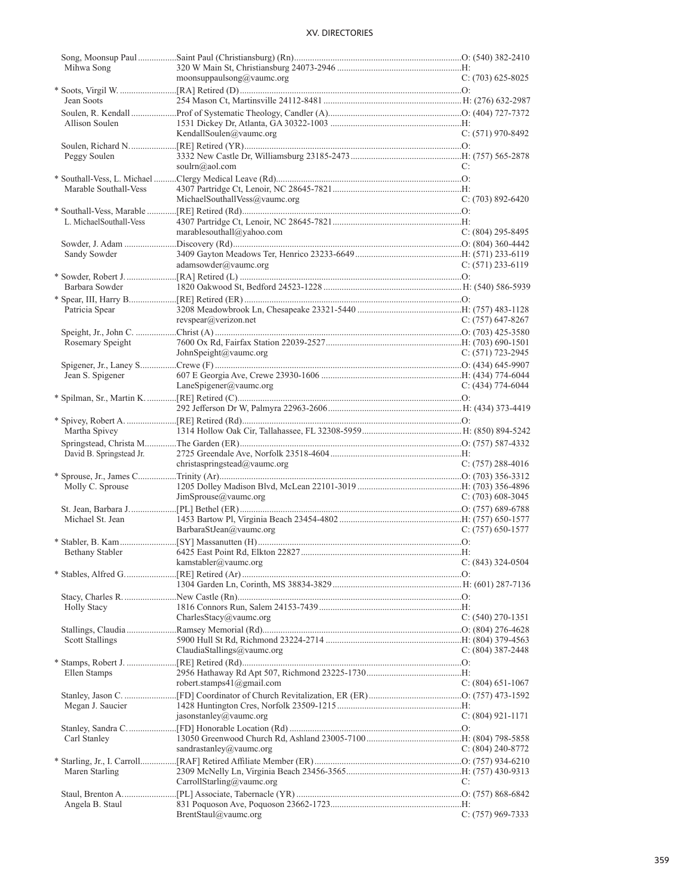| Mihwa Song               |                                    |                       |
|--------------------------|------------------------------------|-----------------------|
|                          | moonsuppaulsong@vaumc.org          | $C: (703) 625 - 8025$ |
|                          |                                    |                       |
| Jean Soots               |                                    |                       |
|                          |                                    |                       |
| Allison Soulen           |                                    |                       |
|                          | KendallSoulen@vaumc.org            | $C: (571)$ 970-8492   |
|                          |                                    |                       |
| Peggy Soulen             |                                    |                       |
|                          | soulrn@aol.com                     | C:                    |
|                          |                                    |                       |
|                          |                                    |                       |
| Marable Southall-Vess    |                                    |                       |
|                          | MichaelSouthallVess@vaumc.org      | $C: (703) 892 - 6420$ |
|                          |                                    |                       |
| L. MichaelSouthall-Vess  |                                    |                       |
|                          | marablesouthall@yahoo.com          | $C: (804)$ 295-8495   |
|                          |                                    |                       |
| Sandy Sowder             |                                    |                       |
|                          | adamsowder@value.org               | $C: (571)$ 233-6119   |
|                          |                                    |                       |
| Barbara Sowder           |                                    |                       |
|                          |                                    |                       |
|                          |                                    |                       |
| Patricia Spear           | revspear@verizon.net               |                       |
|                          |                                    | $C: (757)$ 647-8267   |
|                          |                                    |                       |
| Rosemary Speight         |                                    |                       |
|                          | JohnSpeight@vaumc.org              | $C: (571)$ 723-2945   |
|                          |                                    |                       |
| Jean S. Spigener         |                                    |                       |
|                          | LaneSpigener@vaumc.org             | C: $(434)$ 774-6044   |
|                          |                                    |                       |
|                          |                                    |                       |
|                          |                                    |                       |
| Martha Spivey            |                                    |                       |
|                          |                                    |                       |
|                          |                                    |                       |
| David B. Springstead Jr. |                                    |                       |
|                          | christaspringstead@vaumc.org       | C: $(757)$ 288-4016   |
|                          |                                    |                       |
| Molly C. Sprouse         |                                    |                       |
|                          | JimSprouse@vaumc.org               | $C: (703)$ 608-3045   |
|                          |                                    |                       |
| Michael St. Jean         |                                    |                       |
|                          | BarbaraStJean@vaumc.org            | $C: (757) 650-1577$   |
|                          |                                    |                       |
| Bethany Stabler          |                                    |                       |
|                          | kamstabler@vaumc.org               | C: $(843)$ 324-0504   |
|                          |                                    |                       |
|                          |                                    |                       |
|                          |                                    |                       |
|                          |                                    |                       |
| <b>Holly Stacy</b>       |                                    |                       |
|                          | CharlesStacy@vaumc.org             | $C: (540) 270 - 1351$ |
|                          |                                    |                       |
| <b>Scott Stallings</b>   |                                    |                       |
|                          | ClaudiaStallings@vaumc.org         | C: $(804)$ 387-2448   |
|                          |                                    |                       |
| Ellen Stamps             |                                    |                       |
|                          | robert.stamps $41$ ( $@g$ mail.com | C: $(804)$ 651-1067   |
|                          |                                    |                       |
| Megan J. Saucier         |                                    |                       |
|                          | jasonstanley@vaumc.org             |                       |
|                          |                                    | $C: (804) 921 - 1171$ |
|                          |                                    |                       |
| Carl Stanley             |                                    |                       |
|                          | sandrastanley@vaumc.org            | C: $(804)$ 240-8772   |
|                          |                                    |                       |
| Maren Starling           |                                    |                       |
|                          | CarrollStarling@vaumc.org          | C:                    |
|                          |                                    |                       |
| Angela B. Staul          |                                    |                       |
|                          | BrentStaul@vaumc.org               | $C: (757)$ 969-7333   |
|                          |                                    |                       |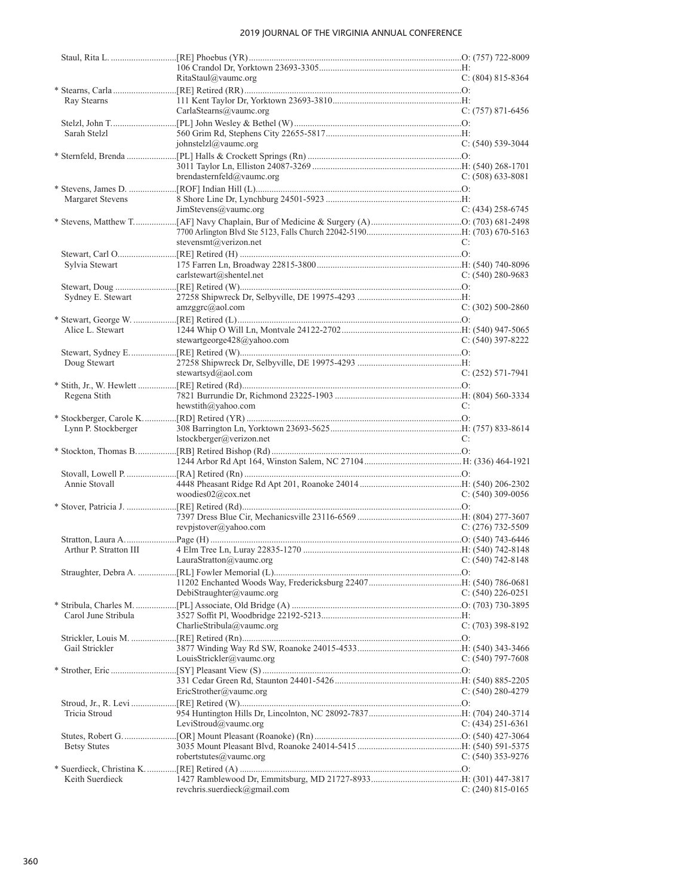|                        | RitaStaul@vaumc.org            | $C: (804) 815 - 8364$ |
|------------------------|--------------------------------|-----------------------|
|                        |                                |                       |
| Ray Stearns            |                                |                       |
|                        | CarlaStearns@vaumc.org         | $C: (757) 871-6456$   |
|                        |                                |                       |
| Sarah Stelzl           |                                |                       |
|                        | johnstelzl@vaumc.org           | $C: (540)$ 539-3044   |
|                        |                                |                       |
|                        |                                |                       |
|                        | brendasternfeld@vaumc.org      | $C: (508) 633-8081$   |
|                        |                                |                       |
| Margaret Stevens       |                                |                       |
|                        | JimStevens@value.org           | $C: (434)$ 258-6745   |
|                        |                                |                       |
|                        |                                |                       |
|                        | stevensmt@verizon.net          | C:                    |
|                        |                                |                       |
|                        |                                |                       |
| Sylvia Stewart         |                                |                       |
|                        | carlstewart@shentel.net        | $C: (540) 280 - 9683$ |
|                        |                                |                       |
| Sydney E. Stewart      |                                |                       |
|                        | $amzggrc(\partial_{a}aol.com)$ | $C: (302) 500-2860$   |
|                        |                                |                       |
| Alice L. Stewart       |                                |                       |
|                        | stewartgeorge428@yahoo.com     | $C: (540)$ 397-8222   |
|                        |                                |                       |
| Doug Stewart           |                                |                       |
|                        | stewartsyd@aol.com             | $C: (252) 571-7941$   |
|                        |                                |                       |
| Regena Stith           |                                |                       |
|                        | hewstith@yahoo.com             | C:                    |
|                        |                                |                       |
| Lynn P. Stockberger    |                                |                       |
|                        | lstockberger@verizon.net       | C:                    |
|                        |                                |                       |
|                        |                                |                       |
|                        |                                |                       |
| Annie Stovall          |                                |                       |
|                        |                                |                       |
|                        | woodies02@cox.net              | $C: (540)$ 309-0056   |
|                        |                                |                       |
|                        |                                |                       |
|                        | revpjstover@yahoo.com          | $C: (276)$ 732-5509   |
|                        |                                |                       |
| Arthur P. Stratton III |                                |                       |
|                        | $LauraStratton(a)$ vaumc.org   | $C: (540) 742 - 8148$ |
|                        |                                |                       |
|                        |                                |                       |
|                        | DebiStraughter@vaumc.org       | $C: (540)$ 226-0251   |
|                        |                                |                       |
| Carol June Stribula    |                                |                       |
|                        | CharlieStribula@vaumc.org      | $C: (703)$ 398-8192   |
|                        |                                |                       |
| Gail Strickler         |                                |                       |
|                        | LouisStrickler@vaumc.org       | $C: (540)$ 797-7608   |
|                        |                                |                       |
|                        |                                |                       |
|                        | EricStrother@value.org         | C: (540) 280-4279     |
|                        |                                |                       |
| Tricia Stroud          |                                |                       |
|                        | LeviStroud@vaumc.org           | $C: (434)$ 251-6361   |
|                        |                                |                       |
|                        |                                |                       |
| <b>Betsy Stutes</b>    | robertstutes@vaumc.org         |                       |
|                        |                                | $C: (540)$ 353-9276   |
|                        |                                |                       |
| Keith Suerdieck        |                                |                       |
|                        | revchris.suerdieck@gmail.com   | C: $(240)$ 815-0165   |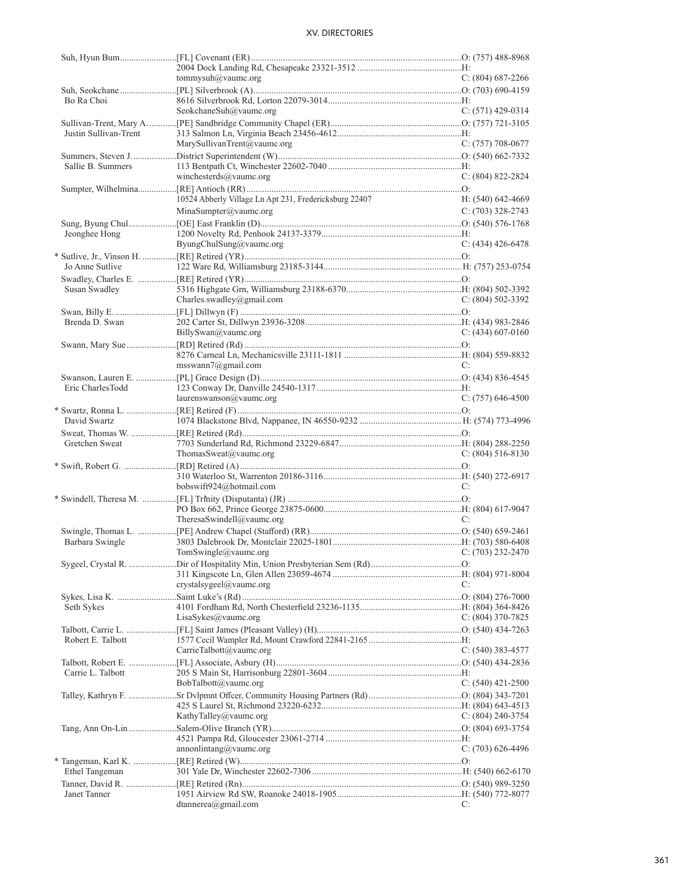|                       | tommysuh@vaumc.org                                     | $C: (804) 687-2266$   |
|-----------------------|--------------------------------------------------------|-----------------------|
|                       |                                                        |                       |
| Bo Ra Choi            |                                                        |                       |
|                       | SeokchaneSuh@vaumc.org                                 | C: $(571)$ 429-0314   |
|                       |                                                        |                       |
| Justin Sullivan-Trent |                                                        |                       |
|                       | MarySullivanTrent@vaumc.org                            | $C: (757)$ 708-0677   |
|                       |                                                        |                       |
| Sallie B. Summers     |                                                        |                       |
|                       | winchesterds@vaumc.org                                 | $C: (804) 822 - 2824$ |
|                       |                                                        |                       |
|                       | 10524 Abberly Village Ln Apt 231, Fredericksburg 22407 | $H: (540) 642 - 4669$ |
|                       | MinaSumpter@value.org                                  | $C: (703)$ 328-2743   |
|                       |                                                        |                       |
| Jeonghee Hong         |                                                        |                       |
|                       | ByungChulSung@vaumc.org                                | $C: (434)$ 426-6478   |
|                       |                                                        |                       |
| Jo Anne Sutlive       |                                                        |                       |
|                       |                                                        |                       |
| Susan Swadley         |                                                        |                       |
|                       | Charles.swadley@gmail.com                              | C: $(804)$ 502-3392   |
|                       |                                                        |                       |
| Brenda D. Swan        |                                                        |                       |
|                       | BillySwan@value.org                                    | C: $(434)$ 607-0160   |
|                       |                                                        |                       |
|                       |                                                        |                       |
|                       | msswann7@gmail.com                                     | C:                    |
|                       |                                                        |                       |
| Eric CharlesTodd      |                                                        |                       |
|                       | laurenswanson@vaumc.org                                | $C: (757)$ 646-4500   |
|                       |                                                        |                       |
| David Swartz          |                                                        |                       |
|                       |                                                        |                       |
| Gretchen Sweat        |                                                        |                       |
|                       | ThomasSweat@vaumc.org                                  | C: $(804)$ 516-8130   |
|                       |                                                        |                       |
|                       |                                                        |                       |
|                       | bobswift924@hotmail.com                                | C:                    |
|                       |                                                        |                       |
|                       |                                                        |                       |
|                       | TheresaSwindell@vaumc.org                              | C:                    |
|                       |                                                        |                       |
| Barbara Swingle       |                                                        |                       |
|                       | TomSwingle@vaumc.org                                   | $C: (703)$ 232-2470   |
|                       |                                                        |                       |
|                       |                                                        |                       |
|                       | crystalsygeel@vaumc.org                                | C:                    |
|                       |                                                        |                       |
| Seth Sykes            |                                                        |                       |
|                       | LisaSykes@vaumc.org                                    | C: (804) 370-7825     |
|                       |                                                        |                       |
| Robert E. Talbott     |                                                        |                       |
|                       | CarrieTalbott@vaumc.org                                | C: $(540)$ 383-4577   |
|                       |                                                        |                       |
| Carrie L. Talbott     |                                                        |                       |
|                       | BobTalbott@vaumc.org                                   | $C: (540)$ 421-2500   |
|                       |                                                        |                       |
|                       |                                                        |                       |
|                       | KathyTalley@vaumc.org                                  | C: (804) 240-3754     |
|                       |                                                        |                       |
|                       |                                                        |                       |
|                       | annonlintang@vaumc.org                                 | $C: (703)$ 626-4496   |
|                       |                                                        |                       |
| Ethel Tangeman        |                                                        |                       |
|                       |                                                        |                       |
| Janet Tanner          |                                                        |                       |
|                       | dtannerea@gmail.com                                    | C:                    |
|                       |                                                        |                       |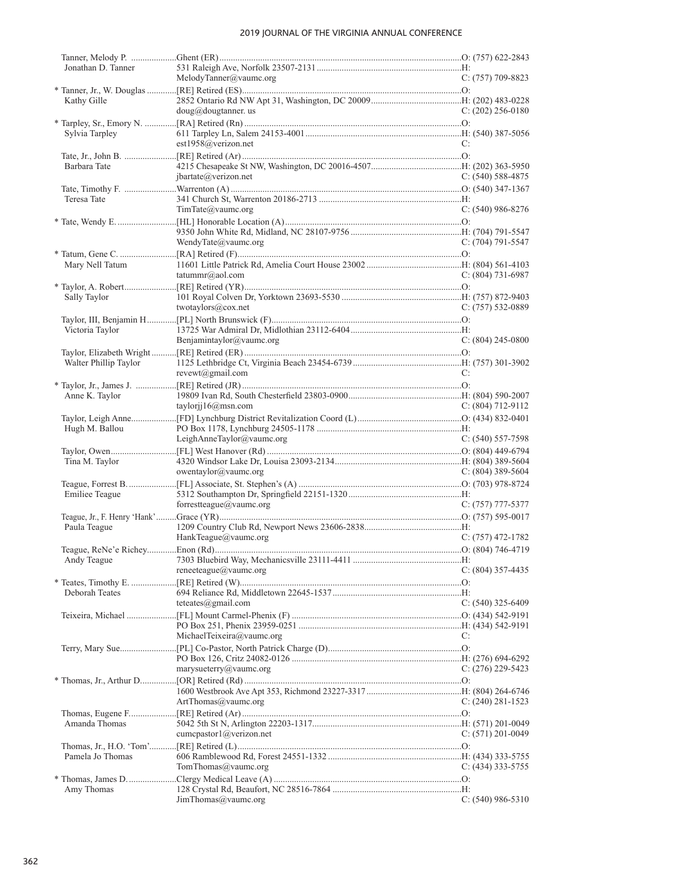| Jonathan D. Tanner    |                                 |                       |
|-----------------------|---------------------------------|-----------------------|
|                       | MelodyTanner@vaumc.org          | $C: (757)$ 709-8823   |
|                       |                                 |                       |
| Kathy Gille           | $doug(a)$ dougtanner. us        | $C: (202)$ 256-0180   |
|                       |                                 |                       |
| Sylvia Tarpley        |                                 |                       |
|                       | est1958@verizon.net             | C:                    |
|                       |                                 |                       |
| Barbara Tate          |                                 |                       |
|                       | jbartate@verizon.net            | $C: (540) 588-4875$   |
|                       |                                 |                       |
| Teresa Tate           |                                 |                       |
|                       | TimTate@value.org               | $C: (540)$ 986-8276   |
|                       |                                 |                       |
|                       |                                 |                       |
|                       | WendyTate@vaumc.org             | $C: (704) 791 - 5547$ |
|                       |                                 |                       |
| Mary Nell Tatum       |                                 |                       |
|                       | tatummr@aol.com                 | $C: (804) 731-6987$   |
|                       |                                 |                       |
| Sally Taylor          |                                 |                       |
|                       | twotaylors@cox.net              | $C: (757) 532-0889$   |
|                       |                                 |                       |
| Victoria Taylor       |                                 |                       |
|                       | Benjamintaylor@vaumc.org        | $C: (804)$ 245-0800   |
|                       |                                 |                       |
| Walter Phillip Taylor |                                 |                       |
|                       | $revewt(\widehat{a})$ gmail.com | C:                    |
|                       |                                 |                       |
| Anne K. Taylor        |                                 |                       |
|                       | taylorij $16@$ msn.com          | $C: (804) 712 - 9112$ |
|                       |                                 |                       |
| Hugh M. Ballou        |                                 |                       |
|                       | LeighAnneTaylor@vaumc.org       | $C: (540) 557-7598$   |
|                       |                                 |                       |
| Tina M. Taylor        |                                 |                       |
|                       | owentaylor@vaumc.org            | C: $(804)$ 389-5604   |
|                       |                                 |                       |
| Emiliee Teague        |                                 |                       |
|                       | forrestteague@vaumc.org         | $C: (757)$ 777-5377   |
|                       |                                 |                       |
| Paula Teague          |                                 |                       |
|                       | HankTeague@vaumc.org            | $C: (757)$ 472-1782   |
|                       |                                 |                       |
| Andy league           |                                 |                       |
|                       | reneeteague@vaumc.org           | $C: (804)$ 357-4435   |
|                       |                                 |                       |
| Deborah Teates        |                                 |                       |
|                       | teteates@gmail.com              | $C: (540)$ 325-6409   |
|                       |                                 |                       |
|                       | MichaelTeixeira@vaumc.org       | C:                    |
|                       |                                 |                       |
|                       |                                 |                       |
|                       | marysueterry@vaumc.org          | $C: (276)$ 229-5423   |
|                       |                                 |                       |
|                       |                                 |                       |
|                       | ArtThomas@vaumc.org             | $C: (240) 281 - 1523$ |
|                       |                                 |                       |
| Amanda Thomas         |                                 |                       |
|                       | cumcpastor1@verizon.net         | $C: (571) 201 - 0049$ |
|                       |                                 |                       |
| Pamela Jo Thomas      |                                 |                       |
|                       | TomThomas@vaumc.org             | $C: (434)$ 333-5755   |
|                       |                                 |                       |
| Amy Thomas            |                                 |                       |
|                       | JimThomas@vaumc.org             | $C: (540)$ 986-5310   |
|                       |                                 |                       |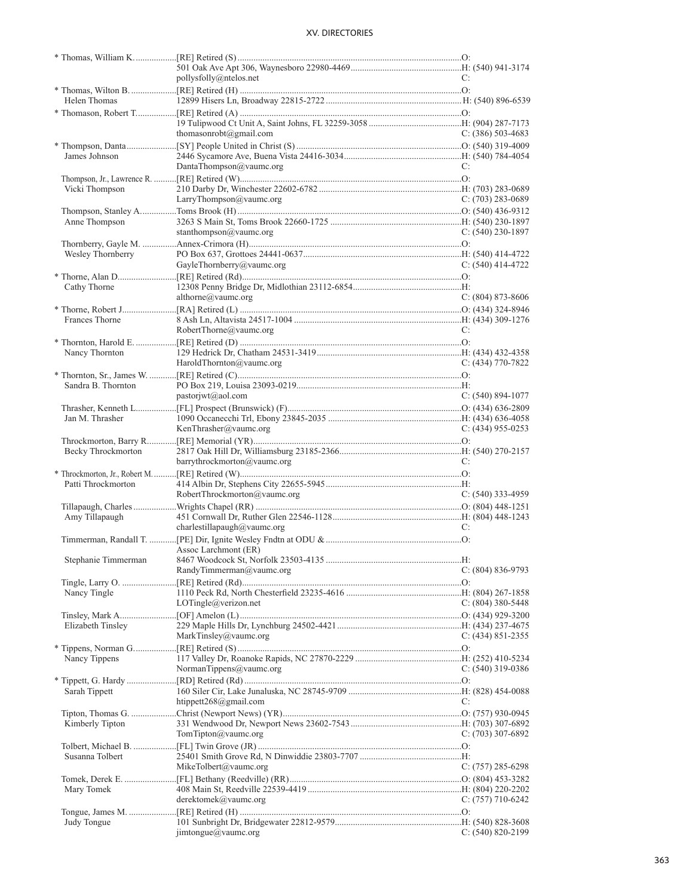|                     | pollysfolly@ntelos.net       | C:                    |
|---------------------|------------------------------|-----------------------|
|                     |                              |                       |
| Helen Thomas        |                              |                       |
|                     |                              |                       |
|                     |                              |                       |
|                     | thomasonrobt@gmail.com       | $C: (386)$ 503-4683   |
|                     |                              |                       |
|                     |                              |                       |
| James Johnson       |                              |                       |
|                     | DantaThompson@vaumc.org      | C:                    |
|                     |                              |                       |
| Vicki Thompson      |                              |                       |
|                     | LarryThompson@vaumc.org      | $C: (703)$ 283-0689   |
|                     |                              |                       |
| Anne Thompson       |                              |                       |
|                     | stanthompson@vaumc.org       | C: $(540)$ 230-1897   |
|                     |                              |                       |
| Wesley Thornberry   |                              |                       |
|                     | GayleThornberry@vaumc.org    | C: $(540)$ 414-4722   |
|                     |                              |                       |
|                     |                              |                       |
| Cathy Thorne        |                              |                       |
|                     | althorne@vaumc.org           | $C: (804) 873-8606$   |
|                     |                              |                       |
| Frances Thorne      |                              |                       |
|                     | RobertThorne@vaumc.org       | C:                    |
|                     |                              |                       |
| Nancy Thornton      |                              |                       |
|                     | HaroldThornton@vaumc.org     | $C: (434)$ 770-7822   |
|                     |                              |                       |
| Sandra B. Thornton  |                              |                       |
|                     | pastorjwt@aol.com            | $C: (540) 894-1077$   |
|                     |                              |                       |
|                     |                              |                       |
| Jan M. Thrasher     |                              |                       |
|                     | KenThrasher@vaumc.org        | C: $(434)$ 955-0253   |
|                     |                              |                       |
| Becky Throckmorton  |                              |                       |
|                     | barrythrockmorton@vaumc.org  | C:                    |
|                     |                              |                       |
| Patti Throckmorton  |                              |                       |
|                     | RobertThrockmorton@vaumc.org | C: $(540)$ 333-4959   |
|                     |                              |                       |
|                     |                              |                       |
| Amy Tillapaugh      |                              |                       |
|                     | charlestillapaugh@vaumc.org  | C:                    |
|                     |                              |                       |
|                     | Assoc Larchmont (ER)         |                       |
| Stephanie Timmerman |                              |                       |
|                     | RandyTimmerman@vaumc.org     | $C: (804) 836-9793$   |
|                     |                              |                       |
| Nancy Tingle        |                              |                       |
|                     | LOTingle@verizon.net         | C: (804) 380-5448     |
|                     |                              |                       |
| Elizabeth Tinsley   |                              |                       |
|                     | MarkTinsley@vaumc.org        | C: $(434)$ 851-2355   |
|                     |                              |                       |
|                     |                              |                       |
| Nancy Tippens       |                              |                       |
|                     | NormanTippens@vaumc.org      | $C: (540)$ 319-0386   |
|                     |                              |                       |
| Sarah Tippett       |                              |                       |
|                     | htippett $268$ @gmail.com    | C:                    |
|                     |                              |                       |
| Kimberly Tipton     |                              |                       |
|                     | TomTipton@vaumc.org          | $C: (703)$ 307-6892   |
|                     |                              |                       |
|                     |                              |                       |
| Susanna Tolbert     |                              |                       |
|                     | MikeTolbert@vaumc.org        | $C: (757) 285 - 6298$ |
|                     |                              |                       |
| Mary Tomek          |                              |                       |
|                     | derektomek@vaumc.org         | C: $(757)$ 710-6242   |
|                     |                              |                       |
| Judy Tongue         |                              |                       |
|                     | jimtongue@vaumc.org          | $C: (540) 820 - 2199$ |
|                     |                              |                       |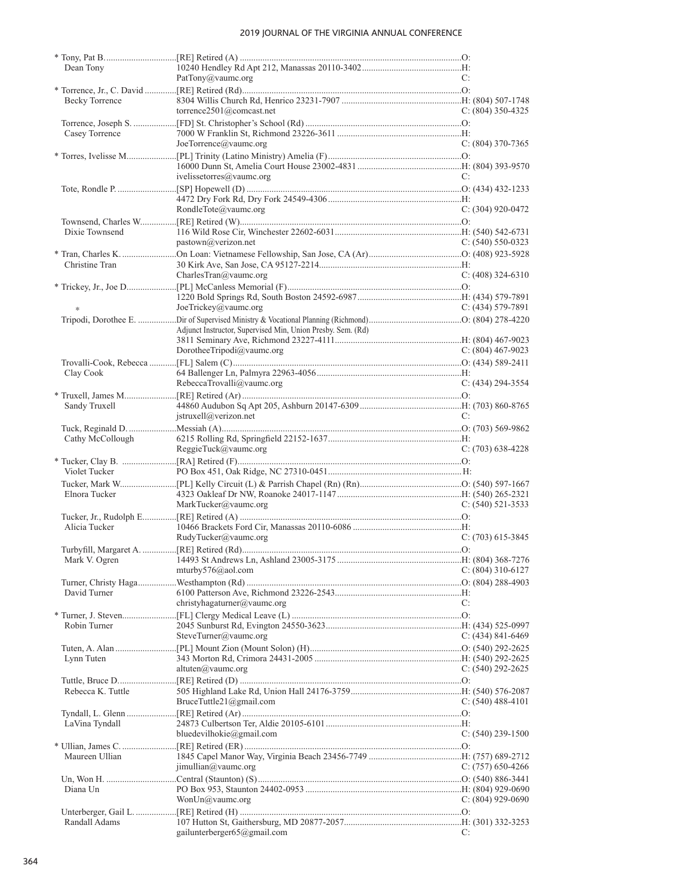| Dean Tony             |                                                             |                       |
|-----------------------|-------------------------------------------------------------|-----------------------|
|                       | PatTony@vaumc.org                                           | C:                    |
|                       |                                                             |                       |
| <b>Becky Torrence</b> |                                                             |                       |
|                       | torrence2501@comcast.net                                    | C: $(804)$ 350-4325   |
|                       |                                                             |                       |
| Casey Torrence        |                                                             |                       |
|                       | JoeTorrence@vaumc.org                                       | $C: (804)$ 370-7365   |
|                       |                                                             |                       |
|                       |                                                             |                       |
|                       | ivelissetorres@vaumc.org                                    | C:                    |
|                       |                                                             |                       |
|                       |                                                             |                       |
|                       | RondleTote@vaumc.org                                        | $C: (304)$ 920-0472   |
|                       |                                                             |                       |
| Dixie Townsend        |                                                             |                       |
|                       | pastown@verizon.net                                         | $C: (540) 550-0323$   |
|                       |                                                             |                       |
| Christine Tran        |                                                             |                       |
|                       | CharlesTran@vaumc.org                                       | $C: (408)$ 324-6310   |
|                       |                                                             |                       |
|                       |                                                             |                       |
|                       |                                                             |                       |
|                       | JoeTrickey@vaumc.org                                        | $C: (434) 579-7891$   |
|                       |                                                             |                       |
|                       | Adjunct Instructor, Supervised Min, Union Presby. Sem. (Rd) |                       |
|                       |                                                             |                       |
|                       | DorotheeTripodi@vaumc.org                                   | C: $(804)$ 467-9023   |
|                       |                                                             |                       |
| Clay Cook             |                                                             |                       |
|                       | RebeccaTrovalli@vaumc.org                                   | $C: (434) 294 - 3554$ |
|                       |                                                             |                       |
| Sandy Truxell         |                                                             |                       |
|                       | $\text{istruxell@verizon.net}$                              | C:                    |
|                       |                                                             |                       |
| Cathy McCollough      |                                                             |                       |
|                       | ReggieTuck@vaumc.org                                        | $C: (703)$ 638-4228   |
|                       |                                                             |                       |
| Violet Tucker         |                                                             |                       |
|                       |                                                             |                       |
| Elnora Tucker         |                                                             |                       |
|                       | MarkTucker@vaumc.org                                        | $C: (540)$ 521-3533   |
|                       |                                                             |                       |
| Alicia Tucker         |                                                             |                       |
|                       | RudyTucker@vaumc.org                                        | $C: (703)$ 615-3845   |
|                       |                                                             |                       |
|                       |                                                             |                       |
|                       |                                                             |                       |
|                       | mturby576@aol.com                                           | $C: (804)$ 310-6127   |
|                       |                                                             |                       |
| David Turner          |                                                             |                       |
|                       | christyhagaturner@vaumc.org                                 | C:                    |
|                       |                                                             |                       |
| Robin Turner          |                                                             |                       |
|                       | SteveTurner@vaumc.org                                       | C: $(434)$ 841-6469   |
|                       |                                                             |                       |
| Lynn Tuten            |                                                             |                       |
|                       | altuten $(a)$ vaumc.org                                     | C: $(540)$ 292-2625   |
|                       |                                                             |                       |
| Rebecca K. Tuttle     |                                                             |                       |
|                       | BruceTuttle21@gmail.com                                     | $C: (540)$ 488-4101   |
|                       |                                                             |                       |
| LaVina Tyndall        |                                                             |                       |
|                       | bluedevilhokie@gmail.com                                    | $C: (540)$ 239-1500   |
|                       |                                                             |                       |
| Maureen Ullian        |                                                             |                       |
|                       | jimullian@vaumc.org                                         | C: $(757)$ 650-4266   |
|                       |                                                             |                       |
| Diana Un              |                                                             |                       |
|                       | Won $Un@$ vaumc.org                                         |                       |
|                       |                                                             | C: $(804)$ 929-0690   |
|                       |                                                             |                       |
| Randall Adams         |                                                             |                       |
|                       | gailunterberger65@gmail.com                                 | C:                    |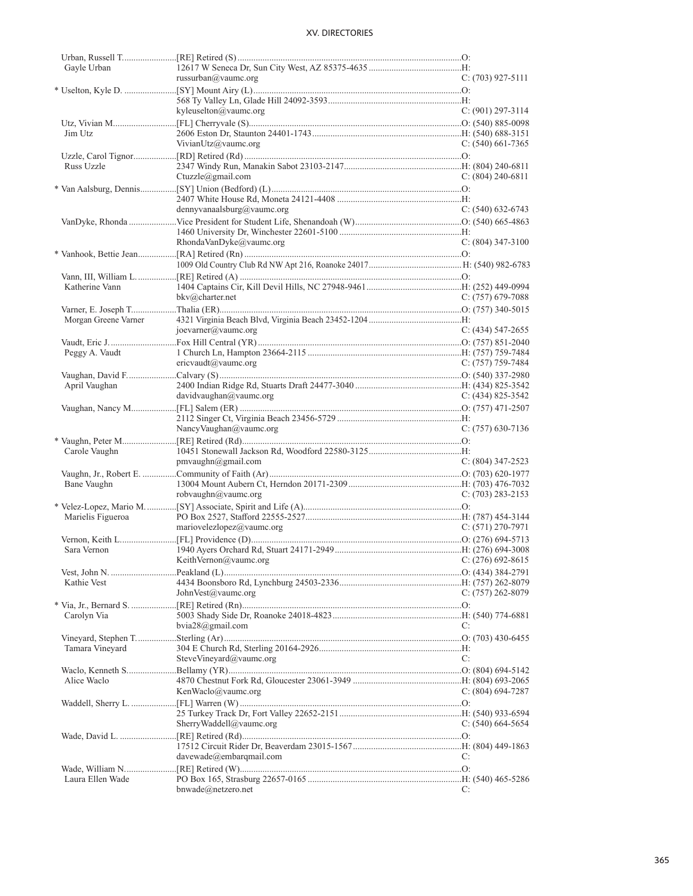| Gayle Urban          |                                         |                       |
|----------------------|-----------------------------------------|-----------------------|
|                      | russurban@vaumc.org                     | $C: (703)$ 927-5111   |
|                      |                                         |                       |
|                      |                                         |                       |
|                      |                                         |                       |
|                      | kyleuselton@vaumc.org                   | $C: (901) 297 - 3114$ |
|                      |                                         |                       |
| Jim Utz              |                                         |                       |
|                      | VivianUtz@vaumc.org                     | C: $(540)$ 661-7365   |
|                      |                                         |                       |
| Russ Uzzle           |                                         |                       |
|                      |                                         | $C: (804)$ 240-6811   |
|                      | Ctuzzle@gmail.com                       |                       |
|                      |                                         |                       |
|                      |                                         |                       |
|                      | dennyvanaalsburg@vaumc.org              | $C: (540)$ 632-6743   |
|                      |                                         |                       |
|                      |                                         |                       |
|                      |                                         |                       |
|                      | RhondaVanDyke@vaumc.org                 | $C: (804)$ 347-3100   |
|                      |                                         |                       |
|                      |                                         |                       |
|                      |                                         |                       |
| Katherine Vann       |                                         |                       |
|                      |                                         |                       |
|                      | $bkv@$ charter.net                      | C: $(757)$ 679-7088   |
|                      |                                         |                       |
| Morgan Greene Varner |                                         |                       |
|                      | joevarner@vaumc.org                     | $C: (434)$ 547-2655   |
|                      |                                         |                       |
|                      |                                         |                       |
| Peggy A. Vaudt       |                                         |                       |
|                      | ericvaudt@vaumc.org                     | $C: (757)$ 759-7484   |
|                      |                                         |                       |
| April Vaughan        |                                         |                       |
|                      | davidvaughan@vaumc.org                  | $C: (434) 825 - 3542$ |
|                      |                                         |                       |
|                      |                                         |                       |
|                      |                                         |                       |
|                      | NancyVaughan@vaumc.org                  | $C: (757)$ 630-7136   |
|                      |                                         |                       |
| Carole Vaughn        |                                         |                       |
|                      | pmvaughn@gmail.com                      | $C: (804)$ 347-2523   |
|                      |                                         |                       |
|                      |                                         |                       |
| Bane Vaughn          |                                         |                       |
|                      | robvaughn@vaumc.org                     | $C: (703) 283 - 2153$ |
|                      |                                         |                       |
| Marielis Figueroa    |                                         |                       |
|                      | mariovelezlopez@vaumc.org               | $C: (571) 270-7971$   |
|                      |                                         |                       |
|                      |                                         |                       |
| Sara Vernon          |                                         |                       |
|                      | KeithVernon@vaumc.org C: (276) 692-8615 |                       |
|                      |                                         |                       |
| Kathie Vest          |                                         |                       |
|                      | JohnVest@value.org                      | $C: (757) 262 - 8079$ |
|                      |                                         |                       |
|                      |                                         |                       |
| Carolyn Via          |                                         |                       |
|                      | bvia28@gmail.com                        | C:                    |
|                      |                                         |                       |
| Tamara Vineyard      |                                         |                       |
|                      |                                         |                       |
|                      | SteveVineyard@vaumc.org                 | C:                    |
|                      |                                         |                       |
| Alice Waclo          |                                         |                       |
|                      | KenWaclo@vaumc.org                      | C: $(804)$ 694-7287   |
|                      |                                         |                       |
|                      |                                         |                       |
|                      |                                         |                       |
|                      |                                         |                       |
|                      | SherryWaddell@vaumc.org                 | $C: (540) 664-5654$   |
|                      |                                         |                       |
|                      |                                         |                       |
|                      |                                         | C:                    |
|                      | davewade@embarqmail.com                 |                       |
|                      |                                         |                       |
| Laura Ellen Wade     | bnwade@netzero.net                      | C:                    |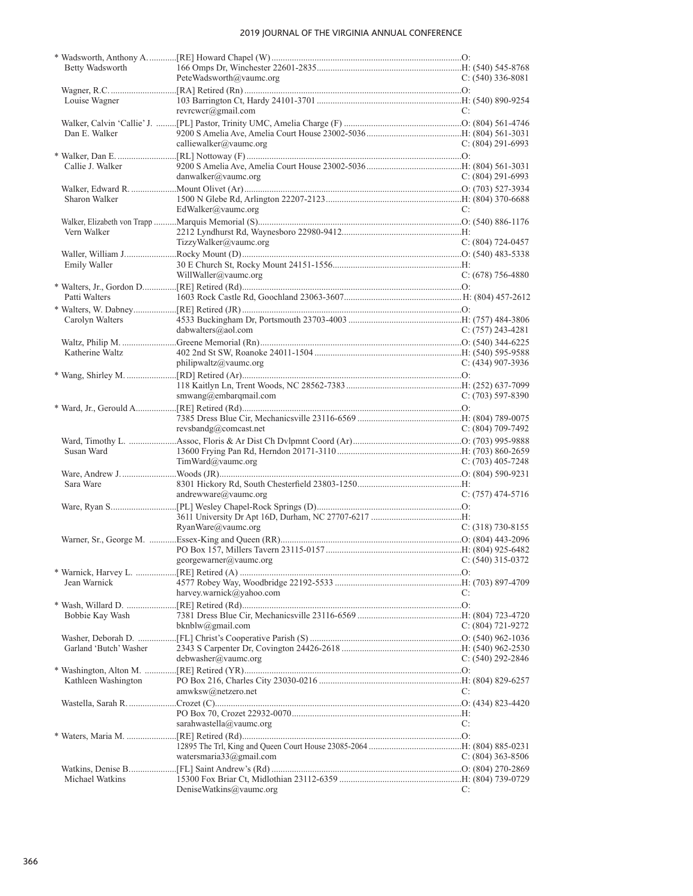| Betty Wadsworth        |                                          |                     |
|------------------------|------------------------------------------|---------------------|
|                        | PeteWadsworth@vaumc.org                  | $C: (540)$ 336-8081 |
|                        |                                          |                     |
| Louise Wagner          |                                          |                     |
|                        | revrcwcr@gmail.com                       | C:                  |
|                        |                                          |                     |
| Dan E. Walker          |                                          |                     |
|                        |                                          |                     |
|                        | calliewalker@vaumc.org                   | $C: (804) 291-6993$ |
|                        |                                          |                     |
| Callie J. Walker       |                                          |                     |
|                        | danwalker@vaumc.org                      | $C: (804) 291-6993$ |
|                        |                                          |                     |
| Sharon Walker          |                                          |                     |
|                        |                                          |                     |
|                        | EdWalker@vaumc.org                       | C:                  |
|                        |                                          |                     |
| Vern Walker            |                                          |                     |
|                        | TizzyWalker@vaumc.org                    | $C: (804) 724-0457$ |
|                        |                                          |                     |
| Emily Waller           |                                          |                     |
|                        | WillWaller@vaumc.org                     | $C: (678) 756-4880$ |
|                        |                                          |                     |
|                        |                                          |                     |
| Patti Walters          |                                          |                     |
|                        |                                          |                     |
| Carolyn Walters        |                                          |                     |
|                        | dabwalters@aol.com                       | $C: (757)$ 243-4281 |
|                        |                                          |                     |
|                        |                                          |                     |
| Katherine Waltz        |                                          |                     |
|                        | philipwaltz@vaumc.org                    | $C: (434)$ 907-3936 |
|                        |                                          |                     |
|                        |                                          |                     |
|                        | smwang@embargmail.com                    | $C: (703)$ 597-8390 |
|                        |                                          |                     |
|                        |                                          |                     |
|                        |                                          |                     |
|                        | revsbandg@connect.net                    | $C: (804) 709-7492$ |
|                        |                                          |                     |
| Susan Ward             |                                          |                     |
|                        | TimWard@value.org                        | $C: (703)$ 405-7248 |
|                        |                                          |                     |
| Sara Ware              |                                          |                     |
|                        | andrewware@vaumc.org                     | $C: (757)$ 474-5716 |
|                        |                                          |                     |
|                        |                                          |                     |
|                        |                                          |                     |
|                        | RyanWare@vaumc.org                       | $C: (318) 730-8155$ |
|                        |                                          |                     |
|                        |                                          |                     |
|                        | georgewarner@vaumc.org C: (540) 315-0372 |                     |
|                        |                                          |                     |
|                        |                                          |                     |
| Jean Warnick           |                                          |                     |
|                        | harvey.warnick@yahoo.com                 | C:                  |
|                        |                                          |                     |
| Bobbie Kay Wash        |                                          |                     |
|                        | bknblw@gmail.com                         | C: (804) 721-9272   |
|                        |                                          |                     |
|                        |                                          |                     |
| Garland 'Butch' Washer |                                          |                     |
|                        | debwasher@vaumc.org                      | C: $(540)$ 292-2846 |
|                        |                                          |                     |
| Kathleen Washington    |                                          |                     |
|                        | amwksw@netzero.net                       | C:                  |
|                        |                                          |                     |
|                        |                                          |                     |
|                        |                                          |                     |
|                        | sarahwastella@vaumc.org                  | C:                  |
|                        |                                          |                     |
|                        |                                          |                     |
|                        | watersmaria33@gmail.com                  | $C: (804)$ 363-8506 |
|                        |                                          |                     |
|                        |                                          |                     |
| Michael Watkins        |                                          |                     |
|                        | DeniseWatkins@vaumc.org                  | C:                  |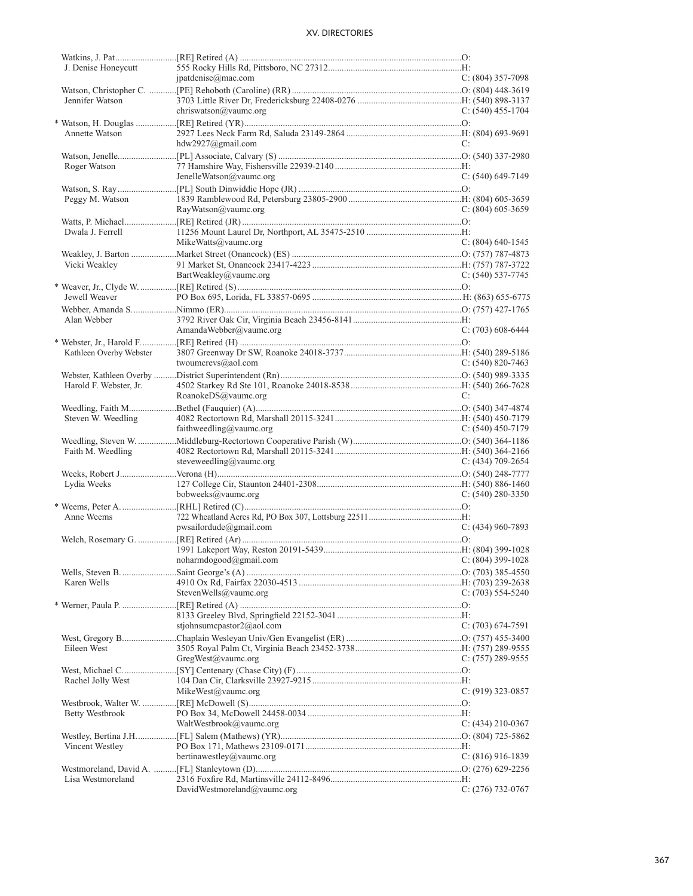| J. Denise Honeycutt     |                                          |                       |
|-------------------------|------------------------------------------|-----------------------|
|                         | ipatdenise@mac.com                       | $C: (804)$ 357-7098   |
|                         |                                          |                       |
| Jennifer Watson         |                                          |                       |
|                         | chriswatson@vaumc.org                    | C: $(540)$ 455-1704   |
|                         |                                          |                       |
| Annette Watson          |                                          |                       |
|                         | $hdw2927$ @gmail.com                     | C:                    |
|                         |                                          |                       |
| Roger Watson            |                                          |                       |
|                         | JenelleWatson@vaumc.org                  | $C: (540)$ 649-7149   |
|                         |                                          |                       |
| Peggy M. Watson         |                                          |                       |
|                         | RayWatson@vaumc.org                      | $C: (804)$ 605-3659   |
|                         |                                          |                       |
| Dwala J. Ferrell        |                                          |                       |
|                         | MikeWatts@vaumc.org                      | $C: (804)$ 640-1545   |
|                         |                                          |                       |
| Vicki Weakley           |                                          |                       |
|                         | BartWeakley@vaumc.org                    | $C: (540)$ 537-7745   |
|                         |                                          |                       |
| Jewell Weaver           |                                          |                       |
|                         |                                          |                       |
| Alan Webber             |                                          |                       |
|                         | AmandaWebber@vaumc.org                   | $C: (703)$ 608-6444   |
|                         |                                          |                       |
| Kathleen Overby Webster |                                          |                       |
|                         | twoumcrevs@aol.com                       | $C: (540) 820 - 7463$ |
|                         |                                          |                       |
| Harold F. Webster, Jr.  |                                          |                       |
|                         | RoanokeDS@vaumc.org                      | C:                    |
|                         |                                          |                       |
| Steven W. Weedling      |                                          |                       |
|                         | faithweedling@vaumc.org                  | $C: (540)$ 450-7179   |
|                         |                                          |                       |
| Faith M. Weedling       |                                          |                       |
|                         | steveweedling@vaumc.org                  | C: $(434)$ 709-2654   |
|                         |                                          |                       |
| Lydia Weeks             |                                          |                       |
|                         | bobweeks@vaumc.org                       | $C: (540) 280 - 3350$ |
|                         |                                          |                       |
| Anne Weems              |                                          |                       |
|                         | pwsailordude@gmail.com                   | $C: (434)$ 960-7893   |
|                         |                                          |                       |
|                         |                                          |                       |
|                         | noharmdogood@gmail.com C: (804) 399-1028 |                       |
|                         |                                          |                       |
| Karen Wells             |                                          |                       |
|                         | StevenWells@vaumc.org                    | $C: (703) 554-5240$   |
|                         |                                          |                       |
|                         |                                          |                       |
|                         | stjohnsumcpastor $2$ @aol.com            | C: (703) 674-7591     |
|                         |                                          |                       |
| Eileen West             |                                          |                       |
|                         | GregWest@vaumc.org                       | $C: (757) 289 - 9555$ |
|                         |                                          |                       |
|                         |                                          |                       |
| Rachel Jolly West       | MikeWest@vaumc.org                       | $C: (919)$ 323-0857   |
|                         |                                          |                       |
|                         |                                          |                       |
| Betty Westbrook         |                                          |                       |
|                         | WaltWestbrook@vaumc.org                  | C: $(434)$ 210-0367   |
|                         |                                          |                       |
| Vincent Westley         |                                          |                       |
|                         | bertinawestley@vaumc.org                 | $C: (816)$ 916-1839   |
|                         |                                          |                       |
| Lisa Westmoreland       |                                          |                       |
|                         | DavidWestmoreland@vaumc.org              | $C: (276)$ 732-0767   |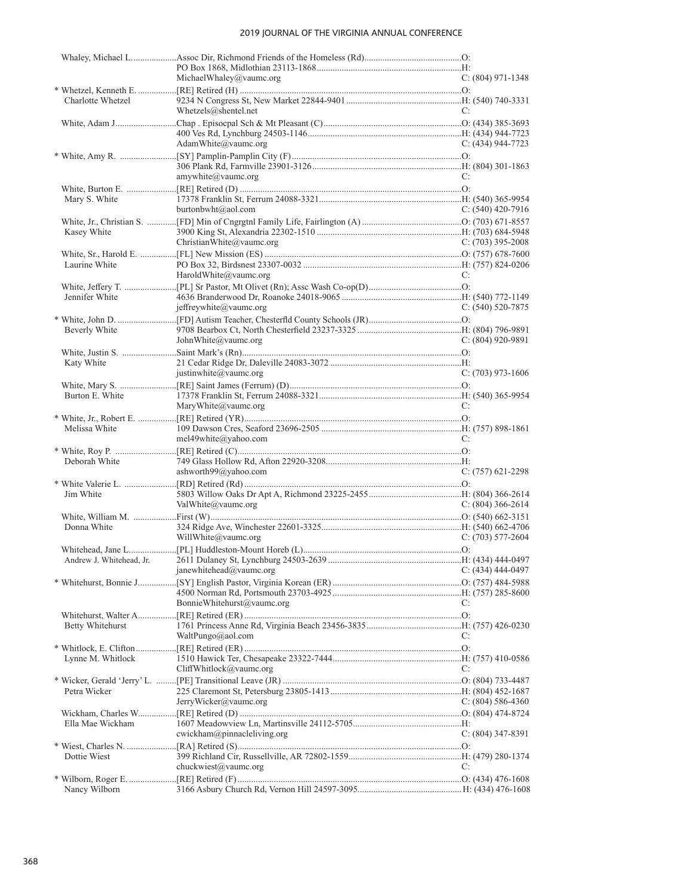|                   | MichaelWhaley@vaumc.org     | $C: (804)$ 971-1348 |
|-------------------|-----------------------------|---------------------|
|                   |                             |                     |
| Charlotte Whetzel |                             |                     |
|                   | Whetzels@shentel.net        | C:                  |
|                   |                             |                     |
|                   | AdamWhite@vaumc.org         | $C: (434) 944-7723$ |
|                   |                             |                     |
|                   |                             |                     |
|                   | amywhite@vaumc.org          | C:                  |
|                   |                             |                     |
| Mary S. White     |                             |                     |
|                   | burtonbwht@aol.com          | C: $(540)$ 420-7916 |
|                   |                             |                     |
| Kasey White       |                             |                     |
|                   | ChristianWhite@vaumc.org    | C: $(703)$ 395-2008 |
|                   |                             |                     |
| Laurine White     |                             |                     |
|                   | HaroldWhite@vaumc.org       | C:                  |
|                   |                             |                     |
| Jennifer White    |                             |                     |
|                   | jeffreywhite@vaumc.org      | $C: (540)$ 520-7875 |
|                   |                             |                     |
| Beverly White     |                             |                     |
|                   | John White $@$ vaume.org    | $C: (804)$ 920-9891 |
|                   |                             |                     |
| Katy White        |                             |                     |
|                   | justinwhite@vaumc.org       | $C: (703)$ 973-1606 |
|                   |                             |                     |
| Burton E. White   |                             |                     |
|                   | MaryWhite@vaumc.org         | C:                  |
|                   |                             |                     |
| Melissa White     |                             |                     |
|                   | mel49white@yahoo.com        | C:                  |
|                   |                             |                     |
| Deborah White     |                             |                     |
|                   | ashworth99@yahoo.com        | $C: (757)$ 621-2298 |
| Jim White         |                             |                     |
|                   | ValWhite $@$ vaumc.org      | C: $(804)$ 366-2614 |
|                   |                             |                     |
| Donna White       |                             |                     |
|                   | WillWhite@vaumc.org         | C: $(703)$ 577-2604 |
|                   |                             |                     |
|                   |                             |                     |
|                   | janewhitehead@vaumc.org     | $C: (434)$ 444-0497 |
|                   |                             |                     |
|                   |                             |                     |
|                   | BonnieWhitehurst@vaumc.org  | C:                  |
|                   |                             |                     |
| Betty Whitehurst  |                             |                     |
|                   | WaltPungo@aol.com           | C:                  |
|                   |                             |                     |
| Lynne M. Whitlock |                             |                     |
|                   | CliffWhitlock@vaumc.org     | C:                  |
|                   |                             |                     |
| Petra Wicker      |                             |                     |
|                   | JerryWicker@vaumc.org       | C: $(804)$ 586-4360 |
|                   |                             |                     |
| Ella Mae Wickham  |                             |                     |
|                   | cwickham@pinnacleliving.org | $C: (804)$ 347-8391 |
|                   |                             |                     |
| Dottie Wiest      |                             |                     |
|                   | chuckwiest@vaumc.org        | C:                  |
|                   |                             |                     |
| Nancy Wilborn     |                             |                     |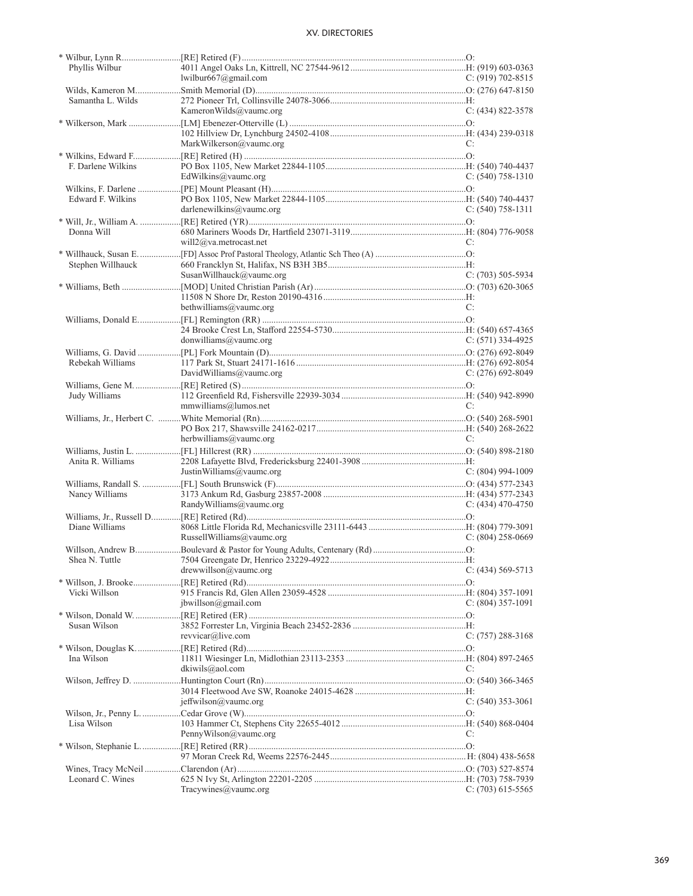| Phyllis Wilbur     |                            |                       |
|--------------------|----------------------------|-----------------------|
|                    | lwilbur $667$ @gmail.com   | C: $(919)$ 702-8515   |
|                    |                            |                       |
| Samantha L. Wilds  |                            |                       |
|                    | KameronWilds@vaumc.org     | $C: (434) 822 - 3578$ |
|                    |                            |                       |
|                    |                            |                       |
|                    | MarkWilkerson@vaumc.org    | C:                    |
|                    |                            |                       |
| F. Darlene Wilkins |                            |                       |
|                    | EdWilkins@vaumc.org        | $C: (540) 758-1310$   |
|                    |                            |                       |
| Edward F. Wilkins  |                            |                       |
|                    | darlenewilkins@vaumc.org   | $C: (540) 758-1311$   |
|                    |                            |                       |
| Donna Will         |                            |                       |
|                    | will $2@$ va.metrocast.net | C:                    |
|                    |                            |                       |
| Stephen Willhauck  |                            |                       |
|                    | SusanWillhauck@vaumc.org   | $C: (703) 505-5934$   |
|                    |                            |                       |
|                    |                            |                       |
|                    | bethwilliams@vaumc.org     | C:                    |
|                    |                            |                       |
|                    |                            |                       |
|                    | donwilliams@value.org      | $C: (571)$ 334-4925   |
|                    |                            |                       |
| Rebekah Williams   |                            |                       |
|                    | DavidWilliams@vaumc.org    | $C: (276)$ 692-8049   |
|                    |                            |                       |
|                    |                            |                       |
| Judy Williams      |                            |                       |
|                    | mmwilliams@lumos.net       | C:                    |
|                    |                            |                       |
|                    |                            |                       |
|                    | herbwilliams@vaumc.org     | C:                    |
|                    |                            |                       |
| Anita R. Williams  |                            |                       |
|                    | JustinWilliams@vaumc.org   | $C: (804)$ 994-1009   |
|                    |                            |                       |
| Nancy Williams     |                            |                       |
|                    | RandyWilliams@vaumc.org    | $C: (434)$ 470-4750   |
|                    |                            |                       |
| Diane Williams     |                            |                       |
|                    | RussellWilliams@vaumc.org  | $C: (804)$ 258-0669   |
|                    |                            |                       |
|                    |                            |                       |
|                    | $d$ rewwillson@vaumc.org   | C: $(434)$ 569-5713   |
|                    |                            |                       |
| Vicki Willson      |                            |                       |
|                    | ibwillson@gmail.com        | $C: (804)$ 357-1091   |
|                    |                            |                       |
| Susan Wilson       |                            |                       |
|                    | revvicar@live.com          | $C: (757) 288-3168$   |
|                    |                            |                       |
| Ina Wilson         |                            |                       |
|                    | dkiwils@aol.com            | C:                    |
|                    |                            |                       |
|                    |                            |                       |
|                    | jeffwilson@vaumc.org       | $C: (540)$ 353-3061   |
|                    |                            |                       |
| Lisa Wilson        |                            |                       |
|                    | PennyWilson@vaumc.org      | C:                    |
|                    |                            |                       |
|                    |                            |                       |
|                    |                            |                       |
| Leonard C. Wines   |                            |                       |
|                    | Tracywines@vaumc.org       | $C: (703) 615 - 5565$ |
|                    |                            |                       |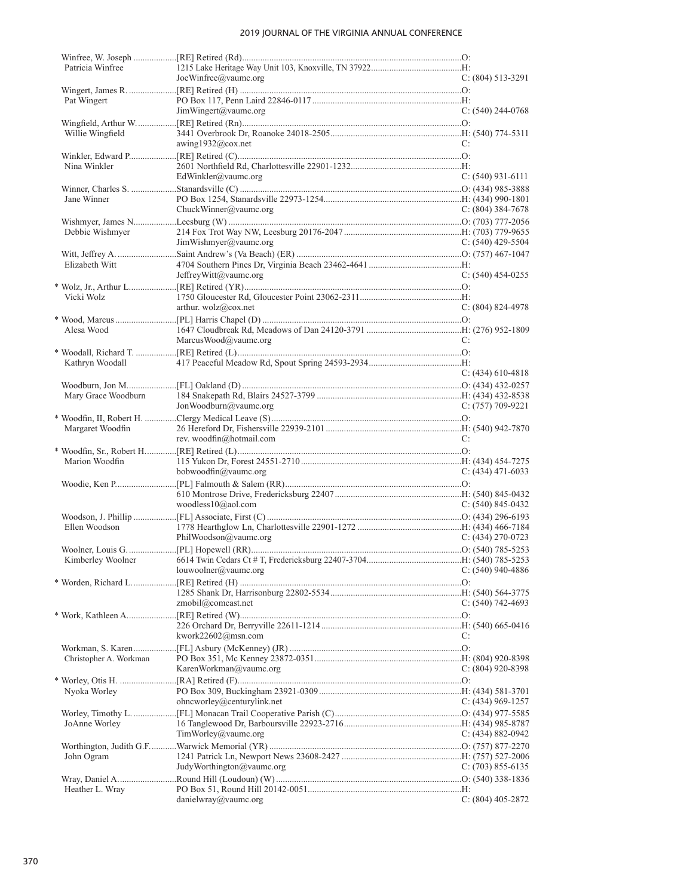| Patricia Winfree       |                                              |                       |
|------------------------|----------------------------------------------|-----------------------|
|                        | JoeWinfree@vaumc.org                         | $C: (804) 513-3291$   |
|                        |                                              |                       |
| Pat Wingert            | JimWingert@vaumc.org                         | $C: (540)$ 244-0768   |
|                        |                                              |                       |
| Willie Wingfield       |                                              |                       |
|                        | awing1932@cox.net                            | C:                    |
| Nina Winkler           |                                              |                       |
|                        | EdWinkler@vaumc.org                          | $C: (540)$ 931-6111   |
|                        |                                              |                       |
| Jane Winner            |                                              |                       |
|                        | ChuckWinner@vaumc.org                        | C: $(804)$ 384-7678   |
|                        |                                              |                       |
| Debbie Wishmyer        |                                              |                       |
|                        | JimWishmyer@vaumc.org                        | C: $(540)$ 429-5504   |
| Elizabeth Witt         |                                              |                       |
|                        | JeffreyWitt@vaumc.org                        | C: $(540)$ 454-0255   |
|                        |                                              |                       |
| Vicki Wolz             |                                              |                       |
|                        | arthur. $\text{wolz}(\hat{a})\text{cox.net}$ | $C: (804) 824-4978$   |
|                        |                                              |                       |
| Alesa Wood             |                                              |                       |
|                        | MarcusWood@vaumc.org                         | C:                    |
|                        |                                              |                       |
| Kathryn Woodall        |                                              |                       |
|                        |                                              | $C: (434) 610-4818$   |
|                        |                                              |                       |
|                        | JonWoodburn@vaumc.org                        | C: $(757)$ 709-9221   |
|                        |                                              |                       |
| Margaret Woodfin       |                                              |                       |
|                        | rev. woodfin@hotmail.com                     | C:                    |
|                        |                                              |                       |
| Marion Woodfin         |                                              |                       |
|                        | bobwoodfin@vaumc.org                         | $C: (434)$ 471-6033   |
|                        |                                              |                       |
|                        | woodless10@aol.com                           | C: $(540)$ 845-0432   |
|                        |                                              |                       |
| Ellen Woodson          |                                              |                       |
|                        | PhilWoodson@vaumc.org                        | $C: (434) 270 - 0723$ |
|                        |                                              |                       |
|                        |                                              |                       |
|                        | louwoolner@value.org                         | $C: (540)$ 940-4886   |
|                        |                                              |                       |
|                        |                                              |                       |
|                        | zmobil@comcast.net                           | $C: (540) 742 - 4693$ |
|                        |                                              |                       |
|                        | kwork22602@msn.com                           | C:                    |
|                        |                                              |                       |
| Christopher A. Workman |                                              |                       |
|                        | KarenWorkman@vaumc.org                       | C: (804) 920-8398     |
|                        |                                              |                       |
| Nyoka Worley           |                                              |                       |
|                        | ohncworley@centurylink.net                   | $C: (434)$ 969-1257   |
|                        |                                              |                       |
| JoAnne Worley          |                                              |                       |
|                        | $TimWorkey@$ vaumc.org                       | C: $(434) 882 - 0942$ |
| John Ogram             |                                              |                       |
|                        | JudyWorthington@vaumc.org                    | C: $(703)$ 855-6135   |
|                        |                                              |                       |
| Heather L. Wray        |                                              |                       |
|                        | danielwray@vaumc.org                         | C: $(804)$ 405-2872   |
|                        |                                              |                       |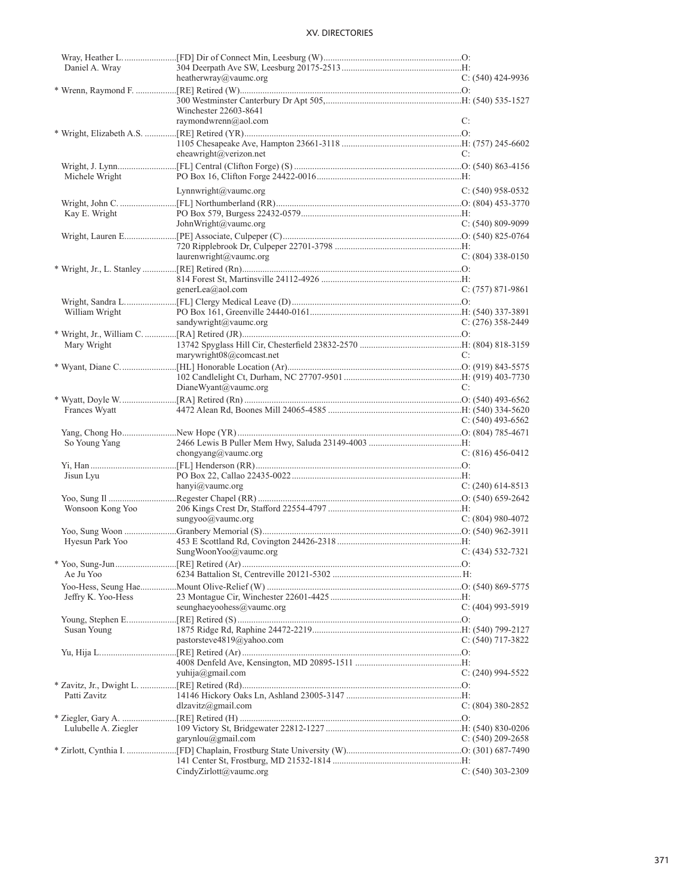| Daniel A. Wray       |                           |                       |
|----------------------|---------------------------|-----------------------|
|                      | heatherwray@vaumc.org     | $C: (540)$ 424-9936   |
|                      |                           |                       |
|                      |                           |                       |
|                      |                           |                       |
|                      | Winchester 22603-8641     |                       |
|                      | raymondwrenn@aol.com      | C:                    |
|                      |                           |                       |
|                      |                           |                       |
|                      |                           |                       |
|                      | eheawright@verizon.net    | C:                    |
|                      |                           |                       |
|                      |                           |                       |
| Michele Wright       |                           |                       |
|                      | Lynnwright@vaumc.org      | $C: (540)$ 958-0532   |
|                      |                           |                       |
|                      |                           |                       |
| Kay E. Wright        |                           |                       |
|                      | JohnWright@vaumc.org      | $C: (540) 809-9099$   |
|                      |                           |                       |
|                      |                           |                       |
|                      |                           |                       |
|                      | laurenwright@vaumc.org    | $C: (804)$ 338-0150   |
|                      |                           |                       |
|                      |                           |                       |
|                      | generLea@aol.com          | $C: (757) 871-9861$   |
|                      |                           |                       |
|                      |                           |                       |
| William Wright       |                           |                       |
|                      | sandywright@vaumc.org     | $C: (276)$ 358-2449   |
|                      |                           |                       |
|                      |                           |                       |
| Mary Wright          |                           |                       |
|                      | marywright08@comcast.net  | C:                    |
|                      |                           |                       |
|                      |                           |                       |
|                      |                           |                       |
|                      | DianeWyant@vaumc.org      | C:                    |
|                      |                           |                       |
| Frances Wyatt        |                           |                       |
|                      |                           |                       |
|                      |                           | C: $(540)$ 493-6562   |
|                      |                           |                       |
|                      |                           |                       |
|                      |                           |                       |
| So Young Yang        |                           |                       |
|                      | chongyang@vaumc.org       | $C: (816)$ 456-0412   |
|                      |                           |                       |
| Jisun Lyu            |                           |                       |
|                      |                           |                       |
|                      | hanyi@vaumc.org           |                       |
|                      |                           |                       |
| Wonsoon Kong Yoo     |                           | $C: (240)$ 614-8513   |
|                      | sungyoo@vaumc.org         | $C: (804)$ 980-4072   |
|                      |                           |                       |
|                      |                           |                       |
| Hyesun Park Yoo      |                           |                       |
|                      | SungWoonYoo@vaumc.org     | $C: (434) 532-7321$   |
|                      |                           |                       |
|                      |                           |                       |
| Ae Ju Yoo            |                           |                       |
|                      |                           |                       |
| Jeffry K. Yoo-Hess   |                           |                       |
|                      |                           | $C: (404)$ 993-5919   |
|                      | seunghaeyoohess@vaumc.org |                       |
|                      |                           |                       |
| Susan Young          |                           |                       |
|                      | pastorsteve4819@yahoo.com | C: $(540)$ 717-3822   |
|                      |                           |                       |
|                      |                           |                       |
|                      |                           |                       |
|                      | yuhija@gmail.com          | $C: (240)$ 994-5522   |
|                      |                           |                       |
|                      |                           |                       |
| Patti Zavitz         |                           |                       |
|                      | dlzavitz@gmail.com        | C: $(804)$ 380-2852   |
|                      |                           |                       |
| Lulubelle A. Ziegler |                           |                       |
|                      |                           |                       |
|                      | garynlou@gmail.com        | $C: (540) 209 - 2658$ |
|                      |                           |                       |
|                      | CindyZirlott@value.org    | $C: (540)$ 303-2309   |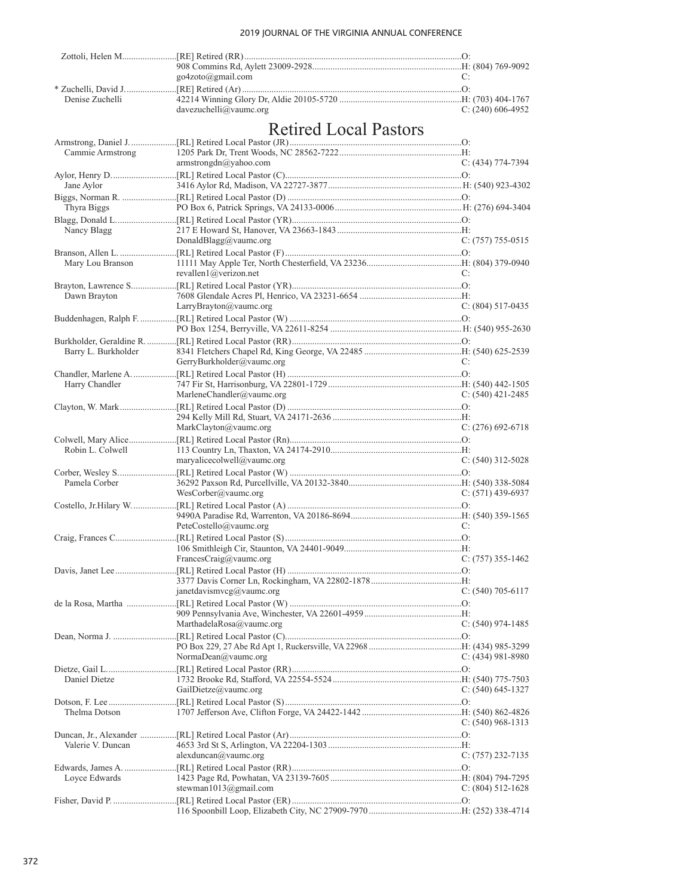|                     | $g_0$ 4zoto $(a)$ gmail.com              | C:                    |
|---------------------|------------------------------------------|-----------------------|
|                     |                                          |                       |
| Denise Zuchelli     |                                          |                       |
|                     | davezuchelli@vaumc.org                   | C: $(240)$ 606-4952   |
|                     | <b>Retired Local Pastors</b>             |                       |
|                     |                                          |                       |
| Cammie Armstrong    |                                          |                       |
|                     | armstrongdn@yahoo.com                    | $C: (434) 774-7394$   |
|                     |                                          |                       |
| Jane Aylor          |                                          |                       |
|                     |                                          |                       |
| Thyra Biggs         |                                          |                       |
|                     |                                          |                       |
| Nancy Blagg         |                                          |                       |
|                     | DonaldBlagg@vaumc.org                    | $C: (757) 755-0515$   |
|                     |                                          |                       |
| Mary Lou Branson    |                                          |                       |
|                     | revallen $1$ @verizon.net                | C:                    |
|                     |                                          |                       |
| Dawn Brayton        | LarryBrayton@vaumc.org                   | $C: (804) 517-0435$   |
|                     |                                          |                       |
|                     |                                          |                       |
|                     |                                          |                       |
| Barry L. Burkholder |                                          |                       |
|                     | GerryBurkholder@vaumc.org                | C:                    |
|                     |                                          |                       |
| Harry Chandler      |                                          |                       |
|                     | MarleneChandler@vaumc.org                | $C: (540)$ 421-2485   |
|                     |                                          |                       |
|                     |                                          |                       |
|                     | MarkClayton@vaumc.org                    | $C: (276)$ 692-6718   |
|                     |                                          |                       |
| Robin L. Colwell    | maryalicecolwell@vaumc.org               |                       |
|                     |                                          | $C: (540)$ 312-5028   |
| Pamela Corber       |                                          |                       |
|                     | WesCorber@value.org                      | $C: (571)$ 439-6937   |
|                     |                                          |                       |
|                     |                                          |                       |
|                     | PeteCostello@vaumc.org                   | C:                    |
|                     |                                          |                       |
|                     |                                          |                       |
|                     | FrancesCraig@vaumc.org C: (757) 355-1462 |                       |
|                     |                                          |                       |
|                     |                                          |                       |
|                     | janetdavismvcg@vaumc.org                 | $C: (540) 705-6117$   |
|                     |                                          |                       |
|                     | MarthadelaRosa@vaumc.org                 | C: (540) 974-1485     |
|                     |                                          |                       |
|                     |                                          |                       |
|                     | NormaDean@vaumc.org                      | $C: (434)$ 981-8980   |
|                     |                                          |                       |
| Daniel Dietze       |                                          |                       |
|                     | GailDietze@vaumc.org                     | $C: (540) 645-1327$   |
|                     |                                          |                       |
| Thelma Dotson       |                                          |                       |
|                     |                                          | $C: (540)$ 968-1313   |
| Valerie V. Duncan   |                                          |                       |
|                     | alexduncan@value.org                     | $C: (757) 232 - 7135$ |
|                     |                                          |                       |
| Loyce Edwards       |                                          |                       |
|                     | stewman1013@gmail.com                    | $C: (804) 512 - 1628$ |
|                     |                                          |                       |
|                     |                                          |                       |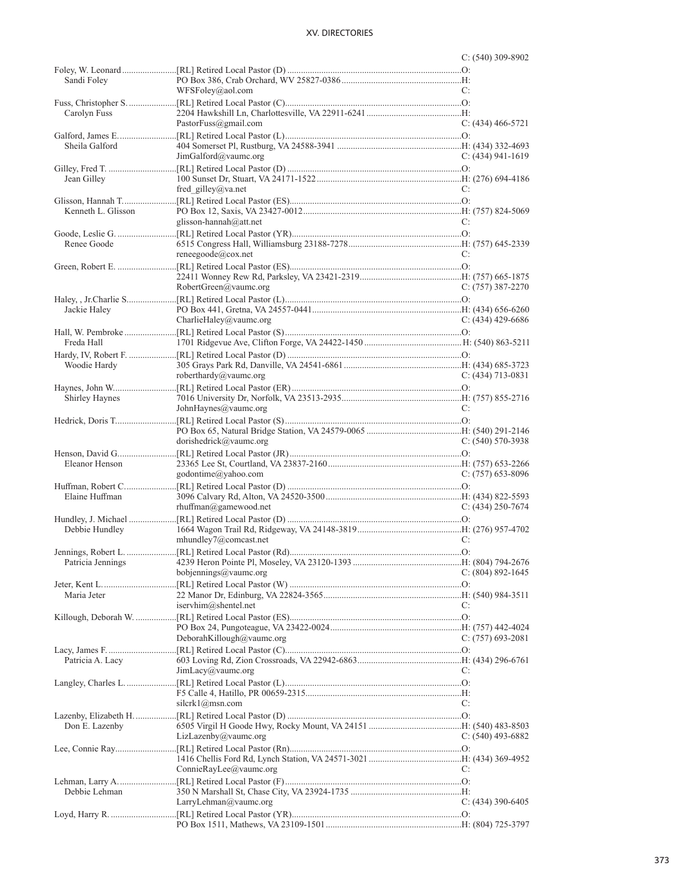|                    |                           | $C: (540)$ 309-8902   |
|--------------------|---------------------------|-----------------------|
|                    |                           |                       |
| Sandi Foley        |                           |                       |
|                    | WFSFoley@aol.com          | C:                    |
|                    |                           |                       |
| Carolyn Fuss       |                           |                       |
|                    | PastorFuss@gmail.com      | $C: (434)$ 466-5721   |
|                    |                           |                       |
| Sheila Galford     |                           |                       |
|                    | JimGalford@value.org      | C: (434) 941-1619     |
|                    |                           |                       |
| Jean Gilley        |                           |                       |
|                    | fred gilley@va.net        | C:                    |
|                    |                           |                       |
| Kenneth L. Glisson |                           |                       |
|                    | glisson-hannah@att.net    | C:                    |
|                    |                           |                       |
| Renee Goode        |                           |                       |
|                    | reneegoode@cox.net        | C:                    |
|                    |                           |                       |
|                    |                           |                       |
|                    | RobertGreen@vaumc.org     | $C: (757)$ 387-2270   |
|                    |                           |                       |
| Jackie Haley       |                           |                       |
|                    | CharlieHaley@vaumc.org    | $C: (434)$ 429-6686   |
|                    |                           |                       |
| Freda Hall         |                           |                       |
|                    |                           |                       |
| Woodie Hardy       |                           |                       |
|                    | roberthardy@vaumc.org     | $C: (434) 713 - 0831$ |
|                    |                           |                       |
| Shirley Haynes     |                           |                       |
|                    | JohnHaynes@vaumc.org      | C:                    |
|                    |                           |                       |
|                    |                           |                       |
|                    | dorishedrick@vaumc.org    | $C: (540) 570-3938$   |
|                    |                           |                       |
| Eleanor Henson     |                           |                       |
|                    | godontime@yahoo.com       | $C: (757) 653-8096$   |
|                    |                           |                       |
| Elaine Huffman     |                           |                       |
|                    | rhuffman@gamewood.net     | C: $(434)$ 250-7674   |
|                    |                           |                       |
| Debbie Hundley     |                           |                       |
|                    | mhundley7@comcast.net     | C:                    |
|                    |                           |                       |
|                    |                           |                       |
|                    | bobjennings@vaumc.org     | $C: (804) 892 - 1645$ |
|                    |                           |                       |
| Maria Jeter        |                           |                       |
|                    | iservhim@shentel.net      | C:                    |
|                    |                           |                       |
|                    |                           |                       |
|                    | DeborahKillough@vaumc.org | $C: (757) 693 - 2081$ |
|                    |                           |                       |
| Patricia A. Lacy   |                           |                       |
|                    | JimLacy@value.org         | C:                    |
|                    |                           |                       |
|                    |                           |                       |
|                    | silcrk1@msn.com           | C:                    |
|                    |                           |                       |
| Don E. Lazenby     |                           |                       |
|                    | LizLazenby@value.org      | C: $(540)$ 493-6882   |
|                    |                           |                       |
|                    |                           |                       |
|                    | ConnieRayLee@vaumc.org    | C:                    |
|                    |                           |                       |
| Debbie Lehman      |                           |                       |
|                    | LarryLehman@value.org     | C: $(434)$ 390-6405   |
|                    |                           |                       |
|                    |                           |                       |
|                    |                           |                       |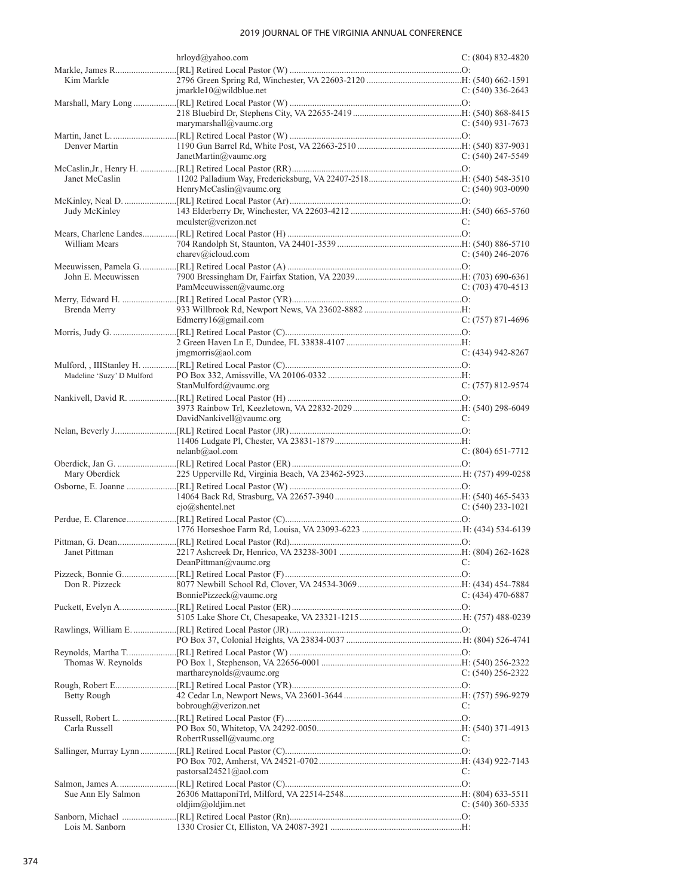|                           | hrloyd@yahoo.com           | $C: (804) 832 - 4820$ |
|---------------------------|----------------------------|-----------------------|
|                           |                            |                       |
| Kim Markle                |                            |                       |
|                           | $jmarkle10@$ wildblue.net  | C: (540) 336-2643     |
|                           |                            |                       |
|                           | marymarshall@vaumc.org     | $C: (540)$ 931-7673   |
|                           |                            |                       |
| Denver Martin             |                            |                       |
|                           | JanetMartin@vaumc.org      | C: $(540)$ 247-5549   |
|                           |                            |                       |
| Janet McCaslin            |                            |                       |
|                           | HenryMcCaslin@vaumc.org    | $C: (540)$ 903-0090   |
|                           |                            |                       |
| Judy McKinley             |                            |                       |
|                           | $m$ culster@verizon.net    | C:                    |
|                           |                            |                       |
| William Mears             |                            |                       |
|                           | charev@icloud.com          | $C: (540)$ 246-2076   |
| John E. Meeuwissen        |                            |                       |
|                           | PamMeeuwissen@vaumc.org    | C: $(703)$ 470-4513   |
|                           |                            |                       |
| Brenda Merry              |                            |                       |
|                           | Edmerry16@gmail.com        | $C: (757) 871-4696$   |
|                           |                            |                       |
|                           |                            |                       |
|                           | jmgmorris@aol.com          | $C: (434)$ 942-8267   |
|                           |                            |                       |
| Madeline 'Suzy' D Mulford |                            |                       |
|                           | StanMulford@vaumc.org      | $C: (757) 812 - 9574$ |
|                           |                            |                       |
|                           |                            |                       |
|                           | DavidNankivell@vaumc.org   | C:                    |
|                           |                            |                       |
|                           |                            |                       |
|                           |                            |                       |
|                           | nelanb@aol.com             | $C: (804)$ 651-7712   |
|                           |                            |                       |
| Mary Oberdick             |                            |                       |
|                           |                            |                       |
|                           | $ejo(\omega)$ shentel.net  | $C: (540)$ 233-1021   |
|                           |                            |                       |
|                           |                            |                       |
|                           |                            |                       |
| Janet Pittman             |                            |                       |
|                           | DeanPittman@vaumc.org      |                       |
|                           |                            |                       |
| Don R. Pizzeck            |                            |                       |
|                           | BonniePizzeck@vaumc.org    | C: $(434)$ 470-6887   |
|                           |                            |                       |
|                           |                            |                       |
|                           |                            |                       |
|                           |                            |                       |
|                           |                            |                       |
| Thomas W. Reynolds        |                            |                       |
|                           | marthareynolds@vaumc.org   | $C: (540) 256 - 2322$ |
|                           |                            |                       |
| <b>Betty Rough</b>        |                            | C:                    |
|                           | bobrough@verizon.net       |                       |
| Carla Russell             |                            |                       |
|                           | RobertRussell@vaumc.org    | C:                    |
|                           |                            |                       |
|                           |                            |                       |
|                           | pastorsal $24521$ @aol.com | C:                    |
|                           |                            |                       |
| Sue Ann Ely Salmon        |                            |                       |
|                           | oldjim@oldjim.net          | C: $(540)$ 360-5335   |
| Lois M. Sanborn           |                            |                       |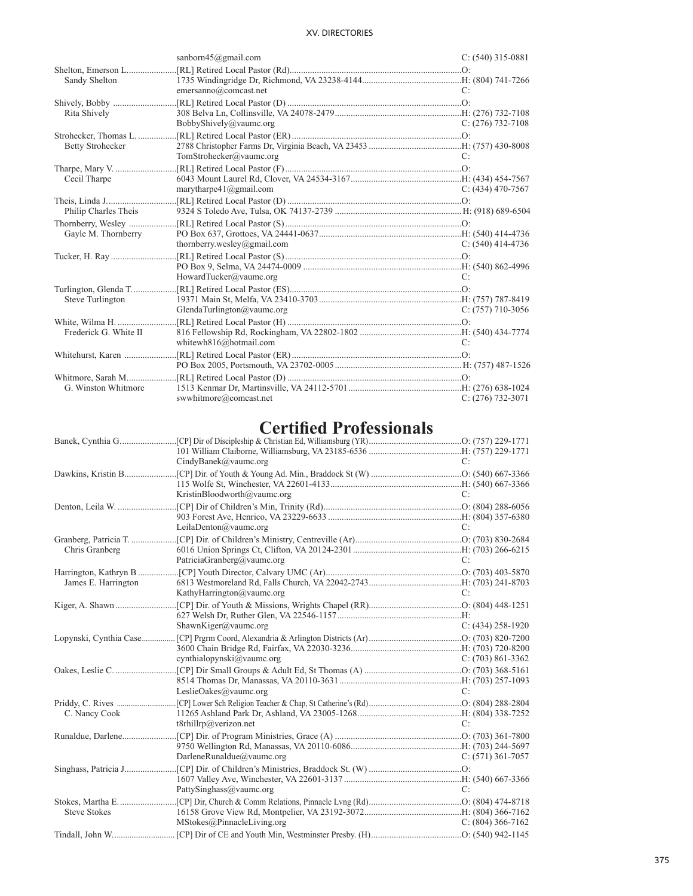|                         | sanborn $45$ @gmail.com         | $C: (540)$ 315-0881 |
|-------------------------|---------------------------------|---------------------|
| Shelton, Emerson L      |                                 |                     |
| Sandy Shelton           |                                 |                     |
|                         | emersanno@comcast.net           | C:                  |
|                         |                                 |                     |
| Rita Shively            |                                 |                     |
|                         | BobbyShively@vaumc.org          | $C: (276)$ 732-7108 |
| Strohecker, Thomas L.   |                                 |                     |
| <b>Betty Strohecker</b> |                                 |                     |
|                         | TomStrohecker@vaumc.org         | C:                  |
|                         |                                 |                     |
| Cecil Tharpe            |                                 |                     |
|                         | marytharpe $41$ ( $@g$ mail.com | $C: (434)$ 470-7567 |
|                         |                                 |                     |
| Philip Charles Theis    |                                 |                     |
|                         |                                 |                     |
| Gayle M. Thornberry     |                                 |                     |
|                         | thornberry.wesley@gmail.com     | C: $(540)$ 414-4736 |
|                         |                                 |                     |
|                         |                                 |                     |
|                         | HowardTucker@vaumc.org          | C:                  |
| Turlington, Glenda T    |                                 |                     |
| Steve Turlington        |                                 |                     |
|                         | GlendaTurlington@vaumc.org      | $C: (757)$ 710-3056 |
|                         |                                 |                     |
| Frederick G. White II   |                                 |                     |
|                         | whitewh816@hotmail.com          | C:                  |
| Whitehurst, Karen       |                                 |                     |
|                         |                                 |                     |
|                         |                                 |                     |
| G. Winston Whitmore     |                                 |                     |
|                         | swwhitmore@comcast.net          | $C: (276)$ 732-3071 |

# **Certified Professionals**

|                     | CindyBanek@vaumc.org        | $C^{\star}$         |
|---------------------|-----------------------------|---------------------|
|                     |                             |                     |
|                     |                             |                     |
|                     | KristinBloodworth@vaumc.org | C:                  |
|                     |                             |                     |
|                     |                             |                     |
|                     | LeilaDenton@vaumc.org       | C:                  |
|                     |                             |                     |
| Chris Granberg      | PatriciaGranberg@vaumc.org  | C:                  |
|                     |                             |                     |
| James E. Harrington |                             |                     |
|                     | KathyHarrington@vaumc.org   | C:                  |
|                     |                             |                     |
|                     | ShawnKiger@vaumc.org        | $C: (434)$ 258-1920 |
|                     |                             |                     |
|                     |                             |                     |
|                     | cynthialopynski@vaumc.org   | $C: (703) 861-3362$ |
|                     |                             |                     |
|                     |                             |                     |
|                     | LeslieOakes@vaumc.org       | C:                  |
| C. Nancy Cook       |                             |                     |
|                     | t8rhillrp@verizon.net       | C:                  |
|                     |                             |                     |
|                     |                             |                     |
|                     | DarleneRunaldue@vaumc.org   | $C: (571)$ 361-7057 |
|                     |                             |                     |
|                     | PattySinghass@vaumc.org     | C:                  |
|                     |                             |                     |
| <b>Steve Stokes</b> |                             |                     |
|                     | MStokes@PinnacleLiving.org  | $C: (804)$ 366-7162 |
|                     |                             |                     |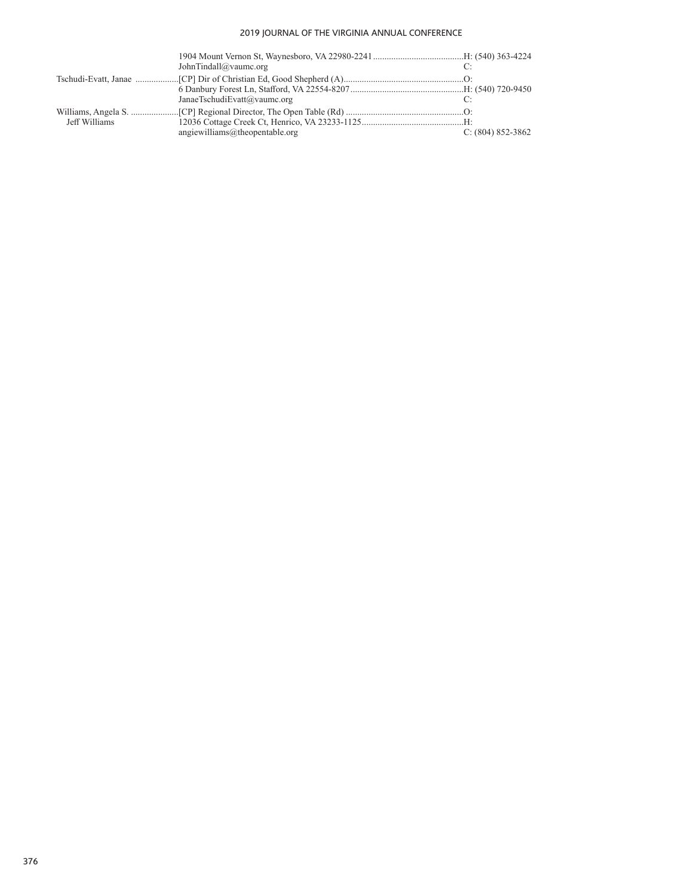|               | JohnTindall@vaumc.org            |                       |
|---------------|----------------------------------|-----------------------|
|               |                                  |                       |
|               | JanaeTschudiEvatt@vaumc.org      |                       |
| Jeff Williams | angiewilliams@the open table.org | $C: (804) 852 - 3862$ |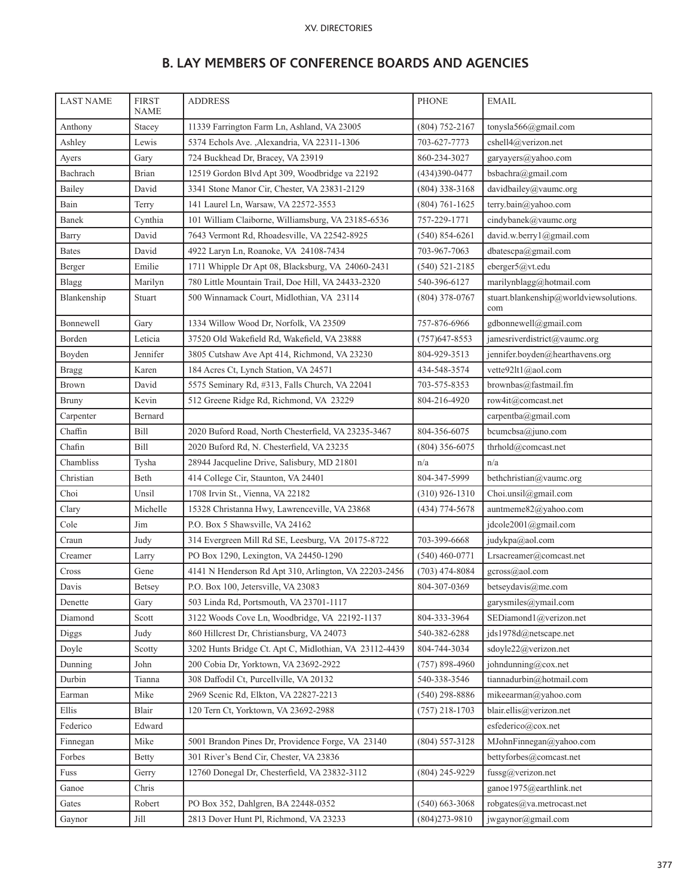|  |  |  |  | <b>B. LAY MEMBERS OF CONFERENCE BOARDS AND AGENCIES</b> |  |  |  |
|--|--|--|--|---------------------------------------------------------|--|--|--|
|--|--|--|--|---------------------------------------------------------|--|--|--|

| <b>LAST NAME</b> | <b>FIRST</b><br><b>NAME</b> | <b>ADDRESS</b>                                                                          | <b>PHONE</b>                          | <b>EMAIL</b>                                    |  |
|------------------|-----------------------------|-----------------------------------------------------------------------------------------|---------------------------------------|-------------------------------------------------|--|
| Anthony          | Stacey                      | tonysla566@gmail.com<br>11339 Farrington Farm Ln, Ashland, VA 23005<br>$(804)$ 752-2167 |                                       |                                                 |  |
| Ashley           | Lewis                       | 5374 Echols Ave. , Alexandria, VA 22311-1306                                            | cshell4@verizon.net                   |                                                 |  |
| Ayers            | Gary                        | 724 Buckhead Dr, Bracey, VA 23919                                                       | garyayers@yahoo.com                   |                                                 |  |
| Bachrach         | Brian                       | 12519 Gordon Blvd Apt 309, Woodbridge va 22192                                          | $(434)390 - 0477$                     | bsbachra@gmail.com                              |  |
| Bailey           | David                       | 3341 Stone Manor Cir, Chester, VA 23831-2129                                            | $(804)$ 338-3168                      | davidbailey@vaumc.org                           |  |
| Bain             | Terry                       | 141 Laurel Ln, Warsaw, VA 22572-3553                                                    | $(804) 761 - 1625$                    | terry.bain@yahoo.com                            |  |
| Banek            | Cynthia                     | 101 William Claiborne, Williamsburg, VA 23185-6536                                      | 757-229-1771                          | cindybanek@vaumc.org                            |  |
| Barry            | David                       | 7643 Vermont Rd, Rhoadesville, VA 22542-8925                                            | $(540) 854 - 6261$                    | david.w.berry1@gmail.com                        |  |
| <b>Bates</b>     | David                       | 4922 Laryn Ln, Roanoke, VA 24108-7434                                                   | 703-967-7063                          | dbatescpa@gmail.com                             |  |
| Berger           | Emilie                      | 1711 Whipple Dr Apt 08, Blacksburg, VA 24060-2431                                       | $(540) 521 - 2185$                    | eberger5@vt.edu                                 |  |
| Blagg            | Marilyn                     | 780 Little Mountain Trail, Doe Hill, VA 24433-2320                                      | 540-396-6127                          | marilynblagg@hotmail.com                        |  |
| Blankenship      | Stuart                      | 500 Winnamack Court, Midlothian, VA 23114                                               | $(804)$ 378-0767                      | stuart.blankenship@worldviewsolutions.<br>com   |  |
| Bonnewell        | Gary                        | 1334 Willow Wood Dr, Norfolk, VA 23509                                                  | 757-876-6966                          | gdbonnewell@gmail.com                           |  |
| Borden           | Leticia                     | 37520 Old Wakefield Rd, Wakefield, VA 23888                                             | $(757)$ 647-8553                      | jamesriverdistrict@vaumc.org                    |  |
| Boyden           | Jennifer                    | 3805 Cutshaw Ave Apt 414, Richmond, VA 23230                                            | 804-929-3513                          | jennifer.boyden@hearthavens.org                 |  |
| <b>Bragg</b>     | Karen                       | 184 Acres Ct, Lynch Station, VA 24571                                                   | 434-548-3574                          | vette92lt1@aol.com                              |  |
| Brown            | David                       | 5575 Seminary Rd, #313, Falls Church, VA 22041                                          | 703-575-8353                          | brownbas@fastmail.fm                            |  |
| <b>Bruny</b>     | Kevin                       | 512 Greene Ridge Rd, Richmond, VA 23229                                                 | 804-216-4920                          | row4it@comcast.net                              |  |
| Carpenter        | Bernard                     |                                                                                         |                                       | carpentba@gmail.com                             |  |
| Chaffin          | <b>Bill</b>                 | 2020 Buford Road, North Chesterfield, VA 23235-3467                                     | 804-356-6075                          | bcumcbsa@juno.com                               |  |
| Chafin           | <b>Bill</b>                 | 2020 Buford Rd, N. Chesterfield, VA 23235                                               | $(804)$ 356-6075                      | thrhold@comcast.net                             |  |
| Chambliss        | Tysha                       | 28944 Jacqueline Drive, Salisbury, MD 21801                                             | n/a                                   | n/a                                             |  |
| Christian        | Beth                        | 414 College Cir, Staunton, VA 24401                                                     | 804-347-5999                          | bethchristian@vaumc.org                         |  |
|                  |                             | 1708 Irvin St., Vienna, VA 22182<br>$(310)$ 926-1310                                    |                                       |                                                 |  |
| Choi             | Unsil                       |                                                                                         |                                       | Choi.unsil@gmail.com                            |  |
| Clary            | Michelle                    | 15328 Christanna Hwy, Lawrenceville, VA 23868                                           | $(434)$ 774-5678                      | auntmeme82@yahoo.com                            |  |
| Cole             | Jim                         | P.O. Box 5 Shawsville, VA 24162                                                         |                                       | jdcole2001@gmail.com                            |  |
| Craun            | Judy                        | 314 Evergreen Mill Rd SE, Leesburg, VA 20175-8722                                       | 703-399-6668                          | judykpa@aol.com                                 |  |
| Creamer          | Larry                       | PO Box 1290, Lexington, VA 24450-1290                                                   | $(540)$ 460-0771                      | Lrsacreamer@comcast.net                         |  |
| Cross            | Gene                        | 4141 N Henderson Rd Apt 310, Arlington, VA 22203-2456                                   | $(703)$ 474-8084                      | gcross@aol.com                                  |  |
| Davis            | Betsey                      | P.O. Box 100, Jetersville, VA 23083                                                     | 804-307-0369                          | betseydavis@me.com                              |  |
| Denette          | Gary                        | 503 Linda Rd, Portsmouth, VA 23701-1117                                                 |                                       | garysmiles@ymail.com                            |  |
| Diamond          | Scott                       | 3122 Woods Cove Ln, Woodbridge, VA 22192-1137                                           | 804-333-3964                          | SEDiamond1@verizon.net                          |  |
| Diggs            | Judy                        | 860 Hillcrest Dr, Christiansburg, VA 24073                                              | 540-382-6288                          | jds1978d@netscape.net                           |  |
| Doyle            | Scotty                      | 3202 Hunts Bridge Ct. Apt C, Midlothian, VA 23112-4439                                  | 804-744-3034                          | sdoyle22@verizon.net                            |  |
| Dunning          | John                        | 200 Cobia Dr, Yorktown, VA 23692-2922                                                   | $(757) 898 - 4960$                    | johndunning@cox.net                             |  |
| Durbin           | Tianna                      | 308 Daffodil Ct, Purcellville, VA 20132                                                 | 540-338-3546                          | tiannadurbin@hotmail.com                        |  |
| Earman           | Mike                        | 2969 Scenic Rd, Elkton, VA 22827-2213                                                   | $(540)$ 298-8886                      | mikeearman@yahoo.com                            |  |
| Ellis            | Blair                       | 120 Tern Ct, Yorktown, VA 23692-2988                                                    | $(757)$ 218-1703                      | blair.ellis@verizon.net                         |  |
| Federico         | Edward                      |                                                                                         |                                       | esfederico@cox.net                              |  |
| Finnegan         | Mike                        | 5001 Brandon Pines Dr, Providence Forge, VA 23140                                       | $(804)$ 557-3128                      | MJohnFinnegan@yahoo.com                         |  |
| Forbes           | Betty                       | 301 River's Bend Cir, Chester, VA 23836                                                 |                                       | bettyforbes@comcast.net                         |  |
| Fuss             | Gerry                       | 12760 Donegal Dr, Chesterfield, VA 23832-3112                                           | $(804)$ 245-9229                      | fussg@verizon.net                               |  |
| Ganoe            | Chris                       |                                                                                         |                                       | ganoe1975@earthlink.net                         |  |
| Gates<br>Gaynor  | Robert<br>Jill              | PO Box 352, Dahlgren, BA 22448-0352<br>2813 Dover Hunt Pl, Richmond, VA 23233           | $(540)$ 663-3068<br>$(804)273 - 9810$ | robgates@va.metrocast.net<br>jwgaynor@gmail.com |  |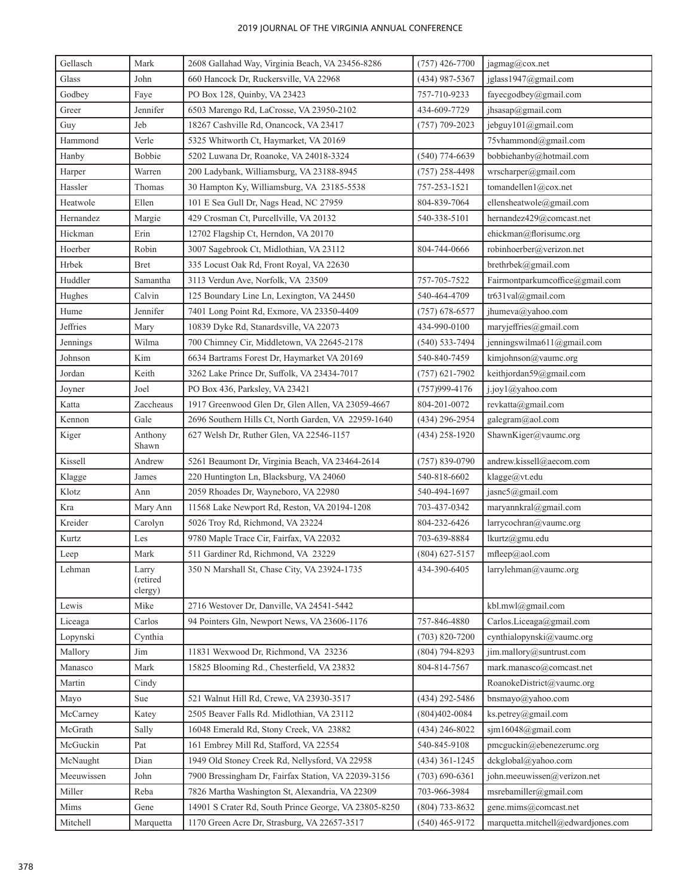| Gellasch        | Mark                         | 2608 Gallahad Way, Virginia Beach, VA 23456-8286<br>$(757)$ 426-7700<br>jagmag@cox.net |                     |                                    |
|-----------------|------------------------------|----------------------------------------------------------------------------------------|---------------------|------------------------------------|
| Glass           | John                         | 660 Hancock Dr, Ruckersville, VA 22968<br>$(434)$ 987-5367                             |                     | jglass1947@gmail.com               |
| Godbey          | Faye                         | PO Box 128, Quinby, VA 23423<br>757-710-9233                                           |                     | fayecgodbey@gmail.com              |
| Greer           | Jennifer                     | 6503 Marengo Rd, LaCrosse, VA 23950-2102                                               | 434-609-7729        | jhsasap@gmail.com                  |
| Guy             | Jeb                          | 18267 Cashville Rd, Onancock, VA 23417                                                 | jebguy101@gmail.com |                                    |
| Hammond         | Verle                        | 5325 Whitworth Ct, Haymarket, VA 20169                                                 |                     | 75vhammond@gmail.com               |
| Hanby           | Bobbie                       | 5202 Luwana Dr, Roanoke, VA 24018-3324                                                 | $(540)$ 774-6639    | bobbiehanby@hotmail.com            |
| Harper          | Warren                       | 200 Ladybank, Williamsburg, VA 23188-8945                                              | $(757)$ 258-4498    | wrscharper@gmail.com               |
| Hassler         | Thomas                       | 30 Hampton Ky, Williamsburg, VA 23185-5538                                             | 757-253-1521        | tomandellen1@cox.net               |
| Heatwole        | Ellen                        | 101 E Sea Gull Dr, Nags Head, NC 27959                                                 | 804-839-7064        | ellensheatwole@gmail.com           |
| Hernandez       | Margie                       | 429 Crosman Ct, Purcellville, VA 20132                                                 | 540-338-5101        | hernandez429@comcast.net           |
| Hickman         | Erin                         | 12702 Flagship Ct, Herndon, VA 20170                                                   |                     | ehickman@florisumc.org             |
| Hoerber         | Robin                        | 3007 Sagebrook Ct, Midlothian, VA 23112                                                | 804-744-0666        | robinhoerber@verizon.net           |
| Hrbek           | Bret                         | 335 Locust Oak Rd, Front Royal, VA 22630                                               |                     | brethrbek@gmail.com                |
| Huddler         | Samantha                     | 3113 Verdun Ave, Norfolk, VA 23509                                                     | 757-705-7522        | Fairmontparkumcoffice@gmail.com    |
| Hughes          | Calvin                       | 125 Boundary Line Ln, Lexington, VA 24450                                              | 540-464-4709        | tr631val@gmail.com                 |
| Hume            | Jennifer                     | 7401 Long Point Rd, Exmore, VA 23350-4409                                              | $(757)$ 678-6577    | jhumeva@yahoo.com                  |
| <b>Jeffries</b> | Mary                         | 10839 Dyke Rd, Stanardsville, VA 22073                                                 | 434-990-0100        | maryjeffries@gmail.com             |
| Jennings        | Wilma                        | 700 Chimney Cir, Middletown, VA 22645-2178                                             | $(540)$ 533-7494    | jenningswilma611@gmail.com         |
| Johnson         | Kim                          | 6634 Bartrams Forest Dr, Haymarket VA 20169                                            | 540-840-7459        | kimjohnson@vaumc.org               |
| Jordan          | Keith                        | 3262 Lake Prince Dr, Suffolk, VA 23434-7017                                            | $(757)$ 621-7902    | keithjordan59@gmail.com            |
| Joyner          | Joel                         | PO Box 436, Parksley, VA 23421                                                         | $(757)999 - 4176$   | j.joy1@yahoo.com                   |
| Katta           | Zaccheaus                    | 1917 Greenwood Glen Dr, Glen Allen, VA 23059-4667                                      | 804-201-0072        | revkatta@gmail.com                 |
| Kennon          | Gale                         | 2696 Southern Hills Ct, North Garden, VA 22959-1640                                    | $(434)$ 296-2954    | galegram@aol.com                   |
| Kiger           | Anthony<br>Shawn             | 627 Welsh Dr, Ruther Glen, VA 22546-1157                                               | $(434)$ 258-1920    | ShawnKiger@vaumc.org               |
| Kissell         | Andrew                       | 5261 Beaumont Dr, Virginia Beach, VA 23464-2614                                        | $(757) 839 - 0790$  | andrew.kissell@aecom.com           |
| Klagge          | James                        | 220 Huntington Ln, Blacksburg, VA 24060                                                | 540-818-6602        | klagge@vt.edu                      |
| Klotz           | Ann                          | 2059 Rhoades Dr, Wayneboro, VA 22980                                                   | 540-494-1697        | jasnc5@gmail.com                   |
| Kra             | Mary Ann                     | 11568 Lake Newport Rd, Reston, VA 20194-1208                                           | 703-437-0342        | maryannkral@gmail.com              |
| Kreider         | Carolyn                      | 5026 Troy Rd, Richmond, VA 23224                                                       | 804-232-6426        | larrycochran@vaumc.org             |
| Kurtz           | Les                          | 9780 Maple Trace Cir, Fairfax, VA 22032                                                | 703-639-8884        | lkurtz@gmu.edu                     |
| Leep            | Mark                         | 511 Gardiner Rd, Richmond, VA 23229                                                    | $(804)$ 627-5157    | mfleep@aol.com                     |
| Lehman          | Larry<br>(retired<br>clergy) | 350 N Marshall St, Chase City, VA 23924-1735                                           | 434-390-6405        | larrylehman@vaumc.org              |
| Lewis           | Mike                         | 2716 Westover Dr, Danville, VA 24541-5442                                              |                     | kbl.mwl@gmail.com                  |
| Liceaga         | Carlos                       | 94 Pointers Gln, Newport News, VA 23606-1176                                           | 757-846-4880        | Carlos.Liceaga@gmail.com           |
| Lopynski        | Cynthia                      |                                                                                        | $(703)$ 820-7200    | cynthialopynski@vaumc.org          |
| Mallory         | Jim                          | 11831 Wexwood Dr, Richmond, VA 23236                                                   | $(804)$ 794-8293    | jim.mallory@suntrust.com           |
| Manasco         | Mark                         | 15825 Blooming Rd., Chesterfield, VA 23832                                             | 804-814-7567        | mark.manasco@comcast.net           |
| Martin          | Cindy                        |                                                                                        |                     | RoanokeDistrict@vaumc.org          |
| Mayo            | Sue                          | 521 Walnut Hill Rd, Crewe, VA 23930-3517                                               | (434) 292-5486      | bnsmayo@yahoo.com                  |
| McCarney        | Katey                        | 2505 Beaver Falls Rd. Midlothian, VA 23112                                             | $(804)402-0084$     | ks.petrey@gmail.com                |
| McGrath         | Sally                        | 16048 Emerald Rd, Stony Creek, VA 23882                                                | $(434)$ 246-8022    | sjm16048@gmail.com                 |
| McGuckin        | Pat                          | 161 Embrey Mill Rd, Stafford, VA 22554                                                 | 540-845-9108        | pmcguckin@ebenezerumc.org          |
| McNaught        | Dian                         | 1949 Old Stoney Creek Rd, Nellysford, VA 22958                                         | $(434)$ 361-1245    | dckglobal@yahoo.com                |
| Meeuwissen      | John                         | 7900 Bressingham Dr, Fairfax Station, VA 22039-3156                                    | $(703) 690 - 6361$  | john.meeuwissen@verizon.net        |
| Miller          | Reba                         | 7826 Martha Washington St, Alexandria, VA 22309                                        | 703-966-3984        | msrebamiller@gmail.com             |
| Mims            | Gene                         | 14901 S Crater Rd, South Prince George, VA 23805-8250                                  | $(804) 733 - 8632$  | gene.mims@comcast.net              |
| Mitchell        | Marquetta                    | 1170 Green Acre Dr, Strasburg, VA 22657-3517                                           | $(540)$ 465-9172    | marquetta.mitchell@edwardjones.com |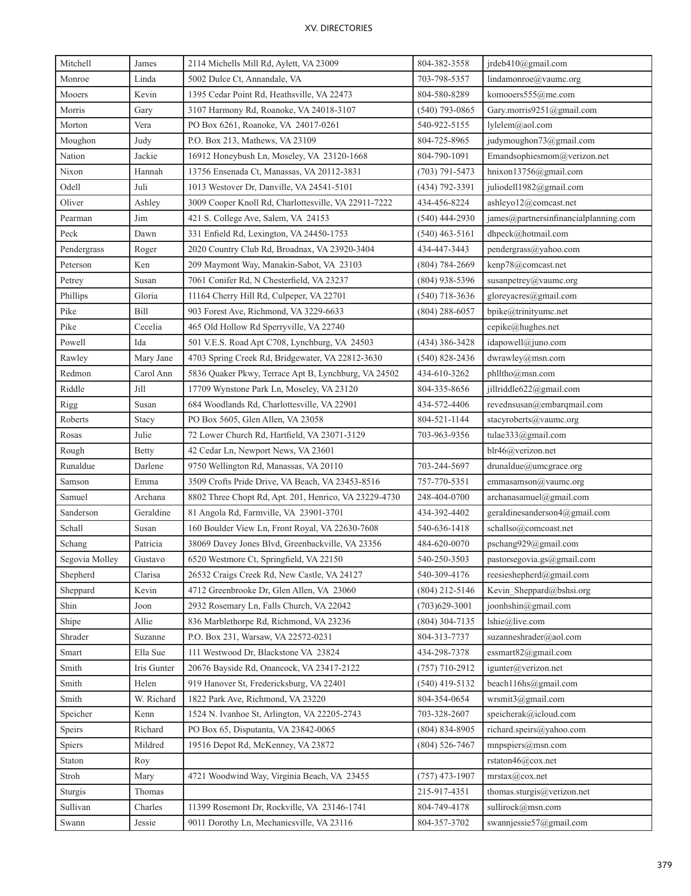| Mitchell       | James       | 804-382-3558<br>2114 Michells Mill Rd, Aylett, VA 23009 |                    | jrdeb410@gmail.com                    |  |
|----------------|-------------|---------------------------------------------------------|--------------------|---------------------------------------|--|
| Monroe         | Linda       | 703-798-5357<br>5002 Dulce Ct, Annandale, VA            |                    | lindamonroe@value.org                 |  |
| Mooers         | Kevin       | 1395 Cedar Point Rd, Heathsville, VA 22473              | 804-580-8289       | komooers555@me.com                    |  |
| Morris         | Gary        | 3107 Harmony Rd, Roanoke, VA 24018-3107                 | $(540)$ 793-0865   | Gary.morris9251@gmail.com             |  |
| Morton         | Vera        | PO Box 6261, Roanoke, VA 24017-0261                     | lylelem@aol.com    |                                       |  |
| Moughon        | Judy        | P.O. Box 213, Mathews, VA 23109                         | 804-725-8965       | judymoughon73@gmail.com               |  |
| Nation         | Jackie      | 16912 Honeybush Ln, Moseley, VA 23120-1668              | 804-790-1091       | Emandsophiesmom $@v$ erizon.net       |  |
| Nixon          | Hannah      | 13756 Ensenada Ct, Manassas, VA 20112-3831              | $(703) 791 - 5473$ | hnixon13756@gmail.com                 |  |
| Odell          | Juli        | 1013 Westover Dr, Danville, VA 24541-5101               | (434) 792-3391     | juliodell1982@gmail.com               |  |
| Oliver         | Ashley      | 3009 Cooper Knoll Rd, Charlottesville, VA 22911-7222    | 434-456-8224       | ashleyo12@comcast.net                 |  |
| Pearman        | Jim         | 421 S. College Ave, Salem, VA 24153                     | $(540)$ 444-2930   | james@partnersinfinancialplanning.com |  |
| Peck           | Dawn        | 331 Enfield Rd, Lexington, VA 24450-1753                | $(540)$ 463-5161   | dhpeck@hotmail.com                    |  |
| Pendergrass    | Roger       | 2020 Country Club Rd, Broadnax, VA 23920-3404           | 434-447-3443       | pendergrass@yahoo.com                 |  |
| Peterson       | Ken         | 209 Maymont Way, Manakin-Sabot, VA 23103                | $(804) 784 - 2669$ | kenp78@comcast.net                    |  |
| Petrey         | Susan       | 7061 Conifer Rd, N Chesterfield, VA 23237               | $(804)$ 938-5396   | susanpetrey@vaumc.org                 |  |
| Phillips       | Gloria      | 11164 Cherry Hill Rd, Culpeper, VA 22701                | $(540)$ 718-3636   | gloreyacres@gmail.com                 |  |
| Pike           | Bill        | 903 Forest Ave, Richmond, VA 3229-6633                  | (804) 288-6057     | bpike@trinityumc.net                  |  |
| Pike           | Cecelia     | 465 Old Hollow Rd Sperryville, VA 22740                 |                    | cepike@hughes.net                     |  |
| Powell         | Ida         | 501 V.E.S. Road Apt C708, Lynchburg, VA 24503           | $(434)$ 386-3428   | idapowell@juno.com                    |  |
| Rawley         | Mary Jane   | 4703 Spring Creek Rd, Bridgewater, VA 22812-3630        | $(540)$ 828-2436   | dwrawley@msn.com                      |  |
| Redmon         | Carol Ann   | 5836 Quaker Pkwy, Terrace Apt B, Lynchburg, VA 24502    | 434-610-3262       | phlltho@msn.com                       |  |
| Riddle         | Jill        | 17709 Wynstone Park Ln, Moseley, VA 23120               | 804-335-8656       | jillriddle622@gmail.com               |  |
| Rigg           | Susan       | 684 Woodlands Rd, Charlottesville, VA 22901             | 434-572-4406       | revednsusan@embarqmail.com            |  |
| Roberts        | Stacy       | PO Box 5605, Glen Allen, VA 23058                       | 804-521-1144       | stacyroberts@vaumc.org                |  |
| Rosas          | Julie       | 72 Lower Church Rd, Hartfield, VA 23071-3129            | 703-963-9356       | tulae333@gmail.com                    |  |
| Rough          | Betty       | 42 Cedar Ln, Newport News, VA 23601                     |                    | blr46@verizon.net                     |  |
| Runaldue       | Darlene     | 9750 Wellington Rd, Manassas, VA 20110                  | 703-244-5697       | drunaldue@umcgrace.org                |  |
| Samson         | Emma        | 3509 Crofts Pride Drive, VA Beach, VA 23453-8516        | 757-770-5351       | emmasamson@vaumc.org                  |  |
| Samuel         | Archana     | 8802 Three Chopt Rd, Apt. 201, Henrico, VA 23229-4730   | 248-404-0700       | archanasamuel@gmail.com               |  |
| Sanderson      | Geraldine   | 81 Angola Rd, Farmville, VA 23901-3701                  | 434-392-4402       | geraldinesanderson4@gmail.com         |  |
| Schall         | Susan       | 160 Boulder View Ln, Front Royal, VA 22630-7608         | 540-636-1418       | schallso@comcoast.net                 |  |
| Schang         | Patricia    | 38069 Davey Jones Blvd, Greenbackville, VA 23356        | 484-620-0070       | pschang929@gmail.com                  |  |
| Segovia Molley | Gustavo     | 6520 Westmore Ct, Springfield, VA 22150                 | 540-250-3503       | pastorsegovia.gs@gmail.com            |  |
| Shepherd       | Clarisa     | 26532 Craigs Creek Rd, New Castle, VA 24127             | 540-309-4176       | reesieshepherd@gmail.com              |  |
| Sheppard       | Kevin       | 4712 Greenbrooke Dr, Glen Allen, VA 23060               | (804) 212-5146     | Kevin_Sheppard@bshsi.org              |  |
| Shin           | Joon        | 2932 Rosemary Ln, Falls Church, VA 22042                | $(703)629 - 3001$  | joonhshin@gmail.com                   |  |
| Shipe          | Allie       | 836 Marblethorpe Rd, Richmond, VA 23236                 | (804) 304-7135     | lshie@live.com                        |  |
| Shrader        | Suzanne     | P.O. Box 231, Warsaw, VA 22572-0231                     | 804-313-7737       | suzanneshrader@aol.com                |  |
| Smart          | Ella Sue    | 111 Westwood Dr, Blackstone VA 23824                    | 434-298-7378       | essmart $82$ @gmail.com               |  |
| Smith          | Iris Gunter | 20676 Bayside Rd, Onancock, VA 23417-2122               | $(757)$ 710-2912   | igunter@verizon.net                   |  |
| Smith          | Helen       | 919 Hanover St, Fredericksburg, VA 22401                | $(540)$ 419-5132   | beach116hs@gmail.com                  |  |
| Smith          | W. Richard  | 1822 Park Ave, Richmond, VA 23220                       | 804-354-0654       | wrsmit3@gmail.com                     |  |
| Speicher       | Kenn        | 1524 N. Ivanhoe St, Arlington, VA 22205-2743            | 703-328-2607       | speicherak@icloud.com                 |  |
| Speirs         | Richard     | PO Box 65, Disputanta, VA 23842-0065                    | $(804) 834 - 8905$ | richard.speirs@yahoo.com              |  |
| Spiers         | Mildred     | 19516 Depot Rd, McKenney, VA 23872                      | $(804) 526 - 7467$ | mnpspiers@msn.com                     |  |
| Staton         | Roy         |                                                         |                    | rstaton46@cox.net                     |  |
| Stroh          | Mary        | 4721 Woodwind Way, Virginia Beach, VA 23455             | $(757)$ 473-1907   | mrstax@cov.net                        |  |
| Sturgis        | Thomas      |                                                         | 215-917-4351       | thomas.sturgis@verizon.net            |  |
| Sullivan       | Charles     | 11399 Rosemont Dr, Rockville, VA 23146-1741             | 804-749-4178       | sullirock@msn.com                     |  |
| Swann          | Jessie      | 9011 Dorothy Ln, Mechanicsville, VA 23116               | 804-357-3702       | swannjessie57@gmail.com               |  |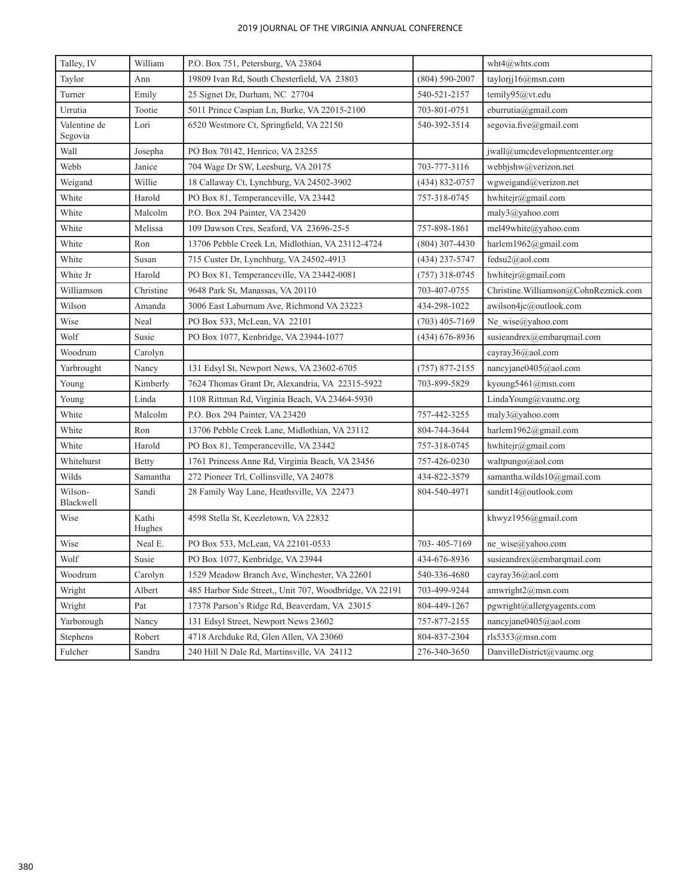| Talley, IV              | William         | P.O. Box 751, Petersburg, VA 23804                                                          |                    | wht4@whts.com                        |  |
|-------------------------|-----------------|---------------------------------------------------------------------------------------------|--------------------|--------------------------------------|--|
| Taylor                  | Ann             | 19809 Ivan Rd, South Chesterfield, VA 23803<br>$(804) 590 - 2007$<br>taylorjj $16@$ msn.com |                    |                                      |  |
| Turner                  | Emily           | 25 Signet Dr, Durham, NC 27704                                                              | 540-521-2157       | temily95@vt.edu                      |  |
| Urrutia                 | Tootie          | 5011 Prince Caspian Ln, Burke, VA 22015-2100<br>703-801-0751                                |                    | eburrutia@gmail.com                  |  |
| Valentine de<br>Segovia | Lori            | 6520 Westmore Ct, Springfield, VA 22150                                                     | 540-392-3514       | segovia.five@gmail.com               |  |
| Wall                    | Josepha         | PO Box 70142, Henrico, VA 23255                                                             |                    | jwall@umcdevelopmentcenter.org       |  |
| Webb                    | Janice          | 704 Wage Dr SW, Leesburg, VA 20175                                                          | 703-777-3116       | webbjshw@verizon.net                 |  |
| Weigand                 | Willie          | 18 Callaway Ct, Lynchburg, VA 24502-3902                                                    | $(434) 832 - 0757$ | wgweigand@verizon.net                |  |
| White                   | Harold          | PO Box 81, Temperanceville, VA 23442                                                        | 757-318-0745       | hwhitejr@gmail.com                   |  |
| White                   | Malcolm         | P.O. Box 294 Painter, VA 23420                                                              |                    | maly3@yahoo.com                      |  |
| White                   | Melissa         | 109 Dawson Cres, Seaford, VA 23696-25-5                                                     | 757-898-1861       | mel49white@yahoo.com                 |  |
| White                   | Ron             | 13706 Pebble Creek Ln, Midlothian, VA 23112-4724                                            | $(804)$ 307-4430   | harlem1962@gmail.com                 |  |
| White                   | Susan           | 715 Custer Dr, Lynchburg, VA 24502-4913                                                     | $(434)$ 237-5747   | fedsu2@aol.com                       |  |
| White Jr                | Harold          | PO Box 81, Temperanceville, VA 23442-0081                                                   | $(757)$ 318-0745   | hwhitejr@gmail.com                   |  |
| Williamson              | Christine       | 9648 Park St, Manassas, VA 20110                                                            | 703-407-0755       | Christine.Williamson@CohnReznick.com |  |
| Wilson                  | Amanda          | 3006 East Laburnum Ave, Richmond VA 23223                                                   | 434-298-1022       | awilson4jc@outlook.com               |  |
| Wise                    | Neal            | PO Box 533, McLean, VA 22101                                                                | $(703)$ 405-7169   | Ne wise@yahoo.com                    |  |
| Wolf                    | Susie           | PO Box 1077, Kenbridge, VA 23944-1077                                                       | $(434)$ 676-8936   | susieandrex@embarqmail.com           |  |
| Woodrum                 | Carolyn         |                                                                                             |                    | cayray36@aol.com                     |  |
| Yarbrought              | Nancy           | 131 Edsyl St, Newport News, VA 23602-6705                                                   | $(757)$ 877-2155   | nancyjane0405@aol.com                |  |
| Young                   | Kimberly        | 7624 Thomas Grant Dr, Alexandria, VA 22315-5922<br>703-899-5829                             |                    | kyoung5461@msn.com                   |  |
| Young                   | Linda           | 1108 Rittman Rd, Virginia Beach, VA 23464-5930                                              |                    | LindaYoung@vaumc.org                 |  |
| White                   | Malcolm         | P.O. Box 294 Painter, VA 23420                                                              | 757-442-3255       | maly3@yahoo.com                      |  |
| White                   | Ron             | 13706 Pebble Creek Lane, Midlothian, VA 23112                                               | 804-744-3644       | harlem1962@gmail.com                 |  |
| White                   | Harold          | PO Box 81, Temperanceville, VA 23442                                                        | 757-318-0745       | hwhitejr@gmail.com                   |  |
| Whitehurst              | <b>Betty</b>    | 1761 Princess Anne Rd, Virginia Beach, VA 23456                                             | 757-426-0230       | waltpungo@aol.com                    |  |
| Wilds                   | Samantha        | 272 Pioneer Trl, Collinsville, VA 24078                                                     | 434-822-3579       | samantha.wilds10@gmail.com           |  |
| Wilson-<br>Blackwell    | Sandi           | 28 Family Way Lane, Heathsville, VA 22473                                                   | 804-540-4971       | sandit14@outlook.com                 |  |
| Wise                    | Kathi<br>Hughes | 4598 Stella St, Keezletown, VA 22832                                                        |                    | khwyz1956@gmail.com                  |  |
| Wise                    | Neal E.         | PO Box 533, McLean, VA 22101-0533                                                           | 703-405-7169       | ne_wise@yahoo.com                    |  |
| Wolf                    | Susie           | PO Box 1077, Kenbridge, VA 23944                                                            | 434-676-8936       | susieandrex@embarqmail.com           |  |
| Woodrum                 | Carolyn         | 1529 Meadow Branch Ave, Winchester, VA 22601                                                | 540-336-4680       | cayray36@aol.com                     |  |
| Wright                  | Albert          | 485 Harbor Side Street,, Unit 707, Woodbridge, VA 22191                                     | 703-499-9244       | amwright $2@$ msn.com                |  |
| Wright                  | Pat             | 17378 Parson's Ridge Rd, Beaverdam, VA 23015                                                | 804-449-1267       | pgwright@allergyagents.com           |  |
| Yarborough              | Nancy           | 131 Edsyl Street, Newport News 23602                                                        | 757-877-2155       | nancyjane0405@aol.com                |  |
| Stephens                | Robert          | 4718 Archduke Rd, Glen Allen, VA 23060                                                      | 804-837-2304       | rls5353@msn.com                      |  |
| Fulcher                 | Sandra          | 240 Hill N Dale Rd, Martinsville, VA 24112                                                  | 276-340-3650       | DanvilleDistrict@vaumc.org           |  |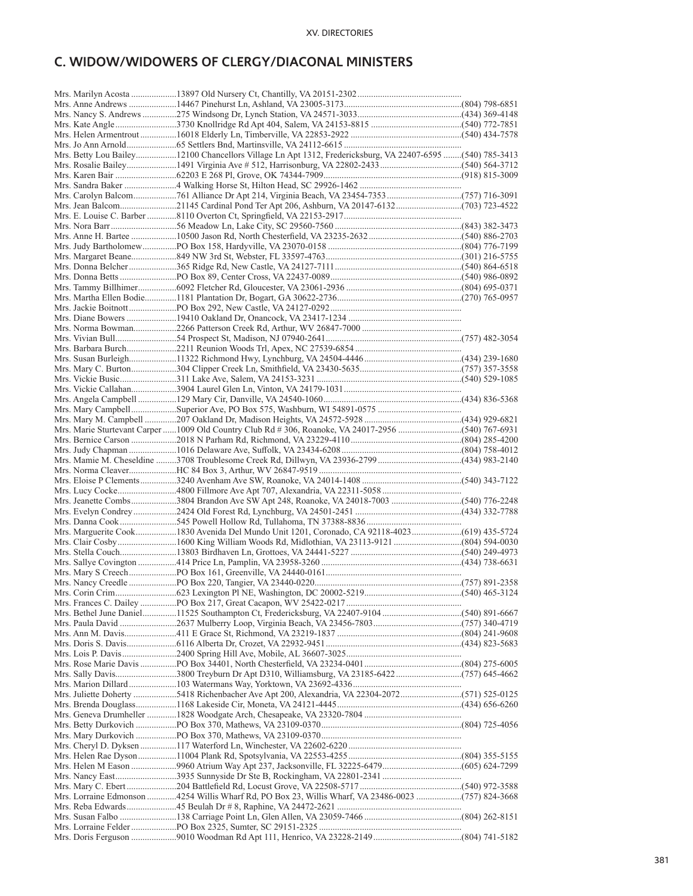# **C. WIDOW/WIDOWERS OF CLERGY/DIACONAL MINISTERS**

| Mrs. Betty Lou Bailey12100 Chancellors Village Ln Apt 1312, Fredericksburg, VA 22407-6595 (540) 785-3413 |  |
|----------------------------------------------------------------------------------------------------------|--|
| Mrs. Rosalie Bailey1491 Virginia Ave # 512, Harrisonburg, VA 22802-2433(540) 564-3712                    |  |
|                                                                                                          |  |
|                                                                                                          |  |
|                                                                                                          |  |
|                                                                                                          |  |
|                                                                                                          |  |
|                                                                                                          |  |
|                                                                                                          |  |
|                                                                                                          |  |
|                                                                                                          |  |
|                                                                                                          |  |
|                                                                                                          |  |
|                                                                                                          |  |
|                                                                                                          |  |
|                                                                                                          |  |
|                                                                                                          |  |
|                                                                                                          |  |
|                                                                                                          |  |
|                                                                                                          |  |
|                                                                                                          |  |
|                                                                                                          |  |
|                                                                                                          |  |
|                                                                                                          |  |
|                                                                                                          |  |
|                                                                                                          |  |
|                                                                                                          |  |
|                                                                                                          |  |
|                                                                                                          |  |
|                                                                                                          |  |
|                                                                                                          |  |
| Mrs. Mamie M. Cheseldine 3708 Troublesome Creek Rd, Dillwyn, VA 23936-2799 (434) 983-2140                |  |
|                                                                                                          |  |
|                                                                                                          |  |
|                                                                                                          |  |
|                                                                                                          |  |
|                                                                                                          |  |
|                                                                                                          |  |
| Mrs. Marguerite Cook1830 Avenida Del Mundo Unit 1201, Coronado, CA 92118-4023(619) 435-5724              |  |
|                                                                                                          |  |
|                                                                                                          |  |
|                                                                                                          |  |
|                                                                                                          |  |
|                                                                                                          |  |
|                                                                                                          |  |
|                                                                                                          |  |
|                                                                                                          |  |
|                                                                                                          |  |
|                                                                                                          |  |
|                                                                                                          |  |
|                                                                                                          |  |
|                                                                                                          |  |
| Mrs. Sally Davis3800 Treyburn Dr Apt D310, Williamsburg, VA 23185-6422 (757) 645-4662                    |  |
|                                                                                                          |  |
|                                                                                                          |  |
|                                                                                                          |  |
|                                                                                                          |  |
|                                                                                                          |  |
|                                                                                                          |  |
|                                                                                                          |  |
|                                                                                                          |  |
|                                                                                                          |  |
|                                                                                                          |  |
|                                                                                                          |  |
| Mrs. Lorraine Edmonson 4254 Willis Wharf Rd, PO Box 23, Willis Wharf, VA 23486-0023 (757) 824-3668       |  |
|                                                                                                          |  |
|                                                                                                          |  |
|                                                                                                          |  |
|                                                                                                          |  |
|                                                                                                          |  |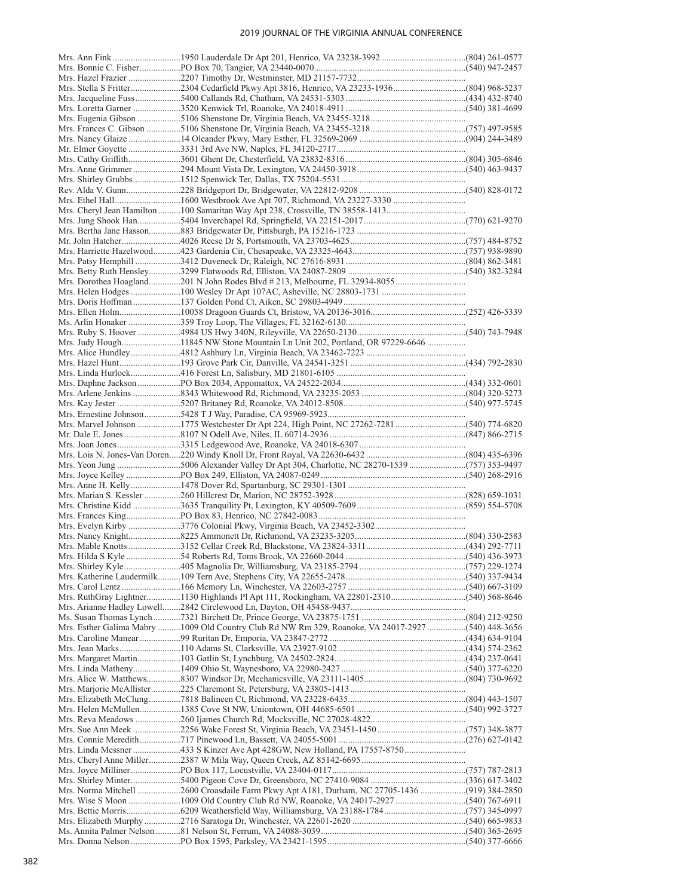| Mrs. Stella S Fritter2304 Cedarfield Pkwy Apt 3816, Henrico, VA 23233-1936(804) 968-5237           |  |
|----------------------------------------------------------------------------------------------------|--|
|                                                                                                    |  |
|                                                                                                    |  |
|                                                                                                    |  |
|                                                                                                    |  |
|                                                                                                    |  |
|                                                                                                    |  |
|                                                                                                    |  |
|                                                                                                    |  |
|                                                                                                    |  |
|                                                                                                    |  |
|                                                                                                    |  |
|                                                                                                    |  |
|                                                                                                    |  |
|                                                                                                    |  |
|                                                                                                    |  |
|                                                                                                    |  |
|                                                                                                    |  |
|                                                                                                    |  |
|                                                                                                    |  |
|                                                                                                    |  |
|                                                                                                    |  |
|                                                                                                    |  |
|                                                                                                    |  |
|                                                                                                    |  |
| Mrs. Judy Hough11845 NW Stone Mountain Ln Unit 202, Portland, OR 97229-6646                        |  |
|                                                                                                    |  |
|                                                                                                    |  |
|                                                                                                    |  |
|                                                                                                    |  |
|                                                                                                    |  |
|                                                                                                    |  |
|                                                                                                    |  |
| Mrs. Marvel Johnson 1775 Westchester Dr Apt 224, High Point, NC 27262-7281 (540) 774-6820          |  |
|                                                                                                    |  |
|                                                                                                    |  |
|                                                                                                    |  |
| Mrs. Yeon Jung 5006 Alexander Valley Dr Apt 304, Charlotte, NC 28270-1539 (757) 353-9497           |  |
|                                                                                                    |  |
|                                                                                                    |  |
|                                                                                                    |  |
|                                                                                                    |  |
|                                                                                                    |  |
|                                                                                                    |  |
|                                                                                                    |  |
|                                                                                                    |  |
|                                                                                                    |  |
|                                                                                                    |  |
|                                                                                                    |  |
|                                                                                                    |  |
|                                                                                                    |  |
|                                                                                                    |  |
| Mrs. RuthGray Lightner1130 Highlands Pl Apt 111, Rockingham, VA 22801-2310(540) 568-8646           |  |
|                                                                                                    |  |
|                                                                                                    |  |
| Mrs. Esther Galima Mabry 1009 Old Country Club Rd NW Rm 329, Roanoke, VA 24017-2927 (540) 448-3656 |  |
|                                                                                                    |  |
|                                                                                                    |  |
|                                                                                                    |  |
|                                                                                                    |  |
|                                                                                                    |  |
|                                                                                                    |  |
|                                                                                                    |  |
|                                                                                                    |  |
|                                                                                                    |  |
|                                                                                                    |  |
|                                                                                                    |  |
|                                                                                                    |  |
|                                                                                                    |  |
|                                                                                                    |  |
|                                                                                                    |  |
| Mrs. Norma Mitchell 2600 Croasdaile Farm Pkwy Apt A181, Durham, NC 27705-1436 (919) 384-2850       |  |
|                                                                                                    |  |
|                                                                                                    |  |
|                                                                                                    |  |
|                                                                                                    |  |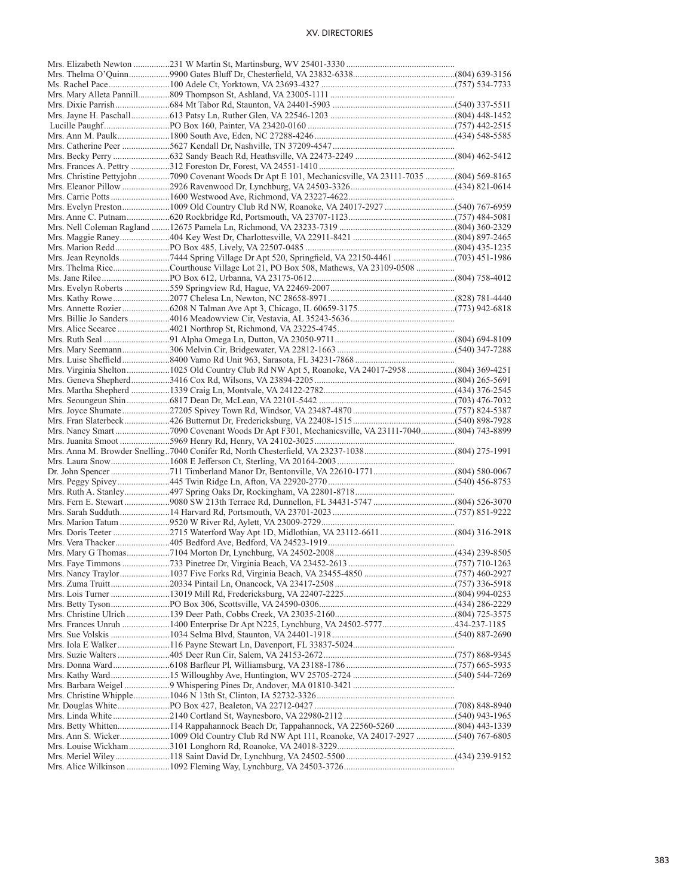| Mrs. Christine Pettyjohn 7090 Covenant Woods Dr Apt E 101, Mechanicsville, VA 23111-7035 (804) 569-8165 |  |
|---------------------------------------------------------------------------------------------------------|--|
|                                                                                                         |  |
|                                                                                                         |  |
|                                                                                                         |  |
|                                                                                                         |  |
|                                                                                                         |  |
|                                                                                                         |  |
|                                                                                                         |  |
|                                                                                                         |  |
| Mrs. Thelma RiceCourthouse Village Lot 21, PO Box 508, Mathews, VA 23109-0508                           |  |
|                                                                                                         |  |
|                                                                                                         |  |
|                                                                                                         |  |
|                                                                                                         |  |
|                                                                                                         |  |
|                                                                                                         |  |
|                                                                                                         |  |
|                                                                                                         |  |
|                                                                                                         |  |
| Mrs. Virginia Shelton 1025 Old Country Club Rd NW Apt 5, Roanoke, VA 24017-2958 (804) 369-4251          |  |
|                                                                                                         |  |
|                                                                                                         |  |
|                                                                                                         |  |
|                                                                                                         |  |
|                                                                                                         |  |
|                                                                                                         |  |
|                                                                                                         |  |
|                                                                                                         |  |
|                                                                                                         |  |
|                                                                                                         |  |
|                                                                                                         |  |
|                                                                                                         |  |
| Mrs. Fern E. Stewart9080 SW 213th Terrace Rd, Dunnellon, FL 34431-5747(804) 526-3070                    |  |
|                                                                                                         |  |
|                                                                                                         |  |
|                                                                                                         |  |
|                                                                                                         |  |
|                                                                                                         |  |
|                                                                                                         |  |
|                                                                                                         |  |
|                                                                                                         |  |
|                                                                                                         |  |
|                                                                                                         |  |
|                                                                                                         |  |
|                                                                                                         |  |
|                                                                                                         |  |
|                                                                                                         |  |
|                                                                                                         |  |
|                                                                                                         |  |
|                                                                                                         |  |
|                                                                                                         |  |
|                                                                                                         |  |
|                                                                                                         |  |
| Mrs. Betty Whitten114 Rappahannock Beach Dr, Tappahannock, VA 22560-5260 (804) 443-1339                 |  |
| Mrs. Ann S. Wicker1009 Old Country Club Rd NW Apt 111, Roanoke, VA 24017-2927 (540) 767-6805            |  |
|                                                                                                         |  |
|                                                                                                         |  |
|                                                                                                         |  |
|                                                                                                         |  |